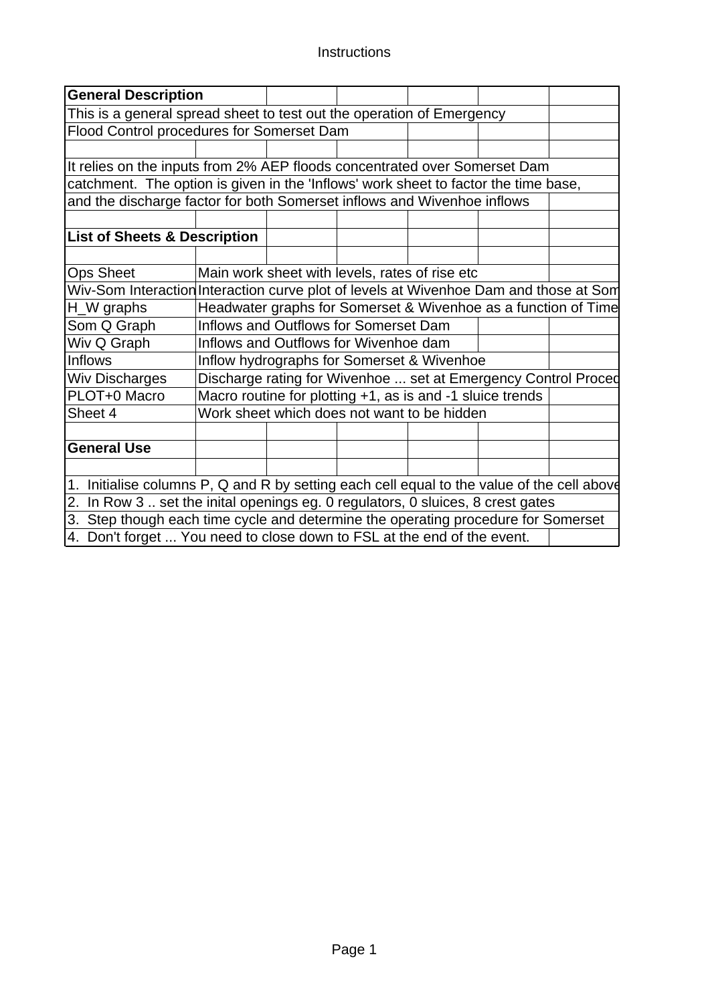### Instructions

| <b>General Description</b>                                                                 |                                                                         |                                            |                                       |                                                                |  |  |  |  |  |
|--------------------------------------------------------------------------------------------|-------------------------------------------------------------------------|--------------------------------------------|---------------------------------------|----------------------------------------------------------------|--|--|--|--|--|
| This is a general spread sheet to test out the operation of Emergency                      |                                                                         |                                            |                                       |                                                                |  |  |  |  |  |
| Flood Control procedures for Somerset Dam                                                  |                                                                         |                                            |                                       |                                                                |  |  |  |  |  |
|                                                                                            |                                                                         |                                            |                                       |                                                                |  |  |  |  |  |
| It relies on the inputs from 2% AEP floods concentrated over Somerset Dam                  |                                                                         |                                            |                                       |                                                                |  |  |  |  |  |
| catchment. The option is given in the 'Inflows' work sheet to factor the time base,        |                                                                         |                                            |                                       |                                                                |  |  |  |  |  |
| and the discharge factor for both Somerset inflows and Wivenhoe inflows                    |                                                                         |                                            |                                       |                                                                |  |  |  |  |  |
|                                                                                            |                                                                         |                                            |                                       |                                                                |  |  |  |  |  |
| <b>List of Sheets &amp; Description</b>                                                    |                                                                         |                                            |                                       |                                                                |  |  |  |  |  |
|                                                                                            |                                                                         |                                            |                                       |                                                                |  |  |  |  |  |
| <b>Ops Sheet</b><br>Main work sheet with levels, rates of rise etc                         |                                                                         |                                            |                                       |                                                                |  |  |  |  |  |
| Wiv-Som Interaction Interaction curve plot of levels at Wivenhoe Dam and those at Som      |                                                                         |                                            |                                       |                                                                |  |  |  |  |  |
| H_W graphs                                                                                 |                                                                         |                                            |                                       | Headwater graphs for Somerset & Wivenhoe as a function of Time |  |  |  |  |  |
| Som Q Graph                                                                                |                                                                         |                                            | Inflows and Outflows for Somerset Dam |                                                                |  |  |  |  |  |
| Wiv Q Graph                                                                                |                                                                         |                                            | Inflows and Outflows for Wivenhoe dam |                                                                |  |  |  |  |  |
| <b>Inflows</b>                                                                             |                                                                         | Inflow hydrographs for Somerset & Wivenhoe |                                       |                                                                |  |  |  |  |  |
| <b>Wiv Discharges</b>                                                                      |                                                                         |                                            |                                       | Discharge rating for Wivenhoe  set at Emergency Control Proced |  |  |  |  |  |
| PLOT+0 Macro                                                                               |                                                                         |                                            |                                       | Macro routine for plotting +1, as is and -1 sluice trends      |  |  |  |  |  |
| Sheet 4                                                                                    |                                                                         |                                            |                                       | Work sheet which does not want to be hidden                    |  |  |  |  |  |
|                                                                                            |                                                                         |                                            |                                       |                                                                |  |  |  |  |  |
| <b>General Use</b>                                                                         |                                                                         |                                            |                                       |                                                                |  |  |  |  |  |
|                                                                                            |                                                                         |                                            |                                       |                                                                |  |  |  |  |  |
| 1. Initialise columns P, Q and R by setting each cell equal to the value of the cell above |                                                                         |                                            |                                       |                                                                |  |  |  |  |  |
| 2. In Row 3. set the inital openings eg. 0 regulators, 0 sluices, 8 crest gates            |                                                                         |                                            |                                       |                                                                |  |  |  |  |  |
| 3. Step though each time cycle and determine the operating procedure for Somerset          |                                                                         |                                            |                                       |                                                                |  |  |  |  |  |
|                                                                                            | 4. Don't forget  You need to close down to FSL at the end of the event. |                                            |                                       |                                                                |  |  |  |  |  |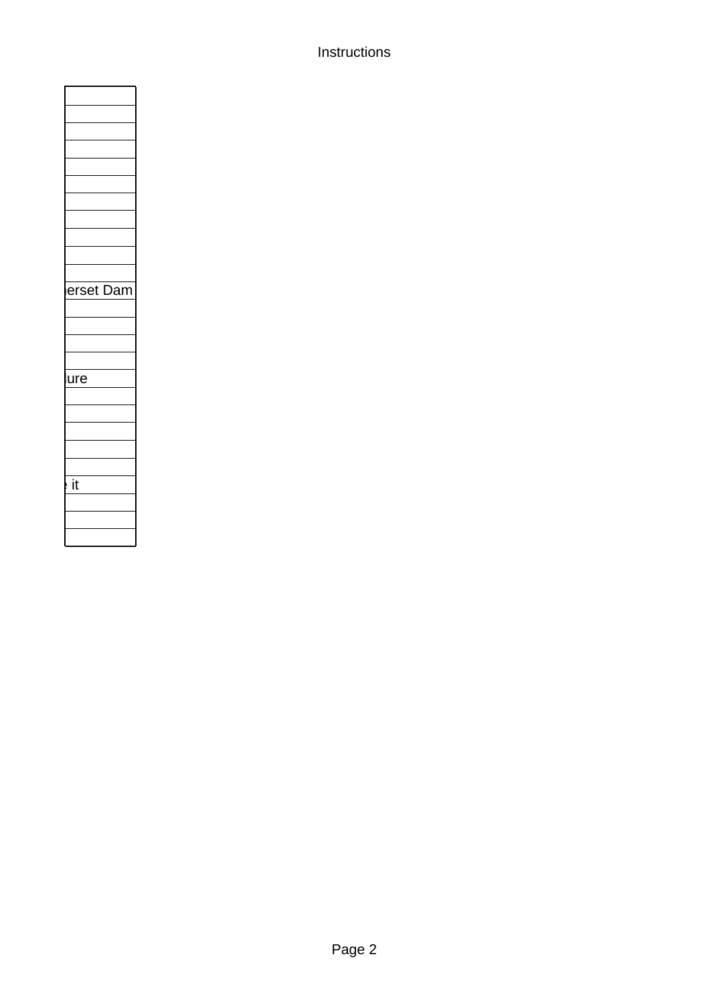### Instructions

| et                                 |
|------------------------------------|
| Da<br>ļ<br>rs<br>ſ<br>1ľ<br>I<br>I |
|                                    |
|                                    |
|                                    |
|                                    |
|                                    |
| ure                                |
|                                    |
|                                    |
|                                    |
|                                    |
|                                    |
|                                    |
|                                    |
| $\overline{\mathbf{i}}$            |
|                                    |
|                                    |
|                                    |
|                                    |
|                                    |

 $\overline{\phantom{a}}$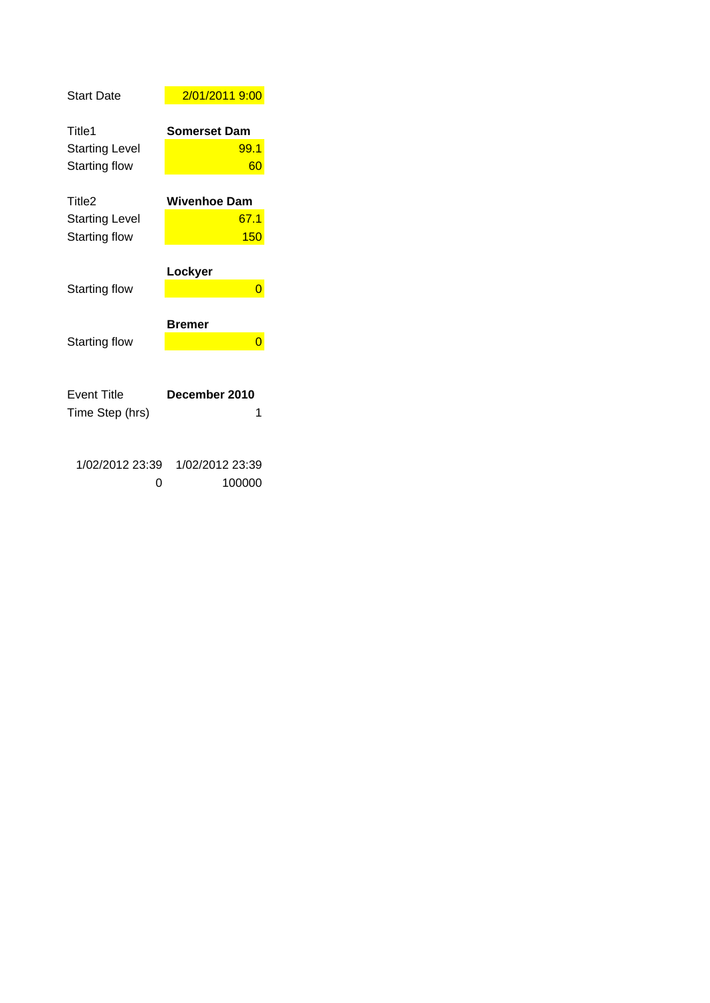| <b>Start Date</b>                     | 2/01/2011 9:00            |
|---------------------------------------|---------------------------|
| Title <sub>1</sub>                    | <b>Somerset Dam</b>       |
| <b>Starting Level</b>                 | 99.1                      |
| <b>Starting flow</b>                  | 60                        |
| Title <sub>2</sub>                    | <b>Wivenhoe Dam</b>       |
| <b>Starting Level</b>                 | 67.1                      |
| <b>Starting flow</b>                  | 150                       |
| Starting flow                         | Lockyer<br>0              |
|                                       |                           |
|                                       | Bremer                    |
| <b>Starting flow</b>                  | 0                         |
| <b>Event Title</b><br>Time Step (hrs) | December 2010<br>1        |
| 1/02/2012 23:39<br>O                  | 1/02/2012 23:39<br>100000 |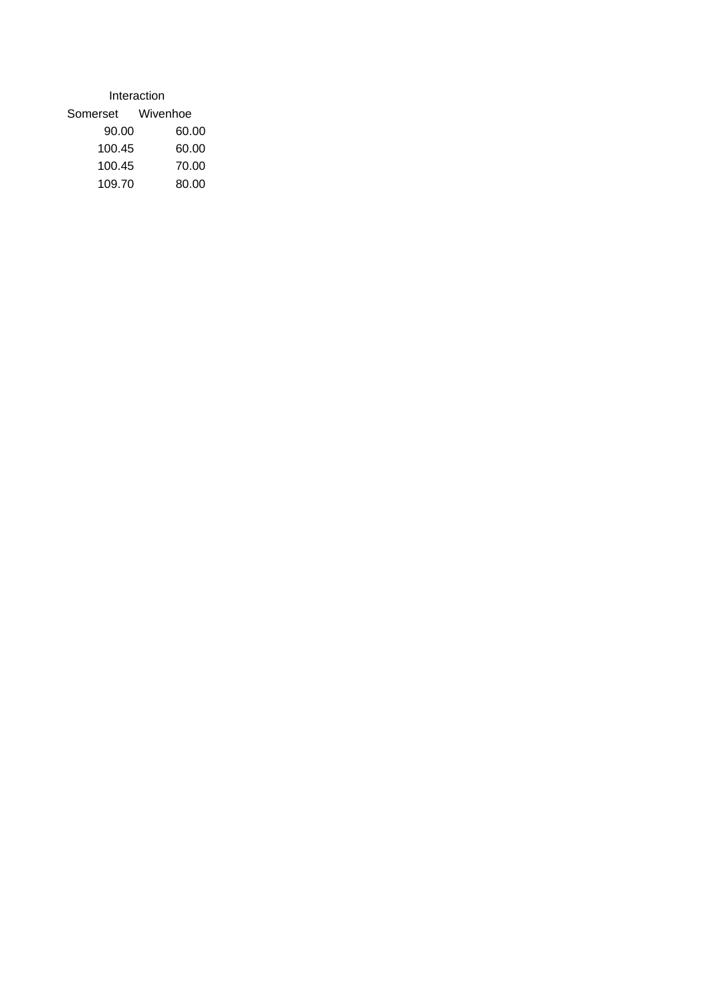| Interaction |          |  |  |  |  |  |  |  |  |
|-------------|----------|--|--|--|--|--|--|--|--|
| Somerset    | Wivenhoe |  |  |  |  |  |  |  |  |
| 90.00       | 60.00    |  |  |  |  |  |  |  |  |
| 100.45      | 60.00    |  |  |  |  |  |  |  |  |
| 100.45      | 70.00    |  |  |  |  |  |  |  |  |
| 109.70      | 80.00    |  |  |  |  |  |  |  |  |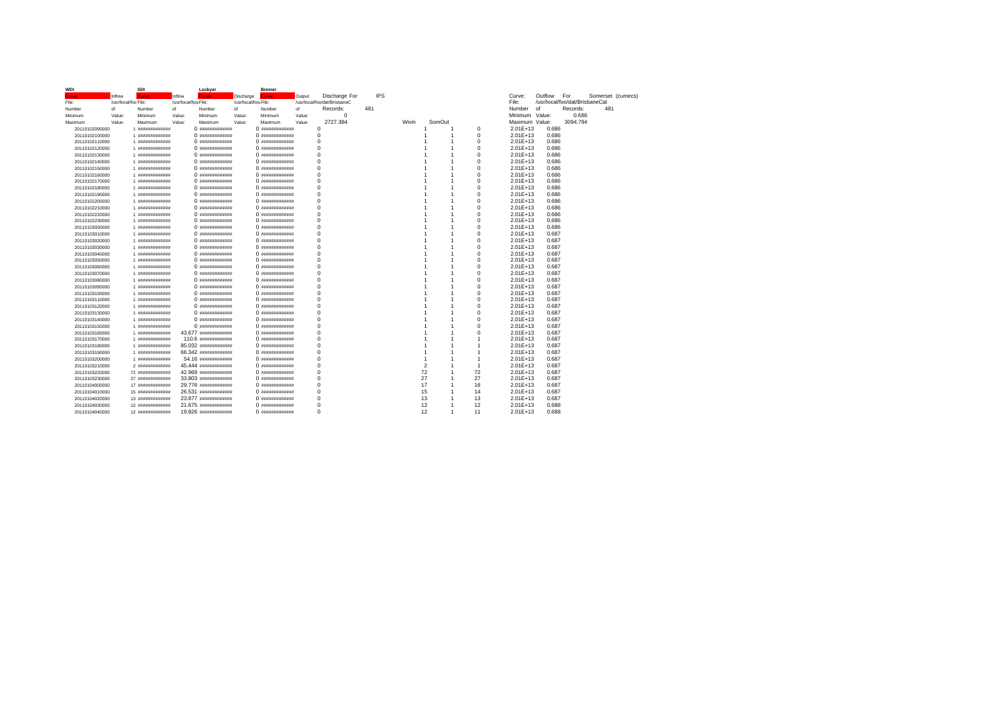| <b>WDI</b>     |                      | SDI              |                      | Lockyer              |                      | <b>Bremer</b>    |        |                              |            |                |                |                |                |                                |          |                   |  |
|----------------|----------------------|------------------|----------------------|----------------------|----------------------|------------------|--------|------------------------------|------------|----------------|----------------|----------------|----------------|--------------------------------|----------|-------------------|--|
| airve          | Inflow               | <b>Curve</b>     | Inflow               | airve:               | Discharge            | irve:            | Output | Discharge For                | <b>IPS</b> |                |                |                | Curve:         | Outflow                        | For      | Somerset (cumecs) |  |
| File:          | /usr/local/foo File: |                  | /usr/local/foo.File: |                      | /usr/local/foo.File: |                  |        | /usr/local/foo/dat/BrisbaneC |            |                |                |                | File:          | /usr/local/foo/dat/BrisbaneCat |          |                   |  |
| Number         | of                   | Number           | of                   | Number               | of                   | Number           | of     | Records:                     | 481        |                |                |                | Number         | of                             | Records: | 481               |  |
| Minimum        | Value:               | Minimum          | Value:               | Minimum              | Value:               | Minimum          | Value: | $^{\circ}$                   |            |                |                |                | Minimum Value: |                                | 0.686    |                   |  |
| Maximum        | Value:               | Maximum          | Value:               | Maximum              | Value:               | Maximum          | Value: | 2727.384                     |            | Wivin          | SomOut         |                | Maximum Value: |                                | 3094.794 |                   |  |
| 20110102090000 |                      | 1 #############  |                      |                      |                      |                  |        | $\mathbf 0$                  |            | 1              | -1             | $\Omega$       | $2.01E+13$     | 0.686                          |          |                   |  |
| 20110102100000 |                      | 1 #############  |                      | 0 #############      |                      |                  |        | $\mathbf 0$                  |            |                |                | $\mathbf 0$    | $2.01E+13$     | 0.686                          |          |                   |  |
| 20110102110000 |                      | 1 #############  |                      | $0$ $"$              |                      | $0$ $"$          |        | $\mathbf 0$                  |            |                |                | $\Omega$       | $2.01E+13$     | 0.686                          |          |                   |  |
| 20110102120000 |                      | 1 #############  |                      | 0 #############      |                      | 0 #############  |        | $\mathbf 0$                  |            |                |                | $\Omega$       | $2.01E+13$     | 0.686                          |          |                   |  |
| 20110102130000 |                      | 1 #############  |                      | 0 #############      |                      |                  |        | $\mathbf 0$                  |            |                | 1              | 0              | $2.01E+13$     | 0.686                          |          |                   |  |
| 20110102140000 |                      | 1 #############  |                      | $0$ $"$              |                      | $0$ $"$          |        | $\mathsf 0$                  |            |                | 1              | $\Omega$       | 2.01E+13       | 0.686                          |          |                   |  |
| 20110102150000 |                      | 1 #############  |                      |                      |                      |                  |        | $\mathbf 0$                  |            |                | 1              | $\Omega$       | $2.01E+13$     | 0.686                          |          |                   |  |
| 20110102160000 |                      | 1 #############  |                      |                      |                      |                  |        | $\Omega$                     |            |                | 1              | $\Omega$       | $2.01E+13$     | 0.686                          |          |                   |  |
| 20110102170000 |                      | 1 #############  |                      | 0 #############      |                      | 0 #############  |        | $\mathbf 0$                  |            |                | 1              | $\mathbf 0$    | $2.01E+13$     | 0.686                          |          |                   |  |
| 20110102180000 |                      | 1 #############  |                      | 0 #############      |                      |                  |        | $\mathbf 0$                  |            |                | -1             | $\Omega$       | $2.01E+13$     | 0.686                          |          |                   |  |
| 20110102190000 |                      | 1 #############  |                      |                      |                      |                  |        | $\mathbf 0$                  |            |                | 1              | $\Omega$       | $2.01E+13$     | 0.686                          |          |                   |  |
| 20110102200000 |                      | 1 #############  |                      | 0 #############      |                      | 0 #############  |        | $\mathbf 0$                  |            |                | 1              | $\mathbf 0$    | $2.01E+13$     | 0.686                          |          |                   |  |
| 20110102210000 |                      | 1 #############  |                      |                      |                      |                  |        | $\Omega$                     |            |                | 1              | $\Omega$       | $2.01E+13$     | 0.686                          |          |                   |  |
| 20110102220000 |                      | 1 #############  |                      |                      |                      |                  |        | $\mathbf 0$                  |            |                | 1              | $\Omega$       | $2.01E+13$     | 0.686                          |          |                   |  |
| 20110102230000 |                      | 1 #############  |                      |                      |                      |                  |        | $\Omega$                     |            |                | 1              | $\Omega$       | $2.01E+13$     | 0.686                          |          |                   |  |
| 20110103000000 |                      | 1 #############  |                      |                      |                      |                  |        | $\mathbf 0$                  |            |                | 1              | $\Omega$       | 2.01E+13       | 0.686                          |          |                   |  |
| 20110103010000 |                      | 1 #############  |                      |                      |                      |                  |        | $\mathbf 0$                  |            |                | 1              | $\Omega$       | $2.01E+13$     | 0.687                          |          |                   |  |
| 20110103020000 |                      | 1 #############  |                      |                      |                      |                  |        | $\mathbf 0$                  |            |                | 1              | $\Omega$       | $2.01E+13$     | 0.687                          |          |                   |  |
| 20110103030000 |                      | 1 #############  |                      |                      |                      |                  |        | $\Omega$                     |            |                | 1              | $\Omega$       | $2.01E+13$     | 0.687                          |          |                   |  |
| 20110103040000 |                      | 1 #############  |                      | 0 #############      |                      |                  |        | $\mathbf 0$                  |            |                | 1              | $\Omega$       | $2.01E+13$     | 0.687                          |          |                   |  |
| 20110103050000 |                      | 1 #############  |                      | 0 #############      |                      |                  |        | $\mathbf 0$                  |            |                | 1              | $\Omega$       | $2.01E+13$     | 0.687                          |          |                   |  |
| 20110103060000 |                      | 1 #############  |                      | 0 #############      |                      |                  |        | $\mathbf 0$                  |            |                | 1              | $\Omega$       | $2.01E+13$     | 0.687                          |          |                   |  |
| 20110103070000 |                      | 1 #############  |                      |                      |                      |                  |        | 0                            |            |                | 1              | $\Omega$       | 2.01E+13       | 0.687                          |          |                   |  |
| 20110103080000 |                      | 1 #############  |                      | 0 ##############     |                      | 0 #############  |        | $\mathbf 0$                  |            |                | 1              | $\Omega$       | $2.01E+13$     | 0.687                          |          |                   |  |
| 20110103090000 |                      | 1 #############  |                      |                      |                      |                  |        | $\Omega$                     |            |                | 1              | $\Omega$       | $2.01E+13$     | 0.687                          |          |                   |  |
| 20110103100000 |                      | 1 #############  |                      | 0 ##############     |                      | 0 ############## |        | $\mathbf 0$                  |            |                | 1              | $\Omega$       | $2.01E+13$     | 0.687                          |          |                   |  |
| 20110103110000 |                      | 1 #############  |                      |                      |                      | 0 #############  |        | 0                            |            |                | -1             | $\Omega$       | $2.01E+13$     | 0.687                          |          |                   |  |
| 20110103120000 |                      | 1 #############  |                      | 0 ##############     |                      | 0 #############  |        | $\Omega$                     |            |                | 1              | $\Omega$       | $2.01E+13$     | 0.687                          |          |                   |  |
| 20110103130000 |                      | 1 #############  |                      |                      |                      |                  |        | $\Omega$                     |            |                | 1              | $\Omega$       | $2.01E+13$     | 0.687                          |          |                   |  |
| 20110103140000 |                      | 1 #############  |                      |                      |                      |                  |        | $\mathbf 0$                  |            |                | 1              | $\Omega$       | $2.01E+13$     | 0.687                          |          |                   |  |
| 20110103150000 |                      | 1 #############  |                      |                      |                      |                  |        | $\mathbf 0$                  |            |                | 1              | $\Omega$       | $2.01E+13$     | 0.687                          |          |                   |  |
| 20110103160000 |                      | 1 #############  |                      | 43.677 ############# |                      |                  |        | $\mathbf 0$                  |            |                | 1              | $\Omega$       | $2.01E+13$     | 0.687                          |          |                   |  |
| 20110103170000 |                      | 1 #############  |                      | 110.6 #############  |                      | 0 #############  |        | $\mathbf 0$                  |            |                | 1              | 1              | $2.01E+13$     | 0.687                          |          |                   |  |
| 20110103180000 |                      | 1 #############  |                      | 85.032 ############# |                      | 0 #############  |        | $\mathbf 0$                  |            |                | 1              | 1              | $2.01E+13$     | 0.687                          |          |                   |  |
| 20110103190000 |                      | 1 #############  |                      | 66.342 ############# |                      |                  |        | $\Omega$                     |            |                | 1              | 1              | $2.01E+13$     | 0.687                          |          |                   |  |
| 20110103200000 |                      | 1 #############  |                      | 54.16 #############  |                      |                  |        | $\mathbf 0$                  |            |                | 1              | 1              | $2.01E+13$     | 0.687                          |          |                   |  |
| 20110103210000 |                      | 2 #############  |                      | 45.444 инининининин  |                      |                  |        | $\mathbf 0$                  |            | $\overline{2}$ | 1              | $\overline{1}$ | $2.01E+13$     | 0.687                          |          |                   |  |
| 20110103220000 |                      | 72 ############# |                      | 42.969 ############# |                      | 0 #############  |        | $\mathbf 0$                  |            | 72             | -1             | 72             | 2.01E+13       | 0.687                          |          |                   |  |
| 20110103230000 |                      | 27 ############# |                      | 33.803 ############# |                      | 0 #############  |        | $\mathbf 0$                  |            | 27             | $\overline{1}$ | 27             | $2.01E+13$     | 0.687                          |          |                   |  |
| 20110104000000 |                      | 17 ############# |                      | 29.776 является      |                      |                  |        | $\mathbf 0$                  |            | 17             | 1              | 16             | $2.01E+13$     | 0.687                          |          |                   |  |
| 20110104010000 |                      | 15 ############# |                      | 26.531 инининининин  |                      | 0 #############  |        | $\Omega$                     |            | 15             | -1             | 14             | $2.01E+13$     | 0.687                          |          |                   |  |
| 20110104020000 |                      | 13 ############# |                      | 23.877 ############# |                      | 0 #############  |        | $\Omega$                     |            | 13             | 1              | 13             | $2.01E+13$     | 0.687                          |          |                   |  |
| 20110104030000 |                      | 12 ############# |                      | 21.675 ############# |                      |                  |        | $\Omega$                     |            | 12             | $\overline{1}$ | 12             | $2.01E+13$     | 0.688                          |          |                   |  |
| 20110104040000 |                      | 12 ############# |                      | 19.826 ############# |                      | $0$ $"$          |        | O                            |            | 12             | $\overline{1}$ | 11             | $2.01E+13$     | 0.688                          |          |                   |  |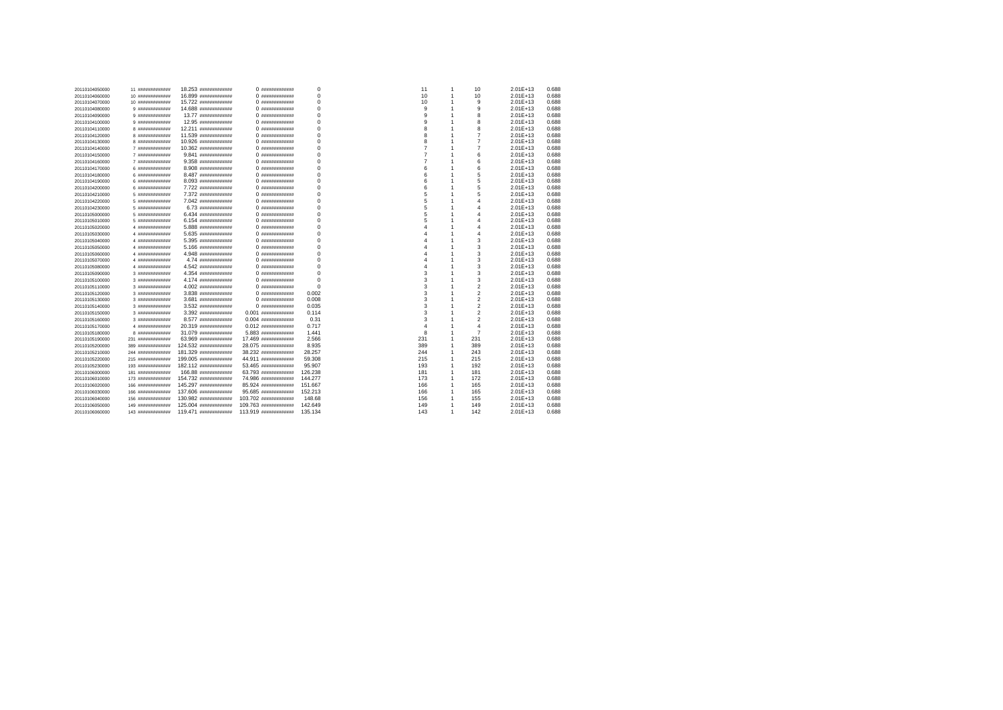| 20110104050000 | 11 #############   | 18.253 ининининнини   | 0 #############       | $\mathbf 0$ | 11  | $\mathbf{1}$   | 10                      | $2.01E+13$   | 0.688 |
|----------------|--------------------|-----------------------|-----------------------|-------------|-----|----------------|-------------------------|--------------|-------|
| 20110104060000 | 10 #############   | 16.899 ининининнини   | 0 #############       | $\mathbf 0$ | 10  | 1              | 10                      | $2.01E+13$   | 0.688 |
| 20110104070000 | 10 #############   | 15.722 являеванная    | 0 #############       | $\mathbf 0$ | 10  | 1              | 9                       | $2.01E+13$   | 0.688 |
| 20110104080000 | 9 #############    | 14.688 являетелет     | 0 #############       | $\mathbf 0$ | 9   | 1              | 9                       | $2.01E+13$   | 0.688 |
| 20110104090000 | 9 #############    | 13.77 ############    |                       | $\mathbf 0$ | 9   | 1              | 8                       | $2.01E+13$   | 0.688 |
| 20110104100000 | 9 #############    | 12.95 нининининнин    | 0 #############       | $\mathbf 0$ | 9   | 1              | 8                       | $2.01E+13$   | 0.688 |
| 20110104110000 | 8 ##############   | 12.211 ининининнини   |                       | $\mathbf 0$ | 8   | 1              | 8                       | $2.01E+13$   | 0.688 |
| 20110104120000 | 8 ##############   | 11.539 #############  | 0 #############       | $\mathbf 0$ | 8   | 1              | $\overline{7}$          | $2.01E+13$   | 0.688 |
| 20110104130000 | 8 #############    | 10.926 являетсяние    | 0 #############       | $\Omega$    | 8   | 1              | $\overline{7}$          | $2.01E+13$   | 0.688 |
| 20110104140000 | 7 #############    | 10.362 иннининнинин   | 0 #############       | $\mathbf 0$ | 7   |                | $\overline{7}$          | $2.01E+13$   | 0.688 |
| 20110104150000 | 7 #############    | 9.841 #############   | 0 #############       | 0           | 7   | 1              | 6                       | $2.01E+13$   | 0.688 |
| 20110104160000 | 7 #############    | 9.358 #############   |                       | $\mathbf 0$ | 7   | 1              | 6                       | $2.01E+13$   | 0.688 |
| 20110104170000 | 6 #############    | 8.908 #############   |                       | $\mathbf 0$ | 6   | 1              | 6                       | $2.01E+13$   | 0.688 |
| 20110104180000 | 6 #############    | 8.487 #############   |                       | 0           | 6   | 1              | 5                       | $2.01E+13$   | 0.688 |
| 20110104190000 | 6 #############    | 8.093 #############   |                       | $\Omega$    | 6   | 1              | 5                       | $2.01E+13$   | 0.688 |
| 20110104200000 | 6 #############    | 7.722 ############    | 0 #############       | $\mathbf 0$ | 6   | 1              | 5                       | $2.01E+13$   | 0.688 |
| 20110104210000 | 5 #############    | 7.372 ############    | 0 #############       | 0           | 5   | 1              | 5                       | $2.01E+13$   | 0.688 |
| 20110104220000 | 5 #############    | 7.042 #############   | 0 #############       | $\mathbf 0$ | 5   | 1              | 4                       | $2.01E+13$   | 0.688 |
| 20110104230000 | 5 #############    | 6.73 #############    | 0 #############       | $\mathbf 0$ | 5   | 1              | 4                       | $2.01E+13$   | 0.688 |
| 20110105000000 | 5 #############    | 6.434 #############   |                       | 0           | 5   | 1              | 4                       | $2.01E+13$   | 0.688 |
| 20110105010000 | 5 #############    | 6.154 #############   |                       | $\Omega$    | 5   | 1              | 4                       | $2.01E+13$   | 0.688 |
| 20110105020000 | 4 ##############   | 5.888 #############   | 0 #############       | $\mathbf 0$ | Δ   | 1              | 4                       | $2.01E+13$   | 0.688 |
| 20110105030000 | 4 #############    | 5.635 #############   |                       | 0           | 4   | 1              | 4                       | $2.01E+13$   | 0.688 |
| 20110105040000 | 4 ##############   | 5.395 #############   | 0 #############       | $\mathbf 0$ | Δ   | 1              | 3                       | $2.01E+13$   | 0.688 |
| 20110105050000 | 4 ##############   | 5.166 #############   |                       | $\Omega$    | 4   | 1              | 3                       | $2.01E+13$   | 0.688 |
| 20110105060000 | 4 ##############   | 4.948 #############   |                       | 0           | 4   | 1              | 3                       | $2.01E+13$   | 0.688 |
| 20110105070000 | 4 #############    | 4.74 #############    |                       | $\Omega$    | Δ   | 1              | 3                       | $2.01E+13$   | 0.688 |
| 20110105080000 | 4 ##############   | 4.542 #############   |                       | 0           | 4   | 1              | 3                       | $2.01E+13$   | 0.688 |
| 20110105090000 | 3 #############    | 4.354 #############   |                       | 0           | 3   | 1              | 3                       | $2.01E+13$   | 0.688 |
| 20110105100000 | 3 #############    | 4.174 #############   |                       | $\Omega$    | 3   | 1              | 3                       | $2.01E+13$   | 0.688 |
| 20110105110000 | 3 #############    | 4.002 #############   |                       | $\Omega$    | 3   | 1              | $\overline{2}$          | $2.01E+13$   | 0.688 |
| 20110105120000 | 3 #############    | 3.838 ининининнини    | 0 #############       | 0.002       | 3   | 1              | $\overline{\mathbf{c}}$ | $2.01E+13$   | 0.688 |
| 20110105130000 | 3 #############    | 3.681 #############   |                       | 0.008       | 3   | 1              | $\overline{\mathbf{c}}$ | $2.01E+13$   | 0.688 |
| 20110105140000 | 3 #############    | 3.532 #############   |                       | 0.035       | 3   | 1              | $\overline{\mathbf{c}}$ | $2.01E+13$   | 0.688 |
| 20110105150000 | 3 #############    | 3.392 #############   | $0.001$ $#$           | 0.114       | 3   | 1              | $\overline{\mathbf{c}}$ | $2.01E+13$   | 0.688 |
| 20110105160000 | 3 #############    | 8.577 #############   | $0.004$ ############# | 0.31        | 3   | 1              | $\overline{\mathbf{c}}$ | $2.01E+13$   | 0.688 |
| 20110105170000 | 4 ##############   | 20.319 ############   | $0.012$ ############# | 0.717       | 4   | 1              | 4                       | $2.01E+13$   | 0.688 |
| 20110105180000 | 8 #############    | 31.079 ининининнини   | 5.883 #############   | 1.441       | 8   | 1              | $\overline{7}$          | $2.01E+13$   | 0.688 |
| 20110105190000 | 231 #############  | 63.969 #############  | 17.469 ############   | 2.566       | 231 | 1              | 231                     | $2.01E+13$   | 0.688 |
| 20110105200000 | 389 #############  | 124.532 ############  | 28.075 ############   | 8.935       | 389 | 1              | 389                     | $2.01E+13$   | 0.688 |
| 20110105210000 | 244 ############## | 181.329 ############# | 38.232 #############  | 28.257      | 244 | 1              | 243                     | $2.01E+13$   | 0.688 |
| 20110105220000 | 215 #############  | 199.005 ############# | 44.911 #############  | 59.308      | 215 | $\overline{1}$ | 215                     | $2.01E+13$   | 0.688 |
| 20110105230000 | 193 #############  | 182.112 ############# | 53.465 #############  | 95,907      | 193 | 1              | 192                     | $2.01E+13$   | 0.688 |
| 20110106000000 | 181 #############  | 166.88 ############   | 63.793 #############  | 126.238     | 181 | 1              | 181                     | $2.01E+13$   | 0.688 |
| 20110106010000 | 173 #############  | 154.732 иннининнинин  | 74.986 ############   | 144.277     | 173 | $\overline{1}$ | 172                     | $2.01E + 13$ | 0.688 |
| 20110106020000 | 166 #############  | 145.297 ############  | 85.924 #############  | 151.667     | 166 | 1              | 165                     | $2.01E + 13$ | 0.688 |
| 20110106030000 | 166 #############  | 137.606 ############# | 95.685 #############  | 152.213     | 166 | 1              | 165                     | $2.01E + 13$ | 0.688 |
| 20110106040000 | 156 #############  | 130.982 ############  | 103.702 ############# | 148.68      | 156 | 1              | 155                     | $2.01E+13$   | 0.688 |
| 20110106050000 | 149 #############  | 125.004 ############  | 109.763 ############  | 142.649     | 149 | 1              | 149                     | $2.01E + 13$ | 0.688 |
| 20110106060000 | 143 #############  | 119.471 ининининнини  | 113.919 ############  | 135.134     | 143 | -1             | 142                     | $2.01F + 13$ | 0.688 |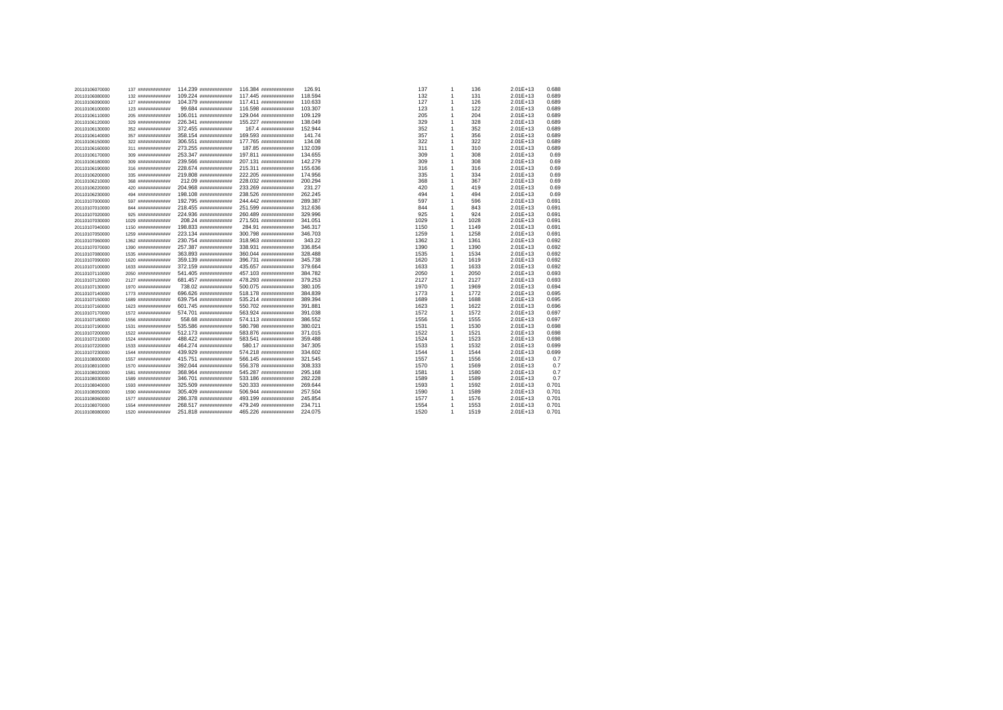| 20110106070000                   | 137 #############  | 114.239 ############# | 116.384 ############# | 126.91  | 137  | $\overline{1}$ | 136  | $2.01E+13$   | 0.688 |
|----------------------------------|--------------------|-----------------------|-----------------------|---------|------|----------------|------|--------------|-------|
| 20110106080000                   | 132 #############  | 109.224 ############# | 117.445 ############# | 118,594 | 132  | $\overline{1}$ | 131  | $2.01E+13$   | 0.689 |
| 20110106090000                   | 127 #############  | 104.379 ############# | 117.411 ############# | 110.633 | 127  | $\overline{1}$ | 126  | 2.01E+13     | 0.689 |
| 20110106100000                   | 123 #############  | 99.684 #############  | 116.598 ############# | 103.307 | 123  | $\overline{1}$ | 122  | 2.01E+13     | 0.689 |
| 20110106110000                   | 205 #############  | 106.011 ############# | 129.044 ############# | 109.129 | 205  | 1              | 204  | 2.01E+13     | 0.689 |
| 20110106120000                   | 329 #############  | 226.341 ############# | 155.227 ############# | 138.049 | 329  | $\overline{1}$ | 328  | $2.01E+13$   | 0.689 |
| 20110106130000                   | 352 #############  | 372.455 ############# | 167.4 ############    | 152.944 | 352  | 1              | 352  | $2.01E+13$   | 0.689 |
| 20110106140000                   | 357 #############  | 358.154 ############# | 169.593 ############# | 141.74  | 357  | $\overline{1}$ | 356  | $2.01E+13$   | 0.689 |
| 20110106150000                   | 322 #############  | 306.551 ############# | 177.765 ############  | 134.08  | 322  | $\overline{1}$ | 322  | $2.01E+13$   | 0.689 |
| 20110106160000                   | 311 #############  | 273.255 ############# | 187.85 #############  | 132.039 | 311  | 1              | 310  | $2.01E+13$   | 0.689 |
| 20110106170000                   | 309 #############  | 253.347 ############# | 197.811 ############# | 134.655 | 309  | 1              | 308  | 2.01E+13     | 0.69  |
| 20110106180000                   | 309 #############  | 239.566 ############# | 207.131 инининининин  | 142,279 | 309  | 1              | 308  | $2.01E+13$   | 0.69  |
| 20110106190000                   | 316 #############  | 228.674 ############# | 215.311 ############# | 155.636 | 316  | $\overline{1}$ | 316  | $2.01E+13$   | 0.69  |
| 20110106200000                   | 335 #############  | 219.808 ############# | 222.205 ############# | 174,956 | 335  | $\overline{1}$ | 334  | 2.01E+13     | 0.69  |
| 20110106210000                   | 368 #############  | 212.09 #############  | 228.032 ############# | 200.294 | 368  | -1             | 367  | $2.01E+13$   | 0.69  |
| 20110106220000                   | 420 #############  | 204.968 ############# | 233.269 ############# | 231.27  | 420  | 1              | 419  | 2.01E+13     | 0.69  |
| 20110106230000                   | 494 #############  | 198.108 ############# | 238.526 ############# | 262.245 | 494  | $\overline{1}$ | 494  | $2.01E+13$   | 0.69  |
| 20110107000000                   | 597 #############  | 192.795 ############# | 244.442 ############# | 289.387 | 597  | 1              | 596  | $2.01E+13$   | 0.691 |
| 20110107010000                   | 844 #############  | 218.455 ############# | 251.599 ############# | 312.636 | 844  | 1              | 843  | $2.01E+13$   | 0.691 |
| 20110107020000                   | 925 #############  | 224.936 ############# | 260.489 ############# | 329.996 | 925  | $\overline{1}$ | 924  | 2.01E+13     | 0.691 |
| 20110107030000                   | 1029 ############# | 208.24 #############  | 271.501 ############# | 341.051 | 1029 | 1              | 1028 | $2.01E + 13$ | 0.691 |
| 20110107040000                   | 1150 ############# | 198.833 ############# | 284.91 #############  | 346.317 | 1150 | $\overline{1}$ | 1149 | 2.01E+13     | 0.691 |
| 20110107050000                   | 1259 ############# | 223.134 ############# | 300.798 ############# | 346,703 | 1259 | 1              | 1258 | $2.01E+13$   | 0.691 |
| 20110107060000                   | 1362 ############# | 230.754 ининенциинин  | 318.963 ############# | 343.22  | 1362 | $\overline{1}$ | 1361 | $2.01E + 13$ | 0.692 |
| 20110107070000                   | 1390 ############# | 257.387 ############# | 338.931 ############# | 336.854 | 1390 | 1              | 1390 | $2.01E + 13$ | 0.692 |
| 20110107080000                   | 1535 ############# | 363.893 ############# | 360.044 ############# | 328,488 | 1535 | $\overline{1}$ | 1534 | 2.01E+13     | 0.692 |
| 20110107090000                   | 1620 ############# | 359.139 ############# | 396.731 ############# | 345.738 | 1620 | 1              | 1619 | $2.01E+13$   | 0.692 |
| 20110107100000                   | 1633 ############# | 372.159 ############# | 435.657 ############# | 379.664 | 1633 | $\overline{1}$ | 1633 | $2.01E + 13$ | 0.692 |
| 20110107110000                   | 2050 ############# | 541.405 ############# | 457.103 ############# | 384.782 | 2050 | -1             | 2050 | $2.01E+13$   | 0.693 |
| 20110107120000                   | 2127 ############# | 681.457 ############# | 478.293 ############# | 379.253 | 2127 | $\overline{1}$ | 2127 | $2.01E+13$   | 0.693 |
| 20110107130000                   | 1970 ############# | 738.02 #############  | 500.075 ############# | 380.105 | 1970 | 1              | 1969 | $2.01E + 13$ | 0.694 |
| 20110107140000                   | 1773 ############# | 696.626 ############# | 518.178 ############# | 384.839 | 1773 | $\overline{1}$ | 1772 | $2.01E+13$   | 0.695 |
| 20110107150000                   | 1689 ############# | 639.754 ############# | 535.214 ############# | 389.394 | 1689 | $\overline{1}$ | 1688 | 2.01E+13     | 0.695 |
| 20110107160000                   | 1623 ############# | 601.745 ############# | 550.702 ############# | 391.881 | 1623 | $\overline{1}$ | 1622 | $2.01E+13$   | 0.696 |
| 20110107170000                   | 1572 ############# | 574.701 ************* | 563.924 ############# | 391.038 | 1572 | $\overline{1}$ | 1572 | $2.01E + 13$ | 0.697 |
| 20110107180000                   | 1556 ############# | 558.68 #############  | 574.113 ############# | 386.552 | 1556 | 1              | 1555 | 2.01E+13     | 0.697 |
| 20110107190000                   | 1531 ############# | 535.586 ############# | 580.798 ############# | 380.021 | 1531 | -1             | 1530 | 2.01E+13     | 0.698 |
| 20110107200000                   | 1522 ############# | 512.173 ############# | 583.876 ############# | 371.015 | 1522 | $\overline{1}$ | 1521 | $2.01E+13$   | 0.698 |
| 20110107210000                   | 1524 ############# | 488.422 ############# | 583.541 ############# | 359,488 | 1524 | 1              | 1523 | $2.01E + 13$ | 0.698 |
| 20110107220000                   | 1533 ############# | 464.274 ############# | 580.17 #############  | 347.305 | 1533 | -1             | 1532 | $2.01E+13$   | 0.699 |
| 20110107230000                   | 1544 ############# | 439.929 ############# | 574.218 ############# | 334.602 | 1544 | -1             | 1544 | $2.01E + 13$ | 0.699 |
|                                  | 1557 ############# | 415.751 ############# | 566.145 ############# | 321.545 | 1557 | $\overline{1}$ | 1556 | 2.01E+13     | 0.7   |
| 20110108000000<br>20110108010000 | 1570 ############# | 392.044 ############# | 556.378 ############# | 308.333 | 1570 | 1              | 1569 | $2.01E + 13$ | 0.7   |
| 20110108020000                   | 1581 ############# | 368.964 ############# | 545.287 ############# | 295.168 | 1581 | -1             | 1580 | 2.01E+13     | 0.7   |
|                                  |                    | 346.701 ############# | 533.186 ############# | 282.228 | 1589 | -1             | 1589 | $2.01E + 13$ | 0.7   |
| 20110108030000                   | 1589 ############# | 325.509 ############# | 520.333 ############# | 269.644 |      | 1              |      |              | 0.701 |
| 20110108040000                   | 1593 ############# |                       |                       |         | 1593 | -1             | 1592 | 2.01E+13     |       |
| 20110108050000                   | 1590 ############# | 305.409 ############# | 506.944 ############# | 257.504 | 1590 | -1             | 1589 | $2.01E+13$   | 0.701 |
| 20110108060000                   | 1577 ############# | 286.378 ############# | 493.199 ############# | 245.854 | 1577 |                | 1576 | 2.01E+13     | 0.701 |
| 20110108070000                   | 1554 ############# | 268.517 ############# | 479.249 ############# | 234.711 | 1554 | -1             | 1553 | $2.01E+13$   | 0.701 |
| 20110108080000                   | 1520 ############# | 251.818 ############# | 465.226 ############  | 224.075 | 1520 | $\overline{1}$ | 1519 | $2.01E+13$   | 0.701 |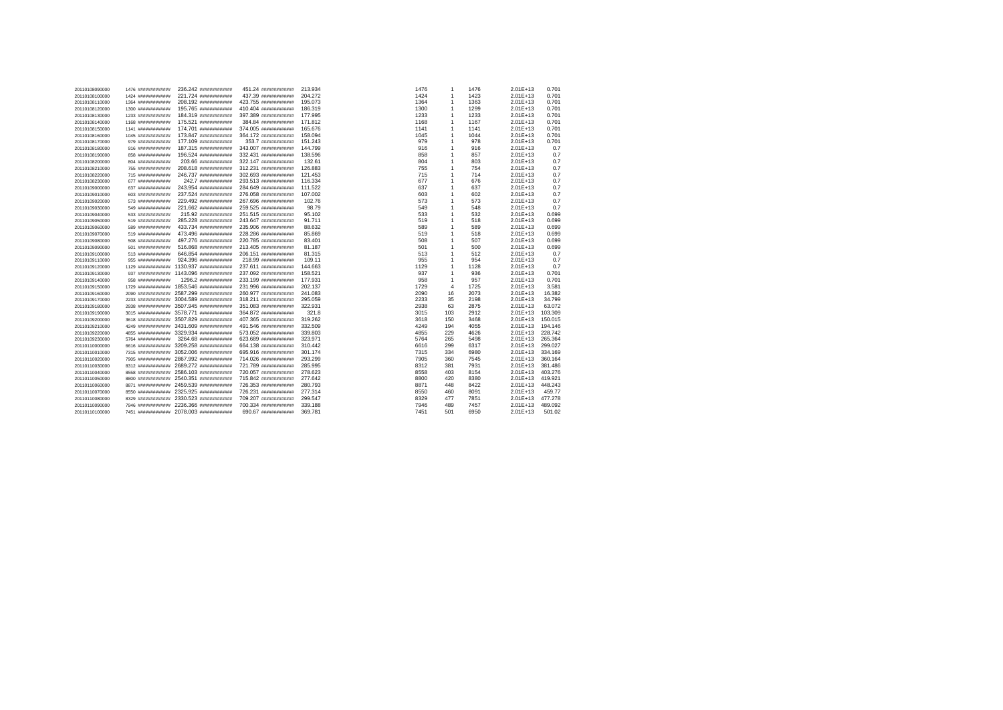| 20110108090000 | 1476 ############# | 236.242 #############                    | 451.24 #############  | 213.934 | 1476 | $\overline{1}$ | 1476 | $2.01E + 13$ | 0.701   |
|----------------|--------------------|------------------------------------------|-----------------------|---------|------|----------------|------|--------------|---------|
| 20110108100000 | 1424 ############# | 221.724 #############                    | 437.39 ############   | 204,272 | 1424 | $\overline{1}$ | 1423 | $2.01E+13$   | 0.701   |
| 20110108110000 | 1364 ############# | 208.192 #############                    | 423.755 ############# | 195,073 | 1364 | $\overline{1}$ | 1363 | $2.01E+13$   | 0.701   |
| 20110108120000 | 1300 ############# | 195.765 #############                    | 410.404 ############  | 186.319 | 1300 | $\overline{1}$ | 1299 | $2.01E+13$   | 0.701   |
| 20110108130000 | 1233 ############# | 184.319 #############                    | 397.389 ############  | 177,995 | 1233 | $\overline{1}$ | 1233 | $2.01E+13$   | 0.701   |
| 20110108140000 | 1168 ############# | 175.521 #############                    | 384.84 #############  | 171.812 | 1168 | $\overline{1}$ | 1167 | $2.01E+13$   | 0.701   |
| 20110108150000 | 1141 ############# | 174.701 ############                     | 374.005 ############  | 165.676 | 1141 | $\overline{1}$ | 1141 | $2.01E+13$   | 0.701   |
| 20110108160000 | 1045 ############# | 173.847 ############                     | 364.172 ############  | 158,094 | 1045 | $\overline{1}$ | 1044 | $2.01E+13$   | 0.701   |
| 20110108170000 | 979 #############  | 177.109 ############                     | 353.7 ############    | 151.243 | 979  | $\overline{1}$ | 978  | $2.01E + 13$ | 0.701   |
| 20110108180000 | 916 #############  | 187.315 #############                    | 343.007 ############  | 144.799 | 916  | $\overline{1}$ | 916  | 2.01E+13     | 0.7     |
| 20110108190000 | 858 #############  | 196.524 #############                    | 332.431 ############# | 138,596 | 858  | $\overline{1}$ | 857  | 2.01E+13     | 0.7     |
| 20110108200000 | 804 ############## | 203.66 #############                     | 322.147 ############  | 132.61  | 804  | $\overline{1}$ | 803  | 2.01E+13     | 0.7     |
| 20110108210000 | 755 #############  | 208.618 #############                    | 312.231 ############# | 126,883 | 755  | 1              | 754  | 2.01E+13     | 0.7     |
| 20110108220000 | 715 #############  | 246.737 #############                    | 302.693 ############  | 121.453 | 715  | 1              | 714  | $2.01E+13$   | 0.7     |
| 20110108230000 | 677 #############  | 242.7 ############                       | 293.513 ############  | 116.334 | 677  | $\overline{1}$ | 676  | 2.01E+13     | 0.7     |
| 20110109000000 | 637 #############  | 243.954 #############                    | 284.649 ############  | 111.522 | 637  | $\overline{1}$ | 637  | $2.01E+13$   | 0.7     |
| 20110109010000 | 603 #############  | 237.524 #############                    | 276.058 ############# | 107.002 | 603  | $\overline{1}$ | 602  | $2.01E+13$   | 0.7     |
| 20110109020000 | 573 #############  | 229.492 #############                    | 267.696 ############# | 102.76  | 573  | $\overline{1}$ | 573  | 2.01E+13     | 0.7     |
| 20110109030000 | 549 #############  | 221.662 #############                    | 259.525 ############# | 98.79   | 549  | $\overline{1}$ | 548  | $2.01E + 13$ | 0.7     |
| 20110109040000 | 533 ############## | 215.92 #############                     | 251.515 ############# | 95.102  | 533  | $\overline{1}$ | 532  | 2.01E+13     | 0.699   |
| 20110109050000 | 519 #############  | 285.228 #############                    | 243.647 ининининнини  | 91.711  | 519  | $\overline{1}$ | 518  | $2.01E + 13$ | 0.699   |
| 20110109060000 | 589 #############  | 433.734 #############                    | 235.906 ############# | 88.632  | 589  | $\overline{1}$ | 589  | $2.01E+13$   | 0.699   |
| 20110109070000 | 519 #############  | 473.496 #############                    | 228.286 ############# | 85,869  | 519  | $\overline{1}$ | 518  | $2.01E+13$   | 0.699   |
| 20110109080000 | 508 #############  | 497.276 ############                     | 220.785 ############# | 83.401  | 508  | 1              | 507  | 2.01E+13     | 0.699   |
| 20110109090000 | 501 #############  | 516.868 #############                    | 213.405 ############# | 81.187  | 501  | 1              | 500  | $2.01E+13$   | 0.699   |
| 20110109100000 | 513 #############  | 646.854 #############                    | 206.151 ############# | 81.315  | 513  | $\overline{1}$ | 512  | 2.01E+13     | 0.7     |
| 20110109110000 | 955 #############  | 924.396 #############                    | 218.99 #############  | 109.11  | 955  | $\overline{1}$ | 954  | $2.01E+13$   | 0.7     |
| 20110109120000 | 1129 ############# | 1130.937 #############                   | 237.611 ############# | 144,663 | 1129 | $\overline{1}$ | 1128 | $2.01E + 13$ | 0.7     |
| 20110109130000 | 937 #############  | 1143.096 #############                   | 237.092 ############  | 158.521 | 937  | $\overline{1}$ | 936  | 2.01E+13     | 0.701   |
| 20110109140000 | 958 #############  | 1296.2 #############                     | 233.199 ############# | 177,931 | 958  | $\overline{1}$ | 957  | $2.01E + 13$ | 0.701   |
| 20110109150000 | 1729 ############# | 1853.546 #############                   | 231.996 ############  | 202.137 | 1729 | $\overline{4}$ | 1725 | $2.01E + 13$ | 3.581   |
| 20110109160000 | 2090 ############# | 2587.299 #############                   | 260.977 ############# | 241.083 | 2090 | 16             | 2073 | $2.01E+13$   | 16.382  |
| 20110109170000 | 2233 ############# | 3004.589 **************                  | 318.211 ############# | 295.059 | 2233 | 35             | 2198 | $2.01E + 13$ | 34.799  |
| 20110109180000 | 2938 ############# | 3507.945 #############                   | 351.083 ############  | 322.931 | 2938 | 63             | 2875 | $2.01E+13$   | 63.072  |
| 20110109190000 | 3015 ############# | 3578.771 #############                   | 364.872 ############# | 321.8   | 3015 | 103            | 2912 | $2.01E+13$   | 103.309 |
| 20110109200000 | 3618 ############# | 3507.829 #############                   | 407.365 ининининнин   | 319,262 | 3618 | 150            | 3468 | $2.01E + 13$ | 150.015 |
| 20110109210000 | 4249 ############# | 3431.609 #############                   | 491.546 ############# | 332.509 | 4249 | 194            | 4055 | $2.01E+13$   | 194.146 |
| 20110109220000 | 4855 ############# | 3329.934 #############                   | 573.052 ############# | 339,803 | 4855 | 229            | 4626 | $2.01E+13$   | 228,742 |
| 20110109230000 | 5764 ############# | 3264.68 #############                    | 623.689 ############# | 323.971 | 5764 | 265            | 5498 | $2.01E + 13$ | 265,364 |
| 20110110000000 | 6616 ############# | 3209.258 #############                   | 664.138 ############# | 310.442 | 6616 | 299            | 6317 | $2.01E+13$   | 299.027 |
| 20110110010000 | 7315 ############# | 3052.006 #############                   | 695.916 ############# | 301.174 | 7315 | 334            | 6980 | $2.01E + 13$ | 334.169 |
| 20110110020000 | 7905 ############# | 2867.992 #############                   | 714.026 ############  | 293.299 | 7905 | 360            | 7545 | $2.01E+13$   | 360.164 |
| 20110110030000 | 8312 ############# | 2689.272 #############                   | 721.789 ############# | 285.995 | 8312 | 381            | 7931 | $2.01E+13$   | 381.486 |
| 20110110040000 | 8558 ############# | 2586.103 #############                   | 720.057 ############# | 278,623 | 8558 | 403            | 8154 | $2.01E + 13$ | 403.276 |
| 20110110050000 | 8800 ############# | 2540.351 #############                   | 715.842 ############  | 277,642 | 8800 | 420            | 8380 | $2.01E+13$   | 419.921 |
| 20110110060000 | 8871 ############# | 2459.539 #############                   | 726.353 ############# | 280,793 | 8871 | 448            | 8422 | $2.01E+13$   | 448.243 |
| 20110110070000 | 8550 ############# | 2325.925 #############                   | 726.231 ############  | 277,314 | 8550 | 460            | 8091 | $2.01E+13$   | 459.77  |
| 20110110080000 | 8329 ############# | 2330.523 #############                   | 709.207 ############  | 299.547 | 8329 | 477            | 7851 | $2.01E+13$   | 477.278 |
| 20110110090000 | 7946 ############# | 2236.366 #############                   | 700.334 ############  | 339,188 | 7946 | 489            | 7457 | $2.01E+13$   | 489.092 |
| 20110110100000 |                    | 7451 ############ 2078.003 ############# | 690.67 #############  | 369,781 | 7451 | 501            | 6950 | $2.01E + 13$ | 501.02  |
|                |                    |                                          |                       |         |      |                |      |              |         |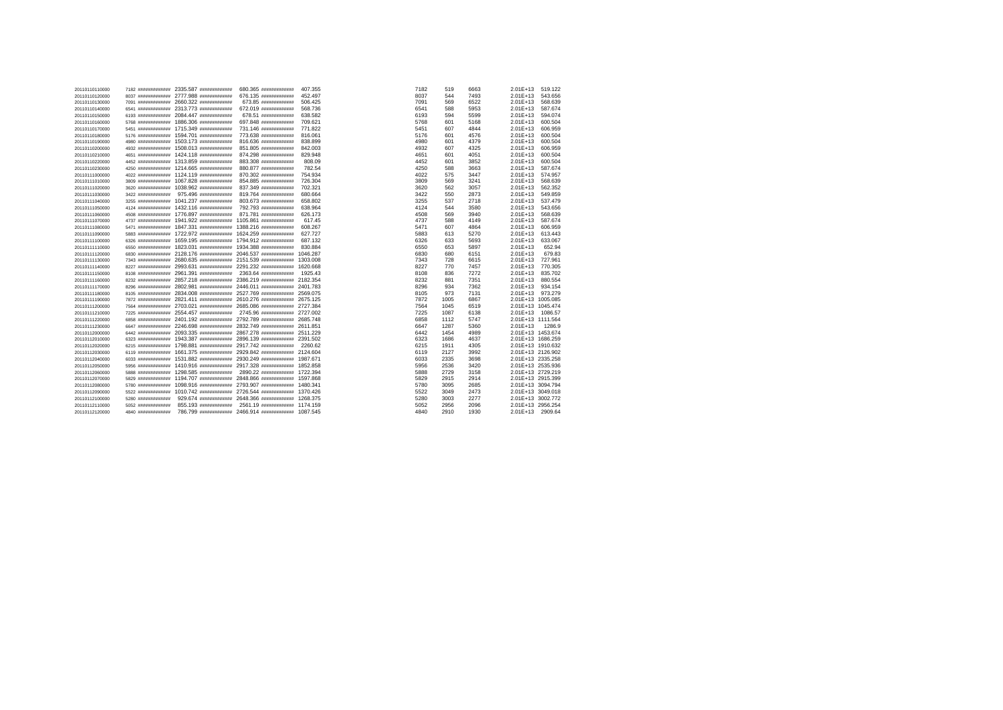| 20110110110000 | 7182 ############# | 2335.587 #############                       | 680.365 #############                                | 407.355  | 7182 | 519  | 6663 | $2.01E+13$        | 519.122 |
|----------------|--------------------|----------------------------------------------|------------------------------------------------------|----------|------|------|------|-------------------|---------|
| 20110110120000 | 8037 ############# | 2777.988 ############                        | 676.135 #############                                | 452.497  | 8037 | 544  | 7493 | 2.01E+13          | 543.656 |
| 20110110130000 | 7091 ############# | 2660.322 #############                       | 673.85 #############                                 | 506.425  | 7091 | 569  | 6522 | $2.01E+13$        | 568,639 |
| 20110110140000 | 6541 ############# | 2313.773 ############                        | 672.019 #############                                | 568.736  | 6541 | 588  | 5953 | 2.01E+13          | 587.674 |
| 20110110150000 | 6193 ############# | 2084.447 #############                       | 678.51 #############                                 | 638.582  | 6193 | 594  | 5599 | 2.01E+13          | 594.074 |
| 20110110160000 | 5768 ############# | 1886.306 #############                       | 697.848 #############                                | 709.621  | 5768 | 601  | 5168 | 2.01E+13          | 600.504 |
| 20110110170000 | 5451 ############# | 1715.349 ############                        | 731.146 #############                                | 771.822  | 5451 | 607  | 4844 | $2.01E+13$        | 606,959 |
| 20110110180000 | 5176 ############# | 1594.701 ############                        | 773.638 #############                                | 816,061  | 5176 | 601  | 4576 | 2.01E+13          | 600.504 |
| 20110110190000 | 4980 ############# | 1503.173 ############                        | 816.636 #############                                | 838.899  | 4980 | 601  | 4379 | 2.01E+13          | 600.504 |
| 20110110200000 | 4932 ############# | 1508.013 #############                       | 851.805 #############                                | 842.003  | 4932 | 607  | 4325 | 2.01E+13          | 606.959 |
| 20110110210000 | 4651 ############# | 1424.118 #############                       | 874.298 #############                                | 829.948  | 4651 | 601  | 4051 | $2.01E+13$        | 600.504 |
| 20110110220000 | 4452 ############# | 1313.859 #############                       | 883.308 #############                                | 808.09   | 4452 | 601  | 3852 | 2.01E+13          | 600.504 |
| 20110110230000 | 4250 ############# | 1214.665 ############                        | 880.877 #############                                | 782.54   | 4250 | 588  | 3663 | 2.01E+13          | 587.674 |
| 20110111000000 | 4022 ############# | 1124.119 #############                       | 870.302 #############                                | 754.934  | 4022 | 575  | 3447 | 2.01E+13          | 574.957 |
| 20110111010000 | 3809 ############# | 1067.828 #############                       | 854.885 #############                                | 726.304  | 3809 | 569  | 3241 | $2.01E+13$        | 568,639 |
| 20110111020000 | 3620 ############# | 1038.962 ############                        | 837.349 #############                                | 702.321  | 3620 | 562  | 3057 | 2.01E+13          | 562.352 |
| 20110111030000 | 3422 ############# | 975.496 #############                        | 819.764 #############                                | 680.664  | 3422 | 550  | 2873 | $2.01E+13$        | 549.859 |
| 20110111040000 | 3255 ############# | 1041.237 ############                        | 803.673 #############                                | 658.802  | 3255 | 537  | 2718 | 2.01E+13          | 537.479 |
| 20110111050000 | 4124 ############# | 1432.116 #############                       | 792.793 #############                                | 638.964  | 4124 | 544  | 3580 | $2.01E+13$        | 543.656 |
| 20110111060000 | 4508 ############# | 1776.897 ############                        | 871.781 #############                                | 626.173  | 4508 | 569  | 3940 | 2.01E+13          | 568.639 |
| 20110111070000 | 4737 ############# | 1941.922 ############                        | 1105.861 #############                               | 617.45   | 4737 | 588  | 4149 | $2.01E+13$        | 587.674 |
| 20110111080000 | 5471 ############# | 1847.331 ############                        | 1388.216 #############                               | 608.267  | 5471 | 607  | 4864 | 2.01E+13          | 606.959 |
| 20110111090000 | 5883 ############# | 1722.972 ############                        | 1624.259 ############                                | 627.727  | 5883 | 613  | 5270 | $2.01E+13$        | 613.443 |
| 20110111100000 | 6326 ############# | 1659.195 #############                       | 1794.912 ############                                | 687.132  | 6326 | 633  | 5693 | 2.01E+13          | 633.067 |
| 20110111110000 | 6550 ############# | 1823.031 #############                       | 1934.388 #############                               | 830.884  | 6550 | 653  | 5897 | $2.01E+13$        | 652.94  |
| 20110111120000 | 6830 ############# | 2128.176 ############                        | 2046.537 #############                               | 1046.287 | 6830 | 680  | 6151 | 2.01E+13          | 679.83  |
| 20110111130000 | 7343 ############# | 2680.635 ############ 2151.539 ############# |                                                      | 1303.008 | 7343 | 728  | 6615 | $2.01E+13$        | 727.961 |
| 20110111140000 | 8227 ############# | 2993.631 #############                       | 2291.232 ############                                | 1620.668 | 8227 | 770  | 7457 | 2.01E+13          | 770.305 |
| 20110111150000 | 8108 ############# | 2961.391 #############                       | 2363.64 #############                                | 1925.43  | 8108 | 836  | 7272 | 2.01E+13          | 835.702 |
| 20110111160000 | 8232 ############# | 2857.218 ############                        | 2386.219 ############                                | 2182.354 | 8232 | 881  | 7351 | 2.01E+13          | 880.554 |
| 20110111170000 | 8296 ############# | 2802.981 #############                       | 2446.011 ############ 2401.783                       |          | 8296 | 934  | 7362 | $2.01E+13$        | 934.154 |
| 20110111180000 | 8105 ############# | 2834.008 #############                       | 2527.769 ############                                | 2569.075 | 8105 | 973  | 7131 | 2.01E+13          | 973.279 |
| 20110111190000 | 7872 ############# |                                              | 2821.411 ############ 2610.276 ############ 2675.125 |          | 7872 | 1005 | 6867 | 2.01E+13 1005.085 |         |
| 20110111200000 | 7564 ############# | 2703.021 #############                       | 2685.086 ############# 2727.384                      |          | 7564 | 1045 | 6519 | 2.01E+13 1045.474 |         |
| 20110111210000 | 7225 ############# | 2554.457 ############                        | 2745.96 ############# 2727.002                       |          | 7225 | 1087 | 6138 | 2.01E+13          | 1086.57 |
| 20110111220000 | 6858 ############# | 2401.192 #############                       | 2792.789 ############                                | 2685.748 | 6858 | 1112 | 5747 | 2.01E+13 1111.564 |         |
| 20110111230000 | 6647 ############# |                                              | 2246.698 ############ 2832.749 ############ 2611.851 |          | 6647 | 1287 | 5360 | 2.01E+13          | 1286.9  |
| 20110112000000 | 6442 ############# | 2093.335 #############                       | 2867.278 ############                                | 2511.229 | 6442 | 1454 | 4989 | 2.01E+13 1453.674 |         |
| 20110112010000 | 6323 ############# | 1943.387 #############                       | 2896.139 #############                               | 2391.502 | 6323 | 1686 | 4637 | 2.01E+13 1686.259 |         |
| 20110112020000 | 6215 ############# | 1798.881 ############                        | 2917.742 ############                                | 2260.62  | 6215 | 1911 | 4305 | 2.01E+13 1910.632 |         |
| 20110112030000 | 6119 ############# | 1661.375 ############                        | 2929.842 ############ 2124.604                       |          | 6119 | 2127 | 3992 | 2.01E+13 2126.902 |         |
| 20110112040000 | 6033 ############# | 1531.882 ############                        | 2930.249 #############                               | 1987.671 | 6033 | 2335 | 3698 | 2.01E+13 2335.258 |         |
| 20110112050000 | 5956 ############# | 1410.916 #############                       | 2917.328 ############# 1852.858                      |          | 5956 | 2536 | 3420 | 2.01E+13 2535.936 |         |
| 20110112060000 | 5888 ############# | 1298.585 #############                       | 2890.22 ############# 1722.394                       |          | 5888 | 2729 | 3158 | 2.01E+13 2729.219 |         |
| 20110112070000 | 5829 ############# | 1194.707 ############                        | 2848.866 ############# 1597.868                      |          | 5829 | 2915 | 2914 | 2.01E+13 2915.399 |         |
| 20110112080000 | 5780 ############# | 1098.916 ############                        | 2793.907 ############ 1480.341                       |          | 5780 | 3095 | 2685 | 2.01E+13 3094.794 |         |
| 20110112090000 | 5522 ############# | 1010.742 #############                       | 2726.544 ############ 1370.426                       |          | 5522 | 3049 | 2473 | 2.01E+13 3049.018 |         |
| 20110112100000 | 5280 ############# | 929.674 ############                         | 2648.366 ############ 1268.375                       |          | 5280 | 3003 | 2277 | 2.01E+13 3002.772 |         |
| 20110112110000 | 5052 ############# | 855.193 ############                         | 2561.19 ############ 1174.159                        |          | 5052 | 2956 | 2096 | 2.01E+13 2956.254 |         |
| 20110112120000 | 4840 ############# |                                              | 786.799 ############ 2466.914 ############ 1087.545  |          | 4840 | 2910 | 1930 | 2.01E+13 2909.64  |         |
|                |                    |                                              |                                                      |          |      |      |      |                   |         |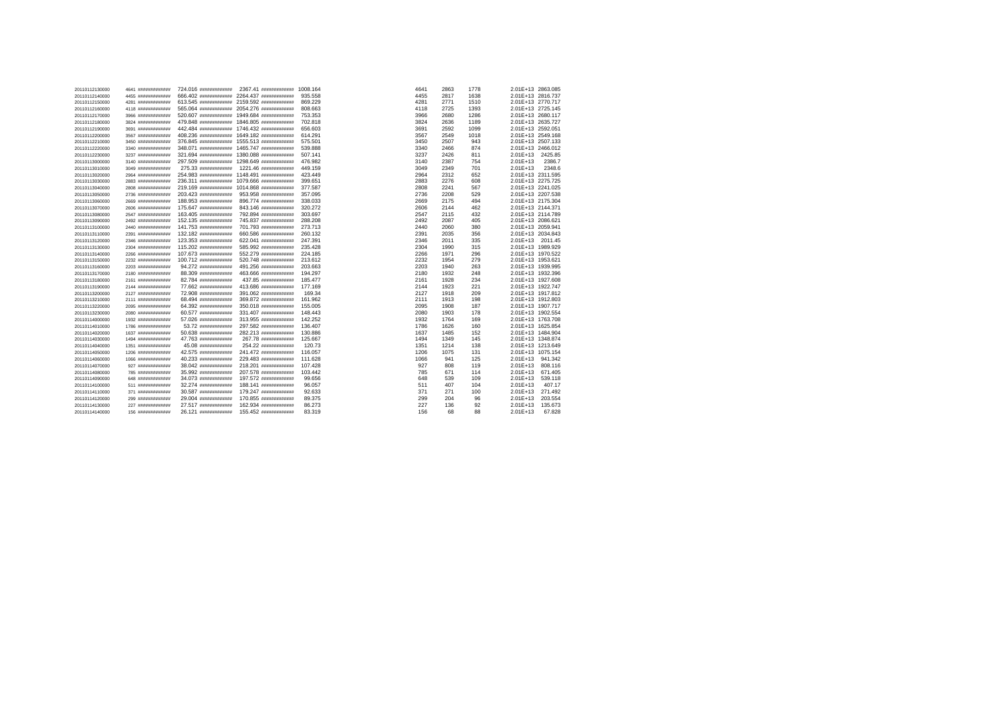| 20110112130000 | 4641 ############# | 724.016 ############       | 2367.41 #############  | 1008.164 | 4641 | 2863 | 1778 | 2.01E+13 2863.085 |         |
|----------------|--------------------|----------------------------|------------------------|----------|------|------|------|-------------------|---------|
| 20110112140000 | 4455 ############# | 666.402 ############       | 2264.437 ############  | 935,558  | 4455 | 2817 | 1638 | 2.01E+13 2816.737 |         |
| 20110112150000 | 4281 ############# | 613.545 #############      | 2159.592 ############# | 869,229  | 4281 | 2771 | 1510 | 2.01E+13 2770.717 |         |
| 20110112160000 | 4118 ############# | 565.064 #############      | 2054.276 ############# | 808.663  | 4118 | 2725 | 1393 | 2.01E+13 2725.145 |         |
| 20110112170000 | 3966 ############# | 520.607 ############       | 1949.684 ############# | 753.353  | 3966 | 2680 | 1286 | 2.01E+13 2680.117 |         |
| 20110112180000 | 3824 ############# | 479.848 ############       | 1846.805 ############# | 702.818  | 3824 | 2636 | 1189 | 2.01E+13 2635.727 |         |
| 20110112190000 | 3691 ############# | 442.484 инининининин       | 1746.432 ############  | 656,603  | 3691 | 2592 | 1099 | 2.01E+13 2592.051 |         |
| 20110112200000 | 3567 ############# | 408.236 #############      | 1649.182 ############# | 614.291  | 3567 | 2549 | 1018 | 2.01E+13 2549.168 |         |
| 20110112210000 | 3450 ############# | 376.845 ############       | 1555.513 ############# | 575,501  | 3450 | 2507 | 943  | 2.01E+13 2507.133 |         |
| 20110112220000 | 3340 ############# | 348.071 ############       | 1465.747 ############  | 539,888  | 3340 | 2466 | 874  | 2.01E+13 2466.012 |         |
| 20110112230000 | 3237 ############# | 321.694 #############      | 1380.088 ############# | 507.141  | 3237 | 2426 | 811  | 2.01E+13          | 2425.85 |
| 20110113000000 | 3140 ############# | 297.509 ############       | 1298.649 ############# | 476.982  | 3140 | 2387 | 754  | $2.01E+13$        | 2386.7  |
| 20110113010000 | 3049 ############# | 275.33 #############       | 1221.46 #############  | 449.159  | 3049 | 2349 | 701  | $2.01E+13$        | 2348.6  |
| 20110113020000 | 2964 ############# | 254.983 ############       | 1148.491 ############# | 423,449  | 2964 | 2312 | 652  | 2.01E+13 2311.595 |         |
| 20110113030000 | 2883 ############# | 236.311 #############      | 1079.666 ############  | 399.651  | 2883 | 2276 | 608  | 2.01E+13 2275.725 |         |
| 20110113040000 | 2808 ############# | 219.169 ############       | 1014.868 ############# | 377,587  | 2808 | 2241 | 567  | 2.01E+13 2241.025 |         |
| 20110113050000 | 2736 ############# | 203.423 #############      | 953.958 #############  | 357,095  | 2736 | 2208 | 529  | 2.01E+13 2207.538 |         |
| 20110113060000 | 2669 ############# | 188.953 #############      | 896.774 #############  | 338,033  | 2669 | 2175 | 494  | 2.01E+13 2175.304 |         |
| 20110113070000 | 2606 ############# | 175.647 ############       | 843.146 #############  | 320,272  | 2606 | 2144 | 462  | 2.01E+13 2144.371 |         |
| 20110113080000 | 2547 ############# | 163.405 #############      | 792.894 #############  | 303,697  | 2547 | 2115 | 432  | 2.01E+13 2114.789 |         |
| 20110113090000 | 2492 ############# | 152.135 #############      | 745.837 ############   | 288,208  | 2492 | 2087 | 405  | 2.01E+13 2086.621 |         |
| 20110113100000 | 2440 ############# | 141.753 ининининнин        | 701.793 #############  | 273,713  | 2440 | 2060 | 380  | 2.01E+13 2059.941 |         |
| 20110113110000 | 2391 ############# | 132.182 #############      | 660.586 #############  | 260.132  | 2391 | 2035 | 356  | 2.01E+13 2034.843 |         |
| 20110113120000 | 2346 ############# | 123.353 #############      | 622.041 #############  | 247.391  | 2346 | 2011 | 335  | 2.01E+13 2011.45  |         |
| 20110113130000 | 2304 ############# | 115.202 #############      | 585.992 #############  | 235.428  | 2304 | 1990 | 315  | 2.01E+13 1989.929 |         |
| 20110113140000 | 2266 ############# | 107.673 ининининнин        | 552.279 #############  | 224.185  | 2266 | 1971 | 296  | 2.01E+13 1970.522 |         |
| 20110113150000 | 2232 ############# | 100.712 иннининнинин       | 520.748 #############  | 213,612  | 2232 | 1954 | 279  | 2.01E+13 1953.621 |         |
| 20110113160000 | 2203 ############# | 94.272 #############       | 491.256 #############  | 203.663  | 2203 | 1940 | 263  | 2.01E+13 1939.995 |         |
| 20110113170000 | 2180 ############# | 88.309 #############       | 463.666 #############  | 194.297  | 2180 | 1932 | 248  | 2.01E+13 1932.396 |         |
| 20110113180000 | 2161 ############# | 82.784 #############       | 437.85 #############   | 185,477  | 2161 | 1928 | 234  | 2.01E+13 1927.608 |         |
| 20110113190000 | 2144 ############# | 77.662 ############        | 413.686 #############  | 177,169  | 2144 | 1923 | 221  | 2.01E+13 1922.747 |         |
| 20110113200000 | 2127 ############# | 72.908 #############       | 391.062 #############  | 169.34   | 2127 | 1918 | 209  | 2.01E+13 1917.812 |         |
| 20110113210000 | 2111 ############# | 68.494 #############       | 369.872 #############  | 161.962  | 2111 | 1913 | 198  | 2.01E+13 1912.803 |         |
| 20110113220000 | 2095 ############# | 64.392 #############       | 350.018 #############  | 155,005  | 2095 | 1908 | 187  | 2.01E+13 1907.717 |         |
| 20110113230000 | 2080 ############# | 60.577 **************      | 331.407 #############  | 148,443  | 2080 | 1903 | 178  | 2.01E+13 1902.554 |         |
| 20110114000000 | 1932 ############# | 57.026 #############       | 313.955 #############  | 142.252  | 1932 | 1764 | 169  | 2.01E+13 1763.708 |         |
| 20110114010000 | 1786 ############# | 53.72 #############        | 297.582 #############  | 136.407  | 1786 | 1626 | 160  | 2.01E+13 1625.854 |         |
| 20110114020000 | 1637 ############# | 50.638 #############       | 282.213 #############  | 130,886  | 1637 | 1485 | 152  | 2.01E+13 1484.904 |         |
| 20110114030000 | 1494 ############# | 47.763 <i>ивнавававани</i> | 267.78 #############   | 125.667  | 1494 | 1349 | 145  | 2.01E+13 1348.874 |         |
| 20110114040000 | 1351 ############# | 45.08 #############        | 254.22 #############   | 120.73   | 1351 | 1214 | 138  | 2.01E+13 1213.649 |         |
| 20110114050000 | 1206 ############# | 42.575 ############        | 241.472 #############  | 116,057  | 1206 | 1075 | 131  | 2.01E+13 1075.154 |         |
| 20110114060000 | 1066 ############# | 40.233 #############       | 229.483 #############  | 111.628  | 1066 | 941  | 125  | 2.01E+13          | 941.342 |
| 20110114070000 | 927 #############  | 38.042 #############       | 218.201 #############  | 107.428  | 927  | 808  | 119  | $2.01E+13$        | 808.116 |
| 20110114080000 | 785 #############  | 35.992 #############       | 207.578 #############  | 103.442  | 785  | 671  | 114  | 2.01E+13          | 671.405 |
| 20110114090000 | 648 #############  | 34.073 #############       | 197.572 #############  | 99.656   | 648  | 539  | 109  | $2.01E+13$        | 539.118 |
| 20110114100000 | 511 #############  | 32.274 #############       | 188.141 #############  | 96.057   | 511  | 407  | 104  | $2.01E+13$        | 407.17  |
| 20110114110000 | 371 #############  | 30.587 #############       | 179.247 #############  | 92.633   | 371  | 271  | 100  | $2.01E+13$        | 271.492 |
| 20110114120000 | 299 #############  | 29.004 #############       | 170.855 #############  | 89.375   | 299  | 204  | 96   | $2.01E+13$        | 203.554 |
| 20110114130000 | 227 #############  | 27.517 #############       | 162.934 #############  | 86.273   | 227  | 136  | 92   | $2.01E+13$        | 135.673 |
| 20110114140000 | 156 #############  | 26.121 ############        | 155.452 #############  | 83.319   | 156  | 68   | 88   | 2.01E+13          | 67.828  |
|                |                    |                            |                        |          |      |      |      |                   |         |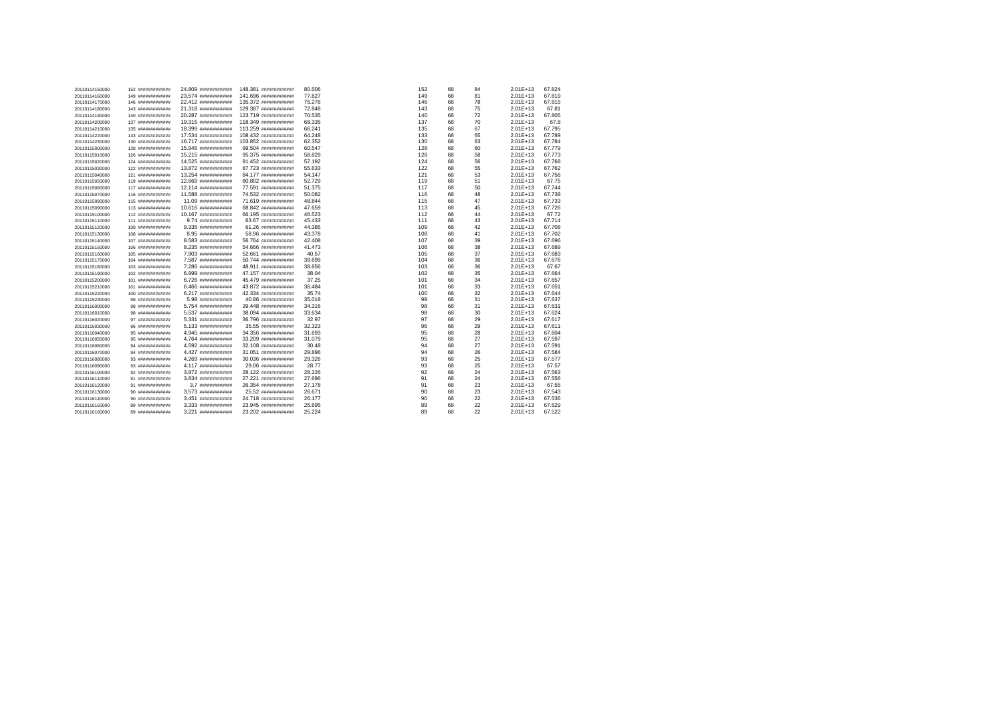| 20110114150000 | 152 ############  | 24.809 ############# | 148.381 ############# | 80,506 | 152 | 68 | 84 | $2.01E+13$   | 67.824 |
|----------------|-------------------|----------------------|-----------------------|--------|-----|----|----|--------------|--------|
| 20110114160000 | 149 ############# | 23.574 ############# | 141.696 ############# | 77,827 | 149 | 68 | 81 | $2.01E+13$   | 67.819 |
| 20110114170000 | 146 ############# | 22.412 ############# | 135.372 ############# | 75.276 | 146 | 68 | 78 | $2.01E+13$   | 67.815 |
| 20110114180000 | 143 ############# | 21.318 ############# | 129.387 ############# | 72.848 | 143 | 68 | 75 | $2.01E+13$   | 67.81  |
| 20110114190000 | 140 ############# | 20.287 ############# | 123.719 ############# | 70.535 | 140 | 68 | 72 | $2.01E+13$   | 67.805 |
| 20110114200000 | 137 ############# | 19.315 ############# | 118.349 ############# | 68.335 | 137 | 68 | 70 | $2.01E+13$   | 67.8   |
| 20110114210000 | 135 ############# | 18.399 ############# | 113.259 ############# | 66.241 | 135 | 68 | 67 | 2.01E+13     | 67.795 |
| 20110114220000 | 133 ############# | 17.534 ############# | 108.432 ############# | 64.248 | 133 | 68 | 65 | $2.01E+13$   | 67.789 |
| 20110114230000 | 130 ############# | 16.717 ############  | 103.852 ############# | 62.352 | 130 | 68 | 63 | $2.01E+13$   | 67.784 |
| 20110115000000 | 128 ############# | 15.945 ############# | 99.504 *************  | 60,547 | 128 | 68 | 60 | $2.01E+13$   | 67.779 |
| 20110115010000 | 126 ############# | 15.215 ############# | 95.375 #############  | 58.829 | 126 | 68 | 58 | $2.01E+13$   | 67.773 |
| 20110115020000 | 124 ############# | 14.525 ############# | 91.452 #############  | 57.192 | 124 | 68 | 56 | $2.01E+13$   | 67.768 |
| 20110115030000 | 122 ############# | 13.872 ############# | 87.723 ############   | 55.633 | 122 | 68 | 55 | $2.01E+13$   | 67.762 |
| 20110115040000 | 121 ############# | 13.254 ############# | 84.177 #############  | 54.147 | 121 | 68 | 53 | $2.01E+13$   | 67.756 |
| 20110115050000 | 119 ############# | 12.669 ############  | 80.802 #############  | 52,729 | 119 | 68 | 51 | $2.01E+13$   | 67.75  |
| 20110115060000 | 117 ############# | 12.114 ############# | 77.591 ############   | 51.375 | 117 | 68 | 50 | $2.01E+13$   | 67.744 |
| 20110115070000 | 116 ############# | 11.588 ############# | 74.532 #############  | 50.082 | 116 | 68 | 48 | $2.01E+13$   | 67.738 |
| 20110115080000 | 115 ############# | 11.09 #############  | 71.619 ############   | 48.844 | 115 | 68 | 47 | $2.01E+13$   | 67.733 |
| 20110115090000 | 113 ############# | 10.616 ############# | 68.842 #############  | 47.659 | 113 | 68 | 45 | $2.01E+13$   | 67.726 |
| 20110115100000 | 112 ############# | 10.167 иннинининини  | 66.195 #############  | 46.523 | 112 | 68 | 44 | $2.01E+13$   | 67.72  |
| 20110115110000 | 111 ############# | 9.74 **************  | 63.67 #############   | 45.433 | 111 | 68 | 43 | $2.01E+13$   | 67.714 |
| 20110115120000 | 109 ############# | 9.335 #############  | 61.26 #############   | 44.385 | 109 | 68 | 42 | $2.01E+13$   | 67.708 |
| 20110115130000 | 108 ############# | 8.95 #############   | 58.96 #############   | 43.378 | 108 | 68 | 41 | $2.01E+13$   | 67.702 |
| 20110115140000 | 107 ############# | 8.583 #############  | 56.764 #############  | 42.408 | 107 | 68 | 39 | $2.01E+13$   | 67.696 |
| 20110115150000 | 106 ############# | 8.235 #############  | 54.666 ############   | 41.473 | 106 | 68 | 38 | $2.01E+13$   | 67.689 |
| 20110115160000 | 105 ############# | 7.903 #############  | 52.661 #############  | 40.57  | 105 | 68 | 37 | $2.01E+13$   | 67.683 |
| 20110115170000 | 104 ############# | 7.587 #############  | 50.744 #############  | 39,699 | 104 | 68 | 36 | $2.01E+13$   | 67.676 |
| 20110115180000 | 103 ############# | 7.286 #############  | 48.911 #############  | 38.856 | 103 | 68 | 36 | $2.01E+13$   | 67.67  |
| 20110115190000 | 102 ############# | 6.999 #############  | 47.157 ############   | 38.04  | 102 | 68 | 35 | $2.01E+13$   | 67.664 |
| 20110115200000 | 101 ############# | 6.726 #############  | 45.479 ############   | 37.25  | 101 | 68 | 34 | $2.01E+13$   | 67.657 |
| 20110115210000 | 101 ############# | 6.466 #############  | 43.872 #############  | 36.484 | 101 | 68 | 33 | $2.01E+13$   | 67.651 |
| 20110115220000 | 100 ############# | 6.217 #############  | 42.334 инининининин   | 35.74  | 100 | 68 | 32 | $2.01E+13$   | 67.644 |
| 20110115230000 | 99 #############  | 5.98 #############   | 40.86 #############   | 35,018 | 99  | 68 | 31 | $2.01E+13$   | 67.637 |
| 20110116000000 | 98 #############  | 5.754 #############  | 39.448 является       | 34.316 | 98  | 68 | 31 | $2.01E+13$   | 67.631 |
| 20110116010000 | 98 #############  | 5.537 #############  | 38.094 #############  | 33.634 | 98  | 68 | 30 | $2.01E + 13$ | 67.624 |
| 20110116020000 | 97 #############  | 5.331 #############  | 36.796 #############  | 32.97  | 97  | 68 | 29 | $2.01E+13$   | 67.617 |
| 20110116030000 | 96 #############  | 5.133 #############  | 35.55 #############   | 32.323 | 96  | 68 | 29 | $2.01E + 13$ | 67.611 |
| 20110116040000 | 95 #############  | 4.945 нинининнинни   | 34.356 инининининин   | 31.693 | 95  | 68 | 28 | $2.01E+13$   | 67.604 |
| 20110116050000 | 95 #############  | 4.764 #############  | 33.209 #############  | 31.079 | 95  | 68 | 27 | $2.01E + 13$ | 67.597 |
| 20110116060000 | 94 #############  | 4.592 #############  | 32.108 #############  | 30.48  | 94  | 68 | 27 | $2.01E+13$   | 67.591 |
| 20110116070000 | 94 #############  | 4.427 #############  | 31.051 #############  | 29,896 | 94  | 68 | 26 | $2.01E+13$   | 67.584 |
| 20110116080000 | 93 #############  | 4.269 #############  | 30.036 #############  | 29.326 | 93  | 68 | 25 | $2.01E + 13$ | 67.577 |
| 20110116090000 | 93 #############  | 4.117 #############  | 29.06 #############   | 28.77  | 93  | 68 | 25 | $2.01E+13$   | 67.57  |
| 20110116100000 | 92 #############  | 3.972 #############  | 28.122 #############  | 28.226 | 92  | 68 | 24 | $2.01E+13$   | 67.563 |
| 20110116110000 | 91 #############  | 3.834 #############  | 27.221 ############   | 27.696 | 91  | 68 | 24 | $2.01E+13$   | 67.556 |
| 20110116120000 | 91 #############  | 3.7 иннининнини      | 26.354 #############  | 27.178 | 91  | 68 | 23 | $2.01E + 13$ | 67.55  |
| 20110116130000 | 90 #############  | 3.573 #############  | 25.52 #############   | 26.671 | 90  | 68 | 23 | $2.01E+13$   | 67.543 |
| 20110116140000 | 90 #############  | 3.451 #############  | 24.718 ############   | 26.177 | 90  | 68 | 22 | $2.01E+13$   | 67.536 |
| 20110116150000 | 89 #############  | 3.333 #############  | 23.945 #############  | 25.695 | 89  | 68 | 22 | $2.01E+13$   | 67.529 |
| 20110116160000 | 89 #############  | 3.221 #############  | 23.202 #############  | 25.224 | 89  | 68 | 22 | $2.01E+13$   | 67.522 |
|                |                   |                      |                       |        |     |    |    |              |        |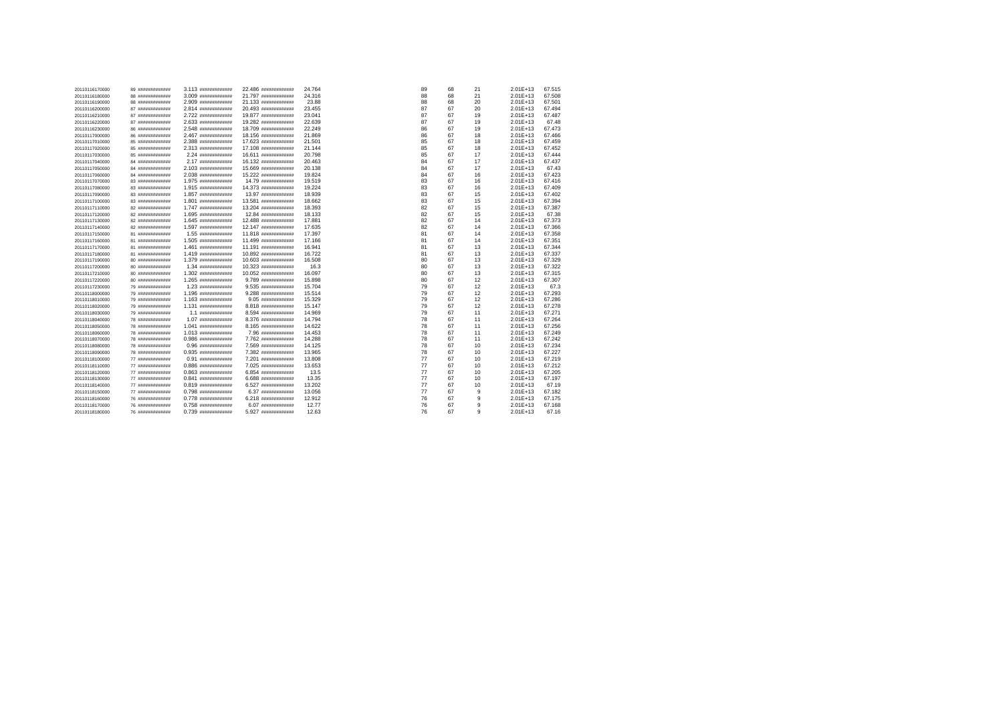| 20110116170000 | 89 ############# | 3.113 #############     | 22.486 ############# | 24.764 | 89 | 68 | 21 | $2.01E+13$   | 67.515 |
|----------------|------------------|-------------------------|----------------------|--------|----|----|----|--------------|--------|
| 20110116180000 | 88 ############# | 3.009 #############     | 21.797 ############# | 24.316 | 88 | 68 | 21 | $2.01E+13$   | 67.508 |
| 20110116190000 | 88 ############# | 2.909 #############     | 21.133 ############# | 23.88  | 88 | 68 | 20 | 2.01E+13     | 67.501 |
| 20110116200000 | 87 ############# | 2.814 #############     | 20.493 ############# | 23.455 | 87 | 67 | 20 | 2.01E+13     | 67.494 |
| 20110116210000 | 87 ############# | 2.722 #############     | 19.877 ############# | 23.041 | 87 | 67 | 19 | $2.01E+13$   | 67.487 |
| 20110116220000 | 87 ############# | 2.633 #############     | 19.282 ############# | 22.639 | 87 | 67 | 19 | $2.01E+13$   | 67.48  |
| 20110116230000 | 86 ############# | 2.548 #############     | 18.709 ############# | 22.249 | 86 | 67 | 19 | $2.01E+13$   | 67.473 |
| 20110117000000 | 86 ############# | 2.467 #############     | 18.156 ############  | 21.869 | 86 | 67 | 18 | $2.01E+13$   | 67.466 |
| 20110117010000 | 85 ############# | 2.388 #############     | 17.623 ############# | 21.501 | 85 | 67 | 18 | $2.01E+13$   | 67.459 |
| 20110117020000 | 85 ############# | 2.313 #############     | 17.108 ############# | 21.144 | 85 | 67 | 18 | $2.01E+13$   | 67.452 |
| 20110117030000 | 85 ############# | 2.24 иннининнини        | 16.611 ############  | 20,798 | 85 | 67 | 17 | $2.01E+13$   | 67.444 |
| 20110117040000 | 84 ############# | 2.17 #############      | 16.132 ############  | 20.463 | 84 | 67 | 17 | $2.01E+13$   | 67.437 |
| 20110117050000 | 84 ############# | 2.103 #############     | 15.669 ############# | 20.138 | 84 | 67 | 17 | $2.01E+13$   | 67.43  |
| 20110117060000 | 84 ############# | 2.038 #############     | 15.222 ############# | 19,824 | 84 | 67 | 16 | $2.01E+13$   | 67.423 |
| 20110117070000 | 83 ############# | 1.975 #############     | 14.79 ############   | 19,519 | 83 | 67 | 16 | $2.01E+13$   | 67.416 |
| 20110117080000 | 83 ############# | 1.915 #############     | 14.373 ############# | 19.224 | 83 | 67 | 16 | $2.01E+13$   | 67.409 |
| 20110117090000 | 83 ############# | 1.857 #############     | 13.97 #############  | 18.939 | 83 | 67 | 15 | $2.01E + 13$ | 67.402 |
| 20110117100000 | 83 ############# | 1.801 #############     | 13.581 ############# | 18.662 | 83 | 67 | 15 | 2.01E+13     | 67.394 |
| 20110117110000 | 82 ############# | 1.747 #############     | 13.204 ############# | 18.393 | 82 | 67 | 15 | $2.01E + 13$ | 67.387 |
| 20110117120000 | 82 ############# | 1.695 #############     | 12.84 ############   | 18.133 | 82 | 67 | 15 | $2.01E + 13$ | 67.38  |
| 20110117130000 | 82 ############# | 1.645 нанапивнавани     | 12.488 ############# | 17,881 | 82 | 67 | 14 | $2.01E + 13$ | 67.373 |
| 20110117140000 | 82 ############# | 1.597 #############     | 12.147 ############  | 17,635 | 82 | 67 | 14 | 2.01E+13     | 67.366 |
| 20110117150000 | 81 ############# | 1.55 #############      | 11.818 ############# | 17.397 | 81 | 67 | 14 | $2.01E+13$   | 67.358 |
| 20110117160000 | 81 ############# | 1.505 #############     | 11.499 ############# | 17.166 | 81 | 67 | 14 | $2.01E + 13$ | 67.351 |
| 20110117170000 | 81 ############# | 1.461 #############     | 11.191 ############# | 16.941 | 81 | 67 | 13 | $2.01E + 13$ | 67.344 |
| 20110117180000 | 81 ############# | 1.419 #############     | 10.892 ############# | 16.722 | 81 | 67 | 13 | 2.01E+13     | 67.337 |
| 20110117190000 | 80 ############# | 1.379 #############     | 10.603 ############# | 16.508 | 80 | 67 | 13 | $2.01E+13$   | 67.329 |
| 20110117200000 | 80 ############# | 1.34 #############      | 10.323 ############# | 16.3   | 80 | 67 | 13 | $2.01E + 13$ | 67.322 |
| 20110117210000 | 80 ############# | 1.302 #############     | 10.052 ############# | 16,097 | 80 | 67 | 13 | $2.01E+13$   | 67.315 |
| 20110117220000 | 80 ############# | 1.265 #############     | 9.789 #############  | 15,898 | 80 | 67 | 12 | $2.01E+13$   | 67.307 |
| 20110117230000 | 79 ############# | 1.23 #############      | 9.535 #############  | 15,704 | 79 | 67 | 12 | $2.01E + 13$ | 67.3   |
| 20110118000000 | 79 ############# | 1.196 #############     | 9.288 ############   | 15.514 | 79 | 67 | 12 | $2.01E+13$   | 67.293 |
| 20110118010000 | 79 ############# | 1.163 #############     | 9.05 #############   | 15.329 | 79 | 67 | 12 | 2.01E+13     | 67.286 |
| 20110118020000 | 79 ############# | 1.131 #############     | 8.818 #############  | 15.147 | 79 | 67 | 12 | $2.01E + 13$ | 67.278 |
| 20110118030000 | 79 ############# | $1.1$ $88888888888888$  | 8.594 #############  | 14.969 | 79 | 67 | 11 | $2.01E + 13$ | 67.271 |
| 20110118040000 | 78 ############# |                         | 8.376 ############   | 14.794 | 78 | 67 | 11 | $2.01E+13$   | 67.264 |
| 20110118050000 | 78 ############# | 1.041 #############     | 8.165 ############   | 14.622 | 78 | 67 | 11 | 2.01E+13     | 67.256 |
| 20110118060000 | 78 ############# | 1.013 #############     | 7.96 #############   | 14,453 | 78 | 67 | 11 | $2.01E + 13$ | 67.249 |
| 20110118070000 | 78 ############# | $0.986$ $1.986$         | 7.762 ############   | 14.288 | 78 | 67 | 11 | $2.01E + 13$ | 67.242 |
| 20110118080000 | 78 ############# | $0.96$ $*$ <sup>1</sup> | 7.569 #############  | 14.125 | 78 | 67 | 10 | $2.01E+13$   | 67.234 |
| 20110118090000 | 78 ############# | $0.935$ #############   | 7.382 #############  | 13.965 | 78 | 67 | 10 | $2.01E+13$   | 67.227 |
| 20110118100000 | 77 ############# |                         | 7.201 #############  | 13,808 | 77 | 67 | 10 | $2.01E+13$   | 67.219 |
| 20110118110000 | 77 ############# | $0.886$ $1.886$         | 7.025 #############  | 13.653 | 77 | 67 | 10 | $2.01E + 13$ | 67.212 |
| 20110118120000 | 77 ############# | 0.863 #############     | 6.854 #############  | 13.5   | 77 | 67 | 10 | $2.01E+13$   | 67.205 |
| 20110118130000 | 77 ############# | $0.841$ #############   | 6.688 ############   | 13.35  | 77 | 67 | 10 | $2.01E+13$   | 67.197 |
| 20110118140000 | 77 ############# |                         | 6.527 ############   | 13,202 | 77 | 67 | 10 | $2.01E+13$   | 67.19  |
| 20110118150000 | 77 ############# | 0.798 #############     | 6.37 **************  | 13.056 | 77 | 67 | 9  | $2.01E+13$   | 67.182 |
| 20110118160000 | 76 ############# | 0.778 #############     | 6.218 ############   | 12.912 | 76 | 67 | 9  | $2.01E+13$   | 67.175 |
| 20110118170000 | 76 ############# | $0.758$ #############   | 6.07 **************  | 12.77  | 76 | 67 | 9  | $2.01E+13$   | 67.168 |
| 20110118180000 | 76 ############# | $0.739$ $#$             | 5.927 #############  | 12.63  | 76 | 67 | 9  | $2.01E+13$   | 67.16  |
|                |                  |                         |                      |        |    |    |    |              |        |

0.739 ############# 5.927 ############# 12.63 76 67 9 2.01E+13 67.16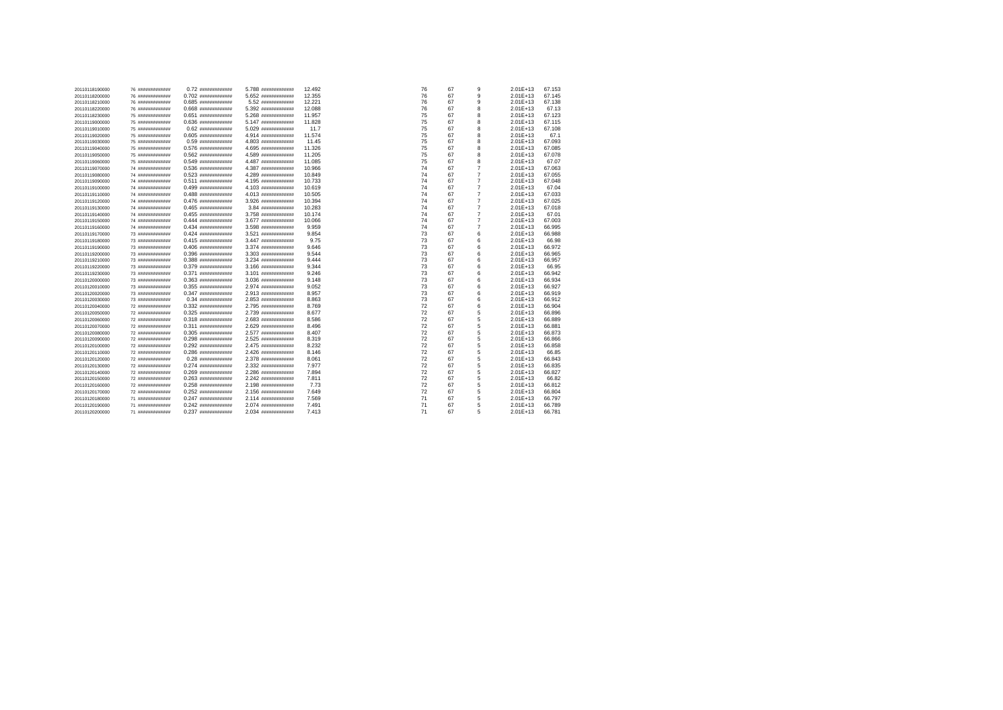| 20110118190000 | 76 ############# |                         | 5.788 ############# | 12.492 | 76 | 67 | 9              | $2.01E+13$ | 67.153 |
|----------------|------------------|-------------------------|---------------------|--------|----|----|----------------|------------|--------|
| 20110118200000 | 76 ############# | $0.702$ ##############  | 5.652 ############# | 12.355 | 76 | 67 | 9              | $2.01E+13$ | 67.145 |
| 20110118210000 | 76 ############# | $0.685$ #############   | 5.52 #############  | 12.221 | 76 | 67 | 9              | $2.01E+13$ | 67.138 |
| 20110118220000 | 76 ############# |                         | 5.392 ############# | 12.088 | 76 | 67 | 8              | $2.01E+13$ | 67.13  |
| 20110118230000 | 75 ############# | $0.651$ ##############  | 5.268 ############# | 11.957 | 75 | 67 | 8              | $2.01E+13$ | 67.123 |
| 20110119000000 | 75 ############# | $0.636$ #############   | 5.147 ############# | 11.828 | 75 | 67 | 8              | $2.01E+13$ | 67.115 |
| 20110119010000 | 75 ############# |                         | 5.029 ############# | 11.7   | 75 | 67 | 8              | 2.01E+13   | 67.108 |
| 20110119020000 | 75 ############# | $0.605$ #############   | 4.914 ############# | 11.574 | 75 | 67 | 8              | $2.01E+13$ | 67.1   |
| 20110119030000 | 75 ############# | $0.59$ $*$ <sup>1</sup> | 4.803 ############# | 11.45  | 75 | 67 | 8              | $2.01E+13$ | 67.093 |
| 20110119040000 | 75 ############# | $0.576$ #############   | 4.695 ############# | 11.326 | 75 | 67 | 8              | $2.01E+13$ | 67.085 |
| 20110119050000 | 75 ############# |                         | 4.589 ############# | 11.205 | 75 | 67 | 8              | 2.01E+13   | 67.078 |
| 20110119060000 | 75 ############# | $0.549$ #############   | 4.487 ############# | 11.085 | 75 | 67 | 8              | $2.01E+13$ | 67.07  |
| 20110119070000 | 74 ############# | $0.536$ #############   | 4.387 ############# | 10.966 | 74 | 67 | $\overline{7}$ | $2.01E+13$ | 67.063 |
| 20110119080000 | 74 ############# |                         | 4.289 ############# | 10.849 | 74 | 67 | $\overline{7}$ | $2.01E+13$ | 67.055 |
| 20110119090000 | 74 ############# |                         | 4.195 ############# | 10.733 | 74 | 67 | $\overline{7}$ | 2.01E+13   | 67.048 |
| 20110119100000 | 74 ############# | $0.499$ $#$             | 4.103 ############# | 10.619 | 74 | 67 | $\overline{7}$ | $2.01E+13$ | 67.04  |
| 20110119110000 | 74 ############# | $0.488$ #############   | 4.013 ############# | 10.505 | 74 | 67 | $\overline{7}$ | $2.01E+13$ | 67.033 |
| 20110119120000 | 74 ############# | $0.476$ #############   | 3.926 ############# | 10.394 | 74 | 67 | $\overline{7}$ | $2.01E+13$ | 67.025 |
| 20110119130000 | 74 ############# | $0.465$ #############   | 3.84 иннинининини   | 10.283 | 74 | 67 | $\overline{7}$ | $2.01E+13$ | 67.018 |
| 20110119140000 | 74 ############# | $0.455$ #############   | 3.758 ############# | 10.174 | 74 | 67 | $\overline{7}$ | $2.01E+13$ | 67.01  |
| 20110119150000 | 74 ############# |                         | 3.677 ############# | 10.066 | 74 | 67 | $\overline{7}$ | $2.01E+13$ | 67.003 |
| 20110119160000 | 74 ############# |                         | 3.598 ############# | 9.959  | 74 | 67 | $\overline{7}$ | $2.01E+13$ | 66.995 |
| 20110119170000 | 73 ############# |                         | 3.521 ############# | 9.854  | 73 | 67 | 6              | $2.01E+13$ | 66,988 |
| 20110119180000 | 73 ############# | $0.415$ #############   | 3.447 ############# | 9.75   | 73 | 67 | 6              | 2.01E+13   | 66.98  |
| 20110119190000 | 73 ############# | $0.406$ #############   | 3.374 ############# | 9.646  | 73 | 67 | 6              | $2.01E+13$ | 66.972 |
| 20110119200000 | 73 ############# |                         | 3.303 ############# | 9.544  | 73 | 67 | 6              | $2.01E+13$ | 66.965 |
| 20110119210000 | 73 ############# | $0.388$ #############   | 3.234 ############# | 9.444  | 73 | 67 | 6              | $2.01E+13$ | 66.957 |
| 20110119220000 | 73 ############# | $0.379$ $#$             | 3.166 ############  | 9.344  | 73 | 67 | 6              | $2.01E+13$ | 66.95  |
| 20110119230000 | 73 ############# | $0.371$ $#$             | 3.101 ############# | 9.246  | 73 | 67 | 6              | 2.01E+13   | 66.942 |
| 20110120000000 | 73 ############# |                         | 3.036 ############# | 9.148  | 73 | 67 | 6              | $2.01E+13$ | 66.934 |
| 20110120010000 | 73 ############# |                         | 2.974 ############# | 9.052  | 73 | 67 | 6              | $2.01E+13$ | 66.927 |
| 20110120020000 | 73 ############# | $0.347$ **************  | 2.913 ############# | 8.957  | 73 | 67 | 6              | $2.01E+13$ | 66,919 |
| 20110120030000 | 73 ############# |                         | 2.853 ############# | 8.863  | 73 | 67 | 6              | 2.01E+13   | 66.912 |
| 20110120040000 | 72 ############# |                         | 2.795 ############# | 8.769  | 72 | 67 | 6              | $2.01E+13$ | 66,904 |
| 20110120050000 | 72 ############# |                         | 2.739 ############# | 8.677  | 72 | 67 | 5              | $2.01E+13$ | 66,896 |
| 20110120060000 | 72 ############# | $0.318$ #############   | 2.683 ############  | 8.586  | 72 | 67 | 5              | $2.01E+13$ | 66,889 |
| 20110120070000 | 72 ############# |                         | 2.629 ############# | 8.496  | 72 | 67 | 5              | $2.01E+13$ | 66.881 |
| 20110120080000 | 72 ############# |                         | 2.577 ############# | 8.407  | 72 | 67 | 5              | 2.01E+13   | 66.873 |
| 20110120090000 | 72 ############# | $0.298$ #############   | 2.525 ############# | 8.319  | 72 | 67 | 5              | $2.01E+13$ | 66,866 |
| 20110120100000 | 72 ############# | $0.292$ #############   | 2.475 ############# | 8.232  | 72 | 67 | 5              | $2.01E+13$ | 66,858 |
| 20110120110000 | 72 ############# | $0.286$ #############   | 2.426 ############# | 8.146  | 72 | 67 | 5              | $2.01E+13$ | 66.85  |
| 20110120120000 | 72 ############# | $0.28$ #############    | 2.378 ############  | 8.061  | 72 | 67 | 5              | 2.01E+13   | 66.843 |
| 20110120130000 | 72 ############# | $0.274$ **************  | 2.332 ############# | 7.977  | 72 | 67 | 5              | $2.01E+13$ | 66,835 |
| 20110120140000 | 72 ############# | $0.269$ $#$             | 2.286 ############  | 7.894  | 72 | 67 | 5              | $2.01E+13$ | 66.827 |
| 20110120150000 | 72 ############# |                         | 2.242 ############# | 7.811  | 72 | 67 | 5              | $2.01E+13$ | 66.82  |
| 20110120160000 | 72 ############# | $0.258$ #############   | 2.198 ############  | 7.73   | 72 | 67 | 5              | 2.01E+13   | 66.812 |
| 20110120170000 | 72 ############# | $0.252$ #############   | 2.156 ############  | 7.649  | 72 | 67 | 5              | $2.01E+13$ | 66.804 |
| 20110120180000 | 71 ############# | $0.247$ #############   | 2.114 ############# | 7.569  | 71 | 67 | 5              | 2.01E+13   | 66.797 |
| 20110120190000 | 71 ############# | $0.242$ #############   | 2.074 ############# | 7.491  | 71 | 67 | 5              | $2.01E+13$ | 66,789 |
| 20110120200000 | 71 ############# | $0.237$ $10000$         | $2.034$ $1.034$     | 7.413  | 71 | 67 | 5              | $2.01E+13$ | 66.781 |
|                |                  |                         |                     |        |    |    |                |            |        |

0.237 ############# 2.034 ############# 7.413 71 67 5 2.01E+13 66.781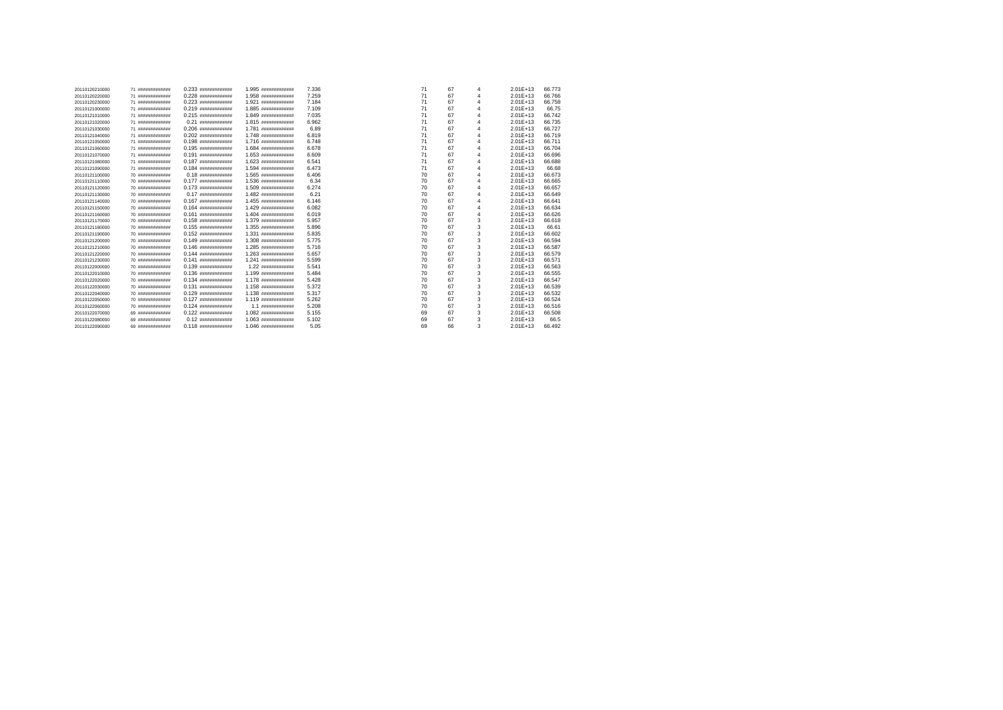| 20110120210000 | 71 ############# | 0.233 #############                                                                                                                                                                                                            | 1.995 #############    | 7.336 | 71<br>67 | 4 | $2.01F + 13$ | 66,773 |
|----------------|------------------|--------------------------------------------------------------------------------------------------------------------------------------------------------------------------------------------------------------------------------|------------------------|-------|----------|---|--------------|--------|
| 20110120220000 | 71 ############# | 0.228 #############                                                                                                                                                                                                            | 1.958 #############    | 7.259 | 71<br>67 | 4 | $2.01E+13$   | 66,766 |
| 20110120230000 | 71 ############# |                                                                                                                                                                                                                                | 1.921 инининининин     | 7.184 | 71<br>67 | 4 | $2.01F + 13$ | 66.758 |
| 20110121000000 | 71 ############# | $0.219$ $1.9$ $1.0$ $1.0$ $1.0$ $1.0$ $1.0$ $1.0$ $1.0$ $1.0$ $1.0$ $1.0$ $1.0$ $1.0$ $1.0$ $1.0$ $1.0$ $1.0$ $1.0$ $1.0$ $1.0$ $1.0$ $1.0$ $1.0$ $1.0$ $1.0$ $1.0$ $1.0$ $1.0$ $1.0$ $1.0$ $1.0$ $1.0$ $1.0$ $1.0$ $1.0$ $1.$ | 1.885 #############    | 7.109 | 71<br>67 | Δ | $2.01F + 13$ | 66.75  |
| 20110121010000 | 71 ############# | $0.215$ $1.5$ $1.5$ $1.5$ $1.5$ $1.5$ $1.5$ $1.5$ $1.5$ $1.5$ $1.5$ $1.5$ $1.5$ $1.5$ $1.5$ $1.5$ $1.5$ $1.5$ $1.5$ $1.5$ $1.5$ $1.5$ $1.5$ $1.5$ $1.5$ $1.5$ $1.5$ $1.5$ $1.5$ $1.5$ $1.5$ $1.5$ $1.5$ $1.5$ $1.5$ $1.5$ $1.$ | 1.849 #############    | 7.035 | 71<br>67 | 4 | $2.01F + 13$ | 66.742 |
| 20110121020000 | 71 ############# |                                                                                                                                                                                                                                | 1.815 #############    | 6.962 | 71<br>67 | 4 | $2.01E+13$   | 66,735 |
| 20110121030000 | 71 ############# | $0.206$ #############                                                                                                                                                                                                          | 1.781 ############     | 6.89  | 71<br>67 | Δ | $2.01E+13$   | 66.727 |
| 20110121040000 | 71 ############# | 0.202 #############                                                                                                                                                                                                            | 1.748 явнивнивники     | 6.819 | 71<br>67 | 4 | $2.01F + 13$ | 66,719 |
| 20110121050000 | 71 ############# | $0.198$ #############                                                                                                                                                                                                          | 1.716 #############    | 6.748 | 71<br>67 | 4 | $2.01E+13$   | 66.711 |
| 20110121060000 | 71 ############# | $0.195$ **************                                                                                                                                                                                                         | 1.684 #############    | 6.678 | 71<br>67 | 4 | $2.01F + 13$ | 66,704 |
| 20110121070000 | 71 ############# | 0.191 #############                                                                                                                                                                                                            | 1.653 ининининнини     | 6.609 | 71<br>67 | 4 | $2.01E+13$   | 66,696 |
| 20110121080000 | 71 ############# | $0.187$ $187$ $18888888888888$                                                                                                                                                                                                 | 1.623 явивнивнивни     | 6.541 | 71<br>67 | 4 | $2.01F + 13$ | 66,688 |
| 20110121090000 | 71 ############# | $0.184$ #############                                                                                                                                                                                                          | 1.594 #############    | 6.473 | 71<br>67 | 4 | $2.01E + 13$ | 66.68  |
| 20110121100000 | 70 ############# | $0.18$ $18$ $1000$                                                                                                                                                                                                             | 1.565 #############    | 6.406 | 70<br>67 | 4 | $2.01E + 13$ | 66,673 |
| 20110121110000 | 70 ############# | 0.177 #############                                                                                                                                                                                                            | 1.536 #############    | 6.34  | 70<br>67 | 4 | $2.01E + 13$ | 66.665 |
| 20110121120000 | 70 ############# |                                                                                                                                                                                                                                | 1.509 #############    | 6.274 | 70<br>67 | 4 | $2.01F + 13$ | 66.657 |
| 20110121130000 | 70 ############# |                                                                                                                                                                                                                                | 1.482 #############    | 6.21  | 70<br>67 | 4 | $2.01E + 13$ | 66.649 |
| 20110121140000 | 70 ############# | $0.167$ #############                                                                                                                                                                                                          | 1.455 #############    | 6.146 | 70<br>67 | 4 | $2.01E + 13$ | 66.641 |
| 20110121150000 | 70 ############# | $0.164$ $104$                                                                                                                                                                                                                  | 1.429 #############    | 6.082 | 70<br>67 | 4 | $2.01F + 13$ | 66.634 |
| 20110121160000 | 70 ############# | $0.161$ #############                                                                                                                                                                                                          | $1.404$ $1.404$        | 6.019 | 70<br>67 | 4 | $2.01F + 13$ | 66.626 |
| 20110121170000 | 70 ############# | $0.158$ #############                                                                                                                                                                                                          | 1.379 #############    | 5.957 | 70<br>67 | 3 | $2.01E + 13$ | 66,618 |
| 20110121180000 | 70 ############# | 0.155 #############                                                                                                                                                                                                            | 1.355 #############    | 5.896 | 70<br>67 | 3 | $2.01E + 13$ | 66.61  |
| 20110121190000 | 70 ############# | 0.152 ############                                                                                                                                                                                                             | 1.331 ининининнини     | 5.835 | 70<br>67 | 3 | $2.01E + 13$ | 66,602 |
| 20110121200000 | 70 ############# | $0.149$ #############                                                                                                                                                                                                          | 1.308 #############    | 5.775 | 70<br>67 | 3 | $2.01F + 13$ | 66.594 |
| 20110121210000 | 70 ############# |                                                                                                                                                                                                                                | 1.285 #############    | 5.716 | 70<br>67 | 3 | $2.01E + 13$ | 66.587 |
| 20110121220000 | 70 ############# | 0.144 #############                                                                                                                                                                                                            | 1.263 ининининнини     | 5.657 | 70<br>67 | 3 | $2.01E + 13$ | 66,579 |
| 20110121230000 | 70 ############# | 0.141 #############                                                                                                                                                                                                            | 1.241 ининининнини     | 5.599 | 70<br>67 | 3 | $2.01E + 13$ | 66.571 |
| 20110122000000 | 70 ############# | $0.139$ $#$                                                                                                                                                                                                                    | 1.22 #############     | 5.541 | 70<br>67 | 3 | $2.01E + 13$ | 66,563 |
| 20110122010000 | 70 ############# | $0.136$ #############                                                                                                                                                                                                          | 1.199 #############    | 5.484 | 70<br>67 | 3 | $2.01E + 13$ | 66.555 |
| 20110122020000 | 70 ############# | $0.134$ $888888888888888$                                                                                                                                                                                                      | 1.178 ининининнини     | 5.428 | 70<br>67 | 3 | $2.01E + 13$ | 66.547 |
| 20110122030000 | 70 ############# |                                                                                                                                                                                                                                | 1.158 ############     | 5.372 | 70<br>67 | 3 | $2.01F + 13$ | 66,539 |
| 20110122040000 | 70 ############# | $0.129$ #############                                                                                                                                                                                                          | 1.138 ############     | 5.317 | 70<br>67 | 3 | $2.01E + 13$ | 66.532 |
| 20110122050000 | 70 ############# | $0.127$ **************                                                                                                                                                                                                         | 1.119 #############    | 5.262 | 70<br>67 | 3 | $2.01E+13$   | 66.524 |
| 20110122060000 | 70 ############# |                                                                                                                                                                                                                                | $1.1$ $88888888888888$ | 5.208 | 70<br>67 | 3 | $2.01E + 13$ | 66,516 |
| 20110122070000 | 69 ############# | $0.122$ $1.23$                                                                                                                                                                                                                 | 1.082 #############    | 5.155 | 69<br>67 | 3 | $2.01F + 13$ | 66,508 |
| 20110122080000 | 69 ############# |                                                                                                                                                                                                                                | 1.063 #############    | 5.102 | 67<br>69 | 3 | $2.01E+13$   | 66.5   |
| 20110122090000 | 69 ############# | $0.118$ #############                                                                                                                                                                                                          | 1.046 нанинавники      | 5.05  | 69<br>66 | 3 | $2.01E+13$   | 66.492 |
|                |                  |                                                                                                                                                                                                                                |                        |       |          |   |              |        |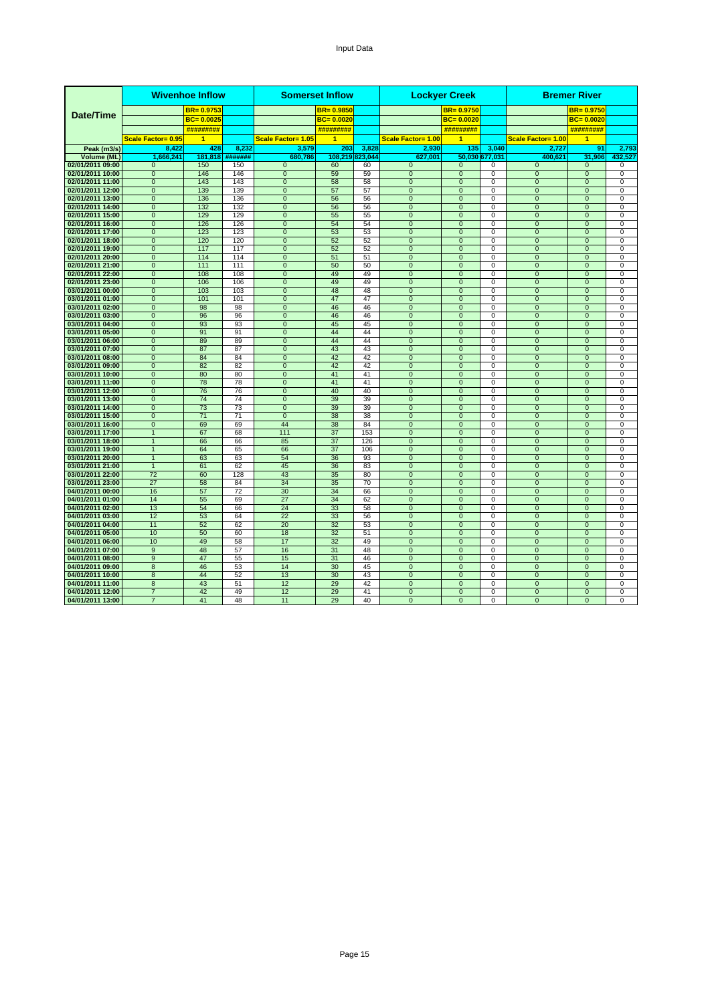#### Input Data

|                                      |                                  | <b>Wivenhoe Inflow</b> |            |                                  | <b>Somerset Inflow</b> |           |                                  | <b>Lockyer Creek</b>             |                            |                                  | <b>Bremer River</b>              |                               |
|--------------------------------------|----------------------------------|------------------------|------------|----------------------------------|------------------------|-----------|----------------------------------|----------------------------------|----------------------------|----------------------------------|----------------------------------|-------------------------------|
|                                      |                                  | $BR = 0.9753$          |            |                                  | $BR = 0.9850$          |           |                                  | $BR = 0.9750$                    |                            |                                  | $BR = 0.9750$                    |                               |
| Date/Time                            |                                  | $BC = 0.0025$          |            |                                  | $BC = 0.0020$          |           |                                  | $BC = 0.0020$                    |                            |                                  | $BC = 0.0020$                    |                               |
|                                      |                                  | #########              |            |                                  | #########              |           |                                  | #########                        |                            |                                  | #########                        |                               |
|                                      | Scale Factor= 0.95               | 1                      |            | Scale Factor= 1.05               | $\overline{1}$         |           | <b>Scale Factor= 1.00</b>        | 1                                |                            | Scale Factor= 1.00               | 1                                |                               |
| Peak (m3/s)                          | 8.422                            | 428                    | 8.232      | 3.579                            | 203                    | 3,828     | 2.930                            | 135                              | 3.040                      | 2.727                            | 91                               | 2.793                         |
| Volume (ML)                          | 1.666.241                        | 181.818                | #######    | 680,786                          | 108.219 823.044        |           | 627,001                          |                                  | 50,030 677,031             | 400.621                          | 31,906                           | 432,527                       |
| 02/01/2011 09:00                     | $\mathbf{0}$                     | 150                    | 150        | $\mathbf{0}$                     | 60                     | 60        | $\mathbf{0}$                     | $\mathbf{0}$                     | 0                          | $\mathbf{0}$                     | $\mathbf{0}$                     | 0                             |
| 02/01/2011 10:00                     | $\mathbf{0}$                     | 146                    | 146        | $\overline{0}$                   | 59                     | 59        | $\overline{0}$                   | $\mathbf 0$                      | $\mathbf 0$                | $\overline{0}$                   | $\overline{0}$                   | $\overline{0}$                |
| 02/01/2011 11:00                     | $\overline{0}$                   | 143                    | 143        | $\overline{0}$                   | 58                     | 58        | $\overline{0}$                   | $\overline{0}$                   | $\overline{0}$             | $\overline{0}$                   | $\overline{0}$                   | $\overline{0}$                |
| 02/01/2011 12:00                     | $\mathbf 0$                      | 139                    | 139        | $\mathbf 0$                      | 57                     | 57        | $\pmb{0}$                        | $\overline{0}$                   | 0<br>$\overline{0}$        | $\mathbf 0$                      | $\pmb{0}$                        | 0                             |
| 02/01/2011 13:00<br>02/01/2011 14:00 | $\overline{0}$<br>$\mathbf{0}$   | 136<br>132             | 136<br>132 | $\overline{0}$<br>$\mathbf 0$    | 56<br>56               | 56<br>56  | $\overline{0}$<br>$\mathbf 0$    | $\overline{0}$<br>$\mathbf{0}$   | 0                          | $\overline{0}$<br>$\mathbf{0}$   | $\overline{0}$<br>$\mathbf 0$    | $\overline{0}$<br>0           |
| 02/01/2011 15:00                     | $\overline{0}$                   | 129                    | 129        | $\overline{0}$                   | 55                     | 55        | $\overline{0}$                   | $\overline{0}$                   | $\mathbf 0$                | $\overline{0}$                   | $\overline{0}$                   | $\mathbf 0$                   |
| 02/01/2011 16:00                     | $\mathbf{0}$                     | 126                    | 126        | $\overline{0}$                   | 54                     | 54        | $\overline{0}$                   | $\overline{0}$                   | $\mathbf 0$                | $\mathbf{0}$                     | $\overline{0}$                   | $\mathbf 0$                   |
| 02/01/2011 17:00                     | $\mathbf{0}$                     | 123                    | 123        | $\overline{0}$                   | 53                     | 53        | $\overline{0}$                   | $\overline{0}$                   | $\mathbf 0$                | $\overline{0}$                   | $\overline{0}$                   | $\overline{0}$                |
| 02/01/2011 18:00                     | $\Omega$                         | 120                    | 120        | $\Omega$                         | 52                     | 52        | $\Omega$                         | $\Omega$                         | $\Omega$                   | $\Omega$                         | $\Omega$                         | $\Omega$                      |
| 02/01/2011 19:00                     | $\mathbf{0}$                     | 117                    | 117        | $\mathbf{0}$                     | 52                     | 52        | $\overline{0}$                   | $\mathbf{0}$                     | $\mathbf 0$                | $\mathbf{0}$                     | $\mathbf{0}$                     | $\mathbf 0$                   |
| 02/01/2011 20:00                     | $\overline{0}$                   | 114                    | 114        | $\overline{0}$                   | 51                     | 51        | $\overline{0}$                   | $\overline{0}$                   | 0                          | $\overline{0}$                   | $\overline{0}$                   | $\mathbf 0$                   |
| 02/01/2011 21:00                     | $\overline{0}$                   | 111                    | 111        | $\overline{0}$                   | 50                     | 50        | $\overline{0}$                   | $\overline{0}$                   | $\overline{0}$             | $\overline{0}$                   | $\overline{0}$                   | $\mathbf 0$                   |
| 02/01/2011 22:00                     | $\mathbf{0}$                     | 108                    | 108        | $\mathbf 0$                      | 49                     | 49        | $\pmb{0}$                        | $\mathbf 0$                      | $\mathbf 0$                | $\overline{0}$                   | $\pmb{0}$                        | $\mathbf 0$                   |
| 02/01/2011 23:00                     | $\overline{0}$                   | 106                    | 106        | $\overline{0}$                   | 49                     | 49        | $\overline{0}$                   | $\overline{0}$                   | 0                          | $\overline{0}$                   | $\overline{0}$                   | $\mathbf 0$                   |
| 03/01/2011 00:00                     | $\mathbf{0}$                     | 103                    | 103        | $\mathbf{0}$                     | 48                     | 48        | $\mathbf{0}$                     | $\mathbf 0$                      | 0                          | $\mathbf{0}$                     | $\mathbf{0}$                     | $\mathbf 0$                   |
| 03/01/2011 01:00                     | $\mathbf{0}$                     | 101                    | 101        | $\mathbf 0$                      | 47                     | 47        | $\mathbf{0}$                     | $\mathbf 0$                      | $\mathbf 0$                | $\overline{0}$                   | $\mathbf{0}$                     | 0                             |
| 03/01/2011 02:00                     | $\mathbf{0}$                     | 98                     | 98         | $\mathbf{0}$                     | 46                     | 46        | $\mathbf{0}$                     | $\mathbf{0}$                     | $\mathbf 0$                | $\mathbf{0}$                     | $\mathbf{0}$                     | $\mathbf 0$                   |
| 03/01/2011 03:00<br>03/01/2011 04:00 | $\overline{0}$<br>$\overline{0}$ | 96<br>93               | 96<br>93   | $\overline{0}$<br>$\overline{0}$ | 46<br>45               | 46<br>45  | $\overline{0}$<br>$\overline{0}$ | $\overline{0}$<br>$\overline{0}$ | 0<br>$\Omega$              | $\overline{0}$<br>$\overline{0}$ | $\overline{0}$<br>$\overline{0}$ | $\mathbf 0$<br>$\mathbf 0$    |
| 03/01/2011 05:00                     | $\mathbf{0}$                     | 91                     | 91         | $\mathbf{0}$                     | 44                     | 44        | $\mathbf{0}$                     | $\mathbf{0}$                     | $\mathbf 0$                | $\mathbf{0}$                     | $\mathbf{0}$                     | $\mathbf 0$                   |
| 03/01/2011 06:00                     | $\overline{0}$                   | 89                     | 89         | $\overline{0}$                   | 44                     | 44        | $\overline{0}$                   | $\overline{0}$                   | $\mathbf 0$                | $\overline{0}$                   | $\overline{0}$                   | $\mathbf 0$                   |
| 03/01/2011 07:00                     | $\overline{0}$                   | 87                     | 87         | $\overline{0}$                   | 43                     | 43        | $\overline{0}$                   | $\overline{0}$                   | $\overline{0}$             | $\overline{0}$                   | $\overline{0}$                   | 0                             |
| 03/01/2011 08:00                     | $\overline{0}$                   | 84                     | 84         | $\overline{0}$                   | 42                     | 42        | $\overline{0}$                   | $\overline{0}$                   | $\overline{0}$             | $\overline{0}$                   | $\overline{0}$                   | $\overline{0}$                |
| 03/01/2011 09:00                     | $\Omega$                         | 82                     | 82         | $\mathbf{0}$                     | 42                     | 42        | $\mathbf{0}$                     | $\overline{0}$                   | $\Omega$                   | $\Omega$                         | $\overline{0}$                   | $\mathbf 0$                   |
| 03/01/2011 10:00                     | $\overline{0}$                   | 80                     | 80         | $\overline{0}$                   | 41                     | 41        | $\overline{0}$                   | $\overline{0}$                   | $\Omega$                   | $\overline{0}$                   | $\overline{0}$                   | $\mathbf 0$                   |
| 03/01/2011 11:00                     | $\mathbf{0}$                     | 78                     | 78         | $\mathbf{0}$                     | 41                     | 41        | $\mathbf{0}$                     | $\overline{0}$                   | $\Omega$                   | $\overline{0}$                   | $\mathbf{0}$                     | $\mathbf 0$                   |
| 03/01/2011 12:00                     | $\mathbf{0}$                     | 76                     | 76         | $\overline{0}$                   | 40                     | 40        | $\overline{0}$                   | $\overline{0}$                   | $\mathbf 0$                | $\mathbf{0}$                     | $\overline{0}$                   | $\mathbf 0$                   |
| 03/01/2011 13:00                     | $\mathbf{0}$                     | 74                     | 74         | $\mathbf{0}$                     | 39                     | 39        | $\overline{0}$                   | $\overline{0}$                   | $\mathbf 0$                | $\overline{0}$                   | $\overline{0}$                   | $\mathbf 0$                   |
| 03/01/2011 14:00                     | $\overline{0}$                   | 73                     | 73         | $\overline{0}$                   | 39                     | 39        | $\overline{0}$                   | $\overline{0}$                   | $\overline{0}$             | $\overline{0}$                   | $\overline{0}$                   | $\overline{0}$                |
| 03/01/2011 15:00                     | $\Omega$                         | 71                     | 71         | $\Omega$                         | 38                     | 38        | $\Omega$                         | $\Omega$                         | $\Omega$                   | $\Omega$                         | $\Omega$                         | $\Omega$                      |
| 03/01/2011 16:00<br>03/01/2011 17:00 | $\mathbf{0}$<br>$\mathbf{1}$     | 69<br>67               | 69<br>68   | 44<br>111                        | 38<br>37               | 84<br>153 | $\mathbf{0}$<br>$\mathbf{0}$     | $\overline{0}$<br>$\mathbf{0}$   | 0                          | $\overline{0}$                   | $\mathbf{0}$<br>$\mathbf{0}$     | $\mathbf 0$                   |
| 03/01/2011 18:00                     | $\overline{1}$                   | 66                     | 66         | 85                               | 37                     | 126       | $\overline{0}$                   | $\overline{0}$                   | 0<br>$\overline{0}$        | $\mathbf{0}$<br>$\overline{0}$   | $\overline{0}$                   | $\mathbf 0$<br>$\overline{0}$ |
| 03/01/2011 19:00                     | $\mathbf{1}$                     | 64                     | 65         | 66                               | 37                     | 106       | $\mathbf 0$                      | $\overline{0}$                   | 0                          | $\mathbf{0}$                     | $\mathbf{0}$                     | 0                             |
| 03/01/2011 20:00                     | $\mathbf{1}$                     | 63                     | 63         | 54                               | 36                     | 93        | $\mathbf{0}$                     | $\mathbf 0$                      | 0                          | $\overline{0}$                   | $\pmb{0}$                        | 0                             |
| 03/01/2011 21:00                     | $\overline{1}$                   | 61                     | 62         | 45                               | 36                     | 83        | $\overline{0}$                   | $\overline{0}$                   | $\Omega$                   | $\overline{0}$                   | $\overline{0}$                   | $\mathbf 0$                   |
| 03/01/2011 22:00                     | 72                               | 60                     | 128        | 43                               | 35                     | 80        | $\mathbf{0}$                     | $\mathbf{0}$                     | 0                          | $\mathbf 0$                      | $\pmb{0}$                        | 0                             |
| 03/01/2011 23:00                     | 27                               | 58                     | 84         | 34                               | 35                     | 70        | $\overline{0}$                   | $\overline{0}$                   | 0                          | $\overline{0}$                   | $\overline{0}$                   | $\overline{0}$                |
| 04/01/2011 00:00                     | 16                               | 57                     | 72         | 30                               | 34                     | 66        | $\overline{0}$                   | $\overline{0}$                   | 0                          | $\overline{0}$                   | $\overline{0}$                   | $\overline{0}$                |
| 04/01/2011 01:00                     | 14                               | 55                     | 69         | 27                               | 34                     | 62        | $\overline{0}$                   | $\overline{0}$                   | $\overline{0}$             | $\overline{0}$                   | $\overline{0}$                   | $\overline{0}$                |
| 04/01/2011 02:00                     | 13                               | 54                     | 66         | 24                               | 33                     | 58        | $\Omega$                         | $\Omega$                         | $\Omega$                   | $\Omega$                         | $\Omega$                         | $\mathbf 0$                   |
| 04/01/2011 03:00                     | 12                               | 53                     | 64         | 22                               | 33                     | 56        | $\mathbf{0}$                     | $\mathbf{0}$                     | $\mathbf 0$                | $\mathbf{0}$                     | $\mathbf{0}$                     | $\mathbf 0$                   |
| 04/01/2011 04:00<br>04/01/2011 05:00 | 11<br>10                         | 52<br>50               | 62<br>60   | 20<br>18                         | 32<br>32               | 53<br>51  | $\mathbf{0}$<br>$\overline{0}$   | $\mathbf{0}$<br>$\overline{0}$   | $\Omega$<br>$\overline{0}$ | $\mathbf{0}$<br>$\overline{0}$   | $\mathbf{0}$<br>$\overline{0}$   | $\mathbf 0$<br>$\overline{0}$ |
| 04/01/2011 06:00                     | 10                               | 49                     | 58         | 17                               | 32                     | 49        | $\mathbf{0}$                     | $\overline{0}$                   | 0                          | $\mathbf{0}$                     | $\mathbf{0}$                     | 0                             |
| 04/01/2011 07:00                     | 9                                | 48                     | 57         | 16                               | 31                     | 48        | $\overline{0}$                   | $\overline{0}$                   | $\Omega$                   | $\overline{0}$                   | $\overline{0}$                   | $\mathbf 0$                   |
| 04/01/2011 08:00                     | 9                                | 47                     | 55         | 15                               | 31                     | 46        | $\mathbf{0}$                     | $\mathbf{0}$                     | $\Omega$                   | $\Omega$                         | $\mathbf{0}$                     | $\mathbf 0$                   |
| 04/01/2011 09:00                     | 8                                | 46                     | 53         | 14                               | 30                     | 45        | $\pmb{0}$                        | $\mathbf 0$                      | 0                          | $\mathbf 0$                      | $\pmb{0}$                        | 0                             |
| 04/01/2011 10:00                     | 8                                | 44                     | 52         | 13                               | 30                     | 43        | $\mathbf{0}$                     | $\overline{0}$                   | 0                          | $\mathbf{0}$                     | $\mathbf{0}$                     | $\mathbf 0$                   |
| 04/01/2011 11:00                     | 8                                | 43                     | 51         | 12                               | 29                     | 42        | $\overline{0}$                   | $\overline{0}$                   | $\mathbf 0$                | $\overline{0}$                   | $\overline{0}$                   | $\mathbf 0$                   |
| 04/01/2011 12:00                     | 7                                | 42                     | 49         | 12                               | 29                     | 41        | $\overline{0}$                   | $\overline{0}$                   | $\Omega$                   | $\Omega$                         | $\overline{0}$                   | $\Omega$                      |
| 04/01/2011 13:00                     | $\overline{7}$                   | 41                     | 48         | 11                               | 29                     | 40        | $\mathbf{0}$                     | $\mathbf{0}$                     | $\mathbf 0$                | $\mathbf{0}$                     | $\mathbf{0}$                     | $\mathbf 0$                   |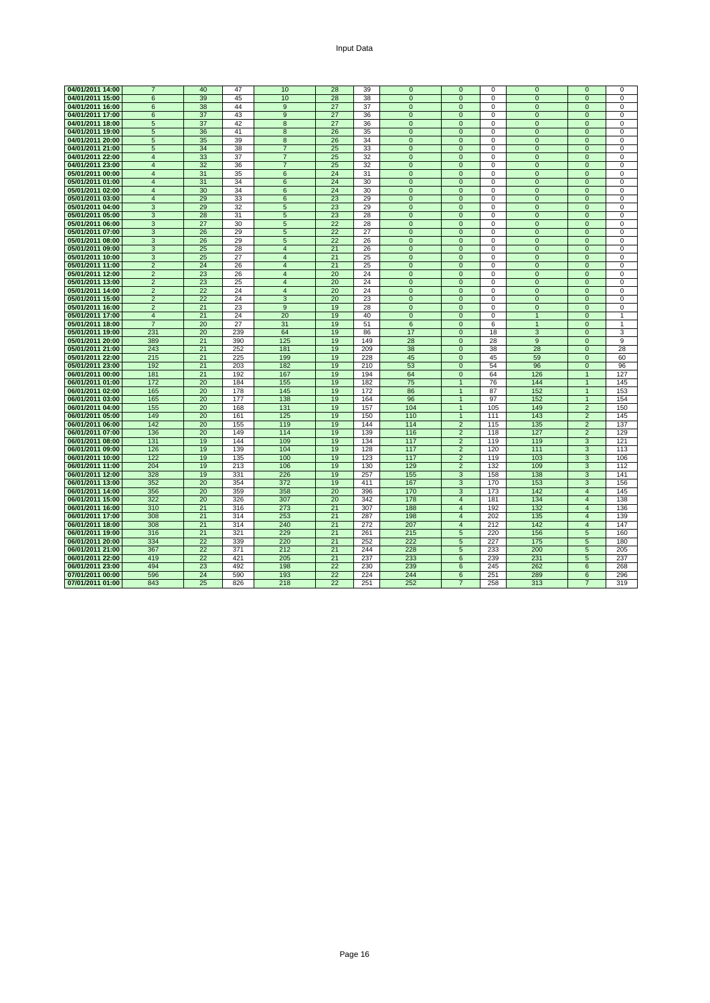| 04/01/2011 14:00 | $\overline{7}$  | 40 | 47  | 10               | 28 | 39  | $\mathbf 0$    | $\mathbf{0}$   | 0              | $\mathbf{0}$   | $\mathbf{0}$            | $\Omega$       |
|------------------|-----------------|----|-----|------------------|----|-----|----------------|----------------|----------------|----------------|-------------------------|----------------|
| 04/01/2011 15:00 | 6               | 39 | 45  | 10               | 28 | 38  | $\overline{0}$ | $\overline{0}$ | $\overline{0}$ | $\overline{0}$ | $\overline{0}$          | $\overline{0}$ |
| 04/01/2011 16:00 | $6\overline{6}$ | 38 | 44  | 9                | 27 | 37  | $\mathbf{0}$   | $\mathbf{0}$   | $\mathbf 0$    | $\mathbf{0}$   | $\mathbf{0}$            | 0              |
| 04/01/2011 17:00 | 6               | 37 | 43  | 9                | 27 | 36  | $\mathbf{0}$   | $\mathbf{0}$   | 0              | $\mathbf{0}$   | $\mathbf{0}$            | $\Omega$       |
| 04/01/2011 18:00 | 5               | 37 | 42  | 8                | 27 | 36  | $\mathbf 0$    | $\mathbf 0$    | $\mathbf 0$    | $\mathbf{0}$   | $\mathbf{0}$            | 0              |
| 04/01/2011 19:00 | 5               | 36 | 41  | 8                | 26 | 35  | $\pmb{0}$      | $\mathbf{0}$   | $\mathbf 0$    | $\mathbf{0}$   | $\mathbf{0}$            | $\Omega$       |
| 04/01/2011 20:00 | 5               | 35 | 39  | 8                | 26 | 34  | $\mathbf 0$    | $\mathbf{0}$   | 0              | $\mathbf{0}$   | $\mathbf 0$             | 0              |
| 04/01/2011 21:00 | $\sqrt{5}$      | 34 | 38  | $\overline{7}$   | 25 | 33  | $\mathbf{0}$   | $\mathbf 0$    | 0              | $\mathbf{0}$   | $\mathbf{0}$            | $\Omega$       |
| 04/01/2011 22:00 | $\overline{4}$  | 33 | 37  | $\overline{7}$   | 25 | 32  | $\overline{0}$ | $\overline{0}$ | $\overline{0}$ | $\overline{0}$ | $\overline{0}$          | $\Omega$       |
| 04/01/2011 23:00 | $\overline{4}$  | 32 | 36  | $\overline{7}$   | 25 | 32  | $\mathbf{0}$   | $\mathbf{0}$   | $\mathbf 0$    | $\mathbf{0}$   | $\Omega$                | $\Omega$       |
| 05/01/2011 00:00 | $\overline{4}$  | 31 | 35  | 6                | 24 | 31  | $\mathbf 0$    | $\mathbf{0}$   | $\mathbf 0$    | $\mathbf{0}$   | $\mathbf{0}$            | 0              |
| 05/01/2011 01:00 | $\overline{4}$  | 31 | 34  | $6\phantom{1}6$  | 24 | 30  | $\mathbf{0}$   | $\mathbf{0}$   | $\mathbf 0$    | $\mathbf{0}$   | $\mathbf{0}$            | 0              |
| 05/01/2011 02:00 | $\overline{4}$  | 30 | 34  | 6                | 24 | 30  | $\mathbf{0}$   | $\mathbf{0}$   | $\mathbf 0$    | $\Omega$       | $\mathbf{0}$            | $\Omega$       |
| 05/01/2011 03:00 | $\overline{4}$  | 29 | 33  | $\boldsymbol{6}$ | 23 | 29  | $\mathbf{0}$   | $\mathbf{0}$   | $\mathbf 0$    | $\mathbf{0}$   | $\mathbf{0}$            | $\Omega$       |
| 05/01/2011 04:00 | 3               | 29 | 32  | 5                | 23 | 29  | $\Omega$       | $\Omega$       | $\Omega$       | $\Omega$       | $\Omega$                | $\Omega$       |
| 05/01/2011 05:00 | 3               | 28 | 31  | 5                | 23 | 28  | $\mathbf 0$    | $\mathbf 0$    | 0              | $\mathbf{0}$   | $\mathbf 0$             | 0              |
| 05/01/2011 06:00 | 3               | 27 | 30  | 5                | 22 | 28  | $\pmb{0}$      | $\mathbf{0}$   | 0              | $\mathbf{0}$   | $\mathbf 0$             | 0              |
| 05/01/2011 07:00 | 3               | 26 | 29  | 5                | 22 | 27  | $\mathbf{0}$   | $\mathbf{0}$   | $\mathbf 0$    | $\mathbf{0}$   | $\mathbf{0}$            | 0              |
| 05/01/2011 08:00 | 3               | 26 | 29  | 5                | 22 | 26  | $\overline{0}$ | $\mathbf 0$    | 0              | $\mathbf{0}$   | $\mathbf{0}$            | 0              |
| 05/01/2011 09:00 | 3               | 25 | 28  | $\overline{4}$   | 21 | 26  | $\overline{0}$ | $\overline{0}$ | $\overline{0}$ | $\overline{0}$ | $\overline{0}$          | $\overline{0}$ |
| 05/01/2011 10:00 | 3               | 25 | 27  | $\overline{4}$   | 21 | 25  | $\Omega$       | $\Omega$       | $\Omega$       | $\Omega$       | $\Omega$                | $\Omega$       |
| 05/01/2011 11:00 | $\overline{2}$  | 24 | 26  | $\overline{4}$   | 21 | 25  | $\mathbf{0}$   | $\mathbf{0}$   | $\mathbf 0$    | $\mathbf{0}$   | $\mathbf{0}$            | 0              |
| 05/01/2011 12:00 | 2               | 23 | 26  | $\overline{4}$   | 20 | 24  | $\mathbf{0}$   | $\mathbf{0}$   | $\mathbf 0$    | $\mathbf{0}$   | $\mathbf{0}$            | 0              |
| 05/01/2011 13:00 | $\overline{2}$  | 23 | 25  | $\overline{4}$   | 20 | 24  | $\mathbf{0}$   | $\mathbf{0}$   | $\mathbf 0$    | $\mathbf{0}$   | $\mathbf{0}$            | 0              |
| 05/01/2011 14:00 | $\overline{2}$  | 22 | 24  | $\overline{4}$   | 20 | 24  | $\overline{0}$ | $\mathbf 0$    | $\overline{0}$ | $\mathbf{0}$   | $\mathbf 0$             | 0              |
| 05/01/2011 15:00 | $\overline{2}$  | 22 | 24  | $\overline{3}$   | 20 | 23  | $\overline{0}$ | $\overline{0}$ | $\overline{0}$ | $\overline{0}$ | $\overline{0}$          | $\overline{0}$ |
| 05/01/2011 16:00 | $\overline{2}$  | 21 | 23  | $\overline{9}$   | 19 | 28  | $\Omega$       | $\Omega$       | $\overline{0}$ | $\Omega$       | $\overline{0}$          | $\Omega$       |
| 05/01/2011 17:00 | $\overline{4}$  | 21 | 24  | 20               | 19 | 40  | $\mathbf{0}$   | $\mathbf{0}$   | $\mathbf 0$    | $\mathbf{1}$   | $\mathbf{0}$            | $\mathbf{1}$   |
| 05/01/2011 18:00 | $\overline{7}$  | 20 | 27  | 31               | 19 | 51  | 6              | $\mathbf{0}$   | 6              | $\overline{1}$ | $\mathbf{0}$            | 1              |
| 05/01/2011 19:00 | 231             | 20 | 239 | 64               | 19 | 86  | 17             | $\mathbf{0}$   | 18             | 3              | $\mathbf{0}$            | 3              |
| 05/01/2011 20:00 | 389             | 21 | 390 | 125              | 19 | 149 | 28             | $\overline{0}$ | 28             | 9              | $\overline{0}$          | 9              |
| 05/01/2011 21:00 | 243             | 21 | 252 | 181              | 19 | 209 | 38             | $\mathbf{0}$   | 38             | 28             | $\mathbf{0}$            | 28             |
| 05/01/2011 22:00 | 215             | 21 | 225 | 199              | 19 | 228 | 45             | $\mathbf 0$    | 45             | 59             | $\mathbf 0$             | 60             |
| 05/01/2011 23:00 | 192             | 21 | 203 | 182              | 19 | 210 | 53             | $\mathbf{0}$   | 54             | 96             | $\mathbf{0}$            | 96             |
| 06/01/2011 00:00 | 181             | 21 | 192 | 167              | 19 | 194 | 64             | $\mathbf{0}$   | 64             | 126            | $\mathbf{1}$            | 127            |
| 06/01/2011 01:00 | 172             | 20 | 184 | 155              | 19 | 182 | 75             | 1              | 76             | 144            | $\mathbf{1}$            | 145            |
| 06/01/2011 02:00 | 165             | 20 | 178 | 145              | 19 | 172 | 86             | $\mathbf{1}$   | 87             | 152            | $\overline{1}$          | 153            |
| 06/01/2011 03:00 | 165             | 20 | 177 | 138              | 19 | 164 | 96             | $\overline{1}$ | 97             | 152            | $\mathbf{1}$            | 154            |
| 06/01/2011 04:00 | 155             | 20 | 168 | 131              | 19 | 157 | 104            | $\overline{1}$ | 105            | 149            | $\overline{2}$          | 150            |
| 06/01/2011 05:00 | 149             | 20 | 161 | 125              | 19 | 150 | 110            | $\mathbf{1}$   | 111            | 143            | $\overline{2}$          | 145            |
| 06/01/2011 06:00 | 142             | 20 | 155 | 119              | 19 | 144 | 114            | 2              | 115            | 135            | $\overline{2}$          | 137            |
| 06/01/2011 07:00 | 136             | 20 | 149 | 114              | 19 | 139 | 116            | $\overline{2}$ | 118            | 127            | $\overline{2}$          | 129            |
| 06/01/2011 08:00 | 131             | 19 | 144 | 109              | 19 | 134 | 117            | 2              | 119            | 119            | 3                       | 121            |
| 06/01/2011 09:00 | 126             | 19 | 139 | 104              | 19 | 128 | 117            | 2              | 120            | 111            | 3                       | 113            |
| 06/01/2011 10:00 | 122             | 19 | 135 | 100              | 19 | 123 | 117            | $\overline{2}$ | 119            | 103            | 3                       | 106            |
| 06/01/2011 11:00 | 204             | 19 | 213 | 106              | 19 | 130 | 129            | $\overline{2}$ | 132            | 109            | 3                       | 112            |
| 06/01/2011 12:00 | 328             | 19 | 331 | 226              | 19 | 257 | 155            | 3              | 158            | 138            | 3                       | 141            |
| 06/01/2011 13:00 | 352             | 20 | 354 | 372              | 19 | 411 | 167            | 3              | 170            | 153            | 3                       | 156            |
| 06/01/2011 14:00 | 356             | 20 | 359 | 358              | 20 | 396 | 170            | 3              | 173            | 142            | $\overline{4}$          | 145            |
| 06/01/2011 15:00 | 322             | 20 | 326 | 307              | 20 | 342 | 178            | $\overline{4}$ | 181            | 134            | $\overline{\mathbf{4}}$ | 138            |
| 06/01/2011 16:00 | 310             | 21 | 316 | 273              | 21 | 307 | 188            | $\overline{4}$ | 192            | 132            | $\overline{4}$          | 136            |
| 06/01/2011 17:00 | 308             | 21 | 314 | 253              | 21 | 287 | 198            | $\overline{4}$ | 202            | 135            | $\overline{4}$          | 139            |
| 06/01/2011 18:00 | 308             | 21 | 314 | 240              | 21 | 272 | 207            | $\overline{4}$ | 212            | 142            | $\overline{4}$          | 147            |
| 06/01/2011 19:00 | 316             | 21 | 321 | 229              | 21 | 261 | 215            | 5              | 220            | 156            | 5                       | 160            |
| 06/01/2011 20:00 | 334             | 22 | 339 | 220              | 21 | 252 | 222            | 5              | 227            | 175            | 5                       | 180            |
| 06/01/2011 21:00 | 367             | 22 | 371 | 212              | 21 | 244 | 228            | 5              | 233            | 200            | 5                       | 205            |
| 06/01/2011 22:00 | 419             | 22 | 421 | 205              | 21 | 237 | 233            | 6              | 239            | 231            | 5                       | 237            |
| 06/01/2011 23:00 | 494             | 23 | 492 | 198              | 22 | 230 | 239            | 6              | 245            | 262            | 6                       | 268            |
| 07/01/2011 00:00 | 596             | 24 | 590 | 193              | 22 | 224 | 244            | 6              | 251            | 289            | 6                       | 296            |
| 07/01/2011 01:00 | 843             | 25 | 826 | 218              | 22 | 251 | 252            | $\overline{7}$ | 258            | 313            | 7                       | 319            |
|                  |                 |    |     |                  |    |     |                |                |                |                |                         |                |

Page 16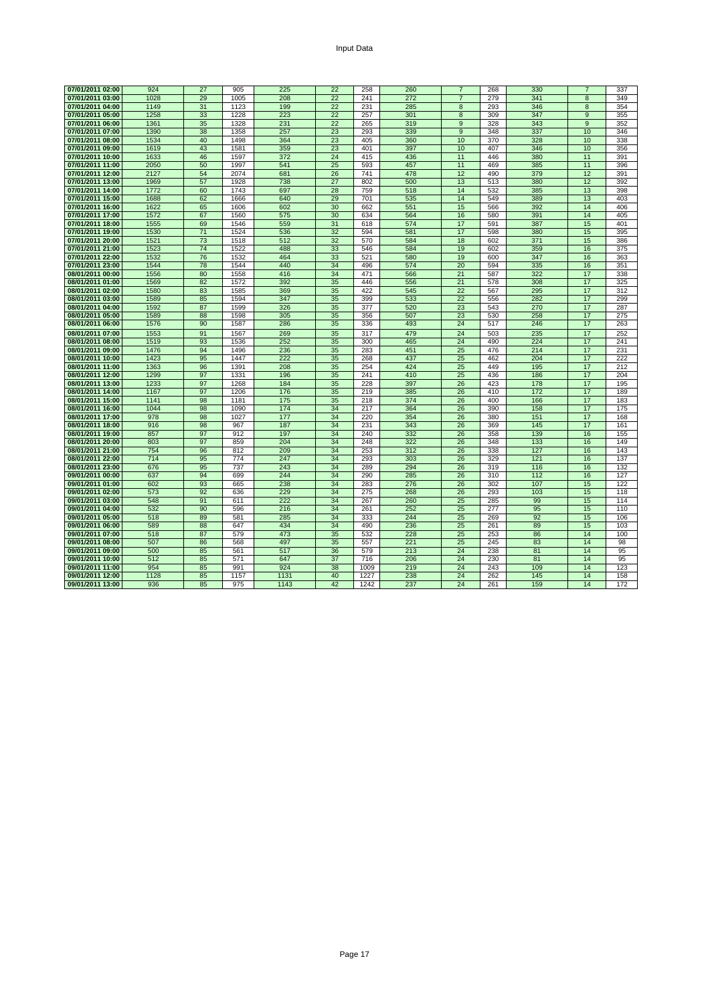| Input Data |
|------------|
|------------|

| 07/01/2011 02:00 | 924        | 27 | 905        | 225        | 22              | 258        | 260        | $\overline{7}$ | 268        | 330        |                | 337        |
|------------------|------------|----|------------|------------|-----------------|------------|------------|----------------|------------|------------|----------------|------------|
| 07/01/2011 03:00 | 1028       | 29 | 1005       | 208        | 22              | 241        | 272        | $\overline{7}$ | 279        | 341        | 8              | 349        |
| 07/01/2011 04:00 | 1149       | 31 | 1123       | 199        | 22              | 231        | 285        | 8              | 293        | 346        | 8              | 354        |
| 07/01/2011 05:00 | 1258       | 33 | 1228       | 223        | $\overline{22}$ | 257        | 301        | 8              | 309        | 347        | $\overline{9}$ | 355        |
| 07/01/2011 06:00 | 1361       | 35 | 1328       | 231        | 22              | 265        | 319        | 9              | 328        | 343        | $\overline{9}$ | 352        |
| 07/01/2011 07:00 | 1390       | 38 | 1358       | 257        | 23              | 293        | 339        | 9              | 348        | 337        | 10             | 346        |
| 07/01/2011 08:00 | 1534       | 40 | 1498       | 364        | 23              | 405        | 360        | 10             | 370        | 328        | 10             | 338        |
| 07/01/2011 09:00 | 1619       | 43 | 1581       | 359        | 23              | 401        | 397        | 10             | 407        | 346        | 10             | 356        |
| 07/01/2011 10:00 | 1633       | 46 | 1597       | 372        | 24              | 415        | 436        | 11             | 446        | 380        | 11             | 391        |
| 07/01/2011 11:00 | 2050       | 50 | 1997       | 541        | 25              | 593        | 457        | 11             | 469        | 385        | 11             | 396        |
| 07/01/2011 12:00 | 2127       | 54 | 2074       | 681        | 26              | 741        | 478        | 12             | 490        | 379        | 12             | 391        |
| 07/01/2011 13:00 | 1969       | 57 | 1928       | 738        | 27              | 802        | 500        | 13             | 513        | 380        | 12             | 392        |
| 07/01/2011 14:00 | 1772       | 60 | 1743       | 697        | 28              | 759        | 518        | 14             | 532        | 385        | 13             | 398        |
| 07/01/2011 15:00 | 1688       | 62 | 1666       | 640        | 29              | 701        | 535        | 14             | 549        | 389        | 13             | 403        |
|                  |            |    |            |            |                 |            |            |                |            |            |                |            |
| 07/01/2011 16:00 | 1622       | 65 | 1606       | 602        | 30              | 662        | 551        | 15             | 566        | 392        | 14             | 406        |
| 07/01/2011 17:00 | 1572       | 67 | 1560       | 575        | 30              | 634        | 564        | 16             | 580        | 391        | 14             | 405        |
| 07/01/2011 18:00 | 1555       | 69 | 1546       | 559        | 31              | 618        | 574        | 17             | 591        | 387        | 15             | 401        |
| 07/01/2011 19:00 | 1530       | 71 | 1524       | 536        | 32              | 594        | 581        | 17             | 598        | 380        | 15             | 395        |
| 07/01/2011 20:00 | 1521       | 73 | 1518       | 512        | 32              | 570        | 584        | 18             | 602        | 371        | 15             | 386        |
| 07/01/2011 21:00 | 1523       | 74 | 1522       | 488        | 33              | 546        | 584        | 19             | 602        | 359        | 16             | 375        |
| 07/01/2011 22:00 | 1532       | 76 | 1532       | 464        | 33              | 521        | 580        | 19             | 600        | 347        | 16             | 363        |
| 07/01/2011 23:00 | 1544       | 78 | 1544       | 440        | 34              | 496        | 574        | 20             | 594        | 335        | 16             | 351        |
| 08/01/2011 00:00 | 1556       | 80 | 1558       | 416        | 34              | 471        | 566        | 21             | 587        | 322        | 17             | 338        |
| 08/01/2011 01:00 | 1569       | 82 | 1572       | 392        | 35              | 446        | 556        | 21             | 578        | 308        | 17             | 325        |
| 08/01/2011 02:00 | 1580       | 83 | 1585       | 369        | 35              | 422        | 545        | 22             | 567        | 295        | 17             | 312        |
| 08/01/2011 03:00 | 1589       | 85 | 1594       | 347        | 35              | 399        | 533        | 22             | 556        | 282        | 17             | 299        |
| 08/01/2011 04:00 | 1592       | 87 | 1599       | 326        | 35              | 377        | 520        | 23             | 543        | 270        | 17             | 287        |
| 08/01/2011 05:00 | 1589       | 88 | 1598       | 305        | 35              | 356        | 507        | 23             | 530        | 258        | 17             | 275        |
| 08/01/2011 06:00 | 1576       | 90 | 1587       | 286        | 35              | 336        | 493        | 24             | 517        | 246        | 17             | 263        |
| 08/01/2011 07:00 | 1553       | 91 | 1567       | 269        | 35              | 317        | 479        | 24             | 503        | 235        | 17             | 252        |
| 08/01/2011 08:00 | 1519       | 93 | 1536       | 252        | 35              | 300        | 465        | 24             | 490        | 224        | 17             | 241        |
| 08/01/2011 09:00 | 1476       | 94 | 1496       | 236        | 35              | 283        | 451        | 25             | 476        | 214        | 17             | 231        |
| 08/01/2011 10:00 | 1423       | 95 | 1447       | 222        | 35              | 268        | 437        | 25             | 462        | 204        | 17             | 222        |
| 08/01/2011 11:00 | 1363       | 96 | 1391       | 208        | 35              | 254        | 424        | 25             | 449        | 195        | 17             | 212        |
| 08/01/2011 12:00 | 1299       | 97 | 1331       | 196        | 35              | 241        | 410        | 25             | 436        | 186        | 17             | 204        |
| 08/01/2011 13:00 | 1233       | 97 | 1268       | 184        | 35              | 228        | 397        | 26             | 423        | 178        | 17             | 195        |
| 08/01/2011 14:00 | 1167       | 97 | 1206       | 176        | 35              | 219        | 385        | 26             | 410        | 172        | 17             | 189        |
| 08/01/2011 15:00 | 1141       | 98 | 1181       | 175        | 35              | 218        | 374        | 26             | 400        | 166        | 17             | 183        |
| 08/01/2011 16:00 | 1044       | 98 | 1090       | 174        | 34              | 217        | 364        | 26             | 390        | 158        | 17             | 175        |
| 08/01/2011 17:00 | 978        | 98 | 1027       | 177        | 34              | 220        | 354        | 26             | 380        | 151        | 17             | 168        |
| 08/01/2011 18:00 | 916        | 98 | 967        | 187        | 34              | 231        | 343        | 26             | 369        | 145        | 17             | 161        |
| 08/01/2011 19:00 | 857        | 97 | 912        | 197        | 34              | 240        | 332        | 26             |            | 139        | 16             |            |
| 08/01/2011 20:00 | 803        | 97 | 859        | 204        | 34              | 248        | 322        | 26             | 358<br>348 | 133        | 16             | 155<br>149 |
| 08/01/2011 21:00 |            | 96 | 812        |            | 34              |            | 312        | 26             | 338        | 127        | 16             | 143        |
|                  | 754        |    |            | 209        |                 | 253        |            |                |            |            |                |            |
| 08/01/2011 22:00 | 714<br>676 | 95 | 774<br>737 | 247<br>243 | 34<br>34        | 293<br>289 | 303<br>294 | 26<br>26       | 329<br>319 | 121<br>116 | 16<br>16       | 137<br>132 |
| 08/01/2011 23:00 |            | 95 |            |            |                 |            |            |                |            |            |                |            |
| 09/01/2011 00:00 | 637        | 94 | 699        | 244        | 34              | 290        | 285        | 26             | 310        | 112        | 16             | 127        |
| 09/01/2011 01:00 | 602        | 93 | 665        | 238        | 34              | 283        | 276        | 26             | 302        | 107        | 15             | 122        |
| 09/01/2011 02:00 | 573        | 92 | 636        | 229        | 34              | 275        | 268        | 26             | 293        | 103        | 15             | 118        |
| 09/01/2011 03:00 | 548        | 91 | 611        | 222        | 34              | 267        | 260        | 25             | 285        | 99         | 15             | 114        |
| 09/01/2011 04:00 | 532        | 90 | 596        | 216        | 34              | 261        | 252        | 25             | 277        | 95         | 15             | 110        |
| 09/01/2011 05:00 | 518        | 89 | 581        | 285        | 34              | 333        | 244        | 25             | 269        | 92         | 15             | 106        |
| 09/01/2011 06:00 | 589        | 88 | 647        | 434        | 34              | 490        | 236        | 25             | 261        | 89         | 15             | 103        |
| 09/01/2011 07:00 | 518        | 87 | 579        | 473        | 35              | 532        | 228        | 25             | 253        | 86         | 14             | 100        |
| 09/01/2011 08:00 | 507        | 86 | 568        | 497        | 35              | 557        | 221        | 25             | 245        | 83         | 14             | 98         |
| 09/01/2011 09:00 | 500        | 85 | 561        | 517        | 36              | 579        | 213        | 24             | 238        | 81         | 14             | 95         |
| 09/01/2011 10:00 | 512        | 85 | 571        | 647        | 37              | 716        | 206        | 24             | 230        | 81         | 14             | 95         |
| 09/01/2011 11:00 | 954        | 85 | 991        | 924        | 38              | 1009       | 219        | 24             | 243        | 109        | 14             | 123        |
| 09/01/2011 12:00 | 1128       | 85 | 1157       | 1131       | 40              | 1227       | 238        | 24             | 262        | 145        | 14             | 158        |
| 09/01/2011 13:00 | 936        | 85 | 975        | 1143       | 42              | 1242       | 237        | 24             | 261        | 159        | 14             | 172        |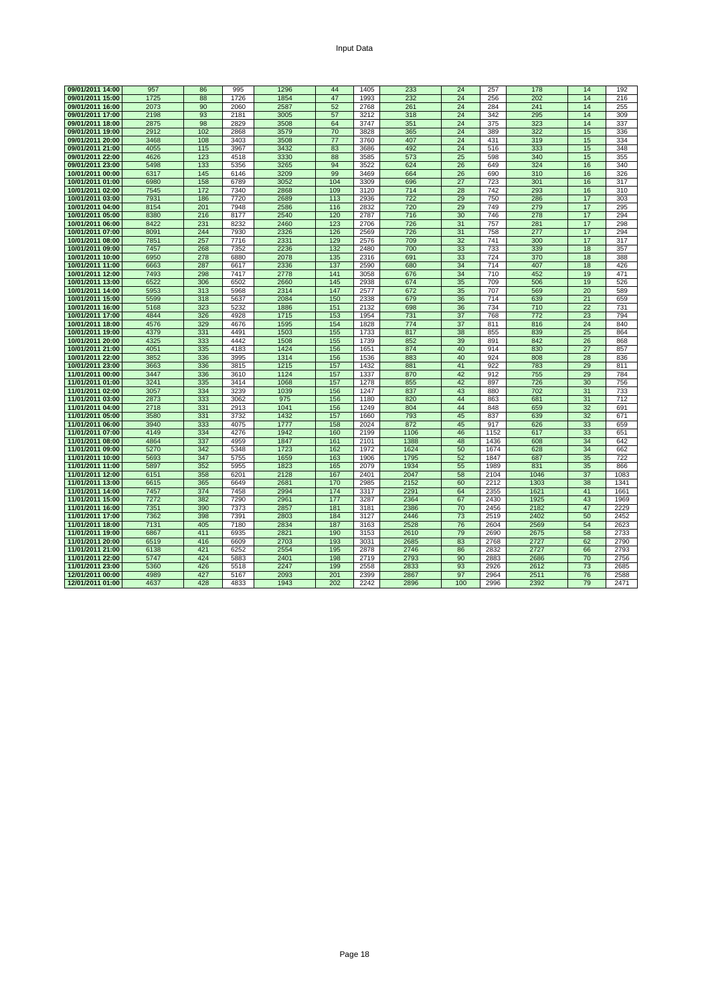| 09/01/2011 14:00                     | 957          | 86         | 995          | 1296         | 44         | 1405         | 233          | 24       | 257          | 178          | 14       | 192          |
|--------------------------------------|--------------|------------|--------------|--------------|------------|--------------|--------------|----------|--------------|--------------|----------|--------------|
| 09/01/2011 15:00                     | 1725         | 88         | 1726         | 1854         | 47         | 1993         | 232          | 24       | 256          | 202          | 14       | 216          |
| 09/01/2011 16:00                     | 2073         | 90         | 2060         | 2587         | 52         | 2768         | 261          | 24       | 284          | 241          | 14       | 255          |
| 09/01/2011 17:00                     | 2198         | 93         | 2181         | 3005         | 57         | 3212         | 318          | 24       | 342          | 295          | 14       | 309          |
| 09/01/2011 18:00                     | 2875         | 98         | 2829         | 3508         | 64         | 3747         | 351          | 24       | 375          | 323          | 14       | 337          |
| 09/01/2011 19:00                     | 2912         | 102        | 2868         | 3579         | 70         | 3828         | 365          | 24       | 389          | 322          | 15       | 336          |
|                                      |              |            |              |              | 77         | 3760         | 407          | 24       | 431          |              | 15       |              |
| 09/01/2011 20:00                     | 3468         | 108        | 3403         | 3508         |            |              |              |          |              | 319          |          | 334          |
| 09/01/2011 21:00                     | 4055         | 115        | 3967         | 3432         | 83         | 3686         | 492          | 24       | 516          | 333          | 15       | 348          |
| 09/01/2011 22:00                     | 4626         | 123        | 4518         | 3330         | 88         | 3585         | 573          | 25       | 598          | 340          | 15       | 355          |
| 09/01/2011 23:00                     | 5498         | 133        | 5356         | 3265         | 94         | 3522         | 624          | 26       | 649          | 324          | 16       | 340          |
| 10/01/2011 00:00                     | 6317         | 145        | 6146         | 3209         | 99         | 3469         | 664          | 26       | 690          | 310          | 16       | 326          |
| 10/01/2011 01:00                     | 6980         | 158        | 6789         | 3052         | 104        | 3309         | 696          | 27       | 723          | 301          | 16       | 317          |
| 10/01/2011 02:00                     | 7545         | 172        | 7340         | 2868         | 109        | 3120         | 714          | 28       | 742          | 293          | 16       | 310          |
| 10/01/2011 03:00                     | 7931         | 186        | 7720         | 2689         | 113        | 2936         | 722          | 29       | 750          | 286          | 17       | 303          |
| 10/01/2011 04:00                     | 8154         | 201        | 7948         | 2586         | 116        | 2832         | 720          | 29       | 749          | 279          | 17       | 295          |
| 10/01/2011 05:00                     | 8380         | 216        | 8177         | 2540         | 120        | 2787         | 716          | 30       | 746          | 278          | 17       | 294          |
| 10/01/2011 06:00                     | 8422         | 231        | 8232         | 2460         | 123        | 2706         | 726          | 31       | 757          | 281          | 17       | 298          |
| 10/01/2011 07:00                     | 8091         | 244        | 7930         | 2326         | 126        | 2569         | 726          | 31       | 758          | 277          | 17       | 294          |
| 10/01/2011 08:00                     | 7851         | 257        | 7716         | 2331         | 129        | 2576         | 709          | 32       | 741          | 300          | 17       | 317          |
| 10/01/2011 09:00                     | 7457         | 268        | 7352         | 2236         | 132        | 2480         | 700          | 33       | 733          | 339          | 18       | 357          |
| 10/01/2011 10:00                     | 6950         | 278        | 6880         | 2078         | 135        | 2316         | 691          | 33       | 724          | 370          | 18       | 388          |
| 10/01/2011 11:00                     | 6663         | 287        | 6617         | 2336         | 137        | 2590         | 680          | 34       | 714          | 407          | 18       | 426          |
| 10/01/2011 12:00                     | 7493         | 298        | 7417         | 2778         | 141        | 3058         | 676          | 34       | 710          | 452          | 19       | 471          |
| 10/01/2011 13:00                     | 6522         | 306        | 6502         | 2660         | 145        | 2938         | 674          | 35       | 709          | 506          | 19       | 526          |
| 10/01/2011 14:00                     | 5953         | 313        | 5968         | 2314         | 147        | 2577         | 672          | 35       | 707          | 569          | 20       | 589          |
| 10/01/2011 15:00                     | 5599         | 318        | 5637         | 2084         | 150        | 2338         | 679          | 36       | 714          | 639          | 21       | 659          |
| 10/01/2011 16:00                     | 5168         | 323        | 5232         | 1886         | 151        | 2132         | 698          | 36       | 734          | 710          | 22       | 731          |
| 10/01/2011 17:00                     | 4844         | 326        | 4928         | 1715         | 153        | 1954         | 731          | 37       | 768          | 772          | 23       | 794          |
| 10/01/2011 18:00                     | 4576         | 329        | 4676         | 1595         | 154        | 1828         | 774          | 37       | 811          | 816          | 24       | 840          |
| 10/01/2011 19:00                     | 4379         | 331        | 4491         | 1503         | 155        | 1733         | 817          | 38       | 855          | 839          | 25       | 864          |
| 10/01/2011 20:00                     | 4325         | 333        | 4442         | 1508         | 155        | 1739         | 852          | 39       | 891          | 842          | 26       | 868          |
| 10/01/2011 21:00                     | 4051         | 335        | 4183         | 1424         | 156        | 1651         | 874          | 40       | 914          | 830          | 27       | 857          |
| 10/01/2011 22:00                     | 3852         | 336        | 3995         | 1314         | 156        | 1536         | 883          | 40       | 924          | 808          | 28       | 836          |
| 10/01/2011 23:00                     | 3663         | 336        | 3815         | 1215         | 157        | 1432         | 881          | 41       | 922          | 783          | 29       | 811          |
| 11/01/2011 00:00                     | 3447         | 336        | 3610         | 1124         | 157        | 1337         | 870          | 42       | 912          | 755          | 29       | 784          |
| 11/01/2011 01:00                     | 3241         | 335        | 3414         | 1068         | 157        | 1278         | 855          | 42       | 897          | 726          | 30       | 756          |
| 11/01/2011 02:00                     | 3057         | 334        | 3239         | 1039         | 156        | 1247         | 837          | 43       | 880          | 702          | 31       | 733          |
| 11/01/2011 03:00                     | 2873         | 333        | 3062         | 975          | 156        | 1180         | 820          | 44       | 863          | 681          | 31       | 712          |
| 11/01/2011 04:00                     | 2718         | 331        | 2913         | 1041         | 156        | 1249         | 804          | 44       | 848          | 659          | 32       | 691          |
| 11/01/2011 05:00                     | 3580         | 331        | 3732         | 1432         | 157        | 1660         | 793          | 45       | 837          | 639          | 32       | 671          |
| 11/01/2011 06:00                     | 3940         | 333        | 4075         | 1777         | 158        | 2024         | 872          | 45       | 917          | 626          | 33       | 659          |
| 11/01/2011 07:00                     | 4149         | 334        | 4276         | 1942         | 160        | 2199         | 1106         | 46       | 1152         | 617          | 33       | 651          |
| 11/01/2011 08:00                     | 4864         | 337        | 4959         | 1847         | 161        | 2101         | 1388         | 48       | 1436         | 608          | 34       | 642          |
| 11/01/2011 09:00                     | 5270         | 342        | 5348         | 1723         | 162        | 1972         | 1624         | 50       | 1674         | 628          | 34       | 662          |
| 11/01/2011 10:00                     | 5693         | 347        | 5755         | 1659         | 163        | 1906         | 1795         | 52       | 1847         | 687          | 35       | 722          |
| 11/01/2011 11:00                     | 5897         | 352        | 5955         | 1823         | 165        | 2079         | 1934         | 55       | 1989         | 831          | 35       | 866          |
| 11/01/2011 12:00                     | 6151         | 358        | 6201         | 2128         | 167        | 2401         | 2047         | 58       | 2104         | 1046         | 37       | 1083         |
|                                      |              |            |              |              |            |              |              |          |              |              |          |              |
| 11/01/2011 13:00<br>11/01/2011 14:00 | 6615<br>7457 | 365<br>374 | 6649<br>7458 | 2681<br>2994 | 170<br>174 | 2985<br>3317 | 2152<br>2291 | 60<br>64 | 2212<br>2355 | 1303<br>1621 | 38<br>41 | 1341<br>1661 |
|                                      |              |            |              |              |            |              |              |          |              |              |          |              |
| 11/01/2011 15:00                     | 7272         | 382        | 7290         | 2961         | 177        | 3287         | 2364         | 67       | 2430         | 1925         | 43       | 1969         |
| 11/01/2011 16:00                     | 7351         | 390        | 7373         | 2857         | 181        | 3181         | 2386         | 70       | 2456         | 2182         | 47       | 2229         |
| 11/01/2011 17:00                     | 7362         | 398        | 7391         | 2803         | 184        | 3127         | 2446         | 73       | 2519         | 2402         | 50       | 2452         |
| 11/01/2011 18:00                     | 7131         | 405        | 7180         | 2834         | 187        | 3163         | 2528         | 76       | 2604         | 2569         | 54       | 2623         |
| 11/01/2011 19:00                     | 6867         | 411        | 6935         | 2821         | 190        | 3153         | 2610         | 79       | 2690         | 2675         | 58       | 2733         |
| 11/01/2011 20:00                     | 6519         | 416        | 6609         | 2703         | 193        | 3031         | 2685         | 83       | 2768         | 2727         | 62       | 2790         |
| 11/01/2011 21:00                     | 6138         | 421        | 6252         | 2554         | 195        | 2878         | 2746         | 86       | 2832         | 2727         | 66       | 2793         |
| 11/01/2011 22:00                     | 5747         | 424        | 5883         | 2401         | 198        | 2719         | 2793         | 90       | 2883         | 2686         | 70       | 2756         |
| 11/01/2011 23:00                     | 5360         | 426        | 5518         | 2247         | 199        | 2558         | 2833         | 93       | 2926         | 2612         | 73       | 2685         |
| 12/01/2011 00:00                     | 4989         | 427        | 5167         | 2093         | 201        | 2399         | 2867         | 97       | 2964         | 2511         | 76       | 2588         |
| 12/01/2011 01:00                     | 4637         | 428        | 4833         | 1943         | 202        | 2242         | 2896         | 100      | 2996         | 2392         | 79       | 2471         |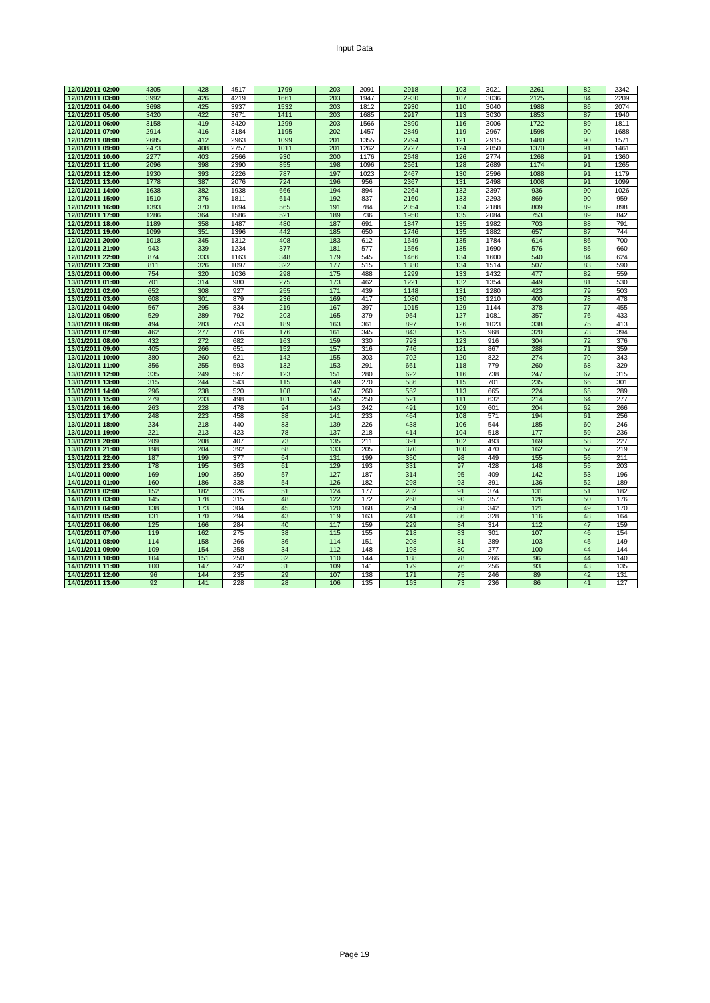|  |  | Input Data |  |
|--|--|------------|--|
|--|--|------------|--|

| 12/01/2011 02:00                     | 4305       | 428        | 4517       | 1799       | 203        | 2091       | 2918        | 103        | 3021         | 2261       | 82       | 2342       |
|--------------------------------------|------------|------------|------------|------------|------------|------------|-------------|------------|--------------|------------|----------|------------|
| 12/01/2011 03:00                     | 3992       | 426        | 4219       | 1661       | 203        | 1947       | 2930        | 107        | 3036         | 2125       | 84       | 2209       |
| 12/01/2011 04:00                     | 3698       | 425        | 3937       | 1532       | 203        | 1812       | 2930        | 110        | 3040         | 1988       | 86       | 2074       |
| 12/01/2011 05:00                     | 3420       | 422        | 3671       | 1411       | 203        | 1685       | 2917        | 113        | 3030         | 1853       | 87       | 1940       |
| 12/01/2011 06:00                     | 3158       | 419        | 3420       | 1299       | 203        | 1566       | 2890        | 116        | 3006         | 1722       | 89       | 1811       |
| 12/01/2011 07:00                     | 2914       | 416        | 3184       | 1195       | 202        | 1457       | 2849        | 119        | 2967         | 1598       | 90       | 1688       |
| 12/01/2011 08:00                     | 2685       | 412        | 2963       | 1099       | 201        | 1355       | 2794        | 121        | 2915         | 1480       | 90       | 1571       |
| 12/01/2011 09:00                     | 2473       | 408        | 2757       | 1011       | 201        | 1262       | 2727        | 124        | 2850         | 1370       | 91       | 1461       |
| 12/01/2011 10:00                     | 2277       | 403        | 2566       | 930        | 200        | 1176       | 2648        | 126        | 2774         | 1268       | 91       | 1360       |
| 12/01/2011 11:00                     | 2096       | 398        | 2390       | 855        | 198        | 1096       | 2561        | 128        | 2689         | 1174       | 91       | 1265       |
| 12/01/2011 12:00                     | 1930       | 393        | 2226       | 787        | 197        | 1023       | 2467        | 130        | 2596         | 1088       | 91       | 1179       |
| 12/01/2011 13:00                     | 1778       | 387        | 2076       | 724        | 196        | 956        | 2367        | 131        | 2498         | 1008       | 91       | 1099       |
| 12/01/2011 14:00                     | 1638       | 382        | 1938       | 666        | 194        | 894        | 2264        | 132        | 2397         | 936        | 90       | 1026       |
| 12/01/2011 15:00                     | 1510       | 376        | 1811       | 614        | 192        | 837        | 2160        | 133        | 2293         | 869        | 90       | 959        |
| 12/01/2011 16:00                     | 1393       | 370        | 1694       | 565        | 191        | 784        | 2054        | 134        | 2188         | 809        | 89       | 898        |
| 12/01/2011 17:00                     | 1286       | 364        | 1586       | 521        | 189        | 736        | 1950        | 135        | 2084         | 753        | 89       | 842        |
| 12/01/2011 18:00                     | 1189       | 358        | 1487       | 480        | 187        | 691        | 1847        | 135        | 1982         | 703        | 88       | 791        |
| 12/01/2011 19:00                     | 1099       | 351        | 1396       | 442        | 185        | 650        | 1746        | 135        | 1882         | 657        | 87       | 744        |
| 12/01/2011 20:00                     | 1018       | 345        | 1312       | 408        | 183        | 612        | 1649        | 135        | 1784         | 614        | 86       | 700        |
| 12/01/2011 21:00                     | 943        | 339        | 1234       | 377        | 181        | 577        | 1556        | 135        | 1690         | 576        | 85       | 660        |
| 12/01/2011 22:00                     | 874        | 333        | 1163       | 348        | 179        | 545        | 1466        | 134        | 1600         | 540        | 84       | 624        |
| 12/01/2011 23:00                     | 811        | 326        | 1097       | 322        | 177        | 515        | 1380        | 134        | 1514         | 507        | 83       | 590        |
| 13/01/2011 00:00                     | 754        | 320        | 1036       | 298        | 175        | 488        | 1299        | 133        | 1432         | 477        | 82       | 559        |
| 13/01/2011 01:00                     | 701        | 314        | 980        | 275        | 173        | 462        | 1221        | 132        | 1354         | 449        | 81       | 530        |
| 13/01/2011 02:00                     | 652        | 308        | 927        | 255        | 171        | 439        | 1148        | 131        | 1280         | 423        | 79       | 503        |
| 13/01/2011 03:00                     | 608        | 301<br>295 | 879        | 236        | 169        | 417        | 1080        | 130        | 1210         | 400        | 78       | 478        |
| 13/01/2011 04:00                     | 567<br>529 | 289        | 834<br>792 | 219<br>203 | 167<br>165 | 397        | 1015<br>954 | 129<br>127 | 1144<br>1081 | 378<br>357 | 77<br>76 | 455<br>433 |
| 13/01/2011 05:00<br>13/01/2011 06:00 | 494        | 283        | 753        | 189        | 163        | 379<br>361 | 897         | 126        | 1023         | 338        | 75       | 413        |
| 13/01/2011 07:00                     | 462        | 277        | 716        | 176        | 161        | 345        | 843         | 125        | 968          | 320        | 73       | 394        |
| 13/01/2011 08:00                     | 432        | 272        | 682        | 163        | 159        | 330        | 793         | 123        | 916          | 304        | 72       | 376        |
| 13/01/2011 09:00                     | 405        | 266        | 651        | 152        | 157        | 316        | 746         | 121        | 867          | 288        | 71       | 359        |
| 13/01/2011 10:00                     | 380        | 260        | 621        | 142        | 155        | 303        | 702         | 120        | 822          | 274        | 70       | 343        |
| 13/01/2011 11:00                     | 356        | 255        | 593        | 132        | 153        | 291        | 661         | 118        | 779          | 260        | 68       | 329        |
| 13/01/2011 12:00                     | 335        | 249        | 567        | 123        | 151        | 280        | 622         | 116        | 738          | 247        | 67       | 315        |
| 13/01/2011 13:00                     | 315        | 244        | 543        | 115        | 149        | 270        | 586         | 115        | 701          | 235        | 66       | 301        |
| 13/01/2011 14:00                     | 296        | 238        | 520        | 108        | 147        | 260        | 552         | 113        | 665          | 224        | 65       | 289        |
| 13/01/2011 15:00                     | 279        | 233        | 498        | 101        | 145        | 250        | 521         | 111        | 632          | 214        | 64       | 277        |
| 13/01/2011 16:00                     | 263        | 228        | 478        | 94         | 143        | 242        | 491         | 109        | 601          | 204        | 62       | 266        |
| 13/01/2011 17:00                     | 248        | 223        | 458        | 88         | 141        | 233        | 464         | 108        | 571          | 194        | 61       | 256        |
| 13/01/2011 18:00                     | 234        | 218        | 440        | 83         | 139        | 226        | 438         | 106        | 544          | 185        | 60       | 246        |
| 13/01/2011 19:00                     | 221        | 213        | 423        | 78         | 137        | 218        | 414         | 104        | 518          | 177        | 59       | 236        |
| 13/01/2011 20:00                     | 209        | 208        | 407        | 73         | 135        | 211        | 391         | 102        | 493          | 169        | 58       | 227        |
| 13/01/2011 21:00                     | 198        | 204        | 392        | 68         | 133        | 205        | 370         | 100        | 470          | 162        | 57       | 219        |
| 13/01/2011 22:00                     | 187        | 199        | 377        | 64         | 131        | 199        | 350         | 98         | 449          | 155        | 56       | 211        |
| 13/01/2011 23:00                     | 178        | 195        | 363        | 61         | 129<br>127 | 193        | 331<br>314  | 97         | 428          | 148        | 55       | 203        |
| 14/01/2011 00:00                     | 169        | 190        | 350        | 57         |            | 187        |             | 95         | 409          | 142        | 53       | 196        |
| 14/01/2011 01:00<br>14/01/2011 02:00 | 160<br>152 | 186<br>182 | 338<br>326 | 54<br>51   | 126<br>124 | 182<br>177 | 298<br>282  | 93<br>91   | 391<br>374   | 136<br>131 | 52<br>51 | 189<br>182 |
| 14/01/2011 03:00                     | 145        | 178        | 315        | 48         | 122        | 172        | 268         | 90         | 357          | 126        | 50       | 176        |
| 14/01/2011 04:00                     | 138        | 173        | 304        | 45         | 120        | 168        | 254         | 88         | 342          | 121        | 49       | 170        |
| 14/01/2011 05:00                     | 131        | 170        | 294        | 43         | 119        | 163        | 241         | 86         | 328          | 116        | 48       | 164        |
| 14/01/2011 06:00                     | 125        | 166        | 284        | 40         | 117        | 159        | 229         | 84         | 314          | 112        | 47       | 159        |
| 14/01/2011 07:00                     | 119        | 162        | 275        | 38         | 115        | 155        | 218         | 83         | 301          | 107        | 46       | 154        |
| 14/01/2011 08:00                     | 114        | 158        | 266        | 36         | 114        | 151        | 208         | 81         | 289          | 103        | 45       | 149        |
| 14/01/2011 09:00                     | 109        | 154        | 258        | 34         | 112        | 148        | 198         | 80         | 277          | 100        | 44       | 144        |
| 14/01/2011 10:00                     | 104        | 151        | 250        | 32         | 110        | 144        | 188         | 78         | 266          | 96         | 44       | 140        |
| 14/01/2011 11:00                     | 100        | 147        | 242        | 31         | 109        | 141        | 179         | 76         | 256          | 93         | 43       | 135        |
| 14/01/2011 12:00                     | 96         | 144        | 235        | 29         | 107        | 138        | 171         | 75         | 246          | 89         | 42       | 131        |
| 14/01/2011 13:00                     | 92         | 141        | 228        | 28         | 106        | 135        | 163         | 73         | 236          | 86         | 41       | 127        |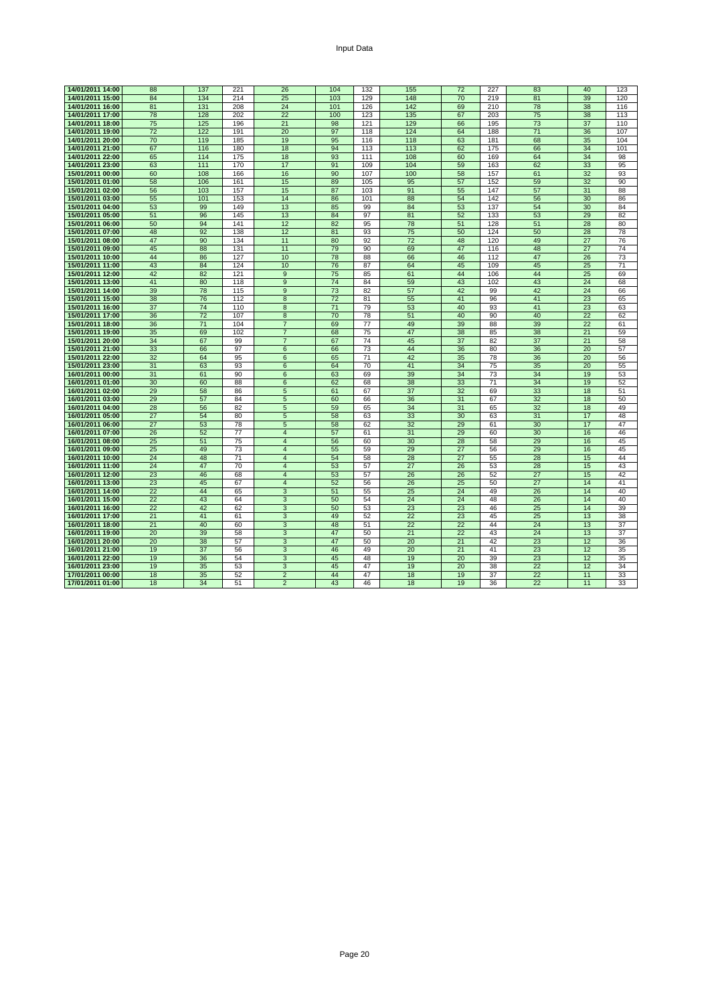| 14/01/2011 14:00                     | 88       | 137             | 221        | 26                               | 104      | 132             | 155      | 72       | 227             | 83       | 40       | 123      |
|--------------------------------------|----------|-----------------|------------|----------------------------------|----------|-----------------|----------|----------|-----------------|----------|----------|----------|
| 14/01/2011 15:00                     | 84       | 134             | 214        | 25                               | 103      | 129             | 148      | 70       | 219             | 81       | 39       | 120      |
| 14/01/2011 16:00                     | 81       | 131             | 208        | 24                               | 101      | 126             | 142      | 69       | 210             | 78       | 38       | 116      |
| 14/01/2011 17:00                     | 78       | 128             | 202        | 22                               | 100      | 123             | 135      | 67       | 203             | 75       | 38       | 113      |
| 14/01/2011 18:00                     | 75       | 125             | 196        | 21                               | 98       | 121             | 129      | 66       | 195             | 73       | 37       | 110      |
| 14/01/2011 19:00                     | 72       | 122             | 191        | 20                               | 97       | 118             | 124      | 64       | 188             | 71       | 36       | 107      |
| 14/01/2011 20:00                     | 70       | 119             | 185        | 19                               | 95       | 116             | 118      | 63       | 181             | 68       | 35       | 104      |
| 14/01/2011 21:00                     | 67       | 116             | 180        | 18                               | 94       | 113             | 113      | 62       | 175             | 66       | 34       | 101      |
| 14/01/2011 22:00                     | 65       | 114             | 175        | 18                               | 93       | 111             | 108      | 60       | 169             | 64       | 34       | 98       |
| 14/01/2011 23:00                     | 63       | 111             | 170        | 17                               | 91       | 109             | 104      | 59       | 163             | 62       | 33       | 95       |
| 15/01/2011 00:00                     | 60       | 108             | 166        | 16                               | 90       | 107             | 100      | 58       | 157             | 61       | 32       | 93       |
| 15/01/2011 01:00                     | 58       | 106             | 161        | 15                               | 89       | 105             | 95       | 57       | 152             | 59       | 32       | 90       |
| 15/01/2011 02:00                     | 56       | 103             | 157        | 15                               | 87       | 103             | 91       | 55       | 147             | 57       | 31       | 88       |
| 15/01/2011 03:00                     | 55       | 101             | 153        | 14                               | 86       | 101             | 88       | 54       | 142             | 56       | 30       | 86       |
| 15/01/2011 04:00                     | 53       | 99              | 149        | 13                               | 85       | 99              | 84       | 53       | 137             | 54       | 30       | 84       |
| 15/01/2011 05:00                     | 51       | 96              | 145        | 13                               | 84       | 97              | 81       | 52       | 133             | 53       | 29       | 82       |
| 15/01/2011 06:00                     | 50       | 94              | 141        | 12                               | 82       | 95              | 78       | 51       | 128             | 51       | 28       | 80       |
| 15/01/2011 07:00                     | 48       | 92              | 138        | 12                               | 81       | 93              | 75       | 50       | 124             | 50       | 28       | 78       |
| 15/01/2011 08:00                     | 47       | 90              | 134        | 11                               | 80       | 92              | 72       | 48       | 120             | 49       | 27       | 76       |
| 15/01/2011 09:00                     | 45       | 88              | 131        | 11                               | 79       | 90              | 69       | 47       | 116             | 48       | 27       | 74       |
| 15/01/2011 10:00                     | 44       | 86              | 127        | 10                               | 78       | 88              | 66       | 46       | 112             | 47       | 26       | 73       |
| 15/01/2011 11:00                     | 43       | 84              | 124        | 10                               | 76       | 87              | 64       | 45       | 109             | 45       | 25       | 71       |
| 15/01/2011 12:00                     | 42       | 82              | 121        | 9                                | 75       | 85              | 61       | 44       | 106             | 44       | 25       | 69       |
| 15/01/2011 13:00                     | 41       | 80              | 118        | 9                                | 74       | 84              | 59       | 43       | 102             | 43       | 24       | 68       |
| 15/01/2011 14:00                     | 39       | 78              | 115        | 9                                | 73       | 82              | 57       | 42       | 99              | 42       | 24       | 66       |
| 15/01/2011 15:00<br>15/01/2011 16:00 | 38<br>37 | 76<br>74        | 112<br>110 | 8<br>$\overline{8}$              | 72<br>71 | 81<br>79        | 55<br>53 | 41<br>40 | 96<br>93        | 41<br>41 | 23<br>23 | 65<br>63 |
| 15/01/2011 17:00                     | 36       | 72              | 107        | 8                                | 70       | 78              | 51       | 40       | 90              | 40       | 22       | 62       |
| 15/01/2011 18:00                     | 36       | $\overline{71}$ | 104        | $\overline{7}$                   | 69       | $\overline{77}$ | 49       | 39       | 88              | 39       | 22       | 61       |
| 15/01/2011 19:00                     | 35       | 69              | 102        | $\overline{7}$                   | 68       | 75              | 47       | 38       | 85              | 38       | 21       | 59       |
| 15/01/2011 20:00                     | 34       | 67              | 99         | $\overline{7}$                   | 67       | 74              | 45       | 37       | 82              | 37       | 21       | 58       |
| 15/01/2011 21:00                     | 33       | 66              | 97         | 6                                | 66       | 73              | 44       | 36       | 80              | 36       | 20       | 57       |
| 15/01/2011 22:00                     | 32       | 64              | 95         | 6                                | 65       | 71              | 42       | 35       | 78              | 36       | 20       | 56       |
| 15/01/2011 23:00                     | 31       | 63              | 93         | 6                                | 64       | 70              | 41       | 34       | 75              | 35       | 20       | 55       |
| 16/01/2011 00:00                     | 31       | 61              | 90         | 6                                | 63       | 69              | 39       | 34       | 73              | 34       | 19       | 53       |
| 16/01/2011 01:00                     | 30       | 60              | 88         | 6                                | 62       | 68              | 38       | 33       | $\overline{71}$ | 34       | 19       | 52       |
| 16/01/2011 02:00                     | 29       | 58              | 86         | 5                                | 61       | 67              | 37       | 32       | 69              | 33       | 18       | 51       |
| 16/01/2011 03:00                     | 29       | 57              | 84         | 5                                | 60       | 66              | 36       | 31       | 67              | 32       | 18       | 50       |
| 16/01/2011 04:00                     | 28       | 56              | 82         | 5                                | 59       | 65              | 34       | 31       | 65              | 32       | 18       | 49       |
| 16/01/2011 05:00                     | 27       | 54              | 80         | 5                                | 58       | 63              | 33       | 30       | 63              | 31       | 17       | 48       |
| 16/01/2011 06:00                     | 27       | 53              | 78         | 5                                | 58       | 62              | 32       | 29       | 61              | 30       | 17       | 47       |
| 16/01/2011 07:00                     | 26       | 52              | 77         | $\overline{4}$                   | 57       | 61              | 31       | 29       | 60              | 30       | 16       | 46       |
| 16/01/2011 08:00                     | 25       | 51              | 75         | $\overline{4}$                   | 56       | 60              | 30       | 28       | 58              | 29       | 16       | 45       |
| 16/01/2011 09:00                     | 25       | 49              | 73         | $\overline{4}$                   | 55       | 59              | 29       | 27       | 56              | 29       | 16       | 45       |
| 16/01/2011 10:00                     | 24<br>24 | 48<br>47        | 71<br>70   | $\overline{4}$                   | 54       | 58              | 28       | 27<br>26 | 55              | 28       | 15       | 44       |
| 16/01/2011 11:00<br>16/01/2011 12:00 | 23       | 46              | 68         | $\overline{4}$<br>$\overline{4}$ | 53<br>53 | 57<br>57        | 27<br>26 | 26       | 53<br>52        | 28<br>27 | 15<br>15 | 43<br>42 |
| 16/01/2011 13:00                     | 23       | 45              | 67         | $\overline{4}$                   | 52       | 56              | 26       | 25       | 50              | 27       | 14       | 41       |
| 16/01/2011 14:00                     | 22       | 44              | 65         | 3                                | 51       | 55              | 25       | 24       | 49              | 26       | 14       | 40       |
| 16/01/2011 15:00                     | 22       | 43              | 64         | 3                                | 50       | 54              | 24       | 24       | 48              | 26       | 14       | 40       |
| 16/01/2011 16:00                     | 22       | 42              | 62         | 3                                | 50       | 53              | 23       | 23       | 46              | 25       | 14       | 39       |
| 16/01/2011 17:00                     | 21       | 41              | 61         | 3                                | 49       | 52              | 22       | 23       | 45              | 25       | 13       | 38       |
| 16/01/2011 18:00                     | 21       | 40              | 60         | 3                                | 48       | 51              | 22       | 22       | 44              | 24       | 13       | 37       |
| 16/01/2011 19:00                     | 20       | 39              | 58         | $\overline{3}$                   | 47       | 50              | 21       | 22       | 43              | 24       | 13       | 37       |
| 16/01/2011 20:00                     | 20       | 38              | 57         | 3                                | 47       | 50              | 20       | 21       | 42              | 23       | 12       | 36       |
| 16/01/2011 21:00                     | 19       | 37              | 56         | 3                                | 46       | 49              | 20       | 21       | 41              | 23       | 12       | 35       |
| 16/01/2011 22:00                     | 19       | 36              | 54         | 3                                | 45       | 48              | 19       | 20       | 39              | 23       | 12       | 35       |
| 16/01/2011 23:00                     | 19       | 35              | 53         | 3                                | 45       | 47              | 19       | 20       | 38              | 22       | 12       | 34       |
| 17/01/2011 00:00                     | 18       | 35              | 52         | $\overline{2}$                   | 44       | 47              | 18       | 19       | 37              | 22       | 11       | 33       |
| 17/01/2011 01:00                     | 18       | 34              | 51         | $\overline{2}$                   | 43       | 46              | 18       | 19       | 36              | 22       | 11       | 33       |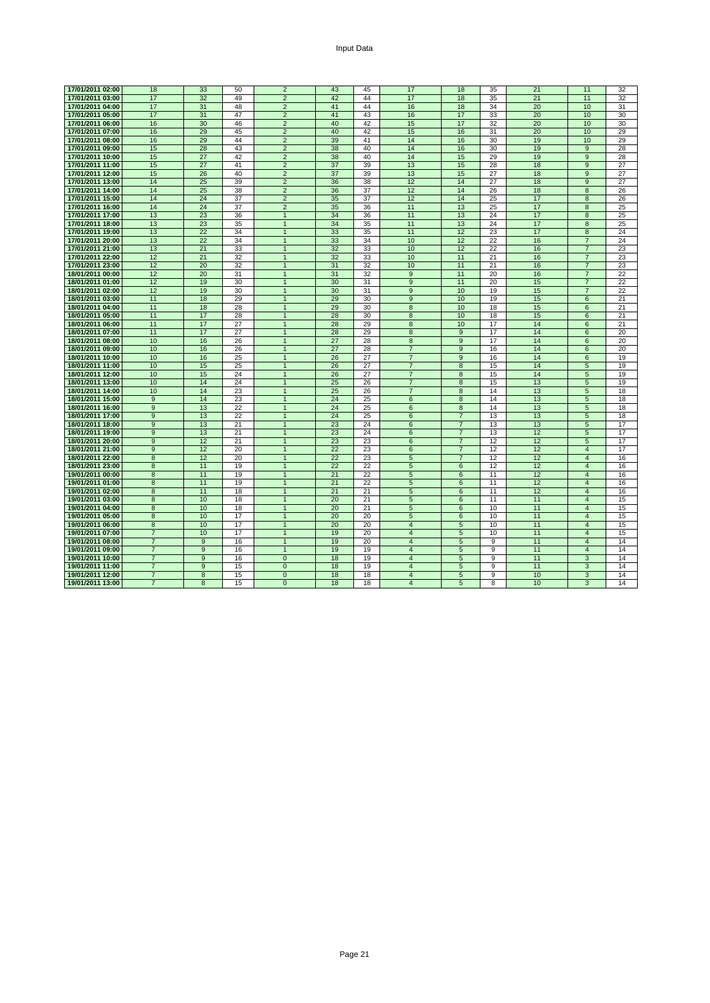| Input Data |  |
|------------|--|
|------------|--|

| 17/01/2011 02:00 | 18             | 33             | 50 | $\overline{2}$ | 43 | 45 | 17              | 18              | 35 | 21 | 11              | 32 |
|------------------|----------------|----------------|----|----------------|----|----|-----------------|-----------------|----|----|-----------------|----|
| 17/01/2011 03:00 | 17             | 32             | 49 | $\overline{2}$ | 42 | 44 | 17              | 18              | 35 | 21 | 11              | 32 |
| 17/01/2011 04:00 | 17             | 31             | 48 | $\overline{2}$ | 41 | 44 | 16              | 18              | 34 | 20 | 10              | 31 |
|                  | 17             |                | 47 |                |    | 43 |                 |                 |    |    |                 |    |
| 17/01/2011 05:00 |                | 31             |    | $\overline{2}$ | 41 |    | 16              | 17              | 33 | 20 | 10              | 30 |
| 17/01/2011 06:00 | 16             | 30             | 46 | $\overline{2}$ | 40 | 42 | 15              | 17              | 32 | 20 | 10              | 30 |
| 17/01/2011 07:00 | 16             | 29             | 45 | $\overline{2}$ | 40 | 42 | 15              | 16              | 31 | 20 | 10              | 29 |
| 17/01/2011 08:00 | 16             | 29             | 44 | $\overline{2}$ | 39 | 41 | 14              | 16              | 30 | 19 | 10              | 29 |
| 17/01/2011 09:00 | 15             | 28             | 43 | $\overline{2}$ | 38 | 40 | 14              | 16              | 30 | 19 | 9               | 28 |
| 17/01/2011 10:00 | 15             | 27             | 42 | $\overline{2}$ | 38 | 40 | 14              | 15              | 29 | 19 | $\overline{9}$  | 28 |
| 17/01/2011 11:00 | 15             | 27             | 41 | $\overline{2}$ | 37 | 39 | 13              | 15              | 28 | 18 | 9               | 27 |
| 17/01/2011 12:00 | 15             | 26             | 40 | $\overline{2}$ | 37 | 39 | 13              | 15              | 27 | 18 | 9               | 27 |
| 17/01/2011 13:00 | 14             | 25             | 39 | $\overline{2}$ | 36 | 38 | 12              | 14              | 27 | 18 | 9               | 27 |
| 17/01/2011 14:00 | 14             | 25             | 38 | $\overline{2}$ | 36 | 37 | 12              | 14              | 26 | 18 | 8               | 26 |
| 17/01/2011 15:00 | 14             | 24             | 37 | $\overline{2}$ | 35 | 37 | 12              | 14              | 25 | 17 | 8               | 26 |
| 17/01/2011 16:00 | 14             | 24             | 37 | $\overline{2}$ | 35 | 36 | 11              | 13              | 25 | 17 | $\overline{8}$  | 25 |
| 17/01/2011 17:00 | 13             | 23             | 36 | $\mathbf{1}$   | 34 | 36 | 11              | 13              | 24 | 17 | 8               | 25 |
| 17/01/2011 18:00 | 13             | 23             | 35 | $\mathbf{1}$   | 34 | 35 | 11              | 13              | 24 | 17 | 8               | 25 |
|                  | 13             | 22             |    |                |    |    |                 |                 |    |    |                 |    |
| 17/01/2011 19:00 |                |                | 34 | $\mathbf{1}$   | 33 | 35 | 11              | 12              | 23 | 17 | 8               | 24 |
| 17/01/2011 20:00 | 13             | 22             | 34 | $\mathbf{1}$   | 33 | 34 | 10              | 12              | 22 | 16 | $\overline{7}$  | 24 |
| 17/01/2011 21:00 | 13             | 21             | 33 | $\overline{1}$ | 32 | 33 | 10              | 12              | 22 | 16 | $\overline{7}$  | 23 |
| 17/01/2011 22:00 | 12             | 21             | 32 | $\mathbf{1}$   | 32 | 33 | 10              | 11              | 21 | 16 | $\overline{7}$  | 23 |
| 17/01/2011 23:00 | 12             | 20             | 32 | $\mathbf{1}$   | 31 | 32 | 10              | 11              | 21 | 16 | $\overline{7}$  | 23 |
| 18/01/2011 00:00 | 12             | 20             | 31 | $\mathbf{1}$   | 31 | 32 | $\overline{9}$  | 11              | 20 | 16 | $\overline{7}$  | 22 |
| 18/01/2011 01:00 | 12             | 19             | 30 | $\mathbf{1}$   | 30 | 31 | $\overline{9}$  | 11              | 20 | 15 | $\overline{7}$  | 22 |
| 18/01/2011 02:00 | 12             | 19             | 30 | $\mathbf{1}$   | 30 | 31 | 9               | 10              | 19 | 15 | $\overline{7}$  | 22 |
| 18/01/2011 03:00 | 11             | 18             | 29 | $\mathbf{1}$   | 29 | 30 | 9               | 10              | 19 | 15 | 6               | 21 |
| 18/01/2011 04:00 | 11             | 18             | 28 | $\mathbf{1}$   | 29 | 30 | $\overline{8}$  | 10              | 18 | 15 | 6               | 21 |
| 18/01/2011 05:00 | 11             | 17             | 28 | $\mathbf{1}$   | 28 | 30 | 8               | 10              | 18 | 15 | 6               | 21 |
| 18/01/2011 06:00 | 11             | 17             | 27 | $\overline{1}$ | 28 | 29 | 8               | 10              | 17 | 14 | $6\overline{6}$ | 21 |
| 18/01/2011 07:00 | 11             | 17             | 27 | $\mathbf{1}$   | 28 | 29 | 8               | $\overline{9}$  | 17 | 14 | 6               | 20 |
| 18/01/2011 08:00 | 10             | 16             | 26 | $\overline{1}$ | 27 | 28 | $\overline{8}$  | 9               | 17 | 14 | 6               | 20 |
| 18/01/2011 09:00 | 10             | 16             | 26 | $\mathbf{1}$   | 27 | 28 | $\overline{7}$  | 9               | 16 | 14 | 6               | 20 |
| 18/01/2011 10:00 | 10             | 16             | 25 | $\mathbf{1}$   | 26 | 27 | $\overline{7}$  | $\overline{9}$  | 16 | 14 | 6               | 19 |
| 18/01/2011 11:00 | 10             | 15             | 25 | $\mathbf{1}$   | 26 | 27 | $\overline{7}$  | 8               | 15 | 14 | 5               | 19 |
| 18/01/2011 12:00 | 10             | 15             | 24 | $\mathbf{1}$   | 26 | 27 | $\overline{7}$  | 8               | 15 | 14 |                 | 19 |
|                  |                |                |    |                |    |    |                 |                 |    |    | 5               |    |
| 18/01/2011 13:00 | 10             | 14             | 24 | $\mathbf{1}$   | 25 | 26 | $\overline{7}$  | 8               | 15 | 13 | 5               | 19 |
| 18/01/2011 14:00 | 10             | 14             | 23 | $\mathbf{1}$   | 25 | 26 | $\overline{7}$  | $\overline{8}$  | 14 | 13 | 5               | 18 |
| 18/01/2011 15:00 | $\overline{9}$ | 14             | 23 | $\overline{1}$ | 24 | 25 | $6\overline{6}$ | $\overline{8}$  | 14 | 13 | 5               | 18 |
| 18/01/2011 16:00 | 9              | 13             | 22 | $\mathbf{1}$   | 24 | 25 | 6               | 8               | 14 | 13 | 5               | 18 |
| 18/01/2011 17:00 | 9              | 13             | 22 | $\mathbf{1}$   | 24 | 25 | 6               | $\overline{7}$  | 13 | 13 | 5               | 18 |
| 18/01/2011 18:00 | $9$            | 13             | 21 | $\mathbf{1}$   | 23 | 24 | 6               | $\overline{7}$  | 13 | 13 | 5               | 17 |
| 18/01/2011 19:00 | $\overline{9}$ | 13             | 21 | $\overline{1}$ | 23 | 24 | 6               | $\overline{7}$  | 13 | 12 | 5               | 17 |
| 18/01/2011 20:00 | 9              | 12             | 21 | $\mathbf{1}$   | 23 | 23 | 6               | $\overline{7}$  | 12 | 12 | 5               | 17 |
| 18/01/2011 21:00 | 9              | 12             | 20 | $\mathbf{1}$   | 22 | 23 | 6               | $\overline{7}$  | 12 | 12 | $\overline{4}$  | 17 |
| 18/01/2011 22:00 | 8              | 12             | 20 | $\mathbf{1}$   | 22 | 23 | 5               | $\overline{7}$  | 12 | 12 | $\overline{4}$  | 16 |
| 18/01/2011 23:00 | 8              | 11             | 19 | 1              | 22 | 22 | 5               | $6\phantom{1}6$ | 12 | 12 | $\overline{4}$  | 16 |
| 19/01/2011 00:00 | $\overline{8}$ | 11             | 19 | $\overline{1}$ | 21 | 22 | 5               | 6               | 11 | 12 | $\overline{4}$  | 16 |
| 19/01/2011 01:00 | 8              | 11             | 19 | $\mathbf{1}$   | 21 | 22 | 5               | 6               | 11 | 12 | $\overline{4}$  | 16 |
| 19/01/2011 02:00 | $\overline{8}$ | 11             | 18 | $\mathbf{1}$   | 21 | 21 | 5               | 6               | 11 | 12 | $\overline{4}$  | 16 |
| 19/01/2011 03:00 | 8              | 10             | 18 | $\mathbf{1}$   | 20 | 21 | $5\overline{5}$ | $6\phantom{1}6$ | 11 | 11 | $\overline{4}$  | 15 |
| 19/01/2011 04:00 | 8              | 10             | 18 | $\mathbf{1}$   | 20 | 21 | 5               | $6\phantom{1}6$ | 10 | 11 | $\overline{4}$  | 15 |
| 19/01/2011 05:00 | 8              | 10             | 17 | $\mathbf{1}$   | 20 | 20 | 5               | 6               | 10 | 11 | $\overline{4}$  | 15 |
| 19/01/2011 06:00 | 8              | 10             | 17 | $\mathbf{1}$   | 20 | 20 | $\overline{4}$  | 5               | 10 | 11 | $\overline{4}$  | 15 |
| 19/01/2011 07:00 | $\overline{7}$ | 10             | 17 | $\mathbf{1}$   | 19 | 20 | $\overline{4}$  | 5               | 10 | 11 | $\overline{4}$  | 15 |
| 19/01/2011 08:00 | $\overline{7}$ | $\overline{9}$ |    | $\overline{1}$ | 19 | 20 | $\overline{4}$  | $\overline{5}$  | 9  |    | $\overline{4}$  |    |
|                  |                |                | 16 |                |    |    |                 |                 |    | 11 |                 | 14 |
| 19/01/2011 09:00 | $\overline{7}$ | $\overline{9}$ | 16 | $\overline{1}$ | 19 | 19 | $\overline{4}$  | 5               | 9  | 11 | $\overline{4}$  | 14 |
| 19/01/2011 10:00 | $\overline{7}$ | 9              | 16 | $\Omega$       | 18 | 19 | $\overline{4}$  | 5               | 9  | 11 | 3               | 14 |
| 19/01/2011 11:00 | $\overline{7}$ | 9              | 15 | $\Omega$       | 18 | 19 | $\overline{4}$  | 5               | 9  | 11 | 3               | 14 |
| 19/01/2011 12:00 | $\overline{7}$ | 8              | 15 | $\mathbf{0}$   | 18 | 18 | $\overline{4}$  | 5               | 9  | 10 | 3               | 14 |
| 19/01/2011 13:00 | $\overline{7}$ | 8              | 15 | $\mathbf{0}$   | 18 | 18 | $\overline{4}$  | 5               | 8  | 10 | 3               | 14 |

Page 21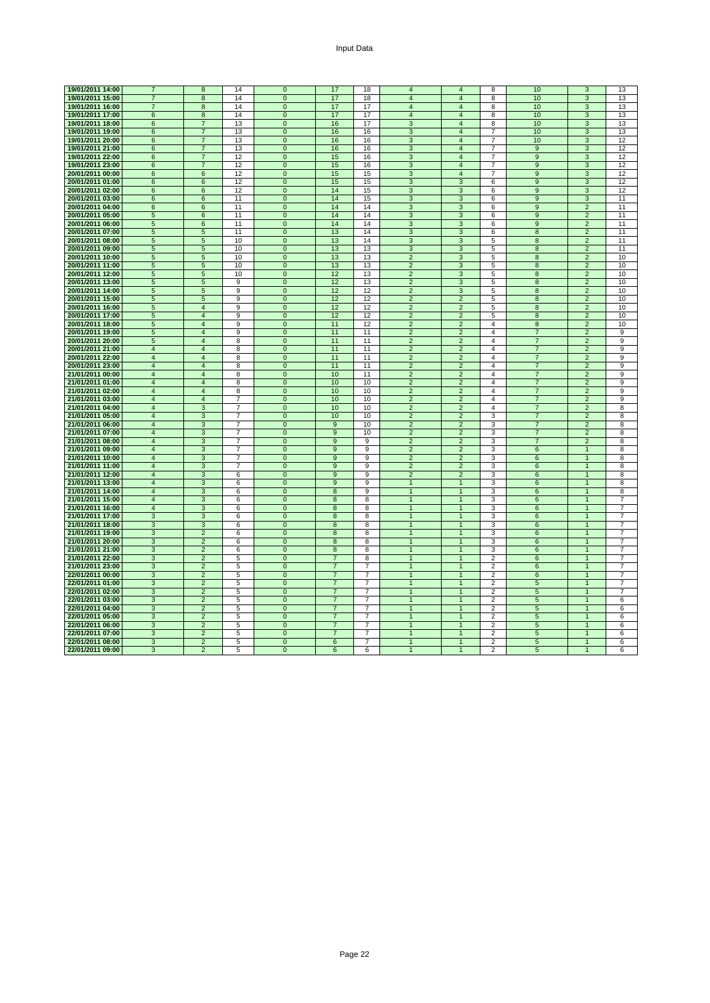| Input Data |  |
|------------|--|
|------------|--|

| 19/01/2011 14:00 | $\overline{7}$  | 8                       | 14             | $\Omega$       | 17             | 18             | $\overline{4}$            | $\overline{\mathbf{4}}$ | 8               | 10              | 3              | 13             |
|------------------|-----------------|-------------------------|----------------|----------------|----------------|----------------|---------------------------|-------------------------|-----------------|-----------------|----------------|----------------|
| 19/01/2011 15:00 | $\overline{7}$  | $\overline{\mathbf{8}}$ | 14             | $\overline{0}$ | 17             | 18             | 4                         | $\overline{4}$          | 8               | 10              | 3              | 13             |
| 19/01/2011 16:00 | $\overline{7}$  | 8                       | 14             | $\mathbf 0$    | 17             | 17             | $\overline{\mathbf{4}}$   | 4                       | 8               | 10              | 3              | 13             |
| 19/01/2011 17:00 | $6\overline{6}$ | $\overline{8}$          | 14             | $\overline{0}$ | 17             | 17             | $\overline{4}$            | $\overline{4}$          | 8               | 10              | 3              | 13             |
| 19/01/2011 18:00 | 6               | $\overline{7}$          | 13             | $\mathbf{0}$   | 16             | 17             | 3                         | $\overline{4}$          | 8               | 10              | 3              | 13             |
| 19/01/2011 19:00 | 6               | $\overline{7}$          | 13             | $\mathbf 0$    | 16             | 16             | 3                         | $\overline{4}$          | $\overline{7}$  | 10              | 3              | 13             |
|                  |                 |                         |                |                |                |                |                           |                         |                 |                 |                |                |
| 19/01/2011 20:00 | 6               | $\overline{7}$          | 13             | $\overline{0}$ | 16             | 16             | $\overline{3}$            | $\overline{4}$          | $\overline{7}$  | 10              | $\overline{3}$ | 12             |
| 19/01/2011 21:00 | $6\phantom{1}6$ | $\overline{7}$          | 13             | $\mathbf 0$    | 16             | 16             | 3                         | $\overline{\mathbf{4}}$ | $\overline{7}$  | 9               | 3              | 12             |
| 19/01/2011 22:00 | 6               | 7                       | 12             | $\overline{0}$ | 15             | 16             | 3                         | 4                       | 7               | $\overline{9}$  | 3              | 12             |
| 19/01/2011 23:00 | $\,6$           | $\overline{7}$          | 12             | $\mathbf 0$    | 15             | 16             | 3                         | $\overline{4}$          | 7               | 9               | 3              | 12             |
| 20/01/2011 00:00 | 6               | 6                       | 12             | $\mathbf 0$    | 15             | 15             | 3                         | $\overline{4}$          | $\overline{7}$  | 9               | 3              | 12             |
|                  |                 |                         |                |                |                |                |                           |                         |                 |                 |                |                |
| 20/01/2011 01:00 | 6               | 6                       | 12             | $\overline{0}$ | 15             | 15             | $\overline{3}$            | 3                       | $6\overline{6}$ | $\overline{9}$  | $\overline{3}$ | 12             |
| 20/01/2011 02:00 | 6               | 6                       | 12             | $\mathbf 0$    | 14             | 15             | $\overline{3}$            | 3                       | 6               | $\overline{9}$  | $\overline{3}$ | 12             |
| 20/01/2011 03:00 | 6               | 6                       | 11             | $\mathbf{0}$   | 14             | 15             | $\ensuremath{\mathsf{3}}$ | 3                       | 6               | 9               | 3              | 11             |
| 20/01/2011 04:00 | 6               | 6                       | 11             | $\overline{0}$ | 14             | 14             | 3                         | 3                       | 6               | 9               | $\overline{2}$ | 11             |
| 20/01/2011 05:00 | 5               | 6                       | 11             | $\mathbf{0}$   | 14             | 14             | 3                         | 3                       | 6               | 9               | $\overline{2}$ | 11             |
| 20/01/2011 06:00 | $\overline{5}$  | $6\overline{6}$         | 11             | $\overline{0}$ | 14             | 14             | $\overline{3}$            | 3                       | 6               | 9               | $\overline{2}$ | 11             |
|                  |                 |                         |                |                |                |                |                           |                         |                 |                 |                |                |
| 20/01/2011 07:00 | $\sqrt{5}$      | $\sqrt{5}$              | 11             | $\mathbf 0$    | 13             | 14             | $\ensuremath{\mathsf{3}}$ | 3                       | 6               | $\bf8$          | $\overline{2}$ | 11             |
| 20/01/2011 08:00 | 5               | 5                       | 10             | $\mathbf 0$    | 13             | 14             | 3                         | 3                       | 5               | 8               | $\overline{2}$ | 11             |
| 20/01/2011 09:00 | 5               | 5                       | 10             | $\overline{0}$ | 13             | 13             | 3                         | 3                       | 5               | $\overline{8}$  | $\overline{2}$ | 11             |
| 20/01/2011 10:00 | $\sqrt{5}$      | 5                       | 10             | $\mathbf 0$    | 13             | 13             | $\overline{2}$            | 3                       | 5               | 8               | $\overline{2}$ | 10             |
| 20/01/2011 11:00 | 5               | 5                       | 10             | $\mathbf{0}$   | 13             | 13             | $\overline{2}$            | 3                       | 5               | 8               | $\overline{2}$ | 10             |
|                  |                 |                         |                |                |                |                |                           |                         |                 |                 |                |                |
| 20/01/2011 12:00 | $\sqrt{5}$      | 5                       | 10             | $\overline{0}$ | 12             | 13             | $\overline{2}$            | 3                       | 5               | $\overline{8}$  | $\overline{2}$ | 10             |
| 20/01/2011 13:00 | $\overline{5}$  | $\overline{5}$          | 9              | $\mathbf 0$    | 12             | 13             | $\overline{2}$            | 3                       | 5               | 8               | $\overline{2}$ | 10             |
| 20/01/2011 14:00 | $\overline{5}$  | $\overline{5}$          | 9              | $\overline{0}$ | 12             | 12             | $\overline{2}$            | 3                       | 5               | 8               | $\overline{2}$ | 10             |
| 20/01/2011 15:00 | 5               | 5                       | 9              | $\mathbf{0}$   | 12             | 12             | $\overline{2}$            | $\overline{2}$          | 5               | 8               | $\overline{2}$ | 10             |
| 20/01/2011 16:00 | 5               | $\overline{4}$          | 9              | $\mathbf 0$    | 12             | 12             | $\overline{c}$            | $\overline{c}$          | 5               | 8               | $\overline{2}$ | 10             |
| 20/01/2011 17:00 | $\sqrt{5}$      | $\overline{4}$          | 9              | $\overline{0}$ | 12             | 12             | $\overline{2}$            | $\overline{2}$          | 5               | 8               | $\overline{2}$ | 10             |
|                  |                 | $\overline{4}$          |                |                |                | 12             | $\overline{2}$            | $\overline{2}$          |                 |                 | $\overline{2}$ |                |
| 20/01/2011 18:00 | $\sqrt{5}$      |                         | 9              | $\mathbf 0$    | 11             |                |                           |                         | 4               | 8               |                | 10             |
| 20/01/2011 19:00 | 5               | $\overline{4}$          | 9              | $\overline{0}$ | 11             | 11             | $\overline{2}$            | $\overline{2}$          | $\overline{4}$  | $\overline{7}$  | $\overline{2}$ | 9              |
| 20/01/2011 20:00 | 5               | $\overline{4}$          | 8              | $\overline{0}$ | 11             | 11             | $\overline{2}$            | $\overline{c}$          | $\overline{4}$  | $\overline{7}$  | $\overline{2}$ | 9              |
| 20/01/2011 21:00 | $\overline{4}$  | $\overline{4}$          | 8              | $\mathbf 0$    | 11             | 11             | $\overline{2}$            | $\overline{2}$          | 4               | $\overline{7}$  | $\overline{2}$ | 9              |
| 20/01/2011 22:00 | $\overline{4}$  | $\overline{4}$          | 8              | $\overline{0}$ | 11             | 11             | $\overline{2}$            | $\overline{2}$          | $\overline{4}$  | $\overline{7}$  | $\overline{2}$ | 9              |
| 20/01/2011 23:00 | $\overline{4}$  | $\overline{4}$          | 8              | $\overline{0}$ | 11             | 11             | $\overline{2}$            | $\overline{2}$          | $\overline{4}$  | $\overline{7}$  | $\overline{2}$ | 9              |
|                  |                 | $\overline{4}$          |                |                |                |                | $\overline{2}$            | $\overline{2}$          | $\overline{4}$  | $\overline{7}$  | $\overline{2}$ | 9              |
| 21/01/2011 00:00 | 4               |                         | 8              | $\mathbf 0$    | 10             | 11             |                           |                         |                 |                 |                |                |
| 21/01/2011 01:00 | $\overline{4}$  | $\overline{4}$          | 8              | $\mathbf{0}$   | 10             | 10             | $\overline{2}$            | $\overline{2}$          | $\overline{4}$  | $\overline{7}$  | 2              | 9              |
| 21/01/2011 02:00 | $\overline{4}$  | $\overline{4}$          | 8              | $\mathbf 0$    | 10             | 10             | $\overline{2}$            | $\overline{2}$          | $\overline{4}$  | $\overline{7}$  | $\overline{2}$ | 9              |
| 21/01/2011 03:00 | $\overline{4}$  | $\overline{4}$          | $\overline{7}$ | $\overline{0}$ | 10             | 10             | $\overline{2}$            | $\overline{2}$          | 4               | $\overline{7}$  | $\overline{2}$ | 9              |
| 21/01/2011 04:00 | $\overline{4}$  | 3                       | $\overline{7}$ | $\mathbf{0}$   | 10             | 10             | $\overline{2}$            | $\overline{2}$          | $\overline{4}$  | $\overline{7}$  | $\overline{2}$ | 8              |
| 21/01/2011 05:00 | $\overline{4}$  | $\overline{3}$          | $\overline{7}$ | $\mathbf 0$    | 10             | 10             | $\overline{2}$            | $\overline{2}$          | 3               | $\overline{7}$  | $\overline{2}$ | 8              |
| 21/01/2011 06:00 | $\overline{4}$  | $\overline{3}$          | $\overline{7}$ | $\overline{0}$ | 9              | 10             | $\overline{2}$            | $\overline{2}$          | 3               | $\overline{7}$  | $\overline{2}$ | 8              |
|                  |                 |                         |                |                |                |                |                           |                         |                 |                 |                |                |
| 21/01/2011 07:00 | $\overline{4}$  | 3                       | 7              | $\overline{0}$ | $\overline{9}$ | 10             | $\overline{2}$            | $\overline{2}$          | 3               | $\overline{7}$  | $\overline{2}$ | 8              |
| 21/01/2011 08:00 | $\overline{4}$  | 3                       | $\overline{7}$ | $\mathbf{0}$   | 9              | 9              | $\overline{2}$            | $\overline{2}$          | 3               | $\overline{7}$  | 2              | 8              |
| 21/01/2011 09:00 | $\overline{4}$  | 3                       | $\overline{7}$ | $\mathbf 0$    | $9$            | 9              | $\overline{2}$            | $\overline{2}$          | 3               | 6               | $\overline{1}$ | 8              |
| 21/01/2011 10:00 | $\overline{4}$  | $\overline{3}$          | $\overline{7}$ | $\mathbf 0$    | $9$            | 9              | $\overline{2}$            | $\overline{2}$          | 3               | 6               | $\overline{1}$ | 8              |
| 21/01/2011 11:00 | $\overline{4}$  | 3                       | $\overline{7}$ | $\mathbf 0$    | $9$            | 9              | $\overline{2}$            | $\overline{2}$          | 3               | 6               | $\overline{1}$ | 8              |
| 21/01/2011 12:00 | $\overline{4}$  | 3                       | 6              | $\Omega$       | 9              | 9              | $\overline{2}$            | $\overline{2}$          | 3               | 6               |                | 8              |
|                  |                 |                         |                |                |                |                |                           |                         |                 |                 | $\mathbf{1}$   |                |
| 21/01/2011 13:00 | $\overline{4}$  | $\mathbf{3}$            | 6              | $\mathbf 0$    | 9              | 9              | $\mathbf{1}$              | $\mathbf{1}$            | 3               | 6               |                | 8              |
| 21/01/2011 14:00 | $\overline{4}$  | 3                       | 6              | $\overline{0}$ | $\overline{8}$ | 9              | $\mathbf{1}$              | $\mathbf{1}$            | 3               | 6               | $\mathbf{1}$   | 8              |
| 21/01/2011 15:00 | $\overline{4}$  | $\overline{3}$          | 6              | $\overline{0}$ | $\overline{8}$ | 8              | $\overline{1}$            | $\overline{1}$          | 3               | $6\overline{6}$ | $\overline{1}$ | $\overline{7}$ |
| 21/01/2011 16:00 | $\overline{4}$  | $\overline{3}$          | 6              | $\mathbf 0$    | 8              | 8              | $\overline{1}$            | 1                       | 3               | 6               | $\overline{1}$ | $\overline{7}$ |
| 21/01/2011 17:00 | 3               | 3                       | 6              | $\mathbf{0}$   | 8              | 8              | $\overline{1}$            | 1                       | 3               | 6               |                | $\overline{7}$ |
| 21/01/2011 18:00 | 3               | 3                       | 6              | $\overline{0}$ | $\overline{8}$ | 8              | $\mathbf{1}$              | 1                       | 3               | 6               | 1              | 7              |
| 21/01/2011 19:00 | 3               | $\overline{2}$          | 6              | $\mathbf 0$    | 8              | 8              | $\mathbf{1}$              | $\overline{1}$          | 3               | 6               | $\overline{1}$ | $\overline{7}$ |
|                  | $\overline{3}$  | $\overline{2}$          | 6              | $\overline{0}$ | $\overline{8}$ | 8              | $\overline{1}$            | $\overline{1}$          | 3               | $6\overline{6}$ | $\overline{1}$ | $\overline{7}$ |
| 21/01/2011 20:00 |                 |                         |                |                |                |                |                           |                         |                 |                 |                |                |
| 21/01/2011 21:00 | $\sqrt{3}$      | $\overline{2}$          | 6              | $\mathbf 0$    | $\bf 8$        | 8              | $\overline{1}$            | $\overline{1}$          | 3               | 6               | $\mathbf{1}$   | $\overline{7}$ |
| 21/01/2011 22:00 | 3               | $\sqrt{2}$              | 5              | $\mathbf 0$    | $\overline{7}$ | 8              | $\mathbf{1}$              | 1                       | $\overline{2}$  | 6               | $\mathbf{1}$   | $\overline{7}$ |
| 21/01/2011 23:00 | $\overline{3}$  | $\overline{2}$          | 5              | $\overline{0}$ | $\overline{7}$ | $\overline{7}$ | $\mathbf{1}$              | $\overline{1}$          | $\overline{2}$  | 6               | $\overline{1}$ | $\overline{7}$ |
| 22/01/2011 00:00 | 3               | $\overline{2}$          | 5              | $\mathbf{0}$   | $\overline{7}$ | 7              | $\mathbf{1}$              | -1                      | $\overline{2}$  | 6               | $\mathbf{1}$   | 7              |
| 22/01/2011 01:00 | 3               | $\overline{2}$          | 5              | $\overline{0}$ | $\overline{7}$ | $\overline{7}$ | $\mathbf{1}$              | $\overline{1}$          | $\overline{2}$  | 5               | $\mathbf{1}$   | $\overline{7}$ |
|                  |                 |                         |                |                |                |                |                           |                         |                 |                 |                |                |
| 22/01/2011 02:00 | 3               | $\overline{2}$          | 5              | $\overline{0}$ | $\overline{7}$ | $\overline{7}$ | $\mathbf{1}$              | $\overline{1}$          | $\overline{2}$  | $\sqrt{5}$      | $\overline{1}$ | $\overline{7}$ |
| 22/01/2011 03:00 | 3               | $\overline{2}$          | 5              | $\mathbf 0$    | $\overline{7}$ | $\overline{7}$ | $\mathbf{1}$              | 1                       | $\overline{2}$  | 5               | $\overline{1}$ | 6              |
| 22/01/2011 04:00 | 3               | $\overline{2}$          | 5              | $\overline{0}$ | $\overline{7}$ | $\overline{7}$ | $\overline{1}$            | 1                       | $\overline{2}$  | 5               |                | 6              |
| 22/01/2011 05:00 | 3               | $\overline{2}$          | 5              | $\mathbf 0$    | $\overline{7}$ | 7              | $\mathbf{1}$              | $\mathbf{1}$            | 2               | 5               | $\mathbf{1}$   | 6              |
| 22/01/2011 06:00 | 3               | $\overline{2}$          | 5              | $\mathbf 0$    | $\overline{7}$ | $\overline{7}$ | $\mathbf{1}$              | $\overline{1}$          | $\overline{2}$  | 5               | $\mathbf{1}$   | 6              |
| 22/01/2011 07:00 | $\overline{3}$  | $\overline{2}$          | 5              | $\overline{0}$ | $\overline{7}$ | $\overline{7}$ | $\mathbf{1}$              | $\overline{1}$          | $\overline{2}$  | $\overline{5}$  | $\overline{1}$ | 6              |
|                  |                 |                         |                |                |                |                |                           |                         |                 |                 |                |                |
| 22/01/2011 08:00 | 3               | $\overline{2}$          | 5              | $\overline{0}$ | 6              | 7              | $\mathbf{1}$              | $\mathbf{1}$            | 2               | 5               | $\overline{1}$ | 6              |
| 22/01/2011 09:00 | 3               | $\overline{2}$          | 5              | $\mathbf{0}$   | 6              | 6              |                           |                         | 2               | 5               |                | 6              |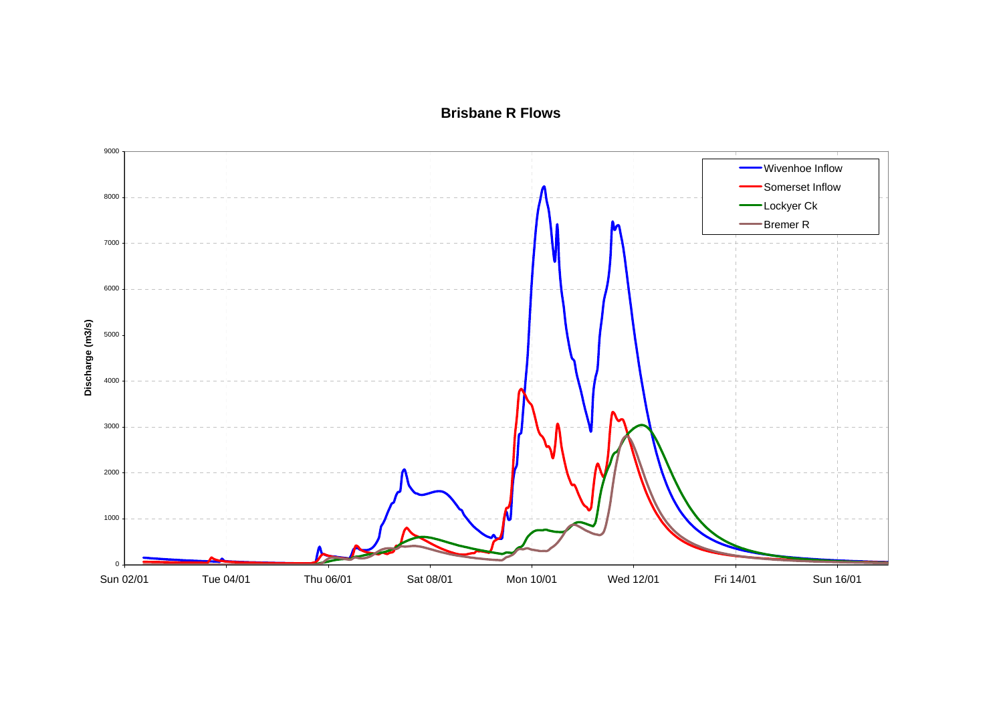**Brisbane R Flows**

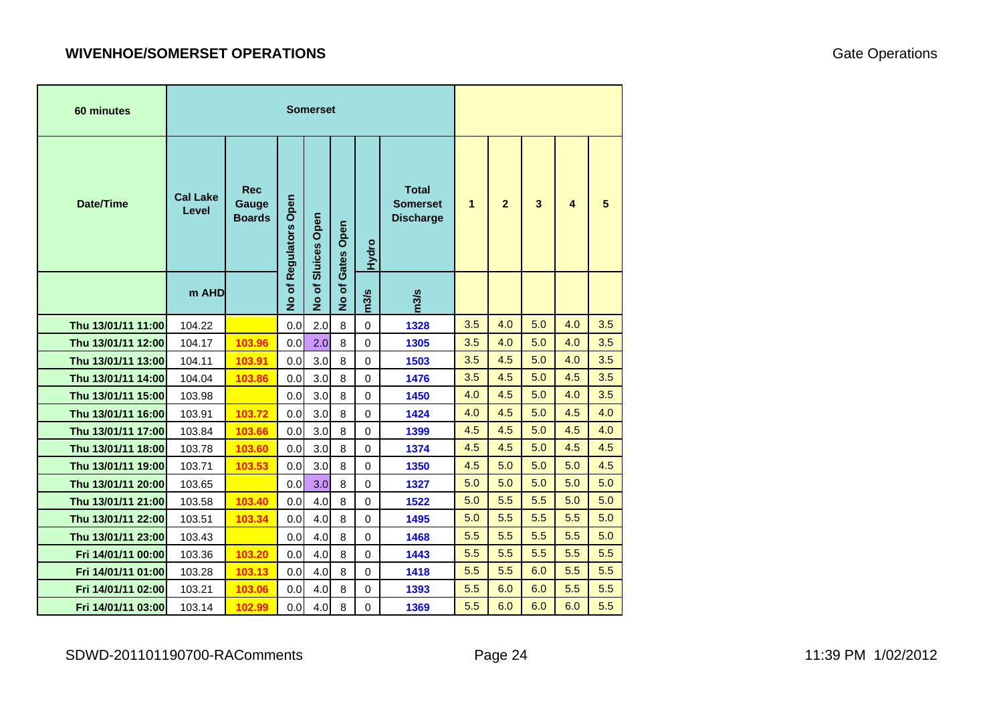# **WIVENHOE/SOMERSET OPERATIONS**

| 60 minutes         |                          |                                      |                       | <b>Somerset</b>    |                    |             |                                                     |     |                |     |     |     |
|--------------------|--------------------------|--------------------------------------|-----------------------|--------------------|--------------------|-------------|-----------------------------------------------------|-----|----------------|-----|-----|-----|
| Date/Time          | <b>Cal Lake</b><br>Level | <b>Rec</b><br>Gauge<br><b>Boards</b> | No of Regulators Open | No of Sluices Open | Gates Open         | Hydro       | <b>Total</b><br><b>Somerset</b><br><b>Discharge</b> | 1   | $\overline{2}$ | 3   | 4   | 5   |
|                    | m AHD                    |                                      |                       |                    | ৳<br>$\frac{1}{2}$ | m3/s        | m3/s                                                |     |                |     |     |     |
| Thu 13/01/11 11:00 | 104.22                   |                                      | 0.0                   | 2.0                | 8                  | $\mathbf 0$ | 1328                                                | 3.5 | 4.0            | 5.0 | 4.0 | 3.5 |
| Thu 13/01/11 12:00 | 104.17                   | 103.96                               | 0.0                   | 2.0                | 8                  | $\mathbf 0$ | 1305                                                | 3.5 | 4.0            | 5.0 | 4.0 | 3.5 |
| Thu 13/01/11 13:00 | 104.11                   | 103.91                               | 0.0                   | 3.0                | 8                  | $\mathbf 0$ | 1503                                                | 3.5 | 4.5            | 5.0 | 4.0 | 3.5 |
| Thu 13/01/11 14:00 | 104.04                   | 103.86                               | 0.0                   | 3.0                | 8                  | $\mathbf 0$ | 1476                                                | 3.5 | 4.5            | 5.0 | 4.5 | 3.5 |
| Thu 13/01/11 15:00 | 103.98                   |                                      | 0.0                   | 3.0                | 8                  | $\mathbf 0$ | 1450                                                | 4.0 | 4.5            | 5.0 | 4.0 | 3.5 |
| Thu 13/01/11 16:00 | 103.91                   | 103.72                               | 0.0                   | 3.0                | 8                  | $\Omega$    | 1424                                                | 4.0 | 4.5            | 5.0 | 4.5 | 4.0 |
| Thu 13/01/11 17:00 | 103.84                   | 103.66                               | 0.0                   | 3.0                | 8                  | $\mathbf 0$ | 1399                                                | 4.5 | 4.5            | 5.0 | 4.5 | 4.0 |
| Thu 13/01/11 18:00 | 103.78                   | 103.60                               | 0.0                   | 3.0                | 8                  | $\mathbf 0$ | 1374                                                | 4.5 | 4.5            | 5.0 | 4.5 | 4.5 |
| Thu 13/01/11 19:00 | 103.71                   | 103.53                               | 0.0                   | 3.0                | 8                  | $\mathbf 0$ | 1350                                                | 4.5 | 5.0            | 5.0 | 5.0 | 4.5 |
| Thu 13/01/11 20:00 | 103.65                   |                                      | 0.0                   | 3.0                | 8                  | $\mathbf 0$ | 1327                                                | 5.0 | 5.0            | 5.0 | 5.0 | 5.0 |
| Thu 13/01/11 21:00 | 103.58                   | 103.40                               | 0.0                   | 4.0                | 8                  | $\mathbf 0$ | 1522                                                | 5.0 | 5.5            | 5.5 | 5.0 | 5.0 |
| Thu 13/01/11 22:00 | 103.51                   | 103.34                               | 0.0                   | 4.0                | 8                  | $\mathbf 0$ | 1495                                                | 5.0 | 5.5            | 5.5 | 5.5 | 5.0 |
| Thu 13/01/11 23:00 | 103.43                   |                                      | 0.0                   | 4.0                | 8                  | $\mathbf 0$ | 1468                                                | 5.5 | 5.5            | 5.5 | 5.5 | 5.0 |
| Fri 14/01/11 00:00 | 103.36                   | 103.20                               | 0.0                   | 4.0                | 8                  | $\mathbf 0$ | 1443                                                | 5.5 | 5.5            | 5.5 | 5.5 | 5.5 |
| Fri 14/01/11 01:00 | 103.28                   | 103.13                               | 0.0                   | 4.0                | 8                  | $\mathbf 0$ | 1418                                                | 5.5 | 5.5            | 6.0 | 5.5 | 5.5 |
| Fri 14/01/11 02:00 | 103.21                   | 103.06                               | 0.0                   | 4.0                | 8                  | 0           | 1393                                                | 5.5 | 6.0            | 6.0 | 5.5 | 5.5 |
| Fri 14/01/11 03:00 | 103.14                   | 102.99                               | 0.0                   | 4.0                | 8                  | 0           | 1369                                                | 5.5 | 6.0            | 6.0 | 6.0 | 5.5 |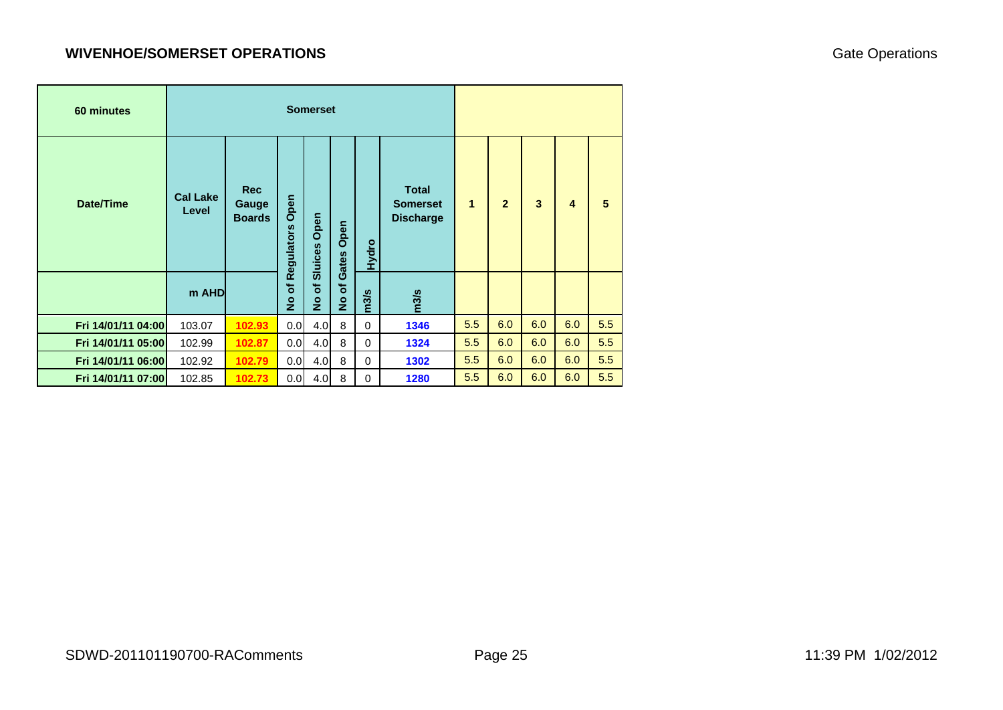## **WIVENHOE/SOMERSET OPERATIONS**

| 60 minutes         |                          |                                      |                                            | <b>Somerset</b>                      |                                      |          |                                                     |     |                |     |     |     |
|--------------------|--------------------------|--------------------------------------|--------------------------------------------|--------------------------------------|--------------------------------------|----------|-----------------------------------------------------|-----|----------------|-----|-----|-----|
| <b>Date/Time</b>   | <b>Cal Lake</b><br>Level | <b>Rec</b><br>Gauge<br><b>Boards</b> | Regulators Open                            | Open<br>Sluices                      | Open<br>Gates                        | Hydro    | <b>Total</b><br><b>Somerset</b><br><b>Discharge</b> | 1   | $\overline{2}$ | 3   | 4   | 5   |
|                    | m AHD                    |                                      | $\overline{\overline{5}}$<br>$\frac{1}{2}$ | $\overline{\sigma}$<br>$\frac{1}{2}$ | $\overline{\sigma}$<br>$\frac{1}{2}$ | m3/s     | m3/s                                                |     |                |     |     |     |
| Fri 14/01/11 04:00 | 103.07                   | 102.93                               | 0.0                                        | 4.0<br>8                             |                                      | $\Omega$ | 1346                                                | 5.5 | 6.0            | 6.0 | 6.0 | 5.5 |
| Fri 14/01/11 05:00 | 102.99                   | 102.87                               | 0.0                                        | 4.0                                  | 8<br>$\mathbf 0$                     |          | 1324                                                | 5.5 | 6.0            | 6.0 | 6.0 | 5.5 |
| Fri 14/01/11 06:00 | 102.92                   | 0.0                                  | 4.0                                        | 8                                    | $\Omega$                             | 1302     | 5.5                                                 | 6.0 | 6.0            | 6.0 | 5.5 |     |
| Fri 14/01/11 07:00 | 102.85                   | 102.73                               | 0.0                                        | 4.0                                  | 8                                    | $\Omega$ | 1280                                                | 5.5 | 6.0            | 6.0 | 6.0 | 5.5 |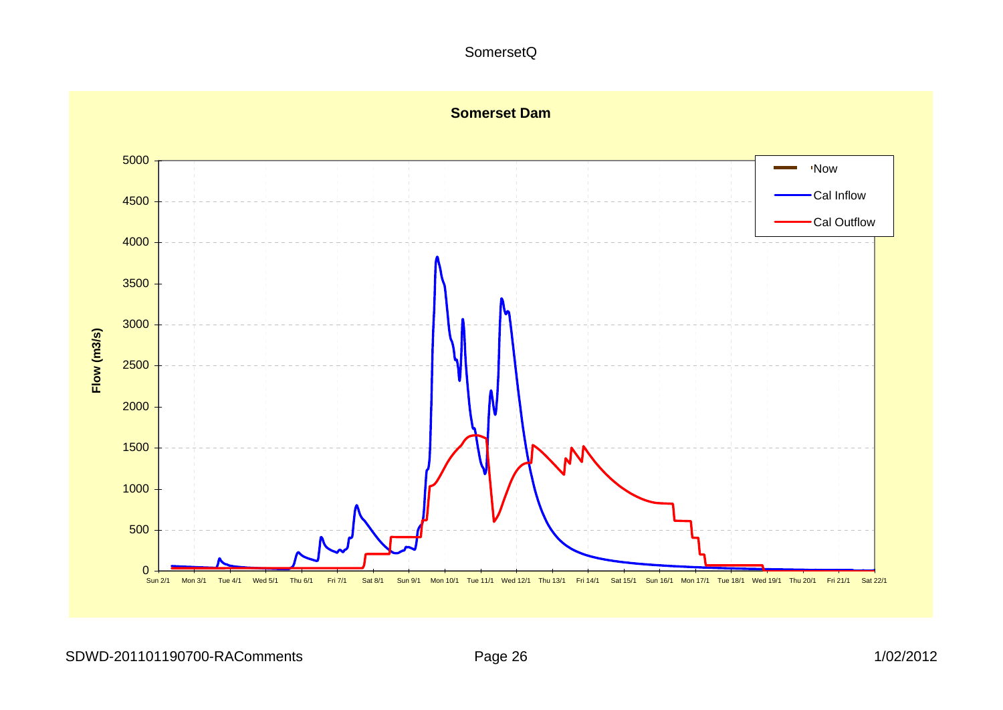#### SomersetQ

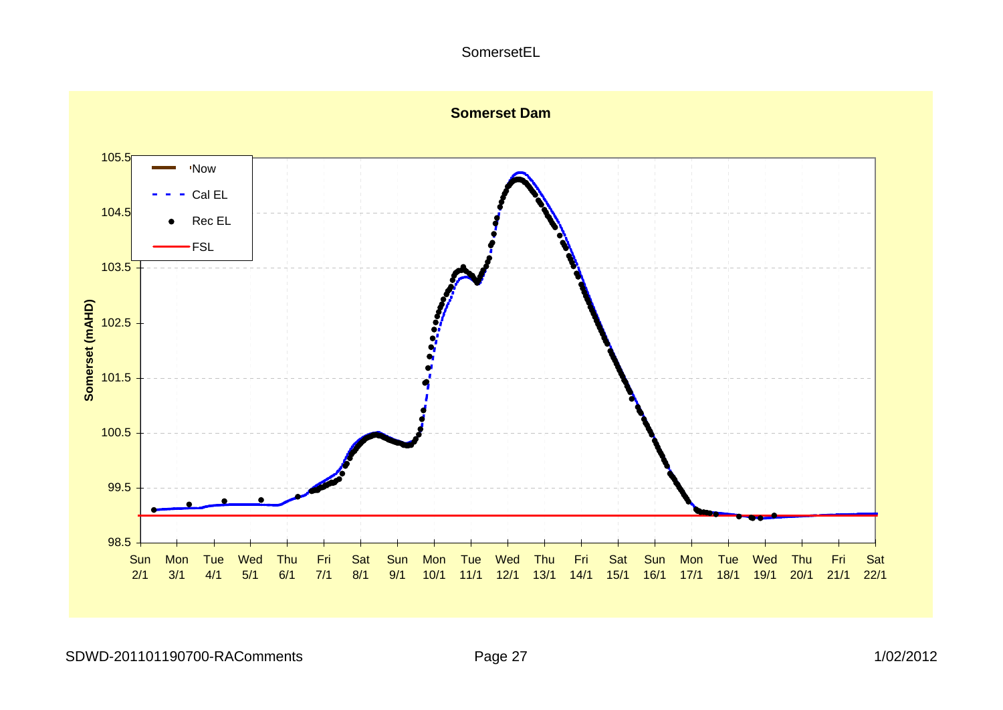#### SomersetEL

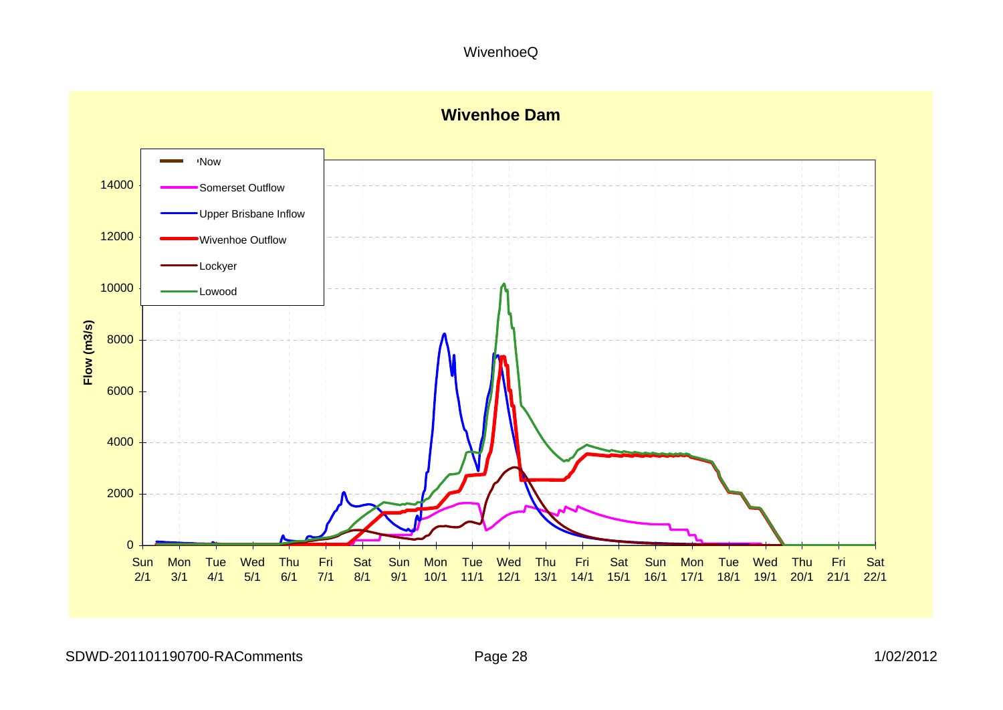WivenhoeQ

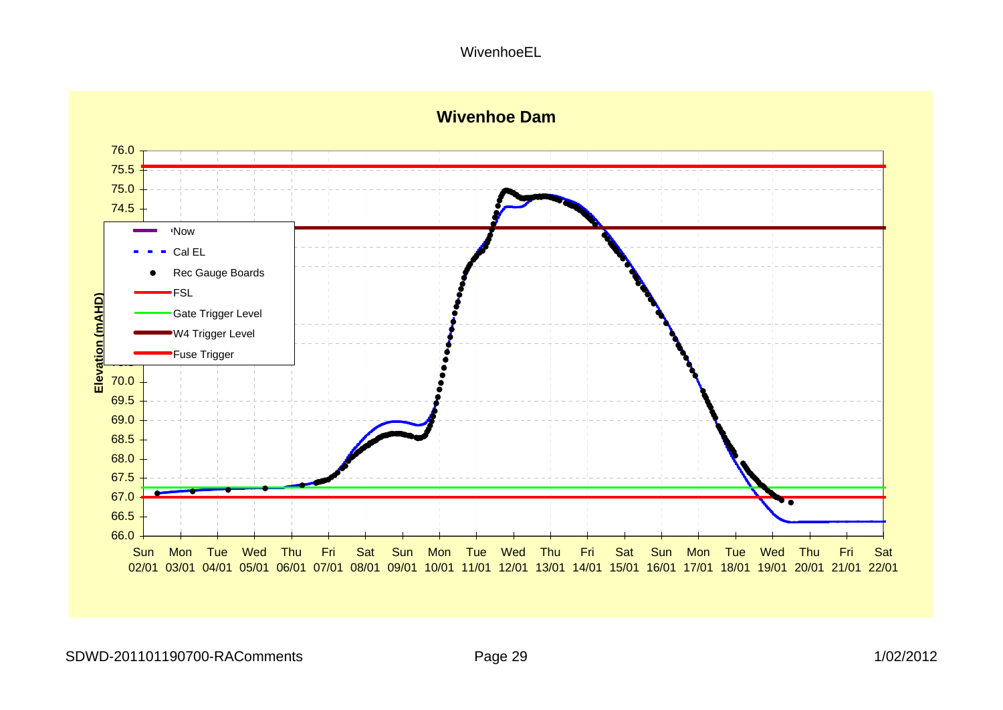#### WivenhoeEL



# **Wivenhoe Dam**

SDWD-201101190700-RAComments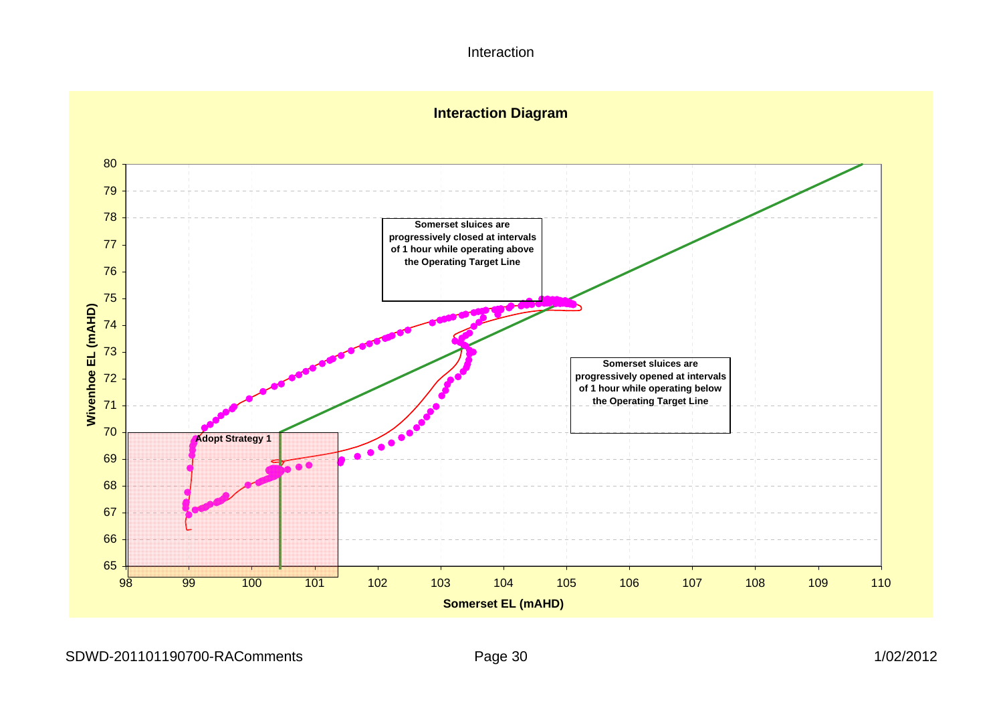Interaction



SDWD-201101190700-RAComments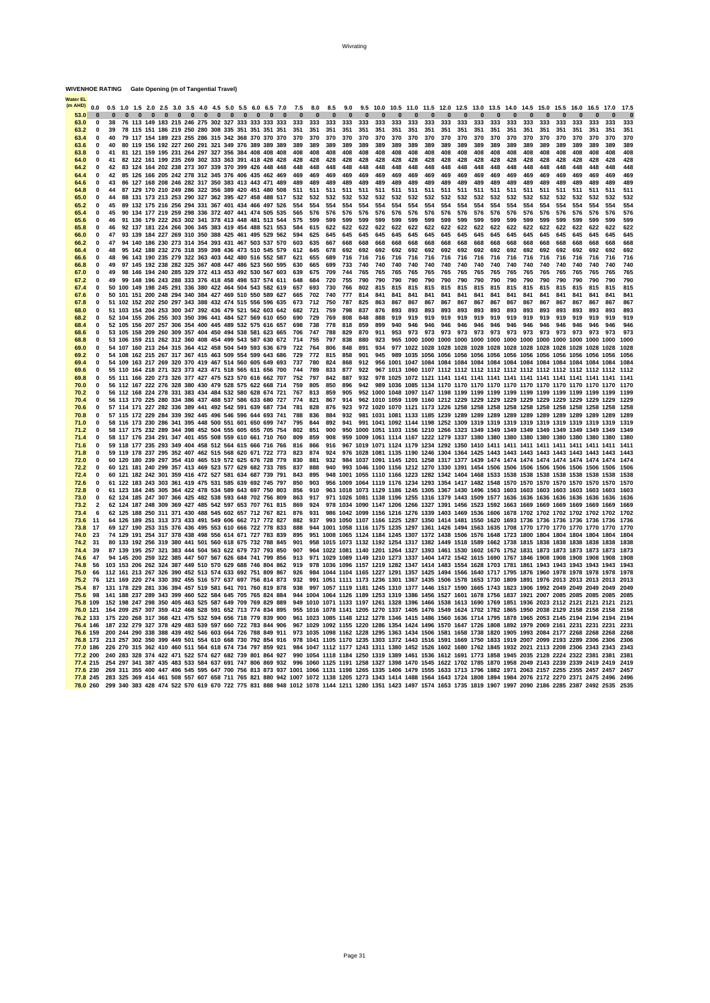|                     | 0.0                  |                              | 0.5      |          |  |                               |  |                                 |  |                                                | 1.0 1.5 2.0 2.5 3.0 3.5 4.0 4.5 5.0 5.5 6.0 6.5 7.0                                                                |          | 7.5        | 8.0        | 8.5        | 9.0        | 9.5        | 10.0       | 10.5       |            | 11.0 11.5 12.0 12.5 |            |            | 13.0       | 13.5       | 14.0       | 14.5       | 15.0       | 15.5                                                                                                                                                                                                                                                                                                                                | 16.0       | 16.5       | 17.0       | 17.5         |
|---------------------|----------------------|------------------------------|----------|----------|--|-------------------------------|--|---------------------------------|--|------------------------------------------------|--------------------------------------------------------------------------------------------------------------------|----------|------------|------------|------------|------------|------------|------------|------------|------------|---------------------|------------|------------|------------|------------|------------|------------|------------|-------------------------------------------------------------------------------------------------------------------------------------------------------------------------------------------------------------------------------------------------------------------------------------------------------------------------------------|------------|------------|------------|--------------|
| 53.0                |                      |                              | $\Omega$ | $\Omega$ |  | $0\quad 0\quad 0\quad 0\quad$ |  | $0\quad 0\quad 0\quad 0\quad 0$ |  | $\Omega$                                       | $\overline{\mathbf{a}}$                                                                                            | $\Omega$ | $\Omega$   |            | $\Omega$   | $\Omega$   |            | $\Omega$   | $\Omega$   | n          | $\bf{0}$            | $\Omega$   |            | $\Omega$   | $\Omega$   | $\Omega$   | $\Omega$   | $\Omega$   |                                                                                                                                                                                                                                                                                                                                     | ŋ          | $\Omega$   |            |              |
| 63.0                |                      | 0                            | 38       |          |  |                               |  |                                 |  |                                                | 76 113 149 183 215 246 275 302 327 333 333 333 333                                                                 |          | 333        | 333        | 333        | 333        | 333        | 333        | 333        | 333        | 333                 | 333        | 333        | 333        | 333<br>351 | 333        | 333        | 333        | 333                                                                                                                                                                                                                                                                                                                                 | 333        | 333        | 333        | 333          |
| 63.2<br>63.4        |                      | $\mathbf{0}$<br>$\mathbf{0}$ | 39<br>40 |          |  |                               |  |                                 |  | 78 115 151 186 219 250 280 308 335 351 351 351 |                                                                                                                    | 351      | 351<br>370 | 351<br>370 | 351<br>370 | 351<br>370 | 351<br>370 | 351<br>370 | 351<br>370 | 351<br>370 | 351<br>370          | 351<br>370 | 351<br>370 | 351<br>370 | 370        | 351<br>370 | 351<br>370 | 351<br>370 | 351<br>370                                                                                                                                                                                                                                                                                                                          | 351<br>370 | 351<br>370 | 351<br>370 | 351<br>370   |
| 63.6                |                      | $\Omega$                     | 40       |          |  |                               |  |                                 |  |                                                | 79 117 154 189 223 255 286 315 342 368 370 370 370<br>80 119 156 192 227 260 291 321 349 376 389 389 389           |          | 389        | 389        | 389        | 389        | 389        | 389        | 389        | 389        | 389                 | 389        | 389        | 389        | 389        | 389        | 389        | 389        | 389                                                                                                                                                                                                                                                                                                                                 | 389        | 389        | 389        | 389          |
| 63.8                |                      | $\mathbf{0}$                 | 41       |          |  |                               |  |                                 |  |                                                | 81 121 159 195 231 264 297 327 356 384 408 408 408                                                                 |          | 408        | 408        | 408        | 408        | 408        | 408        | 408        | 408        | 408                 | 408        | 408        | 408        | 408        | 408        | 408        | 408        | 408                                                                                                                                                                                                                                                                                                                                 | 408        | 408        | 408        | 408          |
| 64.0                |                      | $\mathbf{0}$                 | 41       |          |  |                               |  |                                 |  |                                                | 82 122 161 199 235 269 302 333 363 391 418 428 428                                                                 |          | 428        | 428        | 428        | 428        | 428        | 428        | 428        | 428        | 428                 | 428        | 428        | 428        | 428        | 428        | 428        | 428        | 428                                                                                                                                                                                                                                                                                                                                 | 428        | 428        | 428        | 428          |
| 64.2                |                      | $\mathbf{0}$                 | 42       |          |  |                               |  |                                 |  |                                                | 83 124 164 202 238 273 307 339 370 399 426 448 448                                                                 |          | 448        | 448        | 448        | 448        | 448        | 448        | 448        | 448        | 448                 | 448        | 448        | 448        | 448        | 448        | 448        | 448        | 448                                                                                                                                                                                                                                                                                                                                 | 448        | 448        | 448        | 448          |
| 64.4                |                      | $\mathbf{0}$                 | 42       |          |  |                               |  |                                 |  |                                                | 85 126 166 205 242 278 312 345 376 406 435 462 469                                                                 |          | 469        | 469        | 469        | 469        | 469        | 469        | 469        | 469        | 469                 | 469        | 469        | 469        | 469        | 469        | 469        | 469        | 469                                                                                                                                                                                                                                                                                                                                 | 469        | 469        | 469        | 469          |
| 64.6                |                      | $\mathbf{0}$                 | 43       |          |  |                               |  |                                 |  |                                                | 86 127 168 208 246 282 317 350 383 413 443 471 489                                                                 |          | 489        | 489        | 489        | 489        | 489        | 489        | 489        | 489        | 489                 | 489        | 489        | 489        | 489        | 489        | 489        | 489        | 489                                                                                                                                                                                                                                                                                                                                 | 489        | 489        | 489        | 489          |
| 64.8                |                      | $\Omega$                     | 44       |          |  |                               |  |                                 |  |                                                | 87 129 170 210 249 286 322 356 389 420 451 480 508                                                                 |          | 511        | 511        | 511        | 511        | 511        | 511        | 511        | 511        | 511                 | 511        | 511        | 511        | 511        | 511        | 511        | 511        | 511                                                                                                                                                                                                                                                                                                                                 | 511        | 511        | 511        | 511          |
| 65.0                |                      | $\mathbf 0$                  | 44       |          |  |                               |  |                                 |  |                                                | 88 131 173 213 253 290 327 362 395 427 458 488 517                                                                 |          | 532        | 532        | 532        | 532        | 532        | 532        | 532        | 532        | 532                 | 532        | 532        | 532        | 532        | 532        | 532        | 532        | 532                                                                                                                                                                                                                                                                                                                                 | 532        | 532        | 532        | 532          |
| 65.2                |                      | $\mathbf{0}$<br>$\mathbf 0$  | 45<br>45 |          |  |                               |  |                                 |  |                                                | 89 132 175 216 256 294 331 367 401 434 466 497 526                                                                 |          | 554<br>565 | 554<br>576 | 554<br>576 | 554<br>576 | 554<br>576 | 554<br>576 | 554<br>576 | 554<br>576 | 554<br>576          | 554<br>576 | 554<br>576 | 554<br>576 | 554<br>576 | 554<br>576 | 554<br>576 | 554<br>576 | 554<br>576                                                                                                                                                                                                                                                                                                                          | 554<br>576 | 554<br>576 | 554<br>576 | 554<br>576   |
| 65.4<br>65.6        |                      | $\mathbf{0}$                 | 46       | 91       |  |                               |  |                                 |  |                                                | 90 134 177 219 259 298 336 372 407 441 474 505 535<br>136 179 222 263 302 341 378 413 448 481 513 544              |          | 575        | 599        | 599        | 599        | 599        | 599        | 599        | 599        | 599                 | 599        | 599        | 599        | 599        | 599        | 599        | 599        | 599                                                                                                                                                                                                                                                                                                                                 | 599        | 599        | 599        | 599          |
| 65.8                |                      | 0                            | 46       |          |  |                               |  |                                 |  |                                                | 92 137 181 224 266 306 345 383 419 454 488 521 553                                                                 |          | 584        | 615        | 622        | 622        | 622        | 622        | 622        | 622        | 622                 | 622        | 622        | 622        | 622        | 622        | 622        | 622        | 622                                                                                                                                                                                                                                                                                                                                 | 622        | 622        | 622        | 622          |
| 66.0                |                      | $\mathbf{0}$                 | 47       | 93       |  |                               |  |                                 |  |                                                | 139 184 227 269 310 350 388 425 461 495 529 562                                                                    |          | 594        | 625        | 645        | 645        | 645        | 645        | 645        | 645        | 645                 | 645        | 645        | 645        | 645        | 645        | 645        | 645        | 645                                                                                                                                                                                                                                                                                                                                 | 645        | 645        | 645        | 645          |
| 66.2                |                      | $\mathbf{0}$                 | 47       |          |  |                               |  |                                 |  |                                                | 94 140 186 230 273 314 354 393 431 467 503 537 570                                                                 |          | 603        | 635        | 667        | 668        | 668        | 668        | 668        | 668        | 668                 | 668        | 668        | 668        | 668        | 668        | 668        | 668        | 668                                                                                                                                                                                                                                                                                                                                 | 668        | 668        | 668        | 668          |
| 66.4                |                      | $\mathbf{0}$                 | 48       | 95       |  |                               |  |                                 |  |                                                | 142 188 232 276 318 359 398 436 473 510 545 579                                                                    |          | 612        | 645        | 678        | 692        | 692        | 692        | 692        | 692        | 692                 | 692        | 692        | 692        | 692        | 692        | 692        | 692        | 692                                                                                                                                                                                                                                                                                                                                 | 692        | 692        | 692        | 692          |
| 66.6                |                      | $\mathbf{0}$                 | 48       | 96       |  |                               |  |                                 |  |                                                | 143 190 235 279 322 363 403 442 480 516 552 587                                                                    |          | 621        | 655        | 689        | 716        | 716        | 716        | 716        | 716        | 716                 | 716        | 716        | 716        | 716        | 716        | 716        | 716        | 716                                                                                                                                                                                                                                                                                                                                 | 716        | 716        | 716        | 716          |
| 66.8                |                      | $\mathbf{0}$                 | 49       | 97       |  |                               |  |                                 |  |                                                | 145 192 238 282 325 367 408 447 486 523 560 595                                                                    |          | 630        | 665        | 699        | 733        | 740        | 740        | 740        | 740        | 740                 | 740        | 740        | 740        | 740        | 740        | 740        | 740        | 740                                                                                                                                                                                                                                                                                                                                 | 740        | 740        | 740        | 740          |
| 67 O                |                      | $\Omega$                     | 49<br>49 |          |  |                               |  |                                 |  |                                                | 98 146 194 240 285 329 372 413 453 492 530 567 603                                                                 |          | 639<br>648 | 675<br>684 | 709<br>720 | 744<br>755 | 765<br>790 | 765<br>790 | 765<br>790 | 765<br>790 | 765<br>790          | 765<br>790 | 765<br>790 | 765<br>790 | 765<br>790 | 765<br>790 | 765<br>790 | 765<br>790 | 765<br>790                                                                                                                                                                                                                                                                                                                          | 765<br>790 | 765<br>790 | 765<br>790 | 765<br>790   |
| 67.2<br>67.4        |                      | $\mathbf{0}$<br>$\Omega$     | 50       |          |  |                               |  |                                 |  |                                                | 99 148 196 243 288 333 376 418 458 498 537 574 611<br>100 149 198 245 291 336 380 422 464 504 543 582 619          |          | 657        | 693        | 730        | 766        | 802        | 815        | 815        | 815        | 815                 | 815        | 815        | 815        | 815        | 815        | 815        | 815        | 815                                                                                                                                                                                                                                                                                                                                 | 815        | 815        | 815        | 815          |
| 67.6                |                      | $\mathbf{0}$                 | 50       |          |  |                               |  |                                 |  |                                                | 101 151 200 248 294 340 384 427 469 510 550 589 627                                                                |          | 665        | 702        | 740        | 777        | 814        | 841        | 841        | 841        | 841                 | 841        | 841        | 841        | 841        | 841        | 841        | 841        | 841                                                                                                                                                                                                                                                                                                                                 | 841        | 841        | 841        | 841          |
| 67.8                |                      | $\mathbf{0}$                 | 51       | 102      |  |                               |  |                                 |  |                                                | 152 202 250 297 343 388 432 474 515 556 596 635                                                                    |          | 673        | 712        | 750        | 787        | 825        | 863        | 867        | 867        | 867                 | 867        | 867        | 867        | 867        | 867        | 867        | 867        | 867                                                                                                                                                                                                                                                                                                                                 | 867        | 867        | 867        | 867          |
| 68.0                |                      | 0                            | 51       |          |  |                               |  |                                 |  |                                                | 103 154 204 253 300 347 392 436 479 521 562 603 642                                                                |          | 682        | 721        | 759        | 798        | 837        | 876        | 893        | 893        | 893                 | 893        | 893        | 893        | 893        | 893        | 893        | 893        | 893                                                                                                                                                                                                                                                                                                                                 | 893        | 893        | 893        | 893          |
| 68.2                |                      | $\mathbf{0}$                 |          |          |  |                               |  |                                 |  |                                                | 52 104 155 206 255 303 350 396 441 484 527 569 610 650                                                             |          | 690        | 729        | 769        | 808        | 848        | 888        | 919        | 919        | 919                 | 919        | 919        | 919        | 919        | 919        | 919        | 919        | 919                                                                                                                                                                                                                                                                                                                                 | 919        | 919        | 919        | 919          |
| 68.4                |                      | $\mathbf{0}$                 |          |          |  |                               |  |                                 |  |                                                | 52 105 156 207 257 306 354 400 445 489 532 575 616 657                                                             |          | 698        | 738        | 778        | 818        | 859        | 899        | 940        | 946        | 946                 | 946        | 946        | 946        | 946        | 946        | 946        | 946        | 946                                                                                                                                                                                                                                                                                                                                 | 946        | 946        | 946        | 946          |
| 68.6                |                      | $\mathbf{0}$                 |          |          |  |                               |  |                                 |  |                                                | 53 105 158 209 260 309 357 404 450 494 538 581 623 665                                                             |          | 706        | 747        | 788        | 829        | 870        | 911        | 953        | 973        | 973                 | 973        | 973        | 973        | 973        | 973        | 973        | 973        | 973                                                                                                                                                                                                                                                                                                                                 | 973        | 973        | 973        | 973          |
| 68.8                |                      | $\mathbf{0}$                 |          |          |  |                               |  |                                 |  |                                                | 53 106 159 211 262 312 360 408 454 499 543 587 630 672                                                             |          | 714        | 755        | 797        | 838        | 880        | 923        |            |            |                     |            |            |            |            |            |            |            |                                                                                                                                                                                                                                                                                                                                     |            |            |            | 1000         |
| 69.0                |                      | $\bf{0}$<br>$\mathbf{0}$     |          |          |  |                               |  |                                 |  |                                                | 54 107 160 213 264 315 364 412 458 504 549 593 636 679                                                             |          | 722<br>729 | 764<br>772 | 806<br>815 | 848<br>858 | 891<br>901 | 934<br>945 |            |            |                     |            |            |            |            |            |            |            |                                                                                                                                                                                                                                                                                                                                     |            |            |            | 1028<br>1056 |
| 69.2<br>69.4        |                      | $\Omega$                     |          |          |  |                               |  |                                 |  |                                                | 54 108 162 215 267 317 367 415 463 509 554 599 643 686<br>54 109 163 217 269 320 370 419 467 514 560 605 649 693   |          | 737        | 780        | 824        | 868        | 912        |            |            |            |                     |            |            |            |            |            |            |            |                                                                                                                                                                                                                                                                                                                                     |            |            |            | 1084         |
| 69.6                |                      | $\mathbf{0}$                 |          |          |  |                               |  |                                 |  |                                                | 55 110 164 218 271 323 373 423 471 518 565 611 656 700                                                             |          | 744        | 789        | 833        | 877        | 922        |            |            |            |                     |            |            |            |            |            |            |            |                                                                                                                                                                                                                                                                                                                                     |            |            |            | 1112         |
| 69.8                |                      | $\Omega$                     |          |          |  |                               |  |                                 |  |                                                | 55 111 166 220 273 326 377 427 475 523 570 616 662 707                                                             |          | 752        | 797        | 842        | 887        | 932        |            |            |            |                     |            |            |            |            |            |            |            |                                                                                                                                                                                                                                                                                                                                     |            |            |            | 1141         |
| 70.0                |                      | $\mathbf 0$                  |          |          |  |                               |  |                                 |  |                                                | 56 112 167 222 276 328 380 430 479 528 575 622 668 714                                                             |          | 759        | 805        | 850        | 896        | 942        | 989        |            |            |                     |            |            |            |            |            |            |            |                                                                                                                                                                                                                                                                                                                                     |            |            |            | 1170         |
| 70.2                |                      | $\mathbf{0}$                 |          |          |  |                               |  |                                 |  |                                                | 56 112 168 224 278 331 383 434 484 532 580 628 674 721                                                             |          | 767        | 813        | 859        | 905        | 952        |            |            |            |                     |            |            |            |            |            |            |            |                                                                                                                                                                                                                                                                                                                                     |            |            |            | 1199         |
| 70.4                |                      | 0                            |          |          |  |                               |  |                                 |  |                                                | 56 113 170 225 280 334 386 437 488 537 586 633 680 727                                                             |          | 774        | 821        | 867        | 914        | 962        |            |            |            |                     |            |            |            |            |            |            |            |                                                                                                                                                                                                                                                                                                                                     |            |            |            | 1229         |
| 70.6                |                      | $\mathbf{0}$                 |          |          |  |                               |  |                                 |  |                                                | 57 114 171 227 282 336 389 441 492 542 591 639 687 734                                                             |          | 781        | 828        | 876        | 923        |            |            |            |            |                     |            |            |            |            |            |            |            |                                                                                                                                                                                                                                                                                                                                     |            |            |            | 1258         |
| <b>70.8</b><br>71.0 |                      | $\Omega$<br>$\mathbf{0}$     |          |          |  |                               |  |                                 |  |                                                | 57 115 172 229 284 339 392 445 496 546 596 644 693 741<br>58 116 173 230 286 341 395 448 500 551 601 650 699 747   |          | 788<br>795 | 836<br>844 | 884<br>892 | 932<br>941 | 981        |            |            |            |                     |            |            |            |            |            |            |            |                                                                                                                                                                                                                                                                                                                                     |            |            |            | 1289<br>1319 |
| 71.2                |                      |                              |          |          |  |                               |  |                                 |  |                                                | 58 117 175 232 289 344 398 452 504 555 605 655 705 754                                                             |          | 802        | 851        | 900        | 950        | 1000       |            |            |            |                     |            |            |            |            |            |            |            |                                                                                                                                                                                                                                                                                                                                     |            |            |            | 1349         |
| 71.4                |                      | $\mathbf{0}$                 |          |          |  |                               |  |                                 |  |                                                | 58 117 176 234 291 347 401 455 508 559 610 661 710 760                                                             |          | 809        | 859        | 908        | 959        | 1009       |            |            |            |                     |            |            |            |            |            |            |            |                                                                                                                                                                                                                                                                                                                                     |            |            |            | 1380         |
| 71.6                |                      | $\Omega$                     |          |          |  |                               |  |                                 |  |                                                | 59 118 177 235 293 349 404 458 512 564 615 666 716 766                                                             |          | 816        | 866        | 916        | 967        |            |            |            |            |                     |            |            |            |            |            |            |            |                                                                                                                                                                                                                                                                                                                                     |            |            |            | 1411         |
| 71.8                |                      | $\Omega$                     |          |          |  |                               |  |                                 |  |                                                | 59 119 178 237 295 352 407 462 515 568 620 671 722 773                                                             |          | 823        | 874        | 924        | 976        |            |            |            |            |                     |            |            |            |            |            |            |            |                                                                                                                                                                                                                                                                                                                                     |            |            |            | 1443         |
| 72.0                |                      | $\Omega$                     |          |          |  |                               |  |                                 |  |                                                | 60 120 180 239 297 354 410 465 519 572 625 676 728 779                                                             |          | 830        | 881        | 932        |            |            |            |            |            |                     |            |            |            |            |            |            |            |                                                                                                                                                                                                                                                                                                                                     |            |            |            | 1474         |
| 72.2                |                      | $\mathbf{0}$                 |          |          |  |                               |  |                                 |  |                                                | 60 121 181 240 299 357 413 469 523 577 629 682 733 785                                                             |          | 837        | 888        | 940        |            |            |            |            |            |                     |            |            |            |            |            |            |            |                                                                                                                                                                                                                                                                                                                                     |            |            |            | 1506         |
| 72.4                |                      | $\mathbf{0}$                 |          |          |  |                               |  |                                 |  |                                                | 60 121 182 242 301 359 416 472 527 581 634 687 739 791                                                             |          | 843        | 895        | 948        |            |            |            |            |            |                     |            |            |            |            |            |            |            |                                                                                                                                                                                                                                                                                                                                     |            |            |            | 1538         |
| 72.6<br>72.8        |                      | $\bf{0}$<br>$\mathbf{0}$     | 61       |          |  |                               |  |                                 |  |                                                | 61 122 183 243 303 361 419 475 531 585 639 692 745 797<br>123 184 245 305 364 422 478 534 589 643 697 750 803      |          | 850<br>856 | 903<br>910 | 956        | 1009       |            |            |            |            |                     |            |            |            |            |            |            |            | 1064 1119 1176 1234 1293 1354 1417 1482 1548 1570 1570 1570 1570 1570 1570 1570<br>963 1018 1073 1129 1186 1245 1305 1367 1430 1496 1563 1603 1603 1603 1603 1603 1603 1603                                                                                                                                                         |            |            |            | 1570<br>1603 |
| 73.0                |                      | $\Omega$                     |          |          |  |                               |  |                                 |  |                                                | 62 124 185 247 307 366 425 482 538 593 648 702 756 809                                                             |          | 863        | 917        |            |            |            |            |            |            |                     |            |            |            |            |            |            |            | 971 1026 1081 1138 1196 1255 1316 1379 1443 1509 1577 1636 1636 1636 1636 1636 1636 1636                                                                                                                                                                                                                                            |            |            |            | 1636         |
| 73.2                |                      | $\overline{2}$               |          |          |  |                               |  |                                 |  |                                                | 62 124 187 248 309 369 427 485 542 597 653 707 761 815                                                             |          | 869        | 924        |            |            |            |            |            |            |                     |            |            |            |            |            |            |            | 978 1034 1090 1147 1206 1266 1327 1391 1456 1523 1592 1663 1669 1669 1669 1669 1669 1669                                                                                                                                                                                                                                            |            |            |            | 1669         |
| 73.4                |                      | 6                            |          |          |  |                               |  |                                 |  |                                                | 62 125 188 250 311 371 430 488 545 602 657 712 767 821                                                             |          | 876        | 931        |            |            |            |            |            |            |                     |            |            |            |            |            |            |            | 986 1042 1099 1156 1216 1276 1339 1403 1469 1536 1606 1678 1702 1702 1702 1702 1702 1702                                                                                                                                                                                                                                            |            |            |            | 1702         |
| 73.6                |                      | 11                           |          |          |  |                               |  |                                 |  |                                                | 64 126 189 251 313 373 433 491 549 606 662 717 772 827                                                             |          | 882        | 937        |            |            |            |            |            |            |                     |            |            |            |            |            |            |            | 993 1050 1107 1166 1225 1287 1350 1414 1481 1550 1620 1693 1736 1736 1736 1736 1736 1736                                                                                                                                                                                                                                            |            |            |            | 1736         |
| 73.8                |                      | 17                           |          |          |  |                               |  |                                 |  |                                                | 69 127 190 253 315 376 436 495 553 610 666 722 778 833                                                             |          | 888        |            |            |            |            |            |            |            |                     |            |            |            |            |            |            |            | 944 1001 1058 1116 1175 1235 1297 1361 1426 1494 1563 1635 1708 1770 1770 1770 1770 1770 1770                                                                                                                                                                                                                                       |            |            |            | 1770         |
| 74.0                |                      | 23                           |          |          |  |                               |  |                                 |  |                                                | 74 129 191 254 317 378 438 498 556 614 671 727 783 839                                                             |          | 895        |            |            |            |            |            |            |            |                     |            |            |            |            |            |            |            | 951 1008 1065 1124 1184 1245 1307 1372 1438 1506 1576 1648 1723 1800 1804 1804 1804 1804 1804                                                                                                                                                                                                                                       |            |            |            | 1804         |
| 74.2<br>74.4        |                      | 31<br>39                     |          |          |  |                               |  |                                 |  |                                                | 80 133 192 256 319 380 441 501 560 618 675 732 788 845<br>87 139 195 257 321 383 444 504 563 622 679 737 793 850   |          | 901<br>907 |            |            |            |            |            |            |            |                     |            |            |            |            |            |            |            | 958 1015 1073 1132 1192 1254 1317 1382 1449 1518 1589 1662 1738 1815 1838 1838 1838 1838 1838<br>964 1022 1081 1140 1201 1264 1327 1393 1461 1530 1602 1676 1752 1831 1873 1873 1873 1873 1873                                                                                                                                      |            |            |            | 1838<br>1873 |
| 74.6                |                      | 47                           |          |          |  |                               |  |                                 |  |                                                | 94 145 200 259 322 385 447 507 567 626 684 741 799 856                                                             |          | 913        |            |            |            |            |            |            |            |                     |            |            |            |            |            |            |            | 971 1029 1089 1149 1210 1273 1337 1404 1472 1542 1615 1690 1767 1846 1908 1908 1908 1908 1908                                                                                                                                                                                                                                       |            |            |            | 1908         |
| 74.8                |                      | 56                           |          |          |  |                               |  |                                 |  |                                                | 103 153 206 262 324 387 449 510 570 629 688 746 804 862                                                            |          | 919        | 978        |            |            |            |            |            |            |                     |            |            |            |            |            |            |            | 1036 1096 1157 1219 1282 1347 1414 1483 1554 1628 1703 1781 1861 1943 1943 1943 1943 1943                                                                                                                                                                                                                                           |            |            |            | 1943         |
| 75.0                |                      | 66                           |          |          |  |                               |  |                                 |  |                                                | 112 161 213 267 326 390 452 513 574 633 692 751 809 867                                                            |          | 926        | 984        |            |            |            |            |            |            |                     |            |            |            |            |            |            |            | 1044 1104 1165 1227 1291 1357 1425 1494 1566 1640 1717 1795 1876 1960 1978 1978 1978 1978                                                                                                                                                                                                                                           |            |            |            | 1978         |
| 75.2                |                      | 76                           |          |          |  |                               |  |                                 |  |                                                | 121 169 220 274 330 392 455 516 577 637 697 756 814 873                                                            |          | 932        | 991        |            |            |            |            |            |            |                     |            |            |            |            |            |            |            | 1051 1111 1173 1236 1301 1367 1435 1506 1578 1653 1730 1809 1891 1976 2013 2013 2013 2013                                                                                                                                                                                                                                           |            |            |            | 2013         |
| <b>754</b>          |                      | 87                           |          |          |  |                               |  |                                 |  |                                                | 131 178 229 281 336 394 457 519 581 641 701 760 819 878                                                            |          | 938        | 997        |            |            |            |            |            |            |                     |            |            |            |            |            |            |            | 1057 1119 1181 1245 1310 1377 1446 1517 1590 1665 1743 1823 1906 1992 2049 2049 2049 2049                                                                                                                                                                                                                                           |            |            |            | 2049         |
| 75.6                |                      | 98                           |          |          |  |                               |  |                                 |  |                                                | 141 188 237 289 343 399 460 522 584 645 705 765 824 884                                                            |          | 944        |            |            |            |            |            |            |            |                     |            |            |            |            |            |            |            | 1004 1064 1126 1189 1253 1319 1386 1456 1527 1601 1678 1756 1837 1921 2007 2085 2085 2085 2085                                                                                                                                                                                                                                      |            |            |            | 2085         |
|                     | <b>758 109</b>       |                              |          |          |  |                               |  |                                 |  |                                                | 152 198 247 298 350 405 463 525 587 649 709 769 829 889                                                            |          | 949        |            |            |            |            |            |            |            |                     |            |            |            |            |            |            |            | 1010 1071 1133 1197 1261 1328 1396 1466 1538 1613 1690 1769 1851 1936 2023 2112 2121 2121 2121                                                                                                                                                                                                                                      |            |            |            | 2121         |
|                     | 76.0 121<br>76.2 133 |                              |          |          |  |                               |  |                                 |  |                                                | 164 209 257 307 359 412 468 528 591 652 713 774 834 895                                                            |          | 955        |            |            |            |            |            |            |            |                     |            |            |            |            |            |            |            | 1016 1078 1141 1205 1270 1337 1405 1476 1549 1624 1702 1782 1865 1950 2038 2129 2158 2158 2158                                                                                                                                                                                                                                      |            |            |            | 2158<br>2194 |
|                     | 76.4 146             |                              |          |          |  |                               |  |                                 |  |                                                | 175 220 268 317 368 421 475 532 594 656 718 779 839 900<br>187 232 279 327 378 429 483 539 597 660 722 783 844 906 |          |            |            |            |            |            |            |            |            |                     |            |            |            |            |            |            |            | 961 1023 1085 1148 1212 1278 1346 1415 1486 1560 1636 1714 1795 1878 1965 2053 2145 2194 2194 2194<br>967 1029 1092 1155 1220 1286 1354 1424 1496 1570 1647 1726 1808 1892 1979 2069 2161 2231 2231 2231                                                                                                                            |            |            |            | 2231         |
|                     | 766 159              |                              |          |          |  |                               |  |                                 |  |                                                | 200 244 290 338 388 439 492 546 603 664 726 788 849 911                                                            |          |            |            |            |            |            |            |            |            |                     |            |            |            |            |            |            |            | 973 1035 1098 1162 1228 1295 1363 1434 1506 1581 1658 1738 1820 1905 1993 2084 2177 2268 2268 2268                                                                                                                                                                                                                                  |            |            |            | 2268         |
|                     | 76.8 173             |                              |          |          |  |                               |  |                                 |  |                                                | 213 257 302 350 399 449 501 554 610 668 730 792 854 916                                                            |          |            |            |            |            |            |            |            |            |                     |            |            |            |            |            |            |            | 978 1041 1105 1170 1235 1303 1372 1443 1516 1591 1669 1750 1833 1919 2007 2099 2193 2289 2306 2306                                                                                                                                                                                                                                  |            |            |            | 2306         |
|                     | 77.0 186             |                              |          |          |  |                               |  |                                 |  |                                                | 226 270 315 362 410 460 511 564 618 674 734 797 859 921                                                            |          |            |            |            |            |            |            |            |            |                     |            |            |            |            |            |            |            | 984 1047 1112 1177 1243 1311 1380 1452 1526 1602 1680 1762 1845 1932 2021 2113 2208 2306 2343 2343                                                                                                                                                                                                                                  |            |            |            | 2343         |
|                     | 77.2 200             |                              |          |          |  |                               |  |                                 |  |                                                | 240 283 328 374 422 471 522 574 627 682 739 801 864 927                                                            |          |            |            |            |            |            |            |            |            |                     |            |            |            |            |            |            |            | 990 1054 1118 1184 1250 1319 1389 1461 1536 1612 1691 1773 1858 1945 2035 2128 2224 2322 2381 2381                                                                                                                                                                                                                                  |            |            |            | 2381         |
|                     | 77.4 215             |                              |          |          |  |                               |  |                                 |  |                                                | 254 297 341 387 435 483 533 584 637 691 747 806 869 932                                                            |          |            |            |            |            |            |            |            |            |                     |            |            |            |            |            |            |            | 996 1060 1125 1191 1258 1327 1398 1470 1545 1622 1702 1785 1870 1958 2049 2143 2239 2339 2419 2419                                                                                                                                                                                                                                  |            |            |            | 2419         |
|                     | 77.6 230             |                              |          |          |  |                               |  |                                 |  |                                                |                                                                                                                    |          |            |            |            |            |            |            |            |            |                     |            |            |            |            |            |            |            | 269 311 355 400 447 496 545 595 647 700 756 813 873 937 1001 1066 1131 1198 1265 1335 1406 1479 1555 1633 1713 1796 1882 1971 2063 2157 2255 2355 2457 2457                                                                                                                                                                         |            |            |            | 2457         |
|                     | 778 245              |                              |          |          |  |                               |  |                                 |  |                                                |                                                                                                                    |          |            |            |            |            |            |            |            |            |                     |            |            |            |            |            |            |            | 283 325 369 414 461 508 557 607 658 711 765 821 880 942 1007 1072 1138 1205 1273 1343 1414 1488 1564 1643 1724 1808 1894 1984 2076 2172 2270 2371 2475 2496<br>78.0 260 299 340 383 428 474 522 570 619 670 722 775 831 888 948 1012 1078 1144 1211 1280 1351 1423 1497 1574 1653 1735 1819 1907 1997 2090 2186 2285 2387 2492 2535 |            |            |            | 2496<br>2535 |
|                     |                      |                              |          |          |  |                               |  |                                 |  |                                                |                                                                                                                    |          |            |            |            |            |            |            |            |            |                     |            |            |            |            |            |            |            |                                                                                                                                                                                                                                                                                                                                     |            |            |            |              |

Wivrating

**WIVENHOE RATING Gate Opening (m of Tangential Travel) Water EL**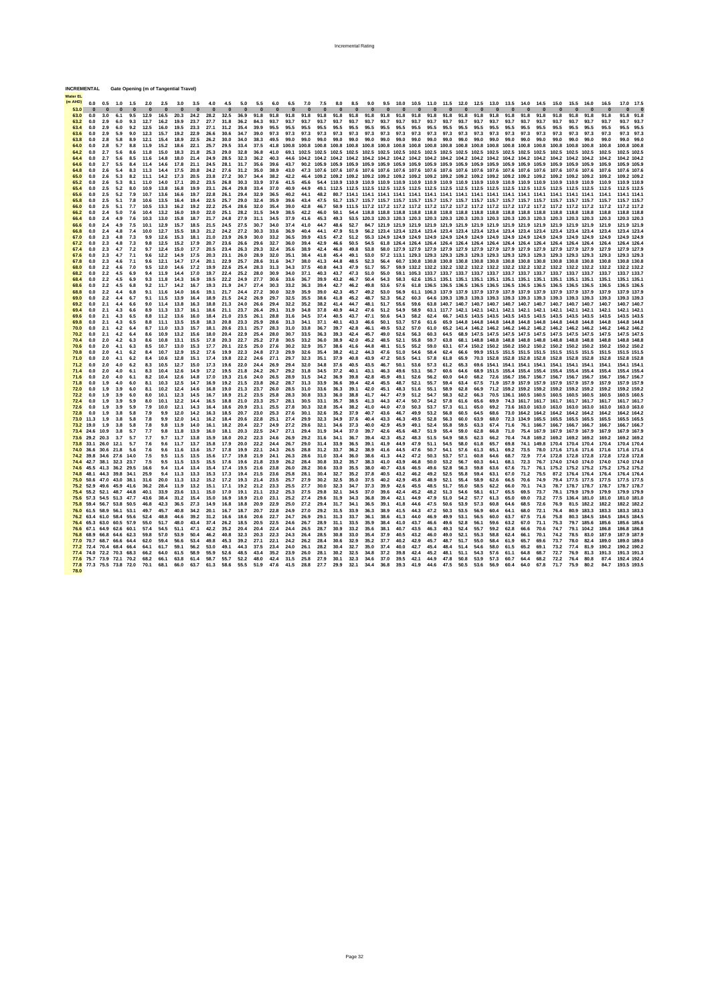| <b>Water FL</b> |                                                           |                     |                 |                 |                 |                 |                 |                 |                 |                 |              |                 |                 |                 |                   |                   |                 |                 |                 |                 |              |              |              |              |              |                                                                              |              |              |                  |                  |                  |                                                                                                                                                                                                                                             |                  |                      |                              |
|-----------------|-----------------------------------------------------------|---------------------|-----------------|-----------------|-----------------|-----------------|-----------------|-----------------|-----------------|-----------------|--------------|-----------------|-----------------|-----------------|-------------------|-------------------|-----------------|-----------------|-----------------|-----------------|--------------|--------------|--------------|--------------|--------------|------------------------------------------------------------------------------|--------------|--------------|------------------|------------------|------------------|---------------------------------------------------------------------------------------------------------------------------------------------------------------------------------------------------------------------------------------------|------------------|----------------------|------------------------------|
| (m AHD)<br>53.0 | 0.0                                                       | 0.5<br>$\Omega$     | 1.0<br>$\Omega$ | 1.5<br>$\Omega$ | 2.0<br>$\Omega$ | 2.5<br>$\Omega$ | 3.0<br>$\Omega$ | 3.5<br>$\Omega$ | 4.0<br>$\Omega$ | 4.5<br>$\Omega$ | 5.0<br>n     | 5.5<br>$\Omega$ | 6.0<br>$\Omega$ | 6.5<br>$\Omega$ | 7.0<br>$\Omega$   | 7.5<br>$\Omega$   | 8.0<br>$\Omega$ | 8.5<br>$\Omega$ | 9.0<br>$\Omega$ | 9.5<br>$\Omega$ | $\Omega$     | $\Omega$     | $\Omega$     | $\Omega$     | $\Omega$     | 10.0 10.5 11.0 11.5 12.0 12.5 13.0 13.5<br>$\Omega$                          | $\Omega$     | $\Omega$     | 14.0<br>$\Omega$ | 14.5<br>$\Omega$ | 15.0<br>$\Omega$ | 15.5<br>$\Omega$                                                                                                                                                                                                                            | 16.0<br>$\Omega$ | 16.5                 | 17.0<br>17.5                 |
| 63.0            | 0.0                                                       | 3.0                 | 6.1             | 9.5             | 12.9            | 16.5            | 20.3            | 24.2            | 28.2            | 32.5            | 36.9         | 91.8            | 91.8            | 91.8            | 91.8              | 91.8              | 91.8            | 91.8            | 91.8            | 91.8            | 91.8         | 91.8         | 91.8         | 91.8         | 91.8         | 91.8                                                                         | 91.8         | 91.8         | 91.8             | 91.8             | 91.8             | 91.8                                                                                                                                                                                                                                        | 91.8             | 91.8                 | 91.8<br>91.8                 |
| 63.2            | 0.0                                                       | 2.9                 | 6.0             | 9.3             | 12.7            | 16.2            | 19.9            | 23.7            | 27.7            | 31.8            | 36.2         | 84.3            | 93.7            | 93.7            | 93.7              | 93.7              | 93.7            | 93.7            | 93.7            | 93.7            | 93.7         | 93.7         | 93.7         | 93.7         | 93.7         | 93.7                                                                         | 93.7         | 93.7         | 93.7             | 93.7             | 93.7             | 93.7                                                                                                                                                                                                                                        | 93.7             | 93.7                 | 93.7<br>93.                  |
| 63.4<br>63.6    | 0.0<br>0.0                                                | 2.9<br>2.9          | 6.0<br>5.9      | 9.2<br>9.0      | 12.5<br>12.3    | 16.0<br>15.7    | 19.5<br>19.2    | 23.3<br>22.9    | 27.1<br>26.6    | 31.2<br>30.6    | 35.4<br>34.7 | 39.9<br>39.0    | 95.5<br>97.3    | 95.5<br>97.3    | 95.5<br>97.3      | 95.5<br>97.3      | 95.5<br>97.3    | 95.5<br>97.3    | 95.5<br>97.3    | 95.5<br>97.3    | 95.5<br>97.3 | 95.5<br>97.3 | 95.5<br>97.3 | 95.5<br>97.3 | 95.5<br>97.3 | 95.5<br>97.3                                                                 | 95.5<br>97.3 | 95.5<br>97.3 | 95.5<br>97.3     | 95.5<br>97.3     | 95.5<br>97.3     | 95.5<br>97.3                                                                                                                                                                                                                                | 95.5<br>97.3     | 95.5<br>97.3         | 95.5<br>95.5<br>97.3<br>97.3 |
| 63.8            | 0.0                                                       | 2.8                 | 5.8             | 8.9             | 12.1            | 15.4            | 18.9            | 22.5            | 26.2            | 30.0            | 34.0         | 38.3            | 49.5            | 99.0            | 99.0              | 99.0              | 99.0            | 99.0            | 99.0            | 99.0            | 99.0 99.0    |              | 99.0         | 99.0 99.0    |              | 99.0                                                                         | 99.0         | 99.0         | 99.0             | 99.0             | 99.0             | 99.0                                                                                                                                                                                                                                        | 99.0             | 99.0                 | 99.0<br>99.0                 |
| 64.0            | 0.0                                                       | 2.8                 | 5.7             | 8.8             | 11.9            | 15.2            | 18.6            | 22.1            | 25.7            | 29.5            | 33.4         | 37.5            | 41.8            | 100.8           | 100.8             | 100.8             | 100.8           | 100.8           |                 |                 |              |              |              |              |              | 100.8 100.8 100.8 100.8 100.8 100.8 100.8 100.8 100.8 100.8 100.8 100.8      |              |              |                  |                  |                  | 100.8 100.8 100.8                                                                                                                                                                                                                           |                  | 100.8                | 100.8 100.8                  |
| 64.2<br>64.4    | 0.0<br>0.0                                                | 2.7<br>2.7          | 5.6<br>5.6      | 8.6<br>8.5      | 11.8<br>11.6    | 15.0<br>14.8    | 18.3<br>18.0    | 21.8<br>21.4    | 25.3<br>24.9    | 29.0<br>28.5    | 32.8<br>32.3 | 36.8<br>36.2    | 41.0<br>40.3    | 69.1            |                   |                   |                 |                 |                 |                 |              |              |              |              |              |                                                                              |              |              |                  |                  |                  | 102.5 102.5 102.5 102.5 102.5 102.5 102.5 102.5 102.5 102.5 102.5 102.5 102.5 102.5 102.5 102.5 102.5 102.5 102.5<br>44.6 104.2 104.2 104.2 104.2 104.2 104.2 104.2 104.2 104.2 104.2 104.2 104.2 104.2 104.2 104.2 104.2 104.2 104.2 104.2 |                  | 102.5<br>104.2       | 102.5 102.5<br>104.2 104.2   |
| 64.6            | 0.0                                                       | 2.7                 | 5.5             | 8.4             | 11.4            | 14.6            | 17.8            | 21.1            | 24.5            | 28.1            | 31.7         | 35.6            | 39.6            | 43.7            |                   |                   |                 |                 |                 |                 |              |              |              |              |              |                                                                              |              |              |                  |                  |                  | 90.2 105.9 105.9 105.9 105.9 105.9 105.9 105.9 105.9 105.9 105.9 105.9 105.9 105.9 105.9 105.9 105.9 105.9 105.9                                                                                                                            |                  | 105.9                | 105.9 105.9                  |
| 64.8            | 0.0                                                       | 2.6                 | 5.4             | 8.3             | 11.3            | 14.4            | 17.5            | 20.8            | 24.2            | 27.6            | 31.2         | 35.0            | 38.9            | 43.0            |                   |                   |                 |                 |                 |                 |              |              |              |              |              |                                                                              |              |              |                  |                  |                  | 47.3 107.6 107.6 107.6 107.6 107.6 107.6 107.6 107.6 107.6 107.6 107.6 107.6 107.6 107.6 107.6 107.6 107.6 107.6                                                                                                                            |                  | 107.6                | 107.6 107.6                  |
| 65.0<br>65.2    | 0.0<br>0.0                                                | 2.6<br>2.6          | 5.3<br>5.3      | 8.2<br>8.1      | 11.1<br>11.0    | 14.2<br>14.0    | 17.3<br>17.1    | 20.5<br>20.2    | 23.8<br>23.5    | 27.2<br>26.8    | 30.7<br>30.3 | 34.4<br>33.9    | 38.2<br>37.6    | 42.2<br>41.5    | 45.6              |                   |                 |                 |                 |                 |              |              |              |              |              |                                                                              |              |              |                  |                  |                  | 46.4 109.2 109.2 109.2 109.2 109.2 109.2 109.2 109.2 109.2 109.2 109.2 109.2 109.2 109.2 109.2 109.2 109.2 109.2<br>54.4 110.9 110.9 110.9 110.9 110.9 110.9 110.9 110.9 110.9 110.9 110.9 110.9 110.9 110.9 110.9 110.9 110.9              |                  | 109.2<br>110.9       | 109.2 109.2<br>110.9 110.9   |
| 65.4            | 0.0                                                       | 2.5                 | 5.2             | 8.0             | 10.9            | 13.8            | 16.8            | 19.9            | 23.1            | 26.4            | 29.8         | 33.4            | 37.0            | 40.9            | 44.9              |                   |                 |                 |                 |                 |              |              |              |              |              |                                                                              |              |              |                  |                  |                  | 49.1 112.5 112.5 112.5 112.5 112.5 112.5 112.5 112.5 112.5 112.5 112.5 112.5 112.5 112.5 112.5 112.5 112.5 112.5                                                                                                                            |                  |                      | 112.5 112.5                  |
| 65.6            | 0.0                                                       | 2.5                 | 5.2             | 7.9             | 10.7            | 13.6            | 16.6            | 19.7            | 22.8            | 26.1            | 29.4         | 32.9            | 36.5            | 40.2            | 44.1              | 48.2              |                 |                 |                 |                 |              |              |              |              |              |                                                                              |              |              |                  |                  |                  | 80.7 114.1 114.1 114.1 114.1 114.1 114.1 114.1 114.1 114.1 114.1 114.1 114.1 114.1 114.1 114.1 114.1 114.1                                                                                                                                  |                  | 114.1                | 114.1 114.1                  |
| 65.8            | 0.0                                                       | 2.5                 | 5.1             | 7.8             | 10.6            | 13.5            | 16.4            | 19.4            | 22.5            | 25.7            | 29.0         | 32.4            | 35.9            | 39.6            | 43.4              | 47.5              |                 |                 |                 |                 |              |              |              |              |              |                                                                              |              |              |                  |                  |                  | 51.7 115.7 115.7 115.7 115.7 115.7 115.7 115.7 115.7 115.7 115.7 115.7 115.7 115.7 115.7 115.7 115.7                                                                                                                                        |                  | 115.7<br>117.2       | 115.7 115.7<br>117.2 117.2   |
| 66.0<br>66.2    | 0.0<br>0.0                                                | 2.5<br>2.4          | 5.1<br>5.0      | 7.7<br>7.6      | 10.5<br>10.4    | 13.3<br>13.2    | 16.2<br>16.0    | 19.2<br>19.0    | 22.2<br>22.0    | 25.4<br>25.1    | 28.6<br>28.2 | 32.0<br>31.5    | 35.4<br>34.9    | 39.0<br>38.5    | 42.8<br>42.2      | 46.7<br>46.0      | 50.1            |                 |                 |                 |              |              |              |              |              | 54.4 118.8 118.8 118.8 118.8 118.8 118.8 118.8 118.8 118.8 118.8 118.8 118.8 |              |              |                  |                  |                  | 50.9 111.5 117.2 117.2 117.2 117.2 117.2 117.2 117.2 117.2 117.2 117.2 117.2 117.2 117.2 117.2 117.2<br>118.8 118.8 118.8                                                                                                                   |                  | 118.8                | 118.8 118.8                  |
| 66.4            | 0.0                                                       | 2.4                 | 4.9             | 7.6             | 10.3            | 13.0            | 15.8            | 18.7            | 21.7            | 24.8            | 27.9         | 31.1            | 34.5            | 37.9            | 41.6              | 45.3              | 49.3            |                 |                 |                 |              |              |              |              |              |                                                                              |              |              |                  |                  |                  | 53.5 120.3 120.3 120.3 120.3 120.3 120.3 120.3 120.3 120.3 120.3 120.3 120.3 120.3 120.3 120.3                                                                                                                                              |                  | 120.3                | 120.3 120.3                  |
| 66.6            | 0.0                                                       | 2.4                 | 4.9             | 7.5             | 10.1            | 12.9            | 15.7            | 18.5            | 21.5            | 24.5            | 27.5         | 30.7            | 34.0            | 37.4            | 41.0              | 44.7              | 48.6            | 52.7            |                 |                 |              |              |              |              |              | 84.7 121.9 121.9 121.9 121.9 121.9 121.9 121.9 121.9 121.9 121.9 121.9 121.9 |              |              |                  |                  |                  | 121.9 121.9 121.9                                                                                                                                                                                                                           |                  | 121.9                | 121.9 121.9                  |
| 66.8<br>67.0    | 0.0<br>0.0                                                | 2.4<br>2.3          | 4.8<br>4.8      | 7.4<br>7.3      | 10.0<br>9.9     | 12.7<br>12.6    | 15.5<br>15.3    | 18.3<br>18.1    | 21.2<br>21.0    | 24.2<br>23.9    | 27.2<br>26.9 | 30.3<br>30.0    | 33.6<br>33.2    | 36.9<br>36.5    | 40.4<br>39.9      | 44.1<br>43.5      | 47.9<br>47.2    | 51.9<br>51.2    |                 |                 |              |              |              |              |              | 56.2 123.4 123.4 123.4 123.4 123.4 123.4 123.4 123.4 123.4 123.4 123.4       |              |              |                  |                  |                  | 123.4 123.4 123.4<br>55.3 124.9 124.9 124.9 124.9 124.9 124.9 124.9 124.9 124.9 124.9 124.9 124.9 124.9 124.9                                                                                                                               |                  | 123.4<br>124.9       | 123.4 123.4<br>124.9 124.9   |
| 67.2            | 0.0                                                       | 2.3                 | 4.8             | 7.3             | 9.8             | 12.5            | 15.2            | 17.9            | 20.7            | 23.6            | 26.6         | 29.6            | 32.7            | 36.0            | 39.4              | 42.9              | 46.6            | 50.5            | 545             |                 |              |              |              |              |              |                                                                              |              |              |                  |                  |                  | 61.8 126.4 126.4 126.4 126.4 126.4 126.4 126.4 126.4 126.4 126.4 126.4 126.4 126.4                                                                                                                                                          |                  | 126.4                | 126.4 126.4                  |
| 67.4            | 0.0                                                       | 2.3                 | 4.7             | 7.2             | 9.7             | 12.4            | 15.0            | 17.7            | 20.5            | 23.4            | 26.3         | 29.3            | 32.4            | 35.6            | 38.9              | 42.4              | 46.0            | 49.8            | 53.8            |                 |              |              |              |              |              |                                                                              |              |              |                  |                  |                  | 58.0 127.9 127.9 127.9 127.9 127.9 127.9 127.9 127.9 127.9 127.9 127.9 127.9 127.9                                                                                                                                                          |                  | 127.9                | 127.9 127.9                  |
| 67.6<br>67.8    | 0.0<br>0.0                                                | 2.3<br>2.3          | 4.7<br>4.6      | 7.1<br>7.1      | 9.6<br>9.6      | 12.2<br>12.1    | 14.9<br>14.7    | 17.5<br>17.4    | 20.3<br>20.1    | 23.1<br>22.9    | 26.0<br>25.7 | 28.9<br>28.6    | 32.0<br>31.6    | 35.1<br>34.7    | 38.4<br>38.0      | 41.8<br>41.3      | 45.4<br>44.8    | 49.1<br>48.5    | 53.0<br>52.3    |                 |              |              |              |              |              |                                                                              |              |              |                  |                  |                  | 57.2 113.1 129.3 129.3 129.3 129.3 129.3 129.3 129.3 129.3 129.3 129.3 129.3 129.3<br>56.4 60.7 130.8 130.8 130.8 130.8 130.8 130.8 130.8 130.8 130.8 130.8 130.8 130.8                                                                     |                  | 129.3<br>130.8       | 129.3 129.3<br>130.8 130.8   |
| 68.0            | 0.0                                                       | 2.2                 | 4.6             | 7.0             | 9.5             | 12.0            | 14.6            | 17.2            | 19.9            | 22.6            | 25.4         | 28.3            | 31.3            | 34.3            | 37.5              | 40.8              | 44.3            | 47.9            | 51.7            | 55.7            |              |              |              |              |              |                                                                              |              |              |                  |                  |                  | 59.9 132.2 132.2 132.2 132.2 132.2 132.2 132.2 132.2 132.2 132.2 132.2 132.2 132.2                                                                                                                                                          |                  |                      | 132.2 132.2                  |
| 68.2<br>68.4    | 0.0<br>0.0                                                | 2.2<br>2.2          | 4.5<br>4.5      | 6.9<br>6.9      | 9.4<br>9.3      | 11.9<br>11.8    | 14.4<br>14.3    | 17.0<br>16.9    | 19.7<br>19.5    | 22.4<br>22.2    | 25.2<br>24.9 | 28.0<br>27.7    | 30.9<br>30.6    | 34.0<br>33.6    | 37.1<br>36.7      | 40.3<br>39.9      | 43.7<br>43.2    | 47.3<br>46.7    | 51.0<br>50.4    | 55.0<br>54.3    | 58.3         |              |              |              |              |                                                                              |              |              |                  |                  |                  | 59.1 105.3 133.7 133.7 133.7 133.7 133.7 133.7 133.7 133.7 133.7 133.7 133.7 133.7<br>62.6 135.1 135.1 135.1 135.1 135.1 135.1 135.1 135.1 135.1 135.1 135.1 135.1                                                                          |                  | 135.1                | 133.7 133.7<br>135.1 135.1   |
| 68.6            | 0.0                                                       | 2.2                 | 4.5             | 6.8             | 9.2             | 11.7            | 14.2            | 16.7            | 19.3            | 21.9            | 24.7         | 27.4            | 30.3            | 33.2            | 36.3              | 39.4              | 42.7            | 46.2            | 49.8            | 53.6            | 57.6         |              |              |              |              |                                                                              |              |              |                  |                  |                  | 61.8 136.5 136.5 136.5 136.5 136.5 136.5 136.5 136.5 136.5 136.5 136.5                                                                                                                                                                      |                  | 136.5                | 136.5 136.5                  |
| 68.8            | 0.0                                                       | 2.2                 | 4.4             | 6.8             | 9.1             | 11.6            | 14.0            | 16.6            | 19.1            | 21.7            | 24.4         | 27.2            | 30.0            | 32.9            | 35.9              | 39.0              | 42.3            | 45.7            | 49.2            | 53.0            | 56.9         |              |              |              |              |                                                                              |              |              |                  |                  |                  | 61.1 106.3 137.9 137.9 137.9 137.9 137.9 137.9 137.9 137.9 137.9 137.9                                                                                                                                                                      |                  | 137.9                | 137.9 137.9                  |
| 69.0<br>69.2    | 0.0<br>0.0                                                | 2.2<br>2.1          | 4.4<br>4.4      | 6.7<br>6.6      | 9.1<br>9.0      | 11.5<br>11.4    | 13.9<br>13.8    | 16.4<br>16.3    | 18.9<br>18.8    | 21.5<br>21.3    | 24.2<br>24.0 | 26.9<br>26.6    | 29.7<br>29.4    | 32.5<br>32.2    | 35.5<br>35.2      | 38.6<br>38.2      | 41.8<br>41.4    | 45.2<br>44.7    | 48.7<br>48.1    | 52.3<br>51.7    | 56.2<br>55.6 | 60.3<br>59.6 |              |              |              |                                                                              |              |              |                  |                  |                  | 64.6 139.3 139.3 139.3 139.3 139.3 139.3 139.3 139.3 139.3 139.3<br>63.8 140.7 140.7 140.7 140.7 140.7 140.7 140.7 140.7 140.7 140.7 140.7                                                                                                  |                  | 139.3<br>140.7       | 139.3 139.3<br>140.7 140.7   |
| 69.4            | 0.0                                                       | 2.1                 | 4.3             | 6.6             | 8.9             | 11.3            | 13.7            | 16.1            | 18.6            | 21.1            | 23.7         | 26.4            | 29.1            | 31.9            | 34.8              | 37.8              | 40.9            | 44.2            | 47.6            | 51.2            | 54.9         | 58.9         |              |              |              | 63.1 117.7 142.1 142.1 142.1 142.1 142.1 142.1                               |              |              |                  |                  |                  | 142.1 142.1 142.1                                                                                                                                                                                                                           |                  | 142.1                | 142.1 142.1                  |
| 69.6            | 0.0                                                       | 2.1                 | 4.3             | 6.5             | 8.8             | 11.2            | 13.6            | 16.0            | 18.4            | 21.0            | 23.5         | 26.1            | 28.8            | 31.6            | 34.5              | 37.4              | 40.5            | 43.7            | 47.1            | 50.6            | 54.3         | 58.2         | 62.4         |              |              |                                                                              |              |              |                  |                  |                  | 66.7 143.5 143.5 143.5 143.5 143.5 143.5 143.5 143.5 143.5                                                                                                                                                                                  |                  | 143.5                | 143.5 143.5                  |
| 69.8<br>70.0    | 0.0<br>0.0                                                | 2.1<br>2.1          | 4.3<br>4.2      | 6.5<br>6.4      | 8.8<br>8.7      | 11.1<br>11.0    | 13.5<br>13.3    | 15.8<br>15.7    | 18.3<br>18.1    | 20.8<br>20.6    | 23.3<br>23.1 | 25.9<br>25.7    | 28.6<br>28.3    | 31.3<br>31.0    | 34.1<br>33.8      | 37.1<br>36.7      | 40.1<br>39.7    | 43.3<br>42.8    | 46.6<br>46.1    | 50.1<br>49.5    | 53.7<br>53.2 | 57.6<br>57.0 | 61.6<br>61.0 |              |              | 65.9 144.8 144.8 144.8 144.8 144.8 144.8                                     |              |              |                  |                  |                  | 144.8 144.8 144.8<br>65.2 141.4 146.2 146.2 146.2 146.2 146.2 146.2 146.2 146.2                                                                                                                                                             |                  | 144.8<br>146.2       | 144.8 144.8<br>146.2 146.2   |
| 70.2            | 0.0                                                       | 2.1                 | 4.2             | 6.4             | 8.6             | 10.9            | 13.2            | 15.6            | 18.0            | 20.4            | 22.9         | 25.4            | 28.0            | 30.7            | 33.5              | 36.3              | 39.3            | 42.4            | 45.7            | 49.0            | 52.6         | 56.3         | 60.3         | 64.5         |              | 68.9 147.5 147.5 147.5 147.5 147.5                                           |              |              |                  |                  |                  | 147.5 147.5 147.5                                                                                                                                                                                                                           |                  | 147.5                | 147.5 147.5                  |
| 70.4            | 0.0                                                       | 2.0                 | 4.2             | 6.3             | 8.6             | 10.8            | 13.1            | 15.5            | 17.8            | 20.3            | 22.7         | 25.2            | 27.8            | 30.5            | 33.2              | 36.0              | 38.9            | 42.0            | 45.2            | 48.5            | 52.1         | 55.8         | 59.7         | 63.8         |              |                                                                              |              |              |                  |                  |                  | 68.1 148.8 148.8 148.8 148.8 148.8 148.8 148.8 148.8                                                                                                                                                                                        |                  | 148.8                | 148.8 148.8                  |
| 70.6<br>70.8    | 0.0<br>0.0                                                | 2.0<br>2.0          | 4.1<br>4.1      | 6.3<br>6.2      | 8.5<br>8.4      | 10.7<br>10.7    | 13.0<br>12.9    | 15.3<br>15.2    | 17.7<br>17.6    | 20.1<br>19.9    | 22.5<br>22.3 | 25.0<br>24.8    | 27.6<br>27.3    | 30.2<br>29.9    | 32.9<br>32.6      | 35.7<br>35.4      | 38.6<br>38.2    | 41.6<br>41.2    | 44.8<br>44.3    | 48.1<br>47.6    | 51.5<br>51.0 | 55.2<br>54.6 | 59.0<br>58.4 | 63.1<br>62.4 |              |                                                                              |              |              |                  |                  |                  | 67.4 150.2 150.2 150.2 150.2 150.2 150.2 150.2 150.2<br>66.6 99.9 151.5 151.5 151.5 151.5 151.5 151.5 151.5                                                                                                                                 |                  | 150.2<br>151.5       | 150.2 150.2<br>151.5 151.5   |
| 71.0            | 0.0                                                       | 2.0                 | 4.1             | 6.2             | 8.4             | 10.6            | 12.8            | 15.1            | 17.4            | 19.8            | 22.2         | 24.6            | 27.1            | 29.7            | 32.3              | 35.1              | 37.9            | 40.8            | 43.9            | 47.2            | 50.5         | 54.1         | 57.8         | 61.8         | 65.9         |                                                                              |              |              |                  |                  |                  | 70.3 152.8 152.8 152.8 152.8 152.8 152.8 152.8                                                                                                                                                                                              |                  | 152.8                | 152.8 152.8                  |
| 71.2            | 0.0                                                       | 2.0                 | 4.0             | 6.2             | 8.3             | 10.5            | 12.7            | 15.0            | 17.3            | 19.6            | 22.0         | 24.4            | 26.9            | 29.4            | 32.0              | 34.8              | 37.6            | 40.5            | 43.5            | 46.7            | 50.1         | 53.6         | 57.3         | 61.2         | 65.3         |                                                                              |              |              |                  |                  |                  | 69.6 154.1 154.1 154.1 154.1 154.1 154.1 154.1 154.1                                                                                                                                                                                        |                  |                      | 154.1 154.1                  |
| 71.4<br>71.6    | 0.0<br>0.0                                                | 2.0<br>2.0          | 4.0<br>4.0      | 6.1<br>6.1      | 8.3<br>8.2      | 10.4<br>10.4    | 12.6<br>12.6    | 14.9<br>14.8    | 17.2<br>17.0    | 19.5<br>19.3    | 21.8<br>21.6 | 24.2<br>24.0    | 26.7<br>26.5    | 29.2<br>28.9    | 31.8<br>31.5      | 34.5<br>34.2      | 37.2<br>36.9    | 40.1<br>39.8    | 43.1<br>42.8    | 46.3<br>45.9    | 49.6<br>49.1 | 53.1<br>52.6 | 56.7<br>56.2 | 60.6<br>60.0 | 64.6<br>64.0 |                                                                              |              |              |                  |                  |                  | 68.9 151.5 155.4 155.4 155.4 155.4 155.4 155.4<br>68.2 72.6 156.7 156.7 156.7 156.7 156.7 156.7 156.7                                                                                                                                       |                  | 155.4<br>156.7       | 155.4 155.4<br>156.7 156.7   |
| 71.8            | 0.0                                                       | 1.9                 | 4.0             | 6.0             | 8.1             | 10.3            | 12.5            | 14.7            | 16.9            | 19.2            | 21.5         | 23.8            | 26.2            | 28.7            | 31.3              | 33.9              | 36.6            | 39.4            | 42.4            | 45.5            | 48.7         | 52.1         | 55.7         | 59.4         | 63.4         | 67.5                                                                         |              |              |                  |                  |                  | 71.9 157.9 157.9 157.9 157.9 157.9 157.9                                                                                                                                                                                                    |                  | 157.9                | 157.9 157.9                  |
| 72.0            | 0.0                                                       | 1.9                 | 3.9             | 6.0             | 8.1             | 10.2            | 12.4            | 14.6            | 16.8            | 19.0            | 21.3         | 23.7            | 26.0            | 28.5            | 31.0              | 33.6              | 36.3            | 39.1            | 42.0            | 45.1            | 48.3         | 51.6         | 55.1         | 58.9         | 62.8         | 66.9                                                                         |              |              |                  |                  |                  | 71.2 159.2 159.2 159.2 159.2 159.2 159.2                                                                                                                                                                                                    |                  | 159.2                | 159.2 159.2                  |
| 72.2<br>72.4    | 0.0<br>0.0                                                | 1.9<br>1.9          | 3.9<br>3.9      | 6.0<br>5.9      | 8.0<br>8.0      | 10.1<br>10.1    | 12.3<br>12.2    | 14.5<br>14.4    | 16.7<br>16.5    | 18.9<br>18.8    | 21.2<br>21.0 | 23.5<br>23.3    | 25.8<br>25.7    | 28.3<br>28.1    | 30.8<br>30.5      | 33.3<br>33.1      | 36.0<br>35.7    | 38.8<br>38.5    | 41.7<br>41.3    | 44.7<br>44.3    | 47.9<br>47.4 | 51.2<br>50.7 | 54.7<br>54.2 | 58.3<br>57.8 | 62.2<br>61.6 | 66.3<br>65.6                                                                 | 69.9         |              |                  |                  |                  | 70.5 136.1 160.5 160.5 160.5 160.5 160.5<br>74.3 161.7 161.7 161.7 161.7 161.7                                                                                                                                                              |                  | 160.5<br>161.7       | 160.5 160.5<br>161.7 161.7   |
| 72.6            | 0.0                                                       | 1.9                 | 3.9             | 5.9             | 7.9             | 10.0            | 12.1            | 14.3            | 16.4            | 18.6            | 20.9         | 23.1            | 25.5            | 27.8            | 30.3              | 32.8              | 35.4            | 38.2            | 41.0            | 44.0            | 47.0         | 50.3         | 53.7         | 57.3         | 61.1         | 65.0                                                                         | 69.2         |              |                  |                  |                  | 73.6 163.0 163.0 163.0 163.0 163.0                                                                                                                                                                                                          |                  | 163.0                | 163.0 163.0                  |
| 72.8            | 0.0                                                       | 1.9                 | 3.8             | 5.8             | 7.9             | 9.9             | 12.0            | 14.2            | 16.3            | 18.5            | 20.7         | 23.0            | 25.3            | 27.6            | 30.1              | 32.6              | 35.2            | 37.9            | 40.7            | 43.6            | 46.7         | 49.9         | 53.2         | 56.8         | 60.5         | 64.5                                                                         | 68.6         |              | 73.0 164.2 164.2 |                  |                  | 164.2 164.2 164.2                                                                                                                                                                                                                           |                  | 164.2                | 164.2 164.2                  |
|                 | 73.0 11.3<br>73.2 19.0                                    | 1.9<br>1.9          | 3.8<br>3.8      | 5.8<br>5.8      | 7.8<br>7.8      | 9.9<br>9.8      | 12.0<br>11.9    | 14.1<br>14.0    | 16.2<br>16.1    | 18.4<br>18.2    | 20.6<br>20.4 | 22.8<br>22.7    | 25.1<br>24.9    | 27.4<br>27.2    | 29.9<br>29.6      | 32.3<br>32.1      | 34.9<br>34.6    | 37.6<br>37.3    | 40.4<br>40.0    | 43.3<br>42.9    | 46.3<br>45.9 | 49.5<br>49.1 | 52.8<br>52.4 | 56.3<br>55.8 | 60.0<br>59.5 | 63.9<br>63.3                                                                 | 68.0<br>67.4 | 71.6         | 76.1 166.7       |                  |                  | 72.3 134.9 165.5 165.5 165.5 165.5<br>166.7 166.7 166.7                                                                                                                                                                                     |                  | 165.5<br>166.7       | 165.5 165.5<br>166.7 166.7   |
|                 | 73.4 24.6 10.9                                            |                     | 3.8             | 5.7             | 7.7             | 9.8             | 11.8            | 13.9            | 16.0            | 18.1            | 20.3         | 22.5            | 24.7            | 27.1            | 29.4              | 31.9              | 34.4            | 37.0            | 39.7            | 42.6            | 45.6         | 48.7         | 51.9         | 55.4         | 59.0         | 62.8                                                                         | 66.8         | 71.0         |                  | 75.4 167.9       |                  | 167.9 167.9 167.9                                                                                                                                                                                                                           |                  | 167.9                | 167.9 167.9                  |
|                 | 73.6 29.2 20.3<br>73.8 33.1 26.0                          |                     | 3.7<br>12.1     | 5.7<br>5.7      | 7.7<br>7.6      | 9.7<br>9.6      | 11.7<br>11.7    | 13.8<br>13.7    | 15.9<br>15.8    | 18.0<br>17.9    | 20.2<br>20.0 | 22.3<br>22.2    | 24.6<br>24.4    | 26.9<br>26.7    | 29.2<br>29.0      | 31.6<br>31.4      | 34.1<br>33.9    | 36.7<br>36.5    | 39.4<br>39.1    | 42.3<br>41.9    | 45.2<br>44.9 | 48.3<br>47.9 | 51.5<br>51.1 | 54.9<br>54.5 | 58.5<br>58.0 | 62.3<br>61.8                                                                 | 66.2<br>65.7 | 70.4<br>69.8 | 74.8<br>74.1     | 169.2<br>149.8   |                  | 169.2 169.2 169.2<br>170.4 170.4 170.4                                                                                                                                                                                                      |                  | 169.2<br>170.4       | 169.2 169.2<br>170.4 170.4   |
|                 | 74.0 36.6 30.6 21.8                                       |                     |                 | 5.6             | 7.6             | 9.6             | 11.6            | 13.6            | 15.7            | 17.8            | 19.9         | 22.1            | 24.3            | 26.5            | 28.8              | 31.2              | 33.7            | 36.2            | 38.9            | 41.6            | 44.5         | 47.6         | 50.7         | 54.1         | 57.6         | 61.3                                                                         | 65.1         | 69.2         | 73.5             |                  |                  | 78.0 171.6 171.6 171.6                                                                                                                                                                                                                      |                  | 171.6                | 171.6 171.6                  |
|                 | 74.2 39.8 34.6 27.6 14.0                                  |                     |                 |                 | 7.5             | 9.5             | 11.5            | 13.5            | 15.6            | 17.7            | 19.8         | 21.9            | 24.1            | 26.3            | 28.6              | 31.0              | 33.4            | 36.0            | 38.6            | 41.3            | 44.2         | 47.2         | 50.3         | 53.7         | 57.1         | 60.8                                                                         | 64.6         | 68.7         | 72.9             |                  |                  | 77.4 172.8 172.8 172.8                                                                                                                                                                                                                      |                  | 172.8                | 172.8 172.8                  |
|                 | 74.4 42.7 38.1 32.3 23.7<br>74.6 45.5 41.3 36.2 29.5      |                     |                 |                 | 7.5<br>16.6     | 9.5<br>9.4      | 11.5<br>11.4    | 13.5<br>13.4    | 15.5<br>15.4    | 17.6<br>17.4    | 19.6<br>19.5 | 21.8<br>21.6    | 23.9<br>23.8    | 26.2<br>26.0    | 28.4<br>28.2      | 30.8<br>30.6      | 33.2<br>33.0    | 35.7<br>35.5    | 38.3<br>38.0    | 41.0<br>40.7    | 43.9<br>43.6 | 46.8<br>46.5 | 50.0<br>49.6 | 53.2<br>52.8 | 56.7<br>56.3 | 60.3<br>59.8                                                                 | 64.1<br>63.6 | 68.1<br>67.6 | 72.3<br>71.7     | 76.7<br>76.1     |                  | 174.0 174.0 174.0<br>175.2 175.2 175.2                                                                                                                                                                                                      |                  | 174.0<br>175.2       | 174.0 174.0<br>175.2 175.2   |
|                 | 74.8 48.1 44.3 39.8 34.1                                  |                     |                 |                 | 25.9            | 9.4             | 11.3            | 13.3            | 15.3            | 17.3            | 19.4         | 21.5            | 23.6            | 25.8            | 28.1              | 30.4              | 32.7            | 35.2            | 37.8            | 40.5            | 43.2         | 46.2         | 49.2         | 52.5         | 55.8         | 59.4                                                                         | 63.1         | 67.0         | 71.2             | 75.5             |                  | 87.2 176.4 176.4                                                                                                                                                                                                                            |                  | 176.4                | 176.4 176.4                  |
|                 | 75.0 50.6 47.0 43.0 38.1                                  |                     |                 |                 | 31.6            | 20.0            | 11.3            | 13.2            | 15.2            | 17.2            | 19.3         | 21.4            | 23.5            | 25.7            | 27.9              | 30.2              | 32.5            | 35.0            | 37.5            | 40.2            | 42.9         | 45.8         | 48.9         | 52.1         | 55.4         | 58.9                                                                         | 62.6         | 66.5         | 70.6             | 74.9             |                  | 79.4 177.5 177.5 177.5                                                                                                                                                                                                                      |                  |                      | 177.5 177.5                  |
|                 | 75.2 52.9 49.6 45.9 41.6<br>75.4 55.2 52.1 48.7 44.8      |                     |                 |                 | 36.2<br>40.1    | 28.4<br>33.9    | 11.9<br>23.6    | 13.2<br>13.1    | 15.1<br>15.0    | 17.1<br>17.0    | 19.2<br>19.1 | 21.2<br>21.1    | 23.3<br>23.2    | 25.5<br>25.3    | 27.7<br>27.5      | 30.0<br>29.8      | 32.3<br>32.1    | 34.7<br>34.5    | 37.3<br>37.0    | 39.9<br>39.6    | 42.6<br>42.4 | 45.5<br>45.2 | 48.5<br>48.2 | 51.7<br>51.3 | 55.0<br>54.6 | 58.5<br>58.1                                                                 | 62.2<br>61.7 | 66.0<br>65.5 | 70.1<br>69.5     | 74.3<br>73.7     |                  | 78.7 178.7 178.7 178.7<br>78.1 179.9 179.9                                                                                                                                                                                                  |                  | 179.9                | 178.7 178.7<br>179.9 179.9   |
|                 | 75.6 57.3 54.5 51.3 47.7                                  |                     |                 |                 | 43.6            | 38.4            | 31.2            | 15.4            | 15.0            | 16.9            | 18.9         | 21.0            | 23.1            | 25.2            | 27.4              | 29.6              | 31.9            | 34.3            | 36.8            | 39.4            | 42.1         | 44.9         | 47.9         | 51.0         | 54.2         | 57.7                                                                         | 61.3         | 65.0         | 69.0             | 73.2             |                  | 77.5 136.4 181.0                                                                                                                                                                                                                            |                  | 181.0                | 181.0 181.0                  |
|                 | 75.8 59.4 56.7 53.8 50.5                                  |                     |                 |                 | 46.8            | 42.3            | 36.5            | 27.3            | 14.9            | 16.8            | 18.8         | 20.9            | 22.9            | 25.0            | 27.2              | 29.4              | 31.7            | 34.1            | 36.5            | 39.1            | 41.8         | 44.6         | 47.5         | 50.6         | 53.9         | 57.3                                                                         | 60.8         | 64.6         | 68.5             | 72.6             | 76.9             | 81.5 182.2                                                                                                                                                                                                                                  |                  | 182.2                | 182.2 182.2                  |
|                 | 76.0 61.5 58.9 56.1 53.1<br>76.2 63.4 61.0 58.4 55.6      |                     |                 |                 | 49.7<br>52.4    | 45.7<br>48.8    | 40.8<br>44.6    | 34.2<br>39.2    | 20.1<br>31.2    | 16.7<br>16.6    | 18.7<br>18.6 | 20.7<br>20.6    | 22.8<br>22.7    | 24.9<br>24.7    | 27.0<br>26.9      | 29.2<br>29.1      | 31.5<br>31.3    | 33.9<br>33.7    | 36.3<br>36.1    | 38.9<br>38.6    | 41.5<br>41.3 | 44.3<br>44.0 | 47.2<br>46.9 | 50.3<br>49.9 | 53.5<br>53.1 | 56.9<br>56.5                                                                 | 60.4<br>60.0 | 64.1<br>63.7 | 68.0<br>67.5     | 72.1<br>71.6     | 76.4<br>75.8     | 80.9 183.3<br>80.3 184.5                                                                                                                                                                                                                    |                  | 183.3<br>184.5       | 183.3 183.3<br>184.5 184.5   |
| 76.4            |                                                           | 65.3 63.0 60.5 57.9 |                 |                 | 55.0            | 51.7            | 48.0            | 43.4            | 37.4            | 26.2            | 18.5         | 20.5            | 22.5            | 24.6            | 26.7              | 28.9              | 31.1            | 33.5            | 35.9            | 38.4            | 41.0         | 43.7         | 46.6         | 49.6         | 52.8         | 56.1                                                                         | 59.6         | 63.2         | 67.0             | 71.1             | 75.3             | 79.7 185.6                                                                                                                                                                                                                                  |                  | 185.6                | 185.6 185.6                  |
|                 | 76.6 67.1 64.9 62.6 60.1                                  |                     |                 |                 | 57.4            | 54.5            | 51.1            | 47.1            | 42.2            | 35.2            | 20.4         | 20.4            | 22.4            | 24.4            | 26.5              | 28.7              | 30.9            | 33.2            | 35.6            | 38.1            | 40.7         | 43.5         | 46.3         | 49.3         | 52.4         | 55.7                                                                         | 59.2         | 62.8         | 66.6             | 70.6             | 74.7             | 79.1 104.2                                                                                                                                                                                                                                  |                  | 186.8                | 186.8 186.8                  |
|                 | 76.8 68.9 66.8 64.6 62.3<br>77.0 70.7 68.7 66.6 64.4      |                     |                 |                 | 59.8<br>62.0    | 57.0<br>59.4    | 53.9<br>56.6    | 50.4<br>53.4    | 46.2<br>49.8    | 40.8<br>45.3    | 32.3<br>39.2 | 20.3<br>27.1    | 22.3<br>22.1    | 24.3<br>24.2    | 26.4<br>26.2      | 28.5<br>28.4      | 30.8<br>30.6    | 33.0<br>32.9    | 35.4<br>35.2    | 37.9<br>37.7    | 40.5<br>40.2 | 43.2<br>42.9 | 46.0<br>45.7 | 49 O<br>48.7 | 52.1<br>51.7 | 553<br>55.0                                                                  | 58.8<br>58.4 | 62.4<br>61.9 | 66.1<br>65.7     | 70.1<br>69.6     | 74.2<br>73.7     | 78.5<br>78.0                                                                                                                                                                                                                                | 83.0<br>82.4     | <b>1879</b><br>189.0 | 187.9 187.9<br>189.0 189.0   |
|                 | 77.2 72.4 70.4 68.4 66.4                                  |                     |                 |                 | 64.1            | 61.7            | 59.1            | 56.2            | 53.0            | 49.1            | 44.3         | 37.5            | 23.4            | 24.0            | 26.1              | 28.2              | 30.4            | 32.7            | 35.0            | 37.4            | 40.0         | 42.7         | 45.4         | 48.4         | 51.4         | 54.6                                                                         | 58.0         | 61.5         | 65.2             | 69.1             | 73.2             | 77.4                                                                                                                                                                                                                                        | 81.9             | 190.2                | 190.2 190.2                  |
|                 | 77.4 74.0 72.2 70.3 68.3                                  |                     |                 |                 | 66.2            | 64.0            | 61.5            | 58.9            | 55.9            | 52.6            | 48.5         | 43.4            | 35.2            | 23.9            | 26.0              | 28.1              | 30.2            | 32.5            | 34.8            | 37.2            | 39.8         | 42.4         | 45.2         | 48.1         | 51.1         | 54.3                                                                         | 57.6         | 61.1         | 64.8             | 68.7             | 72.7             | 76.9                                                                                                                                                                                                                                        | 81.3             | 191.3                | 191.3 191.3                  |
|                 | 77.6 75.7 73.9 72.1 70.2<br>77.8 77.3 75.5 73.8 72.0 70.1 |                     |                 |                 | 68.2            | 66.1<br>68.1    | 63.8<br>66.0    | 61.4<br>63.7    | 58.7<br>61.3    | 55.7<br>58.6    | 52.2<br>55.5 | 48.0<br>51.9    | 42.4<br>47.6    | 31.5            | 25.8<br>41.5 28.8 | 27.9<br>27.7 29.9 | 30.1            | 32.3            | 34.6            | 37.0            | 39.5 42.1    |              | 44.9         | 47.8         | 50.8         | 53.9<br>32.1 34.4 36.8 39.3 41.9 44.6 47.5 50.5 53.6 56.9                    | 57.3         | 60.7<br>60.4 | 64.4<br>64.0     | 68.2<br>67.8     | 72.2<br>71.7     | 76.4<br>75.9                                                                                                                                                                                                                                | 80.8<br>80.2     | 87.4<br>84.7         | 192.4 192.4<br>193.5 193.5   |
| 78.0            |                                                           |                     |                 |                 |                 |                 |                 |                 |                 |                 |              |                 |                 |                 |                   |                   |                 |                 |                 |                 |              |              |              |              |              |                                                                              |              |              |                  |                  |                  |                                                                                                                                                                                                                                             |                  |                      |                              |
|                 |                                                           |                     |                 |                 |                 |                 |                 |                 |                 |                 |              |                 |                 |                 |                   |                   |                 |                 |                 |                 |              |              |              |              |              |                                                                              |              |              |                  |                  |                  |                                                                                                                                                                                                                                             |                  |                      |                              |

**INCREMENTAL Gate Opening (m of Tangential Travel)**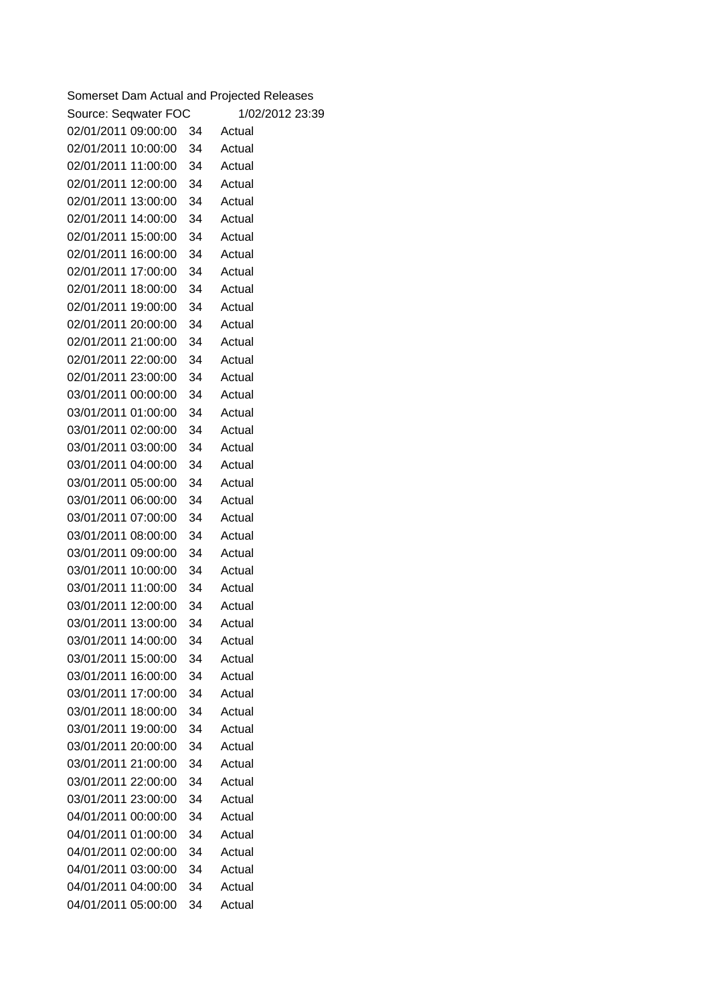| Somerset Dam Actual and Projected Releases |    |                 |
|--------------------------------------------|----|-----------------|
| Source: Seqwater FOC                       |    | 1/02/2012 23:39 |
| 02/01/2011 09:00:00                        | 34 | Actual          |
| 02/01/2011 10:00:00                        | 34 | Actual          |
| 02/01/2011 11:00:00                        | 34 | Actual          |
| 02/01/2011 12:00:00                        | 34 | Actual          |
| 02/01/2011 13:00:00                        | 34 | Actual          |
| 02/01/2011 14:00:00                        | 34 | Actual          |
| 02/01/2011 15:00:00                        | 34 | Actual          |
| 02/01/2011 16:00:00                        | 34 | Actual          |
| 02/01/2011 17:00:00                        | 34 | Actual          |
| 02/01/2011 18:00:00                        | 34 | Actual          |
| 02/01/2011 19:00:00                        | 34 | Actual          |
| 02/01/2011 20:00:00                        | 34 | Actual          |
| 02/01/2011 21:00:00                        | 34 | Actual          |
| 02/01/2011 22:00:00                        | 34 | Actual          |
| 02/01/2011 23:00:00                        | 34 | Actual          |
| 03/01/2011 00:00:00                        | 34 | Actual          |
| 03/01/2011 01:00:00                        | 34 | Actual          |
| 03/01/2011 02:00:00                        | 34 | Actual          |
| 03/01/2011 03:00:00                        | 34 | Actual          |
| 03/01/2011 04:00:00                        | 34 | Actual          |
| 03/01/2011 05:00:00                        | 34 | Actual          |
| 03/01/2011 06:00:00                        | 34 | Actual          |
| 03/01/2011 07:00:00                        | 34 | Actual          |
| 03/01/2011 08:00:00                        | 34 | Actual          |
| 03/01/2011 09:00:00                        | 34 | Actual          |
| 03/01/2011 10:00:00                        | 34 | Actual          |
| 03/01/2011 11:00:00                        | 34 | Actual          |
| 03/01/2011 12:00:00                        | 34 | Actual          |
| 03/01/2011 13:00:00                        | 34 | Actual          |
| 03/01/2011 14:00:00                        | 34 | Actual          |
| 03/01/2011 15:00:00                        | 34 | Actual          |
| 03/01/2011 16:00:00                        | 34 | Actual          |
| 03/01/2011 17:00:00                        | 34 | Actual          |
| 03/01/2011 18:00:00                        | 34 | Actual          |
| 03/01/2011 19:00:00                        | 34 | Actual          |
| 03/01/2011 20:00:00                        | 34 | Actual          |
| 03/01/2011 21:00:00                        | 34 | Actual          |
| 03/01/2011 22:00:00                        | 34 | Actual          |
| 03/01/2011 23:00:00                        | 34 | Actual          |
| 04/01/2011 00:00:00                        | 34 | Actual          |
| 04/01/2011 01:00:00                        | 34 | Actual          |
| 04/01/2011 02:00:00                        | 34 | Actual          |
| 04/01/2011 03:00:00                        | 34 | Actual          |
| 04/01/2011 04:00:00                        | 34 | Actual          |
| 04/01/2011 05:00:00                        | 34 | Actual          |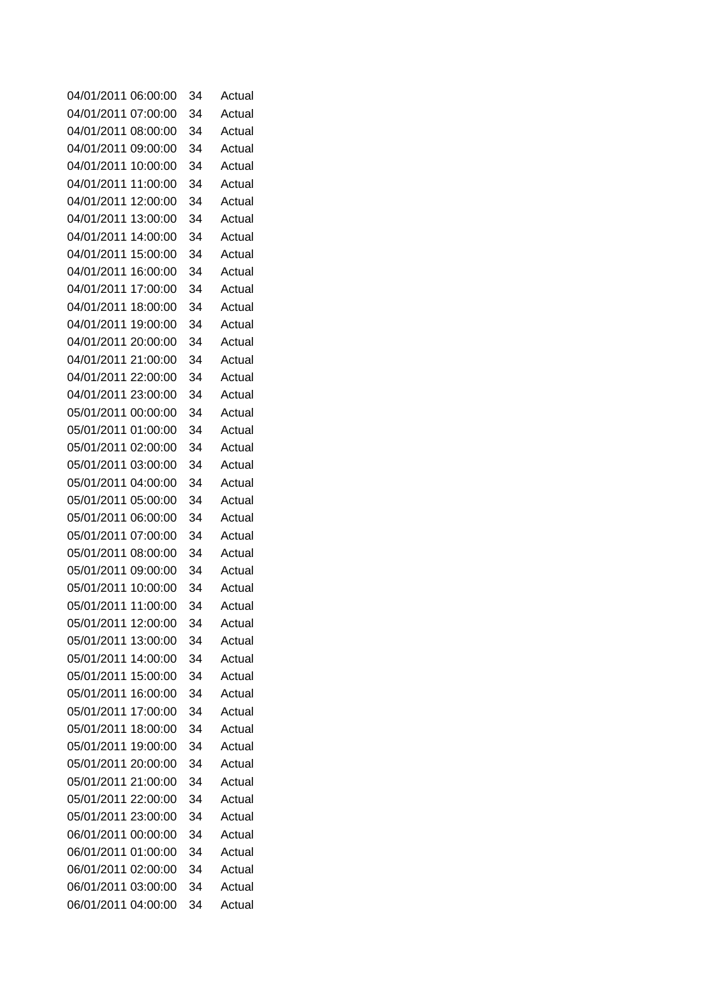| 04/01/2011<br>06:00:00 | 34 | Actual |
|------------------------|----|--------|
| 04/01/2011<br>07:00:00 | 34 | Actual |
| 04/01/2011<br>08:00:00 | 34 | Actual |
| 04/01/2011<br>09:00:00 | 34 | Actual |
| 04/01/2011<br>10:00:00 | 34 | Actual |
| 04/01/2011<br>11:00:00 | 34 | Actual |
| 04/01/2011<br>12:00:00 | 34 | Actual |
| 04/01/2011<br>13:00:00 | 34 | Actual |
| 04/01/2011<br>14:00:00 | 34 | Actual |
| 04/01/2011<br>15:00:00 | 34 | Actual |
| 04/01/2011<br>16:00:00 | 34 | Actual |
| 04/01/2011<br>17:00:00 | 34 | Actual |
| 04/01/2011<br>18:00:00 | 34 | Actual |
| 04/01/2011<br>19:00:00 | 34 | Actual |
| 04/01/2011<br>20:00:00 | 34 | Actual |
| 04/01/2011<br>21:00:00 | 34 | Actual |
| 04/01/2011<br>22:00:00 | 34 | Actual |
| 04/01/2011 23:00:00    | 34 | Actual |
| 05/01/2011<br>00:00:00 | 34 | Actual |
| 05/01/2011<br>01:00:00 | 34 | Actual |
| 05/01/2011<br>02:00:00 | 34 | Actual |
| 05/01/2011<br>03:00:00 | 34 | Actual |
| 05/01/2011 04:00:00    | 34 | Actual |
| 05/01/2011<br>05:00:00 | 34 | Actual |
| 05/01/2011<br>06:00:00 | 34 | Actual |
| 05/01/2011<br>07:00:00 | 34 | Actual |
| 05/01/2011<br>08:00:00 | 34 | Actual |
| 05/01/2011<br>09:00:00 | 34 | Actual |
| 05/01/2011<br>10:00:00 | 34 | Actual |
| 05/01/2011<br>11:00:00 | 34 | Actual |
| 05/01/2011 12:00:00    | 34 | Actual |
| 05/01/2011 13:00:00    | 34 | Actual |
| 05/01/2011<br>14:00:00 | 34 | Actual |
| 05/01/2011 15:00:00    | 34 | Actual |
| 05/01/2011 16:00:00    | 34 | Actual |
| 05/01/2011 17:00:00    | 34 | Actual |
| 05/01/2011<br>18:00:00 | 34 | Actual |
| 05/01/2011 19:00:00    | 34 | Actual |
| 05/01/2011 20:00:00    | 34 | Actual |
| 05/01/2011 21:00:00    | 34 | Actual |
| 05/01/2011 22:00:00    | 34 | Actual |
| 05/01/2011 23:00:00    | 34 | Actual |
| 06/01/2011 00:00:00    | 34 | Actual |
| 06/01/2011 01:00:00    | 34 | Actual |
| 06/01/2011 02:00:00    | 34 | Actual |
| 06/01/2011 03:00:00    | 34 | Actual |
| 06/01/2011 04:00:00    | 34 | Actual |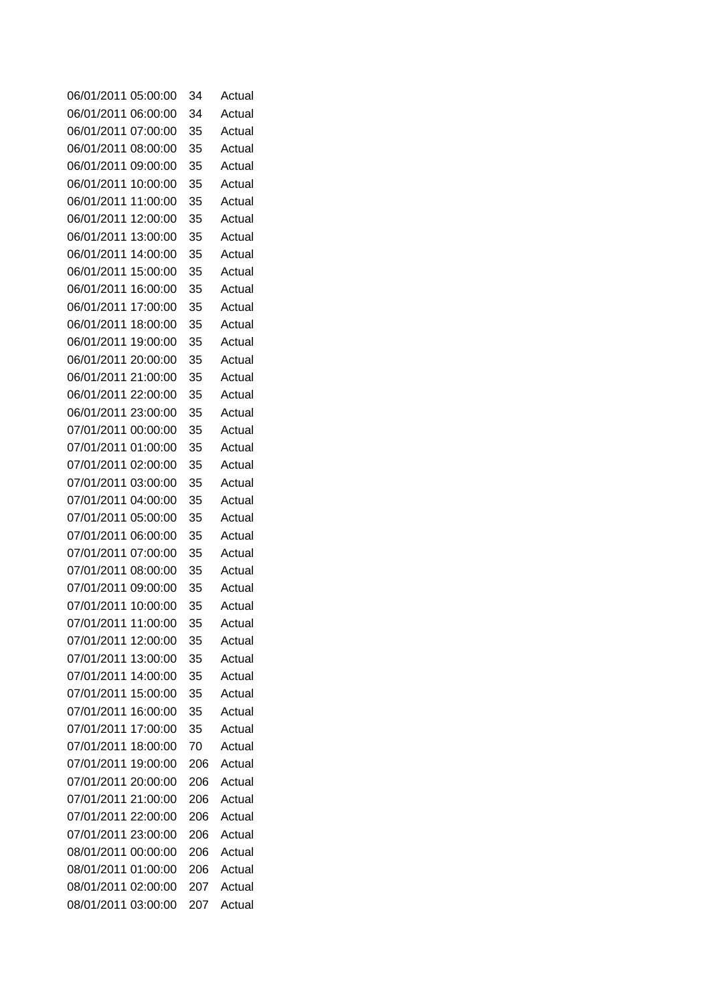| 06/01/2011                                 | 05:00:00 | 34         | Actual           |
|--------------------------------------------|----------|------------|------------------|
| 06/01/2011                                 | 06:00:00 | 34         | Actual           |
| 06/01/2011                                 | 07:00:00 | 35         | Actual           |
| 06/01/2011                                 | 08:00:00 | 35         | Actual           |
| 06/01/2011                                 | 09:00:00 | 35         | Actual           |
| 06/01/2011                                 | 10:00:00 | 35         | Actual           |
| 06/01/2011                                 | 11:00:00 | 35         | Actual           |
| 06/01/2011                                 | 12:00:00 | 35         | Actual           |
| 06/01/2011                                 | 13:00:00 | 35         | Actual           |
| 06/01/2011                                 | 14:00:00 | 35         | Actual           |
| 06/01/2011                                 | 15:00:00 | 35         | Actual           |
| 06/01/2011                                 | 16:00:00 | 35         | Actual           |
| 06/01/2011                                 | 17:00:00 | 35         | Actual           |
| 06/01/2011                                 | 18:00:00 | 35         | Actual           |
| 06/01/2011                                 | 19:00:00 | 35         | Actual           |
| 06/01/2011                                 | 20:00:00 | 35         | Actual           |
| 06/01/2011 21:00:00                        |          | 35         | Actual           |
| 06/01/2011 22:00:00                        |          | 35         | Actual           |
| 06/01/2011 23:00:00                        |          | 35         | Actual           |
| 07/01/2011 00:00:00                        |          | 35         | Actual           |
| 07/01/2011 01:00:00                        |          | 35         | Actual           |
| 07/01/2011                                 | 02:00:00 | 35         | Actual           |
| 07/01/2011                                 | 03:00:00 | 35         | Actual           |
| 07/01/2011                                 | 04:00:00 | 35         | Actual           |
| 07/01/2011                                 | 05:00:00 | 35         | Actual           |
| 07/01/2011                                 | 06:00:00 | 35         | Actual           |
| 07/01/2011                                 | 07:00:00 | 35         | Actual           |
| 07/01/2011                                 | 08:00:00 | 35         | Actual           |
| 07/01/2011                                 | 09:00:00 | 35         | Actual           |
| 07/01/2011 10:00:00                        |          | 35         | Actual           |
| 07/01/2011 11:00:00                        |          | 35         | Actual           |
| 07/01/2011 12:00:00                        |          | 35         | Actual           |
| 07/01/2011                                 | 13:00:00 | 35         | Actual           |
| 07/01/2011 14:00:00                        |          | 35         | Actual           |
| 07/01/2011                                 | 15:00:00 | 35         | Actual           |
| 07/01/2011                                 | 16:00:00 | 35         | Actual           |
| 07/01/2011                                 | 17:00:00 | 35         | Actual           |
| 07/01/2011                                 | 18:00:00 | 70         | Actual           |
| 07/01/2011                                 | 19:00:00 | 206        | Actual           |
| 07/01/2011                                 | 20:00:00 | 206        | Actual           |
| 07/01/2011 21:00:00                        |          | 206        | Actual           |
| 07/01/2011 22:00:00                        |          | 206        | Actual           |
| 07/01/2011 23:00:00<br>08/01/2011 00:00:00 |          | 206        | Actual<br>Actual |
| 08/01/2011 01:00:00                        |          | 206<br>206 | Actual           |
| 08/01/2011 02:00:00                        |          | 207        | Actual           |
| 08/01/2011 03:00:00                        |          | 207        | Actual           |
|                                            |          |            |                  |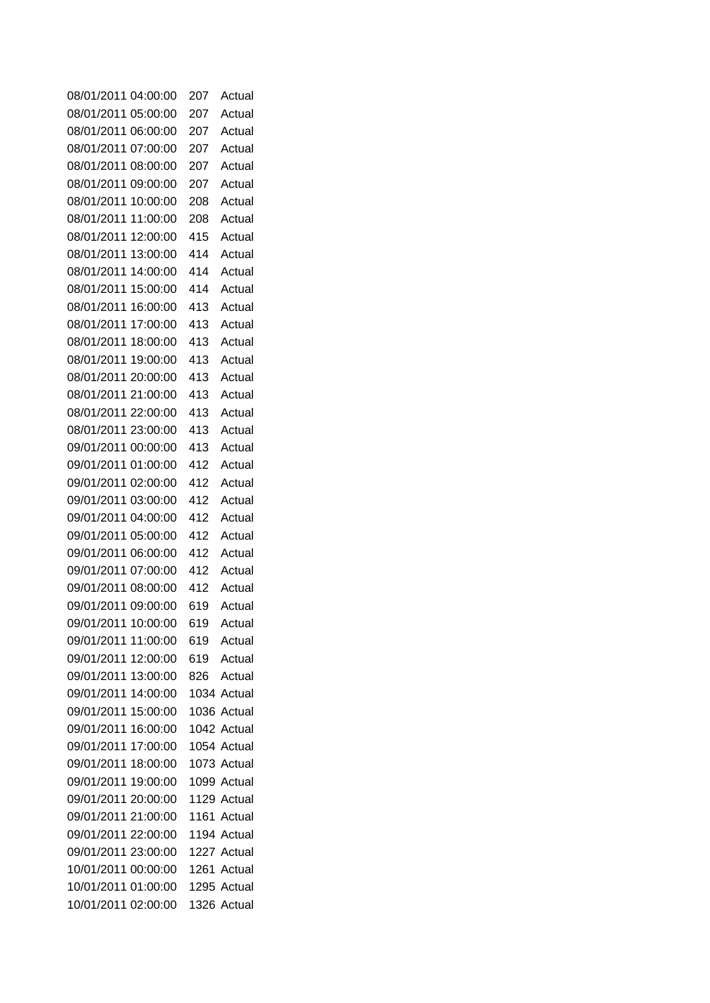| 08/01/2011          | 04:00:00 | 207 | Actual      |
|---------------------|----------|-----|-------------|
| 08/01/2011          | 05:00:00 | 207 | Actual      |
| 08/01/2011          | 06:00:00 | 207 | Actual      |
| 08/01/2011          | 07:00:00 | 207 | Actual      |
| 08/01/2011          | 08:00:00 | 207 | Actual      |
| 08/01/2011          | 09:00:00 | 207 | Actual      |
| 08/01/2011          | 10:00:00 | 208 | Actual      |
| 08/01/2011          | 11:00:00 | 208 | Actual      |
| 08/01/2011          | 12:00:00 | 415 | Actual      |
| 08/01/2011          | 13:00:00 | 414 | Actual      |
| 08/01/2011          | 14:00:00 | 414 | Actual      |
| 08/01/2011          | 15:00:00 | 414 | Actual      |
| 08/01/2011          | 16:00:00 | 413 | Actual      |
| 08/01/2011          | 17:00:00 | 413 | Actual      |
| 08/01/2011          | 18:00:00 | 413 | Actual      |
| 08/01/2011          | 19:00:00 | 413 | Actual      |
| 08/01/2011          | 20:00:00 | 413 | Actual      |
| 08/01/2011 21:00:00 |          | 413 | Actual      |
| 08/01/2011 22:00:00 |          | 413 | Actual      |
| 08/01/2011 23:00:00 |          | 413 | Actual      |
| 09/01/2011 00:00:00 |          | 413 | Actual      |
| 09/01/2011          | 01:00:00 | 412 | Actual      |
| 09/01/2011          | 02:00:00 | 412 | Actual      |
| 09/01/2011          | 03:00:00 | 412 | Actual      |
| 09/01/2011          | 04:00:00 | 412 | Actual      |
| 09/01/2011          | 05:00:00 | 412 | Actual      |
| 09/01/2011          | 06:00:00 | 412 | Actual      |
| 09/01/2011          | 07:00:00 | 412 | Actual      |
| 09/01/2011          | 08:00:00 | 412 | Actual      |
| 09/01/2011 09:00:00 |          | 619 | Actual      |
| 09/01/2011 10:00:00 |          | 619 | Actual      |
| 09/01/2011 11:00:00 |          | 619 | Actual      |
| 09/01/2011 12:00:00 |          |     | 619 Actual  |
| 09/01/2011 13:00:00 |          | 826 | Actual      |
| 09/01/2011 14:00:00 |          |     | 1034 Actual |
| 09/01/2011 15:00:00 |          |     | 1036 Actual |
| 09/01/2011 16:00:00 |          |     | 1042 Actual |
| 09/01/2011 17:00:00 |          |     | 1054 Actual |
| 09/01/2011 18:00:00 |          |     | 1073 Actual |
| 09/01/2011 19:00:00 |          |     | 1099 Actual |
| 09/01/2011 20:00:00 |          |     | 1129 Actual |
| 09/01/2011 21:00:00 |          |     | 1161 Actual |
| 09/01/2011 22:00:00 |          |     | 1194 Actual |
| 09/01/2011 23:00:00 |          |     | 1227 Actual |
| 10/01/2011 00:00:00 |          |     | 1261 Actual |
| 10/01/2011 01:00:00 |          |     | 1295 Actual |
| 10/01/2011 02:00:00 |          |     | 1326 Actual |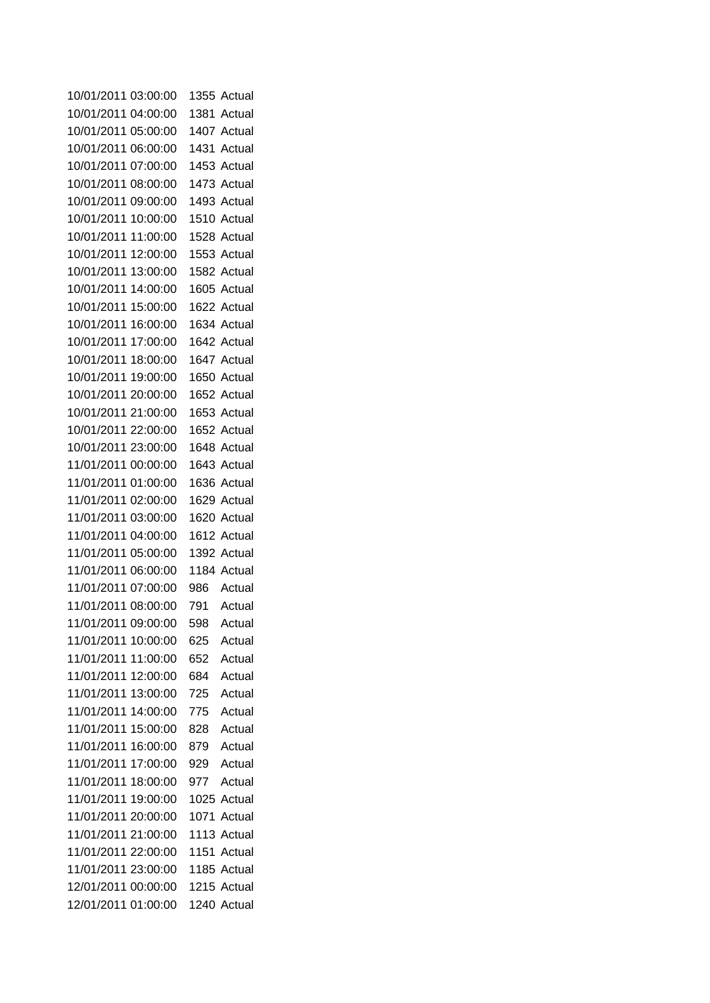| 10/01/2011 03:00:00                        |          |            | 1355 Actual      |
|--------------------------------------------|----------|------------|------------------|
| 10/01/2011 04:00:00                        |          |            | 1381 Actual      |
| 10/01/2011                                 | 05:00:00 |            | 1407 Actual      |
| 10/01/2011 06:00:00                        |          |            | 1431 Actual      |
| 10/01/2011                                 | 07:00:00 |            | 1453 Actual      |
| 10/01/2011 08:00:00                        |          |            | 1473 Actual      |
| 10/01/2011                                 | 09:00:00 |            | 1493 Actual      |
| 10/01/2011                                 | 10:00:00 |            | 1510 Actual      |
| 10/01/2011                                 | 11:00:00 |            | 1528 Actual      |
| 10/01/2011                                 | 12:00:00 |            | 1553 Actual      |
| 10/01/2011                                 | 13:00:00 |            | 1582 Actual      |
| 10/01/2011                                 | 14:00:00 |            | 1605 Actual      |
| 10/01/2011                                 | 15:00:00 |            | 1622 Actual      |
| 10/01/2011                                 | 16:00:00 |            | 1634 Actual      |
| 10/01/2011                                 | 17:00:00 |            | 1642 Actual      |
| 10/01/2011 18:00:00                        |          |            | 1647 Actual      |
| 10/01/2011                                 | 19:00:00 |            | 1650 Actual      |
| 10/01/2011 20:00:00                        |          |            | 1652 Actual      |
| 10/01/2011 21:00:00                        |          |            | 1653 Actual      |
| 10/01/2011 22:00:00                        |          |            | 1652 Actual      |
| 10/01/2011 23:00:00                        |          |            | 1648 Actual      |
| 11/01/2011 00:00:00                        |          |            | 1643 Actual      |
| 11/01/2011 01:00:00                        |          |            | 1636 Actual      |
| 11/01/2011 02:00:00                        |          |            | 1629 Actual      |
| 11/01/2011 03:00:00                        |          |            | 1620 Actual      |
| 11/01/2011 04:00:00                        |          |            | 1612 Actual      |
| 11/01/2011 05:00:00                        |          |            | 1392 Actual      |
| 11/01/2011 06:00:00                        |          |            | 1184 Actual      |
| 11/01/2011 07:00:00<br>11/01/2011 08:00:00 |          | 986<br>791 | Actual<br>Actual |
| 11/01/2011 09:00:00                        |          | 598        | Actual           |
| 11/01/2011 10:00:00                        |          |            | Actual           |
| 11/01/2011                                 | 11:00:00 | 625<br>652 | Actual           |
| 11/01/2011 12:00:00                        |          | 684        | Actual           |
| 11/01/2011                                 | 13:00:00 | 725        | Actual           |
| 11/01/2011 14:00:00                        |          | 775        | Actual           |
| 11/01/2011                                 | 15:00:00 | 828        | Actual           |
| 11/01/2011 16:00:00                        |          | 879        | Actual           |
| 11/01/2011 17:00:00                        |          | 929        | Actual           |
| 11/01/2011                                 | 18:00:00 | 977        | Actual           |
| 11/01/2011                                 | 19:00:00 |            | 1025 Actual      |
| 11/01/2011 20:00:00                        |          | 1071       | Actual           |
| 11/01/2011 21:00:00                        |          |            | 1113 Actual      |
| 11/01/2011 22:00:00                        |          |            | 1151 Actual      |
| 11/01/2011 23:00:00                        |          |            | 1185 Actual      |
| 12/01/2011 00:00:00                        |          |            | 1215 Actual      |
| 12/01/2011 01:00:00                        |          |            | 1240 Actual      |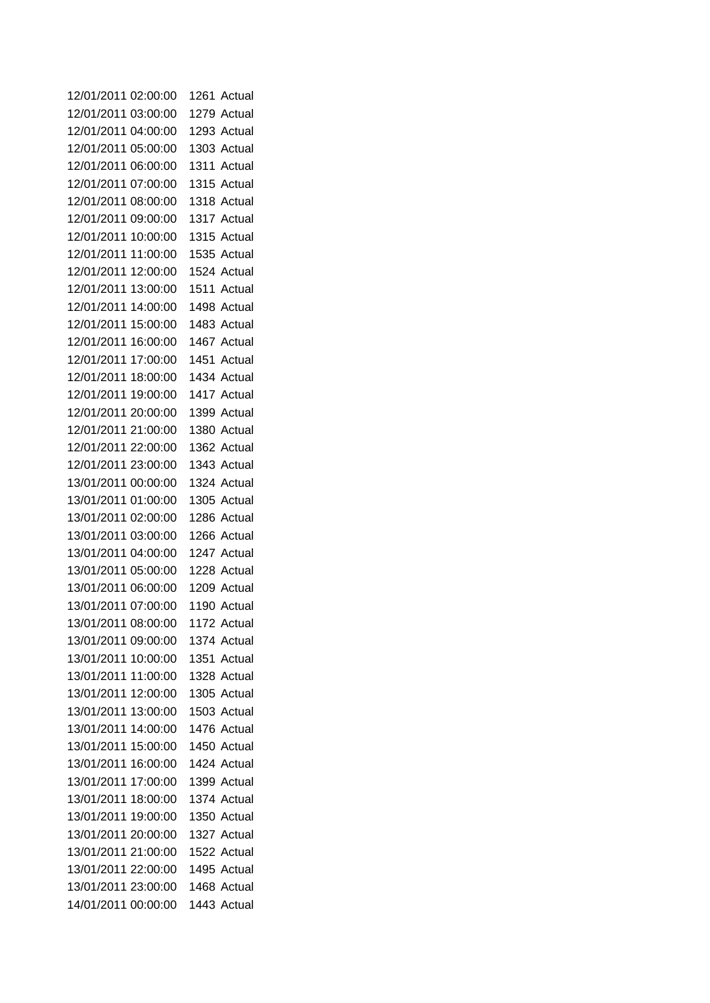| 12/01/2011          | 02:00:00 | 1261<br>Actual |
|---------------------|----------|----------------|
| 12/01/2011          | 03:00:00 | 1279 Actual    |
| 12/01/2011          | 04:00:00 | 1293 Actual    |
| 12/01/2011          | 05:00:00 | 1303 Actual    |
| 12/01/2011          | 06:00:00 | 1311 Actual    |
| 12/01/2011          | 07:00:00 | 1315 Actual    |
| 12/01/2011          | 08:00:00 | 1318 Actual    |
| 12/01/2011          | 09:00:00 | 1317 Actual    |
| 12/01/2011          | 10:00:00 | 1315 Actual    |
| 12/01/2011          | 11:00:00 | 1535 Actual    |
| 12/01/2011          | 12:00:00 | 1524 Actual    |
| 12/01/2011          | 13:00:00 | 1511 Actual    |
| 12/01/2011          | 14:00:00 | 1498 Actual    |
| 12/01/2011          | 15:00:00 | 1483 Actual    |
| 12/01/2011          | 16:00:00 | 1467 Actual    |
| 12/01/2011          | 17:00:00 | 1451 Actual    |
| 12/01/2011          | 18:00:00 | 1434 Actual    |
| 12/01/2011          | 19:00:00 | 1417 Actual    |
| 12/01/2011 20:00:00 |          | 1399 Actual    |
| 12/01/2011 21:00:00 |          | 1380 Actual    |
| 12/01/2011 22:00:00 |          | 1362 Actual    |
| 12/01/2011 23:00:00 |          | 1343 Actual    |
| 13/01/2011 00:00:00 |          | 1324 Actual    |
| 13/01/2011          | 01:00:00 | 1305 Actual    |
| 13/01/2011          | 02:00:00 | 1286 Actual    |
| 13/01/2011          | 03:00:00 | 1266 Actual    |
| 13/01/2011          | 04:00:00 | 1247 Actual    |
| 13/01/2011          | 05:00:00 | 1228 Actual    |
| 13/01/2011          | 06:00:00 | 1209 Actual    |
| 13/01/2011 07:00:00 |          | 1190 Actual    |
| 13/01/2011 08:00:00 |          | 1172 Actual    |
| 13/01/2011 09:00:00 |          | 1374 Actual    |
| 13/01/2011          | 10:00:00 | 1351 Actual    |
| 13/01/2011 11:00:00 |          | 1328 Actual    |
| 13/01/2011 12:00:00 |          | 1305 Actual    |
| 13/01/2011 13:00:00 |          | 1503 Actual    |
| 13/01/2011          | 14:00:00 | 1476 Actual    |
| 13/01/2011          | 15:00:00 | 1450 Actual    |
| 13/01/2011          | 16:00:00 | 1424 Actual    |
| 13/01/2011          | 17:00:00 | 1399 Actual    |
| 13/01/2011 18:00:00 |          | 1374 Actual    |
| 13/01/2011          | 19:00:00 | 1350 Actual    |
| 13/01/2011 20:00:00 |          | 1327 Actual    |
| 13/01/2011 21:00:00 |          | 1522 Actual    |
| 13/01/2011 22:00:00 |          | 1495 Actual    |
| 13/01/2011 23:00:00 |          | 1468 Actual    |
| 14/01/2011 00:00:00 |          | 1443 Actual    |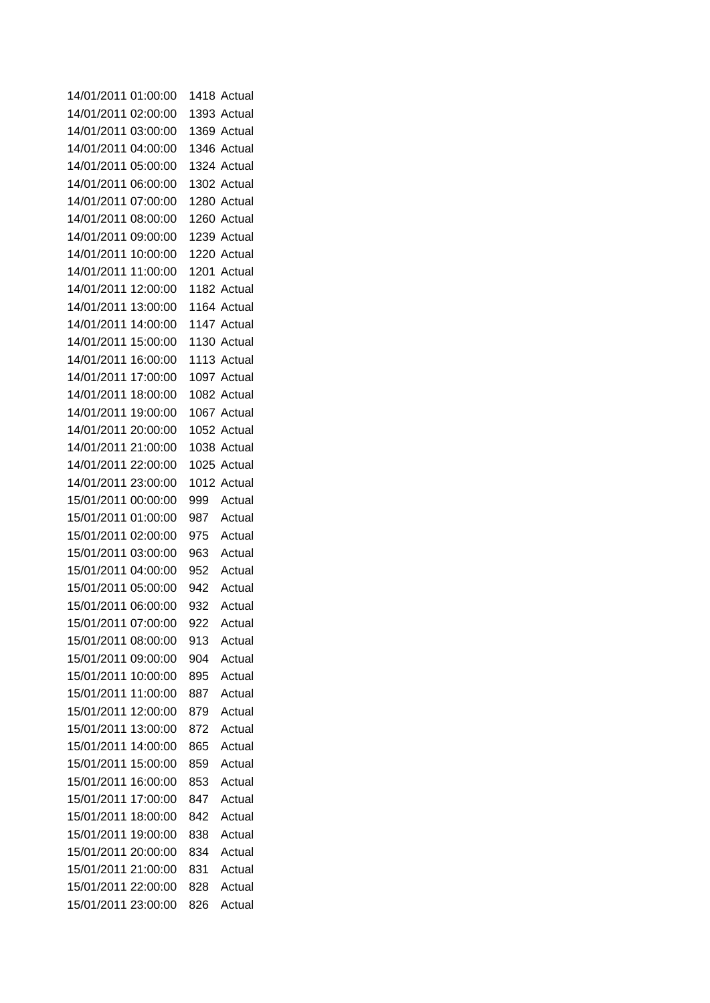| 14/01/2011 01:00:00 |          |     | 1418 Actual |
|---------------------|----------|-----|-------------|
| 14/01/2011 02:00:00 |          |     | 1393 Actual |
| 14/01/2011 03:00:00 |          |     | 1369 Actual |
| 14/01/2011 04:00:00 |          |     | 1346 Actual |
| 14/01/2011          | 05:00:00 |     | 1324 Actual |
| 14/01/2011 06:00:00 |          |     | 1302 Actual |
| 14/01/2011          | 07:00:00 |     | 1280 Actual |
| 14/01/2011 08:00:00 |          |     | 1260 Actual |
| 14/01/2011          | 09:00:00 |     | 1239 Actual |
| 14/01/2011          | 10:00:00 |     | 1220 Actual |
| 14/01/2011          | 11:00:00 |     | 1201 Actual |
| 14/01/2011          | 12:00:00 |     | 1182 Actual |
| 14/01/2011          | 13:00:00 |     | 1164 Actual |
| 14/01/2011          | 14:00:00 |     | 1147 Actual |
| 14/01/2011          | 15:00:00 |     | 1130 Actual |
| 14/01/2011          | 16:00:00 |     | 1113 Actual |
| 14/01/2011          | 17:00:00 |     | 1097 Actual |
| 14/01/2011          | 18:00:00 |     | 1082 Actual |
| 14/01/2011          | 19:00:00 |     | 1067 Actual |
| 14/01/2011 20:00:00 |          |     | 1052 Actual |
| 14/01/2011 21:00:00 |          |     | 1038 Actual |
| 14/01/2011 22:00:00 |          |     | 1025 Actual |
| 14/01/2011 23:00:00 |          |     | 1012 Actual |
| 15/01/2011 00:00:00 |          | 999 | Actual      |
| 15/01/2011 01:00:00 |          | 987 | Actual      |
| 15/01/2011 02:00:00 |          | 975 | Actual      |
| 15/01/2011 03:00:00 |          | 963 | Actual      |
| 15/01/2011 04:00:00 |          | 952 | Actual      |
| 15/01/2011 05:00:00 |          | 942 | Actual      |
| 15/01/2011 06:00:00 |          | 932 | Actual      |
| 15/01/2011 07:00:00 |          | 922 | Actual      |
| 15/01/2011 08:00:00 |          | 913 | Actual      |
| 15/01/2011          | 09:00:00 | 904 | Actual      |
| 15/01/2011 10:00:00 |          | 895 | Actual      |
| 15/01/2011          | 11:00:00 | 887 | Actual      |
| 15/01/2011 12:00:00 |          | 879 | Actual      |
| 15/01/2011          | 13:00:00 | 872 | Actual      |
| 15/01/2011 14:00:00 |          | 865 | Actual      |
| 15/01/2011          | 15:00:00 | 859 | Actual      |
| 15/01/2011          | 16:00:00 | 853 | Actual      |
| 15/01/2011          | 17:00:00 | 847 | Actual      |
| 15/01/2011          | 18:00:00 | 842 | Actual      |
| 15/01/2011 19:00:00 |          | 838 | Actual      |
| 15/01/2011 20:00:00 |          | 834 | Actual      |
| 15/01/2011 21:00:00 |          | 831 | Actual      |
| 15/01/2011 22:00:00 |          | 828 | Actual      |
| 15/01/2011 23:00:00 |          | 826 | Actual      |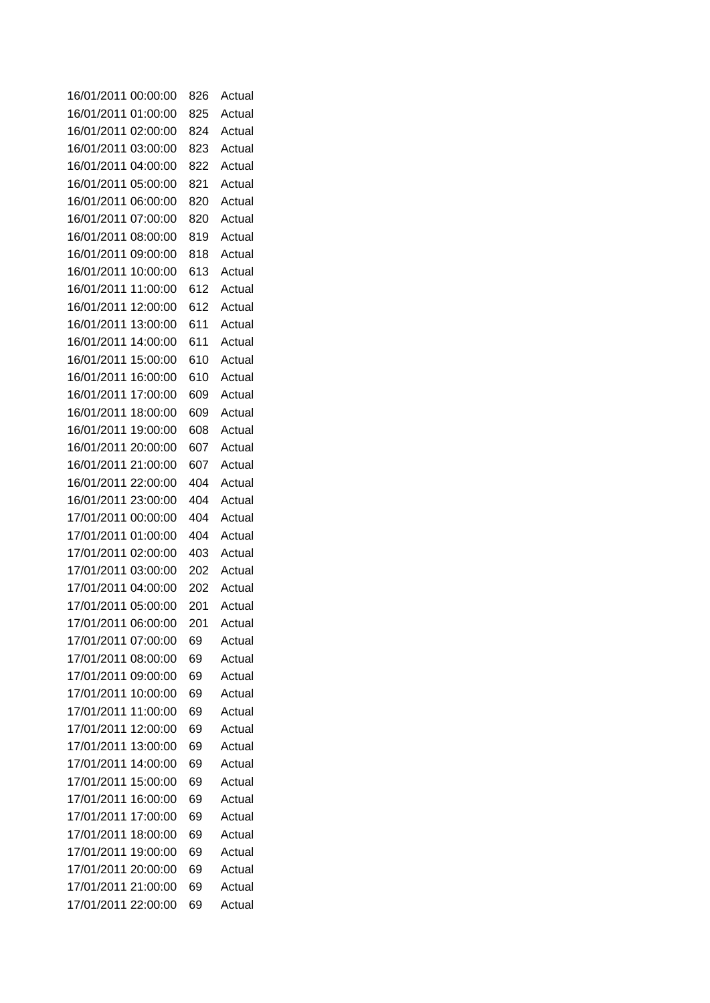| 16/01/2011 00:00:00 |          | 826 | Actual |
|---------------------|----------|-----|--------|
| 16/01/2011 01:00:00 |          | 825 | Actual |
| 16/01/2011 02:00:00 |          | 824 | Actual |
| 16/01/2011 03:00:00 |          | 823 | Actual |
| 16/01/2011 04:00:00 |          | 822 | Actual |
| 16/01/2011 05:00:00 |          | 821 | Actual |
| 16/01/2011 06:00:00 |          | 820 | Actual |
| 16/01/2011 07:00:00 |          | 820 | Actual |
| 16/01/2011          | 08:00:00 | 819 | Actual |
| 16/01/2011 09:00:00 |          | 818 | Actual |
| 16/01/2011          | 10:00:00 | 613 | Actual |
| 16/01/2011          | 11:00:00 | 612 | Actual |
| 16/01/2011          | 12:00:00 | 612 | Actual |
| 16/01/2011          | 13:00:00 | 611 | Actual |
| 16/01/2011          | 14:00:00 | 611 | Actual |
| 16/01/2011          | 15:00:00 | 610 | Actual |
| 16/01/2011          | 16:00:00 | 610 | Actual |
| 16/01/2011          | 17:00:00 | 609 | Actual |
| 16/01/2011          | 18:00:00 | 609 | Actual |
| 16/01/2011          | 19:00:00 | 608 | Actual |
| 16/01/2011          | 20:00:00 | 607 | Actual |
| 16/01/2011 21:00:00 |          | 607 | Actual |
| 16/01/2011 22:00:00 |          | 404 | Actual |
| 16/01/2011 23:00:00 |          | 404 | Actual |
| 17/01/2011 00:00:00 |          | 404 | Actual |
| 17/01/2011 01:00:00 |          | 404 | Actual |
| 17/01/2011 02:00:00 |          | 403 | Actual |
| 17/01/2011 03:00:00 |          | 202 | Actual |
| 17/01/2011 04:00:00 |          | 202 | Actual |
| 17/01/2011 05:00:00 |          | 201 | Actual |
| 17/01/2011 06:00:00 |          | 201 | Actual |
| 17/01/2011 07:00:00 |          | 69  | Actual |
| 17/01/2011 08:00:00 |          | 69  | Actual |
| 17/01/2011 09:00:00 |          | 69  | Actual |
| 17/01/2011          | 10:00:00 | 69  | Actual |
| 17/01/2011          | 11:00:00 | 69  | Actual |
| 17/01/2011          | 12:00:00 | 69  | Actual |
| 17/01/2011          | 13:00:00 | 69  | Actual |
| 17/01/2011          | 14:00:00 | 69  | Actual |
| 17/01/2011          | 15:00:00 | 69  | Actual |
| 17/01/2011          | 16:00:00 | 69  | Actual |
| 17/01/2011          | 17:00:00 | 69  | Actual |
| 17/01/2011          | 18:00:00 | 69  | Actual |
| 17/01/2011          | 19:00:00 | 69  | Actual |
| 17/01/2011 20:00:00 |          | 69  | Actual |
| 17/01/2011 21:00:00 |          | 69  | Actual |
| 17/01/2011 22:00:00 |          | 69  | Actual |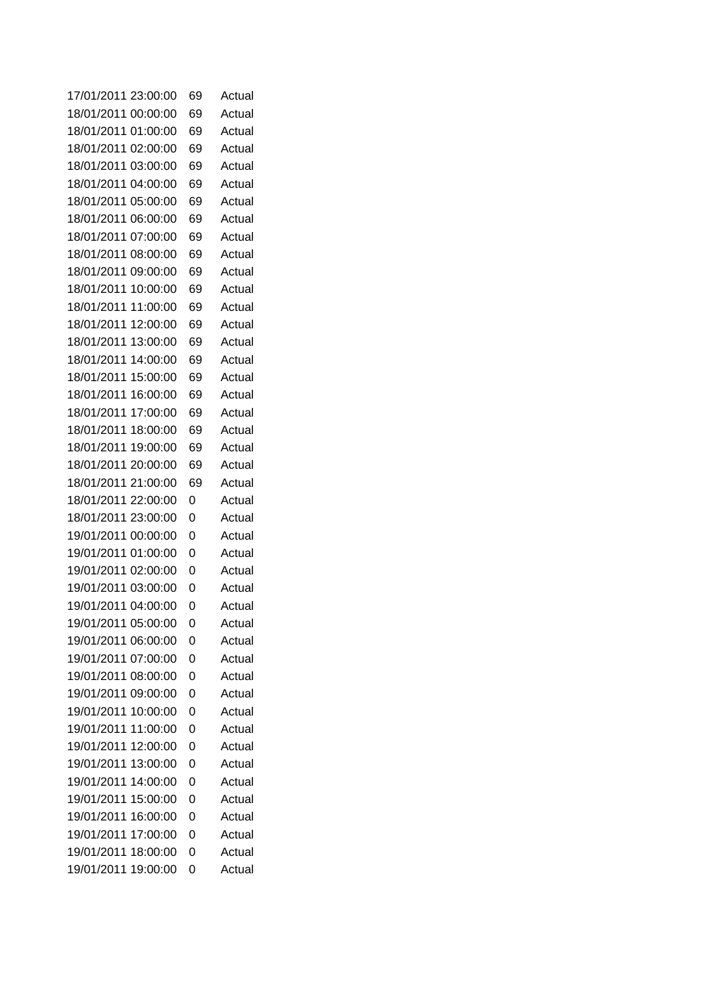| 17/01/2011          | 23:00:00 | 69 | Actual |
|---------------------|----------|----|--------|
| 18/01/2011 00:00:00 |          | 69 | Actual |
| 18/01/2011 01:00:00 |          | 69 | Actual |
| 18/01/2011 02:00:00 |          | 69 | Actual |
| 18/01/2011 03:00:00 |          | 69 | Actual |
| 18/01/2011 04:00:00 |          | 69 | Actual |
| 18/01/2011 05:00:00 |          | 69 | Actual |
| 18/01/2011 06:00:00 |          | 69 | Actual |
| 18/01/2011          | 07:00:00 | 69 | Actual |
| 18/01/2011 08:00:00 |          | 69 | Actual |
| 18/01/2011          | 09:00:00 | 69 | Actual |
| 18/01/2011          | 10:00:00 | 69 | Actual |
| 18/01/2011          | 11:00:00 | 69 | Actual |
| 18/01/2011          | 12:00:00 | 69 | Actual |
| 18/01/2011          | 13:00:00 | 69 | Actual |
| 18/01/2011          | 14:00:00 | 69 | Actual |
| 18/01/2011          | 15:00:00 | 69 | Actual |
| 18/01/2011          | 16:00:00 | 69 | Actual |
| 18/01/2011          | 17:00:00 | 69 | Actual |
| 18/01/2011          | 18:00:00 | 69 | Actual |
| 18/01/2011          | 19:00:00 | 69 | Actual |
| 18/01/2011          | 20:00:00 | 69 | Actual |
| 18/01/2011 21:00:00 |          | 69 | Actual |
| 18/01/2011 22:00:00 |          | 0  | Actual |
| 18/01/2011 23:00:00 |          | 0  | Actual |
| 19/01/2011 00:00:00 |          | 0  | Actual |
| 19/01/2011 01:00:00 |          | 0  | Actual |
| 19/01/2011 02:00:00 |          | 0  | Actual |
| 19/01/2011 03:00:00 |          | 0  | Actual |
| 19/01/2011 04:00:00 |          | 0  | Actual |
| 19/01/2011 05:00:00 |          | 0  | Actual |
| 19/01/2011 06:00:00 |          | 0  | Actual |
| 19/01/2011 07:00:00 |          | 0  | Actual |
| 19/01/2011 08:00:00 |          | 0  | Actual |
| 19/01/2011 09:00:00 |          | 0  | Actual |
| 19/01/2011 10:00:00 |          | 0  | Actual |
| 19/01/2011          | 11:00:00 | 0  | Actual |
| 19/01/2011 12:00:00 |          | 0  | Actual |
| 19/01/2011          | 13:00:00 | 0  | Actual |
| 19/01/2011          | 14:00:00 | 0  | Actual |
| 19/01/2011          | 15:00:00 | 0  | Actual |
| 19/01/2011          | 16:00:00 | 0  | Actual |
| 19/01/2011          | 17:00:00 | 0  | Actual |
| 19/01/2011          | 18:00:00 | 0  | Actual |
| 19/01/2011          | 19:00:00 | 0  | Actual |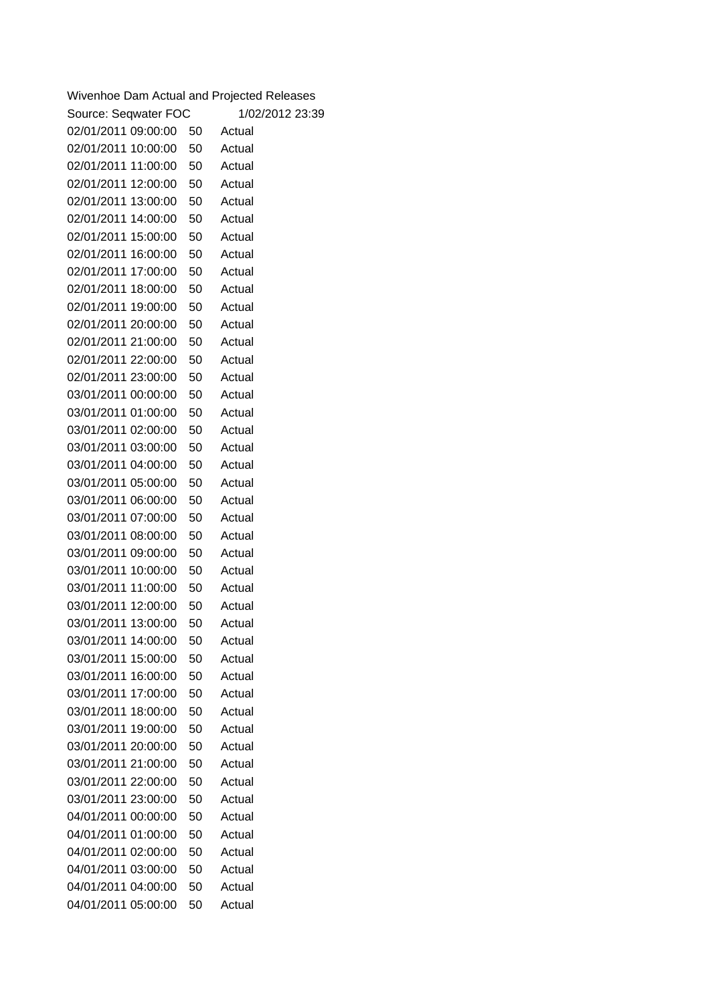| Wivenhoe Dam Actual and Projected Releases |    |                 |
|--------------------------------------------|----|-----------------|
| Source: Seqwater FOC                       |    | 1/02/2012 23:39 |
| 02/01/2011 09:00:00                        | 50 | Actual          |
| 02/01/2011 10:00:00                        | 50 | Actual          |
| 02/01/2011 11:00:00                        | 50 | Actual          |
| 02/01/2011 12:00:00                        | 50 | Actual          |
| 02/01/2011 13:00:00                        | 50 | Actual          |
| 02/01/2011 14:00:00                        | 50 | Actual          |
| 02/01/2011 15:00:00                        | 50 | Actual          |
| 02/01/2011 16:00:00                        | 50 | Actual          |
| 02/01/2011 17:00:00                        | 50 | Actual          |
| 02/01/2011 18:00:00                        | 50 | Actual          |
| 02/01/2011 19:00:00                        | 50 | Actual          |
| 02/01/2011 20:00:00                        | 50 | Actual          |
| 02/01/2011 21:00:00                        | 50 | Actual          |
| 02/01/2011 22:00:00                        | 50 | Actual          |
| 02/01/2011 23:00:00                        | 50 | Actual          |
| 03/01/2011 00:00:00                        | 50 | Actual          |
| 03/01/2011 01:00:00                        | 50 | Actual          |
| 03/01/2011 02:00:00                        | 50 | Actual          |
| 03/01/2011 03:00:00                        | 50 | Actual          |
| 03/01/2011 04:00:00                        | 50 | Actual          |
| 03/01/2011 05:00:00                        | 50 | Actual          |
| 03/01/2011 06:00:00                        | 50 | Actual          |
| 03/01/2011 07:00:00                        | 50 | Actual          |
| 03/01/2011 08:00:00                        | 50 | Actual          |
| 03/01/2011 09:00:00                        | 50 | Actual          |
| 03/01/2011 10:00:00                        | 50 | Actual          |
| 03/01/2011 11:00:00                        | 50 | Actual          |
| 03/01/2011 12:00:00                        | 50 | Actual          |
| 03/01/2011 13:00:00                        | 50 | Actual          |
| 03/01/2011 14:00:00                        | 50 | Actual          |
| 03/01/2011 15:00:00                        | 50 | Actual          |
| 03/01/2011 16:00:00                        | 50 | Actual          |
| 03/01/2011 17:00:00                        | 50 | Actual          |
| 03/01/2011 18:00:00                        | 50 | Actual          |
| 03/01/2011 19:00:00                        | 50 | Actual          |
| 03/01/2011 20:00:00                        | 50 | Actual          |
| 03/01/2011 21:00:00                        | 50 | Actual          |
| 03/01/2011 22:00:00                        | 50 | Actual          |
| 03/01/2011 23:00:00                        | 50 | Actual          |
| 04/01/2011 00:00:00                        | 50 | Actual          |
| 04/01/2011 01:00:00                        | 50 | Actual          |
| 04/01/2011 02:00:00                        | 50 | Actual          |
| 04/01/2011 03:00:00                        | 50 | Actual          |
| 04/01/2011 04:00:00                        | 50 | Actual          |
| 04/01/2011 05:00:00                        | 50 | Actual          |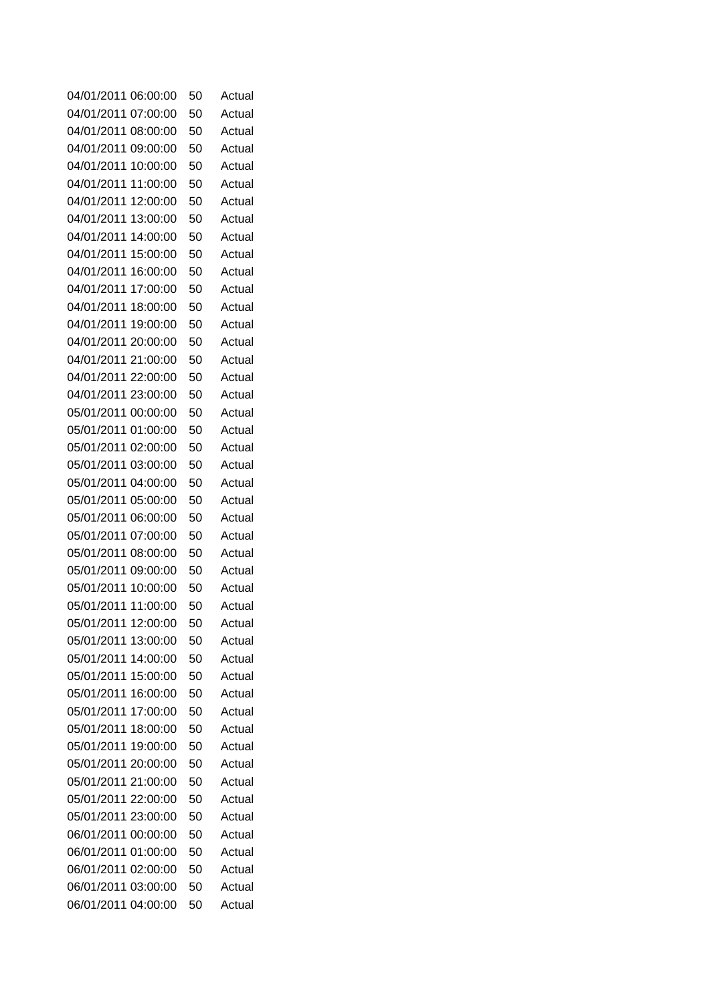| 04/01/2011                                 | 06:00:00 | 50       | Actual           |
|--------------------------------------------|----------|----------|------------------|
| 04/01/2011                                 | 07:00:00 | 50       | Actual           |
| 04/01/2011                                 | 08:00:00 | 50       | Actual           |
| 04/01/2011                                 | 09:00:00 | 50       | Actual           |
| 04/01/2011                                 | 10:00:00 | 50       | Actual           |
| 04/01/2011                                 | 11:00:00 | 50       | Actual           |
| 04/01/2011                                 | 12:00:00 | 50       | Actual           |
| 04/01/2011                                 | 13:00:00 | 50       | Actual           |
| 04/01/2011                                 | 14:00:00 | 50       | Actual           |
| 04/01/2011                                 | 15:00:00 | 50       | Actual           |
| 04/01/2011                                 | 16:00:00 | 50       | Actual           |
| 04/01/2011                                 | 17:00:00 | 50       | Actual           |
| 04/01/2011                                 | 18:00:00 | 50       | Actual           |
| 04/01/2011                                 | 19:00:00 | 50       | Actual           |
| 04/01/2011                                 | 20:00:00 | 50       | Actual           |
| 04/01/2011                                 | 21:00:00 | 50       | Actual           |
| 04/01/2011 22:00:00                        |          | 50       | Actual           |
| 04/01/2011 23:00:00                        |          | 50       | Actual           |
| 05/01/2011 00:00:00                        |          | 50       | Actual           |
| 05/01/2011 01:00:00                        |          | 50       | Actual           |
| 05/01/2011                                 | 02:00:00 | 50       | Actual           |
| 05/01/2011                                 | 03:00:00 | 50       | Actual           |
| 05/01/2011                                 | 04:00:00 | 50       | Actual           |
| 05/01/2011                                 | 05:00:00 | 50       | Actual           |
| 05/01/2011                                 | 06:00:00 | 50       | Actual           |
| 05/01/2011                                 | 07:00:00 | 50       | Actual           |
| 05/01/2011                                 | 08:00:00 | 50       | Actual           |
| 05/01/2011                                 | 09:00:00 | 50       | Actual           |
| 05/01/2011                                 | 10:00:00 | 50       | Actual           |
| 05/01/2011                                 | 11:00:00 | 50       | Actual           |
| 05/01/2011 12:00:00                        |          | 50       | Actual           |
| 05/01/2011 13:00:00                        |          | 50       | Actual           |
| 05/01/2011                                 | 14:00:00 | 50       | Actual           |
| 05/01/2011 15:00:00                        |          | 50       | Actual           |
| 05/01/2011                                 | 16:00:00 | 50       | Actual           |
| 05/01/2011 17:00:00                        |          | 50       | Actual           |
| 05/01/2011                                 | 18:00:00 | 50       | Actual           |
| 05/01/2011 19:00:00<br>05/01/2011 20:00:00 |          | 50       | Actual           |
| 05/01/2011 21:00:00                        |          | 50       | Actual<br>Actual |
| 05/01/2011 22:00:00                        |          | 50       | Actual           |
| 05/01/2011 23:00:00                        |          | 50<br>50 | Actual           |
| 06/01/2011 00:00:00                        |          | 50       | Actual           |
| 06/01/2011 01:00:00                        |          | 50       | Actual           |
| 06/01/2011 02:00:00                        |          | 50       | Actual           |
| 06/01/2011 03:00:00                        |          | 50       | Actual           |
| 06/01/2011 04:00:00                        |          | 50       | Actual           |
|                                            |          |          |                  |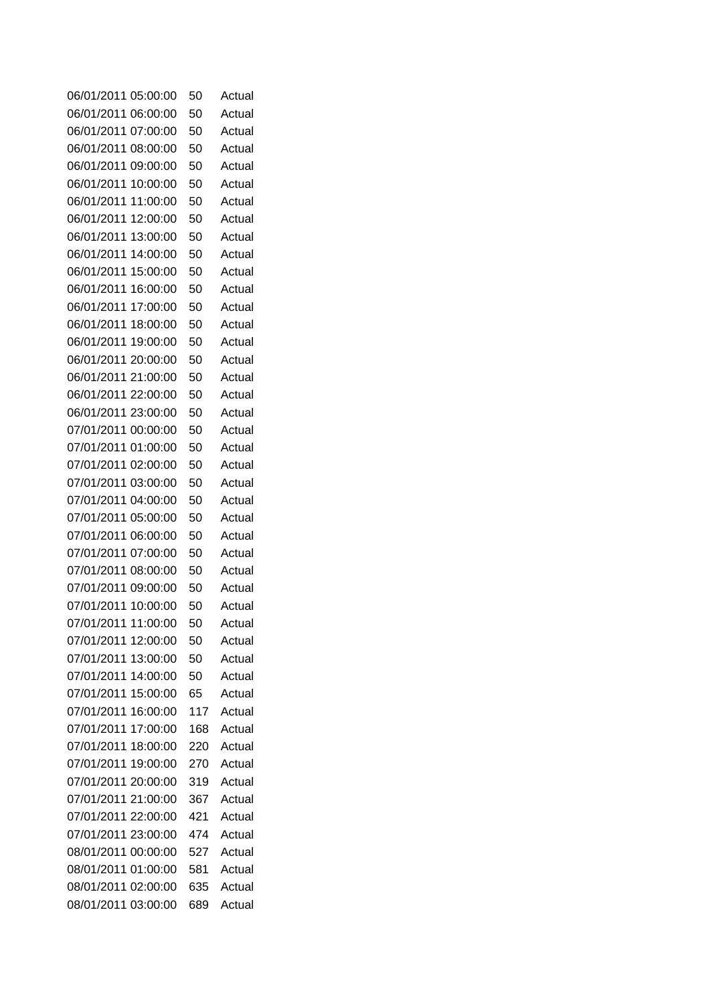| 06/01/2011          | 05:00:00 | 50  | Actual |
|---------------------|----------|-----|--------|
| 06/01/2011          | 06:00:00 | 50  | Actual |
| 06/01/2011          | 07:00:00 | 50  | Actual |
| 06/01/2011          | 08:00:00 | 50  | Actual |
| 06/01/2011          | 09:00:00 | 50  | Actual |
| 06/01/2011          | 10:00:00 | 50  | Actual |
| 06/01/2011          | 11:00:00 | 50  | Actual |
| 06/01/2011          | 12:00:00 | 50  | Actual |
| 06/01/2011          | 13:00:00 | 50  | Actual |
| 06/01/2011          | 14:00:00 | 50  | Actual |
| 06/01/2011          | 15:00:00 | 50  | Actual |
| 06/01/2011          | 16:00:00 | 50  | Actual |
| 06/01/2011          | 17:00:00 | 50  | Actual |
| 06/01/2011          | 18:00:00 | 50  | Actual |
| 06/01/2011          | 19:00:00 | 50  | Actual |
| 06/01/2011          | 20:00:00 | 50  | Actual |
| 06/01/2011          | 21:00:00 | 50  | Actual |
| 06/01/2011 22:00:00 |          | 50  | Actual |
| 06/01/2011 23:00:00 |          | 50  | Actual |
| 07/01/2011 00:00:00 |          | 50  | Actual |
| 07/01/2011 01:00:00 |          | 50  | Actual |
| 07/01/2011 02:00:00 |          | 50  | Actual |
| 07/01/2011 03:00:00 |          | 50  | Actual |
| 07/01/2011          | 04:00:00 | 50  | Actual |
| 07/01/2011          | 05:00:00 | 50  | Actual |
| 07/01/2011          | 06:00:00 | 50  | Actual |
| 07/01/2011          | 07:00:00 | 50  | Actual |
| 07/01/2011          | 08:00:00 | 50  | Actual |
| 07/01/2011          | 09:00:00 | 50  | Actual |
| 07/01/2011 10:00:00 |          | 50  | Actual |
| 07/01/2011 11:00:00 |          | 50  | Actual |
| 07/01/2011 12:00:00 |          | 50  | Actual |
| 07/01/2011          | 13:00:00 | 50  | Actual |
| 07/01/2011 14:00:00 |          | 50  | Actual |
| 07/01/2011          | 15:00:00 | 65  | Actual |
| 07/01/2011 16:00:00 |          | 117 | Actual |
| 07/01/2011          | 17:00:00 | 168 | Actual |
| 07/01/2011 18:00:00 |          | 220 | Actual |
| 07/01/2011 19:00:00 |          | 270 | Actual |
| 07/01/2011 20:00:00 |          | 319 | Actual |
| 07/01/2011 21:00:00 |          | 367 | Actual |
| 07/01/2011 22:00:00 |          | 421 | Actual |
| 07/01/2011 23:00:00 |          | 474 | Actual |
| 08/01/2011 00:00:00 |          | 527 | Actual |
| 08/01/2011 01:00:00 |          | 581 | Actual |
| 08/01/2011 02:00:00 |          | 635 | Actual |
| 08/01/2011 03:00:00 |          | 689 | Actual |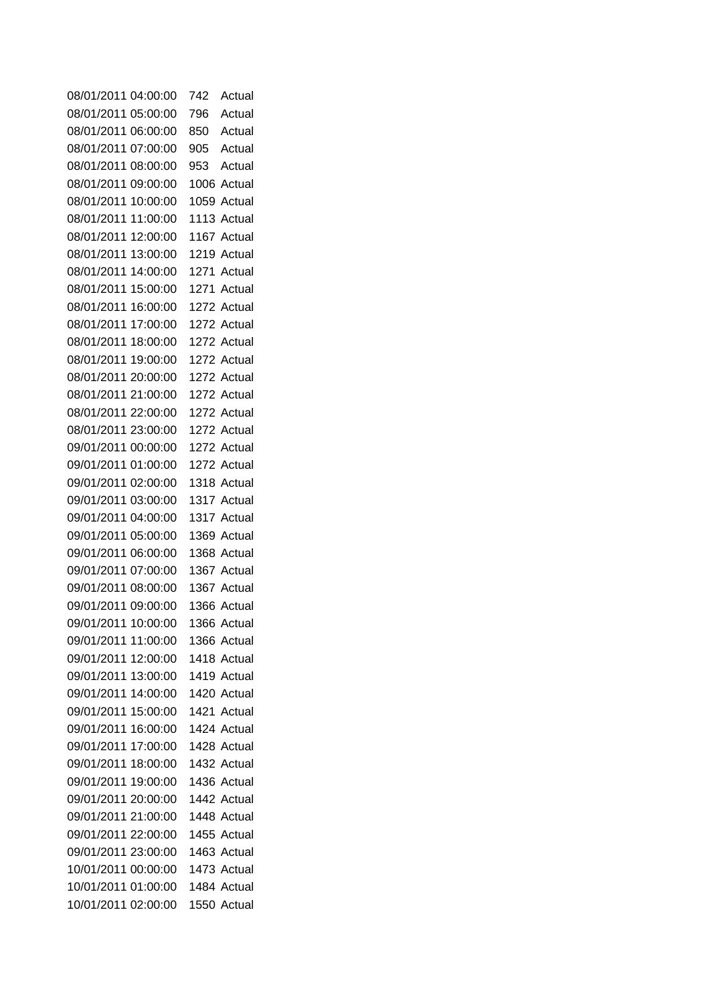| 08/01/2011 04:00:00 |          | 742 | Actual      |
|---------------------|----------|-----|-------------|
| 08/01/2011 05:00:00 |          | 796 | Actual      |
| 08/01/2011 06:00:00 |          | 850 | Actual      |
| 08/01/2011 07:00:00 |          | 905 | Actual      |
| 08/01/2011 08:00:00 |          | 953 | Actual      |
| 08/01/2011 09:00:00 |          |     | 1006 Actual |
| 08/01/2011          | 10:00:00 |     | 1059 Actual |
| 08/01/2011 11:00:00 |          |     | 1113 Actual |
| 08/01/2011          | 12:00:00 |     | 1167 Actual |
| 08/01/2011 13:00:00 |          |     | 1219 Actual |
| 08/01/2011          | 14:00:00 |     | 1271 Actual |
| 08/01/2011          | 15:00:00 |     | 1271 Actual |
| 08/01/2011          | 16:00:00 |     | 1272 Actual |
| 08/01/2011          | 17:00:00 |     | 1272 Actual |
| 08/01/2011 18:00:00 |          |     | 1272 Actual |
| 08/01/2011 19:00:00 |          |     | 1272 Actual |
| 08/01/2011 20:00:00 |          |     | 1272 Actual |
| 08/01/2011 21:00:00 |          |     | 1272 Actual |
| 08/01/2011 22:00:00 |          |     | 1272 Actual |
| 08/01/2011 23:00:00 |          |     | 1272 Actual |
| 09/01/2011 00:00:00 |          |     | 1272 Actual |
| 09/01/2011 01:00:00 |          |     | 1272 Actual |
| 09/01/2011 02:00:00 |          |     | 1318 Actual |
| 09/01/2011 03:00:00 |          |     | 1317 Actual |
| 09/01/2011 04:00:00 |          |     | 1317 Actual |
| 09/01/2011 05:00:00 |          |     | 1369 Actual |
| 09/01/2011 06:00:00 |          |     | 1368 Actual |
| 09/01/2011 07:00:00 |          |     | 1367 Actual |
| 09/01/2011 08:00:00 |          |     | 1367 Actual |
| 09/01/2011 09:00:00 |          |     | 1366 Actual |
| 09/01/2011 10:00:00 |          |     | 1366 Actual |
| 09/01/2011 11:00:00 |          |     | 1366 Actual |
| 09/01/2011 12:00:00 |          |     | 1418 Actual |
| 09/01/2011 13:00:00 |          |     | 1419 Actual |
| 09/01/2011 14:00:00 |          |     | 1420 Actual |
| 09/01/2011 15:00:00 |          |     | 1421 Actual |
| 09/01/2011 16:00:00 |          |     | 1424 Actual |
| 09/01/2011 17:00:00 |          |     | 1428 Actual |
| 09/01/2011 18:00:00 |          |     | 1432 Actual |
| 09/01/2011 19:00:00 |          |     | 1436 Actual |
| 09/01/2011 20:00:00 |          |     | 1442 Actual |
| 09/01/2011 21:00:00 |          |     | 1448 Actual |
| 09/01/2011 22:00:00 |          |     | 1455 Actual |
| 09/01/2011 23:00:00 |          |     | 1463 Actual |
| 10/01/2011 00:00:00 |          |     | 1473 Actual |
| 10/01/2011 01:00:00 |          |     | 1484 Actual |
| 10/01/2011 02:00:00 |          |     | 1550 Actual |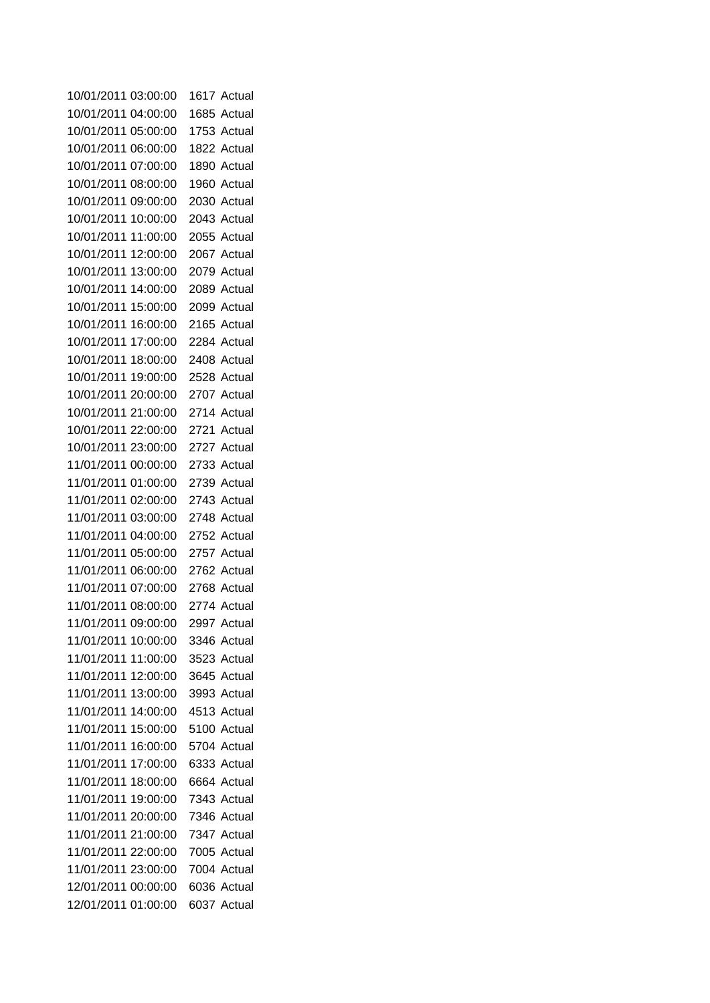| 10/01/2011 03:00:00 |          | 1617 Actual |
|---------------------|----------|-------------|
| 10/01/2011 04:00:00 |          | 1685 Actual |
| 10/01/2011          | 05:00:00 | 1753 Actual |
| 10/01/2011          | 06:00:00 | 1822 Actual |
| 10/01/2011          | 07:00:00 | 1890 Actual |
| 10/01/2011          | 08:00:00 | 1960 Actual |
| 10/01/2011          | 09:00:00 | 2030 Actual |
| 10/01/2011          | 10:00:00 | 2043 Actual |
| 10/01/2011          | 11:00:00 | 2055 Actual |
| 10/01/2011          | 12:00:00 | 2067 Actual |
| 10/01/2011          | 13:00:00 | 2079 Actual |
| 10/01/2011          | 14:00:00 | 2089 Actual |
| 10/01/2011          | 15:00:00 | 2099 Actual |
| 10/01/2011          | 16:00:00 | 2165 Actual |
| 10/01/2011          | 17:00:00 | 2284 Actual |
| 10/01/2011          | 18:00:00 | 2408 Actual |
| 10/01/2011          | 19:00:00 | 2528 Actual |
| 10/01/2011 20:00:00 |          | 2707 Actual |
| 10/01/2011 21:00:00 |          | 2714 Actual |
| 10/01/2011 22:00:00 |          | 2721 Actual |
| 10/01/2011 23:00:00 |          | 2727 Actual |
| 11/01/2011 00:00:00 |          | 2733 Actual |
| 11/01/2011 01:00:00 |          | 2739 Actual |
| 11/01/2011 02:00:00 |          | 2743 Actual |
| 11/01/2011 03:00:00 |          | 2748 Actual |
| 11/01/2011          | 04:00:00 | 2752 Actual |
| 11/01/2011 05:00:00 |          | 2757 Actual |
| 11/01/2011 06:00:00 |          | 2762 Actual |
| 11/01/2011 07:00:00 |          | 2768 Actual |
| 11/01/2011 08:00:00 |          | 2774 Actual |
| 11/01/2011 09:00:00 |          | 2997 Actual |
| 11/01/2011 10:00:00 |          | 3346 Actual |
| 11/01/2011          | 11:00:00 | 3523 Actual |
| 11/01/2011 12:00:00 |          | 3645 Actual |
| 11/01/2011 13:00:00 |          | 3993 Actual |
| 11/01/2011 14:00:00 |          | 4513 Actual |
| 11/01/2011          | 15:00:00 | 5100 Actual |
| 11/01/2011          | 16:00:00 | 5704 Actual |
| 11/01/2011 17:00:00 |          | 6333 Actual |
| 11/01/2011 18:00:00 |          | 6664 Actual |
| 11/01/2011          | 19:00:00 | 7343 Actual |
| 11/01/2011 20:00:00 |          | 7346 Actual |
| 11/01/2011 21:00:00 |          | 7347 Actual |
| 11/01/2011 22:00:00 |          | 7005 Actual |
| 11/01/2011 23:00:00 |          | 7004 Actual |
| 12/01/2011 00:00:00 |          | 6036 Actual |
| 12/01/2011 01:00:00 |          | 6037 Actual |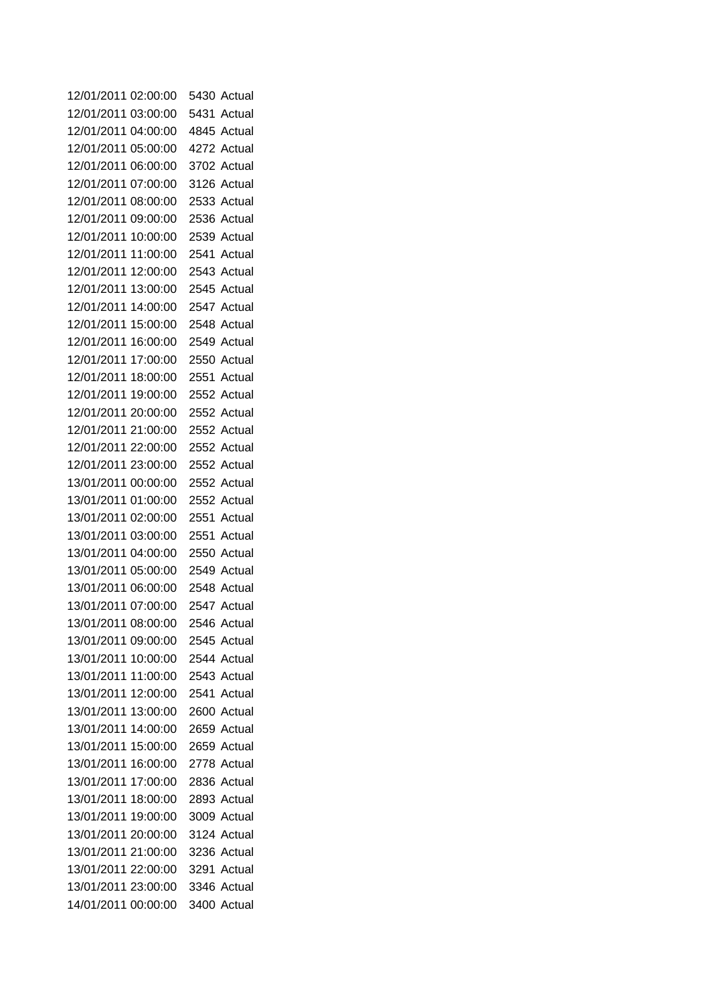| 12/01/2011 02:00:00 |          | 5430 Actual |
|---------------------|----------|-------------|
| 12/01/2011 03:00:00 |          | 5431 Actual |
| 12/01/2011 04:00:00 |          | 4845 Actual |
| 12/01/2011 05:00:00 |          | 4272 Actual |
| 12/01/2011 06:00:00 |          | 3702 Actual |
| 12/01/2011 07:00:00 |          | 3126 Actual |
| 12/01/2011 08:00:00 |          | 2533 Actual |
| 12/01/2011 09:00:00 |          | 2536 Actual |
| 12/01/2011          | 10:00:00 | 2539 Actual |
| 12/01/2011 11:00:00 |          | 2541 Actual |
| 12/01/2011 12:00:00 |          | 2543 Actual |
| 12/01/2011 13:00:00 |          | 2545 Actual |
| 12/01/2011          | 14:00:00 | 2547 Actual |
| 12/01/2011 15:00:00 |          | 2548 Actual |
| 12/01/2011          | 16:00:00 | 2549 Actual |
| 12/01/2011 17:00:00 |          | 2550 Actual |
| 12/01/2011 18:00:00 |          | 2551 Actual |
| 12/01/2011          | 19:00:00 | 2552 Actual |
| 12/01/2011 20:00:00 |          | 2552 Actual |
| 12/01/2011 21:00:00 |          | 2552 Actual |
| 12/01/2011 22:00:00 |          | 2552 Actual |
| 12/01/2011 23:00:00 |          | 2552 Actual |
| 13/01/2011 00:00:00 |          | 2552 Actual |
| 13/01/2011 01:00:00 |          | 2552 Actual |
| 13/01/2011 02:00:00 |          | 2551 Actual |
| 13/01/2011 03:00:00 |          | 2551 Actual |
| 13/01/2011 04:00:00 |          | 2550 Actual |
| 13/01/2011 05:00:00 |          | 2549 Actual |
| 13/01/2011 06:00:00 |          | 2548 Actual |
| 13/01/2011 07:00:00 |          | 2547 Actual |
| 13/01/2011 08:00:00 |          | 2546 Actual |
| 13/01/2011 09:00:00 |          | 2545 Actual |
| 13/01/2011 10:00:00 |          | 2544 Actual |
| 13/01/2011 11:00:00 |          | 2543 Actual |
| 13/01/2011 12:00:00 |          | 2541 Actual |
| 13/01/2011 13:00:00 |          | 2600 Actual |
| 13/01/2011          | 14:00:00 | 2659 Actual |
| 13/01/2011 15:00:00 |          | 2659 Actual |
| 13/01/2011 16:00:00 |          | 2778 Actual |
| 13/01/2011 17:00:00 |          | 2836 Actual |
| 13/01/2011 18:00:00 |          | 2893 Actual |
| 13/01/2011 19:00:00 |          | 3009 Actual |
| 13/01/2011 20:00:00 |          | 3124 Actual |
| 13/01/2011 21:00:00 |          | 3236 Actual |
| 13/01/2011 22:00:00 |          | 3291 Actual |
| 13/01/2011 23:00:00 |          | 3346 Actual |
| 14/01/2011 00:00:00 |          | 3400 Actual |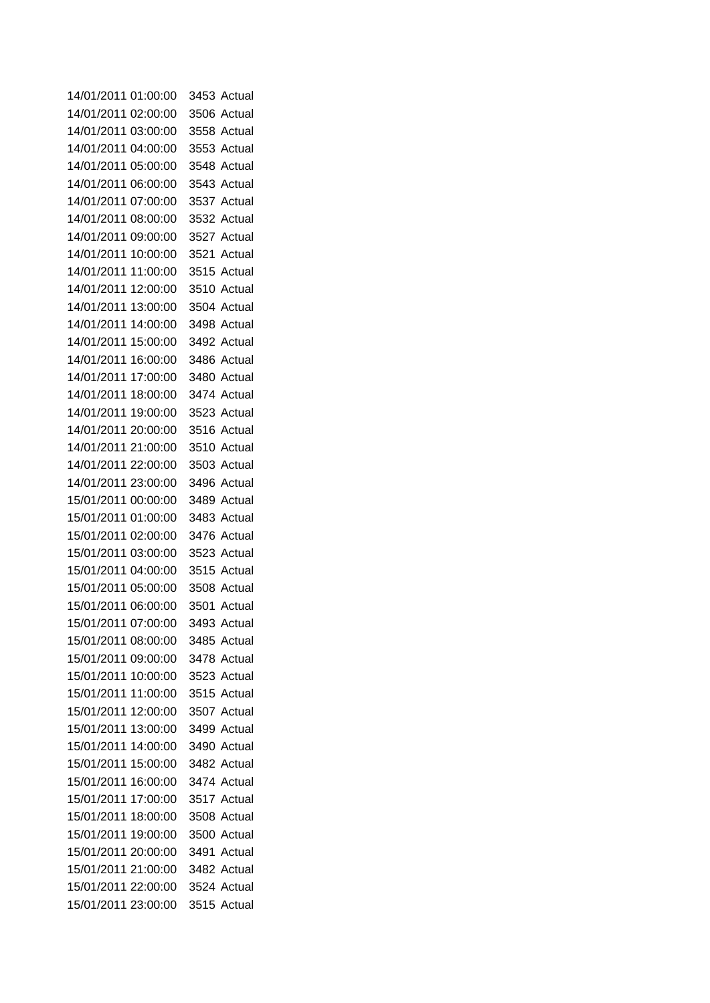| 14/01/2011 01:00:00 |          | 3453 Actual |
|---------------------|----------|-------------|
| 14/01/2011 02:00:00 |          | 3506 Actual |
| 14/01/2011 03:00:00 |          | 3558 Actual |
| 14/01/2011 04:00:00 |          | 3553 Actual |
| 14/01/2011          | 05:00:00 | 3548 Actual |
| 14/01/2011          | 06:00:00 | 3543 Actual |
| 14/01/2011          | 07:00:00 | 3537 Actual |
| 14/01/2011 08:00:00 |          | 3532 Actual |
| 14/01/2011          | 09:00:00 | 3527 Actual |
| 14/01/2011          | 10:00:00 | 3521 Actual |
| 14/01/2011          | 11:00:00 | 3515 Actual |
| 14/01/2011          | 12:00:00 | 3510 Actual |
| 14/01/2011          | 13:00:00 | 3504 Actual |
| 14/01/2011          | 14:00:00 | 3498 Actual |
| 14/01/2011          | 15:00:00 | 3492 Actual |
| 14/01/2011          | 16:00:00 | 3486 Actual |
| 14/01/2011          | 17:00:00 | 3480 Actual |
| 14/01/2011          | 18:00:00 | 3474 Actual |
| 14/01/2011          | 19:00:00 | 3523 Actual |
| 14/01/2011 20:00:00 |          | 3516 Actual |
| 14/01/2011 21:00:00 |          | 3510 Actual |
| 14/01/2011 22:00:00 |          | 3503 Actual |
| 14/01/2011 23:00:00 |          | 3496 Actual |
| 15/01/2011 00:00:00 |          | 3489 Actual |
| 15/01/2011 01:00:00 |          | 3483 Actual |
| 15/01/2011 02:00:00 |          | 3476 Actual |
| 15/01/2011 03:00:00 |          | 3523 Actual |
| 15/01/2011 04:00:00 |          | 3515 Actual |
| 15/01/2011 05:00:00 |          | 3508 Actual |
| 15/01/2011 06:00:00 |          | 3501 Actual |
| 15/01/2011 07:00:00 |          | 3493 Actual |
| 15/01/2011 08:00:00 |          | 3485 Actual |
| 15/01/2011 09:00:00 |          | 3478 Actual |
| 15/01/2011 10:00:00 |          | 3523 Actual |
| 15/01/2011 11:00:00 |          | 3515 Actual |
| 15/01/2011 12:00:00 |          | 3507 Actual |
| 15/01/2011 13:00:00 |          | 3499 Actual |
| 15/01/2011 14:00:00 |          | 3490 Actual |
| 15/01/2011 15:00:00 |          | 3482 Actual |
| 15/01/2011 16:00:00 |          | 3474 Actual |
| 15/01/2011 17:00:00 |          | 3517 Actual |
| 15/01/2011 18:00:00 |          | 3508 Actual |
| 15/01/2011 19:00:00 |          | 3500 Actual |
| 15/01/2011 20:00:00 |          | 3491 Actual |
| 15/01/2011 21:00:00 |          | 3482 Actual |
| 15/01/2011 22:00:00 |          | 3524 Actual |
| 15/01/2011 23:00:00 |          | 3515 Actual |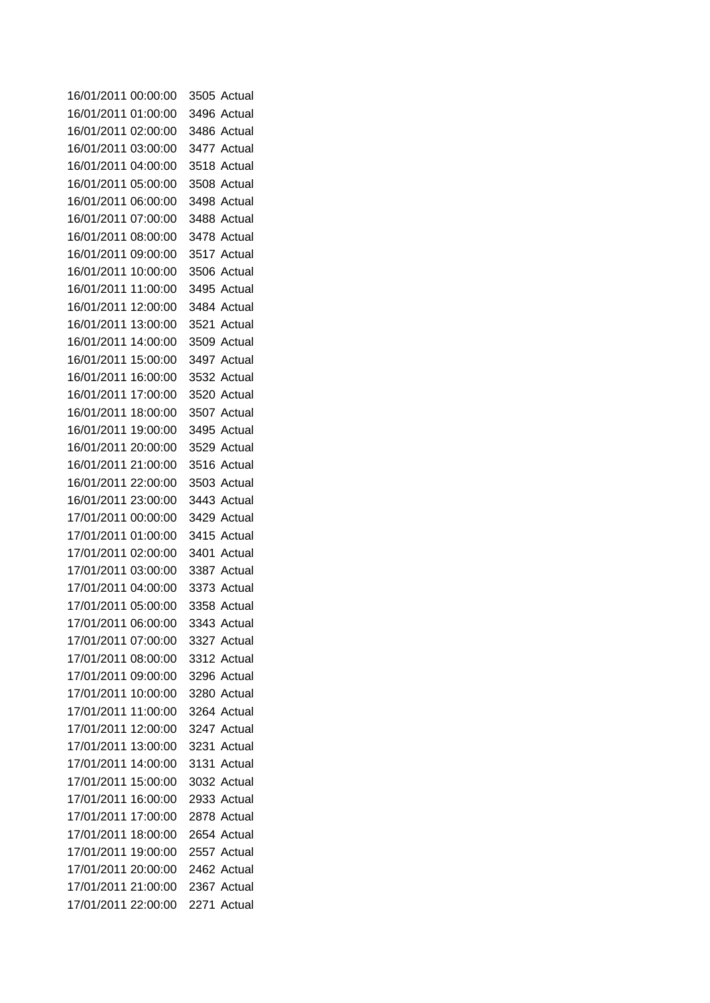| 16/01/2011 00:00:00 |          | 3505 Actual |
|---------------------|----------|-------------|
| 16/01/2011 01:00:00 |          | 3496 Actual |
| 16/01/2011 02:00:00 |          | 3486 Actual |
| 16/01/2011 03:00:00 |          | 3477 Actual |
| 16/01/2011 04:00:00 |          | 3518 Actual |
| 16/01/2011 05:00:00 |          | 3508 Actual |
| 16/01/2011 06:00:00 |          | 3498 Actual |
| 16/01/2011 07:00:00 |          | 3488 Actual |
| 16/01/2011          | 08:00:00 | 3478 Actual |
| 16/01/2011          | 09:00:00 | 3517 Actual |
| 16/01/2011          | 10:00:00 | 3506 Actual |
| 16/01/2011          | 11:00:00 | 3495 Actual |
| 16/01/2011          | 12:00:00 | 3484 Actual |
| 16/01/2011          | 13:00:00 | 3521 Actual |
| 16/01/2011          | 14:00:00 | 3509 Actual |
| 16/01/2011          | 15:00:00 | 3497 Actual |
| 16/01/2011          | 16:00:00 | 3532 Actual |
| 16/01/2011          | 17:00:00 | 3520 Actual |
| 16/01/2011          | 18:00:00 | 3507 Actual |
| 16/01/2011          | 19:00:00 | 3495 Actual |
| 16/01/2011 20:00:00 |          | 3529 Actual |
| 16/01/2011 21:00:00 |          | 3516 Actual |
| 16/01/2011 22:00:00 |          | 3503 Actual |
| 16/01/2011 23:00:00 |          | 3443 Actual |
| 17/01/2011 00:00:00 |          | 3429 Actual |
| 17/01/2011 01:00:00 |          | 3415 Actual |
| 17/01/2011 02:00:00 |          | 3401 Actual |
| 17/01/2011 03:00:00 |          | 3387 Actual |
| 17/01/2011 04:00:00 |          | 3373 Actual |
| 17/01/2011 05:00:00 |          | 3358 Actual |
| 17/01/2011 06:00:00 |          | 3343 Actual |
| 17/01/2011 07:00:00 |          | 3327 Actual |
| 17/01/2011 08:00:00 |          | 3312 Actual |
| 17/01/2011 09:00:00 |          | 3296 Actual |
| 17/01/2011 10:00:00 |          | 3280 Actual |
| 17/01/2011 11:00:00 |          | 3264 Actual |
| 17/01/2011 12:00:00 |          | 3247 Actual |
| 17/01/2011 13:00:00 |          | 3231 Actual |
| 17/01/2011 14:00:00 |          | 3131 Actual |
| 17/01/2011 15:00:00 |          | 3032 Actual |
| 17/01/2011 16:00:00 |          | 2933 Actual |
| 17/01/2011 17:00:00 |          | 2878 Actual |
| 17/01/2011 18:00:00 |          | 2654 Actual |
| 17/01/2011 19:00:00 |          | 2557 Actual |
| 17/01/2011 20:00:00 |          | 2462 Actual |
| 17/01/2011 21:00:00 |          | 2367 Actual |
| 17/01/2011 22:00:00 |          | 2271 Actual |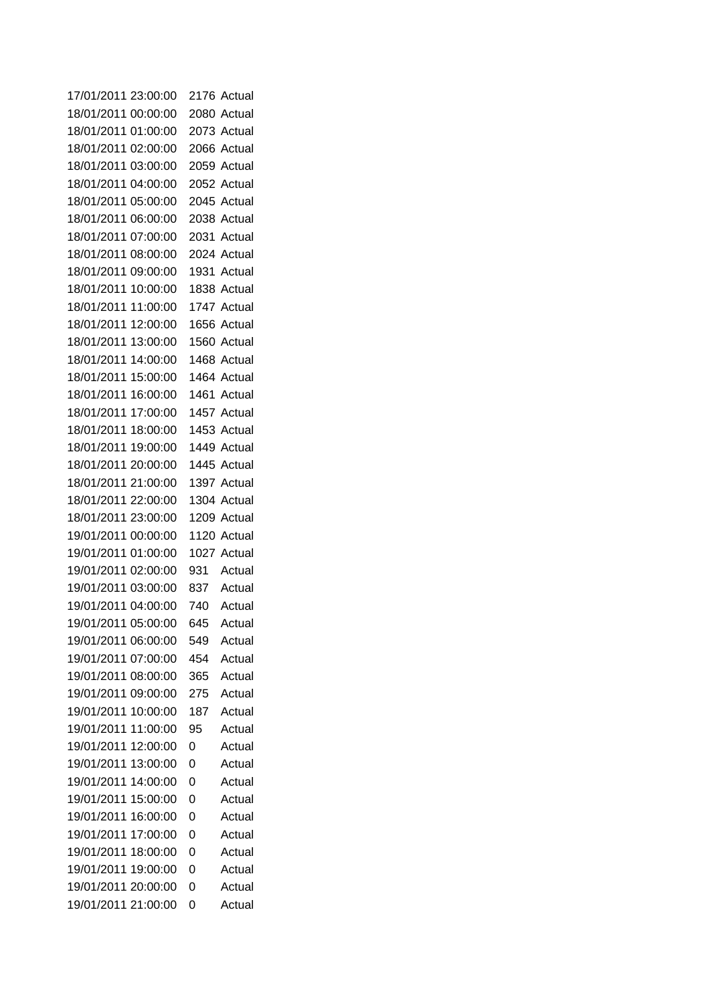| 17/01/2011 23:00:00 |          | 2176 | Actual      |
|---------------------|----------|------|-------------|
| 18/01/2011 00:00:00 |          |      | 2080 Actual |
| 18/01/2011          | 01:00:00 |      | 2073 Actual |
| 18/01/2011          | 02:00:00 |      | 2066 Actual |
| 18/01/2011          | 03:00:00 |      | 2059 Actual |
| 18/01/2011 04:00:00 |          |      | 2052 Actual |
| 18/01/2011          | 05:00:00 |      | 2045 Actual |
| 18/01/2011          | 06:00:00 |      | 2038 Actual |
| 18/01/2011          | 07:00:00 |      | 2031 Actual |
| 18/01/2011          | 08:00:00 |      | 2024 Actual |
| 18/01/2011          | 09:00:00 |      | 1931 Actual |
| 18/01/2011          | 10:00:00 |      | 1838 Actual |
| 18/01/2011          | 11:00:00 |      | 1747 Actual |
| 18/01/2011          | 12:00:00 |      | 1656 Actual |
| 18/01/2011          | 13:00:00 |      | 1560 Actual |
| 18/01/2011          | 14:00:00 |      | 1468 Actual |
| 18/01/2011          | 15:00:00 |      | 1464 Actual |
| 18/01/2011          | 16:00:00 |      | 1461 Actual |
| 18/01/2011          | 17:00:00 |      | 1457 Actual |
| 18/01/2011          | 18:00:00 |      | 1453 Actual |
| 18/01/2011          | 19:00:00 |      | 1449 Actual |
| 18/01/2011          | 20:00:00 |      | 1445 Actual |
| 18/01/2011 21:00:00 |          |      | 1397 Actual |
| 18/01/2011          | 22:00:00 |      | 1304 Actual |
| 18/01/2011 23:00:00 |          |      | 1209 Actual |
| 19/01/2011          | 00:00:00 |      | 1120 Actual |
| 19/01/2011          | 01:00:00 |      | 1027 Actual |
| 19/01/2011 02:00:00 |          | 931  | Actual      |
| 19/01/2011          | 03:00:00 | 837  | Actual      |
| 19/01/2011 04:00:00 |          | 740  | Actual      |
| 19/01/2011 05:00:00 |          | 645  | Actual      |
| 19/01/2011 06:00:00 |          | 549  | Actual      |
| 19/01/2011 07:00:00 |          | 454  | Actual      |
| 19/01/2011 08:00:00 |          | 365  | Actual      |
| 19/01/2011          | 09:00:00 | 275  | Actual      |
| 19/01/2011          | 10:00:00 | 187  | Actual      |
| 19/01/2011          | 11:00:00 | 95   | Actual      |
| 19/01/2011          | 12:00:00 | 0    | Actual      |
| 19/01/2011          | 13:00:00 | 0    | Actual      |
| 19/01/2011          | 14:00:00 | 0    | Actual      |
| 19/01/2011          | 15:00:00 | 0    | Actual      |
| 19/01/2011          | 16:00:00 | 0    | Actual      |
| 19/01/2011          | 17:00:00 | 0    | Actual      |
| 19/01/2011          | 18:00:00 | 0    | Actual      |
| 19/01/2011          | 19:00:00 | 0    | Actual      |
| 19/01/2011 20:00:00 |          | 0    | Actual      |
| 19/01/2011 21:00:00 |          | 0    | Actual      |